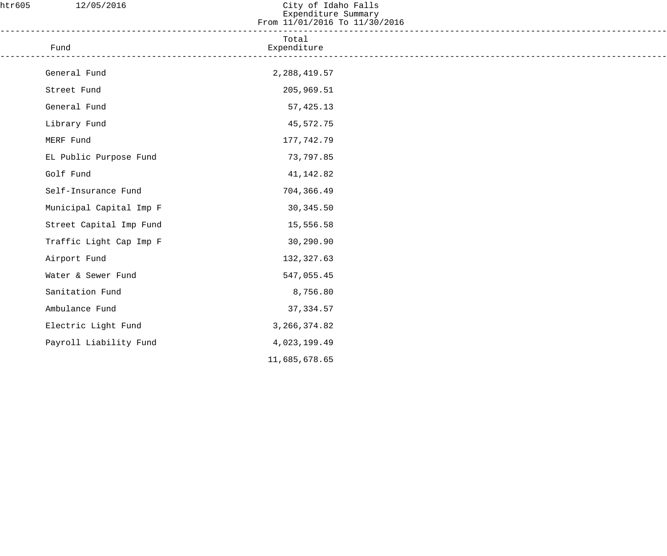| htr605 | 12/05/2016              | City of Idaho Falls<br>Expenditure Summary<br>From 11/01/2016 To 11/30/2016 |  |
|--------|-------------------------|-----------------------------------------------------------------------------|--|
|        | Fund                    | Total<br>Expenditure                                                        |  |
|        | General Fund            | 2, 288, 419.57                                                              |  |
|        | Street Fund             | 205,969.51                                                                  |  |
|        | General Fund            | 57, 425.13                                                                  |  |
|        | Library Fund            | 45,572.75                                                                   |  |
|        | MERF Fund               | 177,742.79                                                                  |  |
|        | EL Public Purpose Fund  | 73,797.85                                                                   |  |
|        | Golf Fund               | 41,142.82                                                                   |  |
|        | Self-Insurance Fund     | 704,366.49                                                                  |  |
|        | Municipal Capital Imp F | 30,345.50                                                                   |  |
|        | Street Capital Imp Fund | 15,556.58                                                                   |  |
|        | Traffic Light Cap Imp F | 30,290.90                                                                   |  |
|        | Airport Fund            | 132,327.63                                                                  |  |
|        | Water & Sewer Fund      | 547,055.45                                                                  |  |
|        | Sanitation Fund         | 8,756.80                                                                    |  |
|        | Ambulance Fund          | 37, 334.57                                                                  |  |
|        | Electric Light Fund     | 3, 266, 374.82                                                              |  |
|        | Payroll Liability Fund  | 4,023,199.49                                                                |  |
|        |                         | 11,685,678.65                                                               |  |
|        |                         |                                                                             |  |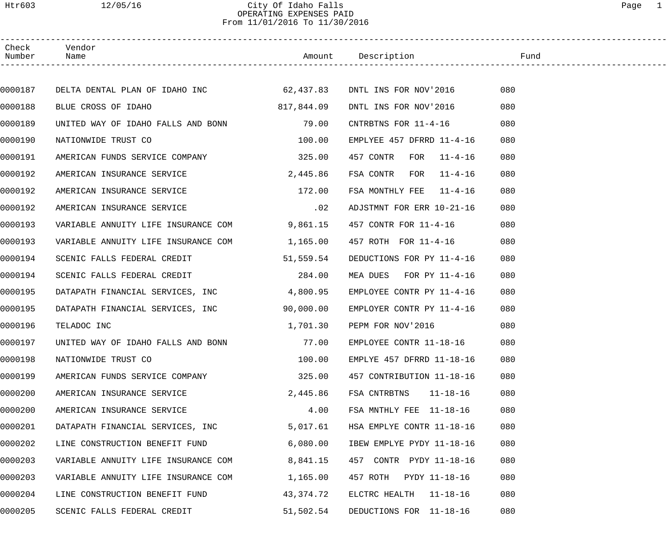#### Htr603 12/05/16 City Of Idaho Falls Page 1 OPERATING EXPENSES PAID From 11/01/2016 To 11/30/2016

| Check<br>Number | Vendor<br>Name                                                 |            | Amount Description             | Fund |  |
|-----------------|----------------------------------------------------------------|------------|--------------------------------|------|--|
|                 |                                                                |            |                                |      |  |
| 0000187         | DELTA DENTAL PLAN OF IDAHO INC 62,437.83 DNTL INS FOR NOV'2016 |            |                                | 080  |  |
| 0000188         | BLUE CROSS OF IDAHO                                            | 817,844.09 | DNTL INS FOR NOV'2016          | 080  |  |
| 0000189         | UNITED WAY OF IDAHO FALLS AND BONN 79.00                       |            | CNTRBTNS FOR 11-4-16           | 080  |  |
| 0000190         | NATIONWIDE TRUST CO                                            | 100.00     | EMPLYEE $457$ DFRRD $11-4-16$  | 080  |  |
| 0000191         | AMERICAN FUNDS SERVICE COMPANY 325.00                          |            | 457 CONTR FOR<br>$11 - 4 - 16$ | 080  |  |
| 0000192         | AMERICAN INSURANCE SERVICE                                     | 2,445.86   | FSA CONTR FOR<br>$11 - 4 - 16$ | 080  |  |
| 0000192         | AMERICAN INSURANCE SERVICE                                     | 172.00     | FSA MONTHLY FEE 11-4-16        | 080  |  |
| 0000192         | AMERICAN INSURANCE SERVICE                                     | .02        | ADJSTMNT FOR ERR 10-21-16      | 080  |  |
| 0000193         | VARIABLE ANNUITY LIFE INSURANCE COM                            | 9,861.15   | 457 CONTR FOR 11-4-16          | 080  |  |
| 0000193         | VARIABLE ANNUITY LIFE INSURANCE COM                            | 1,165.00   | 457 ROTH FOR 11-4-16           | 080  |  |
| 0000194         | SCENIC FALLS FEDERAL CREDIT                                    | 51,559.54  | DEDUCTIONS FOR PY 11-4-16      | 080  |  |
| 0000194         | SCENIC FALLS FEDERAL CREDIT                                    | 284.00     | MEA DUES FOR PY 11-4-16        | 080  |  |
| 0000195         | DATAPATH FINANCIAL SERVICES, INC                               | 4,800.95   | EMPLOYEE CONTR PY 11-4-16      | 080  |  |
| 0000195         | DATAPATH FINANCIAL SERVICES, INC                               | 90,000.00  | EMPLOYER CONTR PY 11-4-16      | 080  |  |
| 0000196         | TELADOC INC                                                    | 1,701.30   | PEPM FOR NOV'2016              | 080  |  |
| 0000197         | UNITED WAY OF IDAHO FALLS AND BONN                             | 77.00      | EMPLOYEE CONTR 11-18-16        | 080  |  |
| 0000198         | NATIONWIDE TRUST CO                                            | 100.00     | EMPLYE 457 DFRRD 11-18-16      | 080  |  |
| 0000199         | AMERICAN FUNDS SERVICE COMPANY                                 | 325.00     | 457 CONTRIBUTION 11-18-16      | 080  |  |
| 0000200         | AMERICAN INSURANCE SERVICE                                     | 2,445.86   | FSA CNTRBTNS<br>$11 - 18 - 16$ | 080  |  |
| 0000200         | AMERICAN INSURANCE SERVICE                                     | 4.00       | FSA MNTHLY FEE 11-18-16        | 080  |  |
| 0000201         | DATAPATH FINANCIAL SERVICES, INC                               | 5,017.61   | HSA EMPLYE CONTR 11-18-16      | 080  |  |
| 0000202         | LINE CONSTRUCTION BENEFIT FUND                                 | 6,080.00   | IBEW EMPLYE PYDY 11-18-16      | 080  |  |
| 0000203         | VARIABLE ANNUITY LIFE INSURANCE COM                            | 8,841.15   | 457 CONTR PYDY 11-18-16        | 080  |  |
| 0000203         | VARIABLE ANNUITY LIFE INSURANCE COM                            | 1,165.00   | 457 ROTH PYDY 11-18-16         | 080  |  |
| 0000204         | LINE CONSTRUCTION BENEFIT FUND                                 | 43,374.72  | ELCTRC HEALTH 11-18-16         | 080  |  |
| 0000205         | SCENIC FALLS FEDERAL CREDIT                                    | 51,502.54  | DEDUCTIONS FOR 11-18-16        | 080  |  |
|                 |                                                                |            |                                |      |  |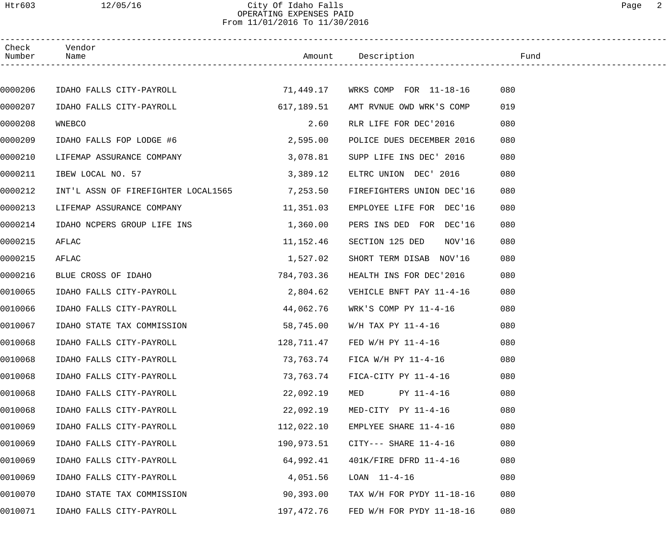#### Htr603 12/05/16 City Of Idaho Falls Page 2 OPERATING EXPENSES PAID From 11/01/2016 To 11/30/2016

| Check<br>Number | Vendor<br>Name                               |            |                                   |     |
|-----------------|----------------------------------------------|------------|-----------------------------------|-----|
|                 |                                              |            |                                   |     |
| 0000206         |                                              |            |                                   | 080 |
| 0000207         | IDAHO FALLS CITY-PAYROLL                     | 617,189.51 | AMT RVNUE OWD WRK'S COMP          | 019 |
| 0000208         | WNEBCO                                       | 2.60       | RLR LIFE FOR DEC'2016             | 080 |
| 0000209         | IDAHO FALLS FOP LODGE #6                     | 2,595.00   | POLICE DUES DECEMBER 2016         | 080 |
| 0000210         | LIFEMAP ASSURANCE COMPANY                    | 3,078.81   | SUPP LIFE INS DEC' 2016           | 080 |
| 0000211         | IBEW LOCAL NO. 57                            | 3,389.12   | ELTRC UNION DEC' 2016             | 080 |
| 0000212         | INT'L ASSN OF FIREFIGHTER LOCAL1565 7,253.50 |            | FIREFIGHTERS UNION DEC'16         | 080 |
| 0000213         | LIFEMAP ASSURANCE COMPANY                    | 11, 351.03 | EMPLOYEE LIFE FOR DEC'16          | 080 |
| 0000214         | IDAHO NCPERS GROUP LIFE INS                  | 1,360.00   | PERS INS DED FOR DEC'16           | 080 |
| 0000215         | AFLAC                                        | 11,152.46  | SECTION 125 DED<br>NOV'16         | 080 |
| 0000215         | AFLAC                                        | 1,527.02   | SHORT TERM DISAB NOV'16           | 080 |
| 0000216         | BLUE CROSS OF IDAHO                          | 784,703.36 | HEALTH INS FOR DEC'2016           | 080 |
| 0010065         | IDAHO FALLS CITY-PAYROLL                     | 2,804.62   | VEHICLE BNFT PAY 11-4-16          | 080 |
| 0010066         | IDAHO FALLS CITY-PAYROLL                     | 44,062.76  | WRK'S COMP PY 11-4-16             | 080 |
| 0010067         | IDAHO STATE TAX COMMISSION                   | 58,745.00  | W/H TAX PY 11-4-16                | 080 |
| 0010068         | IDAHO FALLS CITY-PAYROLL                     |            | $128,711.47$ FED W/H PY $11-4-16$ | 080 |
| 0010068         | IDAHO FALLS CITY-PAYROLL                     | 73,763.74  | FICA W/H PY 11-4-16               | 080 |
| 0010068         | IDAHO FALLS CITY-PAYROLL                     | 73,763.74  | FICA-CITY PY 11-4-16              | 080 |
| 0010068         | IDAHO FALLS CITY-PAYROLL                     | 22,092.19  | PY 11-4-16<br>MED                 | 080 |
| 0010068         | IDAHO FALLS CITY-PAYROLL                     | 22,092.19  | MED-CITY PY 11-4-16               | 080 |
| 0010069         | IDAHO FALLS CITY-PAYROLL                     | 112,022.10 | EMPLYEE SHARE 11-4-16             | 080 |
| 0010069         | IDAHO FALLS CITY-PAYROLL                     | 190,973.51 | $CITY---$ SHARE $11-4-16$         | 080 |
| 0010069         | IDAHO FALLS CITY-PAYROLL                     | 64,992.41  | 401K/FIRE DFRD 11-4-16            | 080 |
| 0010069         | IDAHO FALLS CITY-PAYROLL                     | 4,051.56   | $LOAN$ $11-4-16$                  | 080 |
| 0010070         | IDAHO STATE TAX COMMISSION                   | 90,393.00  | TAX W/H FOR PYDY 11-18-16         | 080 |
| 0010071         | IDAHO FALLS CITY-PAYROLL                     | 197,472.76 | FED W/H FOR PYDY $11-18-16$       | 080 |
|                 |                                              |            |                                   |     |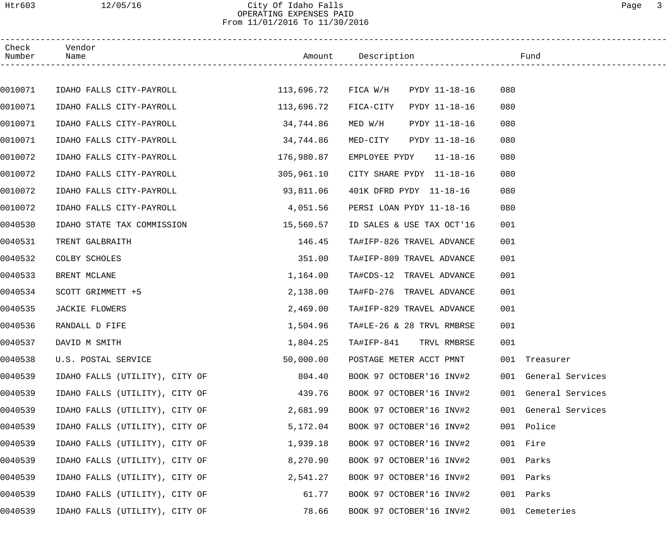## Htr603 12/05/16 City Of Idaho Falls Page 3 OPERATING EXPENSES PAID From 11/01/2016 To 11/30/2016

| Check<br>Number | Vendor<br>Name                 |                     | Amount Description         | Fund                 |
|-----------------|--------------------------------|---------------------|----------------------------|----------------------|
|                 |                                |                     |                            |                      |
| 0010071         | IDAHO FALLS CITY-PAYROLL       | 113,696.72 FICA W/H | PYDY 11-18-16              | 080                  |
| 0010071         | IDAHO FALLS CITY-PAYROLL       | 113,696.72          | FICA-CITY<br>PYDY 11-18-16 | 080                  |
| 0010071         | IDAHO FALLS CITY-PAYROLL       | 34,744.86           | PYDY 11-18-16<br>MED W/H   | 080                  |
| 0010071         | IDAHO FALLS CITY-PAYROLL       | 34,744.86           | PYDY 11-18-16<br>MED-CITY  | 080                  |
| 0010072         | IDAHO FALLS CITY-PAYROLL       | 176,980.87          | EMPLOYEE PYDY 11-18-16     | 080                  |
| 0010072         | IDAHO FALLS CITY-PAYROLL       | 305,961.10          | CITY SHARE PYDY 11-18-16   | 080                  |
| 0010072         | IDAHO FALLS CITY-PAYROLL       | 93,811.06           | 401K DFRD PYDY 11-18-16    | 080                  |
| 0010072         | IDAHO FALLS CITY-PAYROLL       | 4,051.56            | PERSI LOAN PYDY 11-18-16   | 080                  |
| 0040530         | IDAHO STATE TAX COMMISSION     | 15,560.57           | ID SALES & USE TAX OCT'16  | 001                  |
| 0040531         | TRENT GALBRAITH                | 146.45              | TA#IFP-826 TRAVEL ADVANCE  | 001                  |
| 0040532         | COLBY SCHOLES                  | 351.00              | TA#IFP-809 TRAVEL ADVANCE  | 001                  |
| 0040533         | BRENT MCLANE                   | 1,164.00            | TA#CDS-12 TRAVEL ADVANCE   | 001                  |
| 0040534         | SCOTT GRIMMETT +5              | 2,138.00            | TA#FD-276 TRAVEL ADVANCE   | 001                  |
| 0040535         | <b>JACKIE FLOWERS</b>          | 2,469.00            | TA#IFP-829 TRAVEL ADVANCE  | 001                  |
| 0040536         | RANDALL D FIFE                 | 1,504.96            | TA#LE-26 & 28 TRVL RMBRSE  | 001                  |
| 0040537         | DAVID M SMITH                  | 1,804.25            | TA#IFP-841 TRVL RMBRSE     | 001                  |
| 0040538         | U.S. POSTAL SERVICE            | 50,000.00           | POSTAGE METER ACCT PMNT    | 001 Treasurer        |
| 0040539         | IDAHO FALLS (UTILITY), CITY OF | 804.40              | BOOK 97 OCTOBER'16 INV#2   | 001 General Services |
| 0040539         | IDAHO FALLS (UTILITY), CITY OF | 439.76              | BOOK 97 OCTOBER'16 INV#2   | 001 General Services |
| 0040539         | IDAHO FALLS (UTILITY), CITY OF | 2,681.99            | BOOK 97 OCTOBER'16 INV#2   | 001 General Services |
| 0040539         | IDAHO FALLS (UTILITY), CITY OF | 5,172.04            | BOOK 97 OCTOBER'16 INV#2   | 001 Police           |
| 0040539         | IDAHO FALLS (UTILITY), CITY OF | 1,939.18            | BOOK 97 OCTOBER'16 INV#2   | 001 Fire             |
| 0040539         | IDAHO FALLS (UTILITY), CITY OF | 8,270.90            | BOOK 97 OCTOBER'16 INV#2   | 001 Parks            |
| 0040539         | IDAHO FALLS (UTILITY), CITY OF | 2,541.27            | BOOK 97 OCTOBER'16 INV#2   | 001<br>Parks         |
| 0040539         | IDAHO FALLS (UTILITY), CITY OF | 61.77               | BOOK 97 OCTOBER'16 INV#2   | Parks<br>001         |
| 0040539         | IDAHO FALLS (UTILITY), CITY OF | 78.66               | BOOK 97 OCTOBER'16 INV#2   | 001 Cemeteries       |
|                 |                                |                     |                            |                      |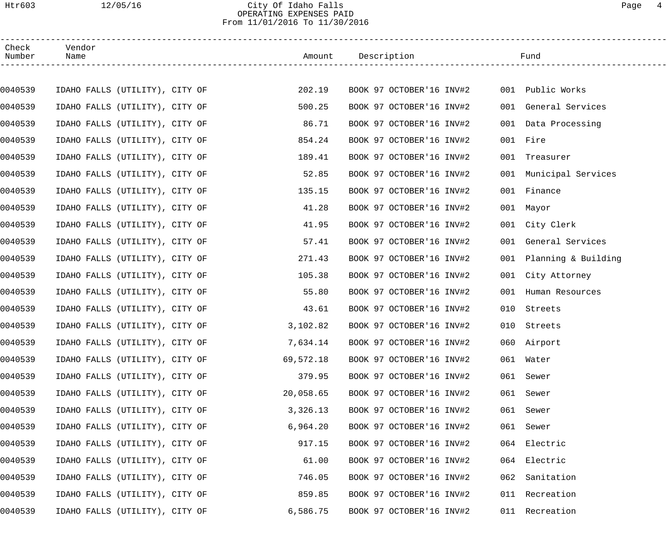#### Htr603 12/05/16 City Of Idaho Falls Page 4 OPERATING EXPENSES PAID From 11/01/2016 To 11/30/2016

| Check<br>Number | Vendor<br>Name                 |                                |           | Amount Description       |     | Fund                    |  |
|-----------------|--------------------------------|--------------------------------|-----------|--------------------------|-----|-------------------------|--|
|                 |                                |                                |           |                          |     |                         |  |
| 0040539         | IDAHO FALLS (UTILITY), CITY OF |                                | 202.19    | BOOK 97 OCTOBER'16 INV#2 |     | 001 Public Works        |  |
| 0040539         | IDAHO FALLS (UTILITY), CITY OF |                                | 500.25    | BOOK 97 OCTOBER'16 INV#2 |     | 001 General Services    |  |
| 0040539         | IDAHO FALLS (UTILITY), CITY OF |                                | 86.71     | BOOK 97 OCTOBER'16 INV#2 |     | 001 Data Processing     |  |
| 0040539         | IDAHO FALLS (UTILITY), CITY OF |                                | 854.24    | BOOK 97 OCTOBER'16 INV#2 |     | 001 Fire                |  |
| 0040539         | IDAHO FALLS (UTILITY), CITY OF |                                | 189.41    | BOOK 97 OCTOBER'16 INV#2 | 001 | Treasurer               |  |
| 0040539         | IDAHO FALLS (UTILITY), CITY OF |                                | 52.85     | BOOK 97 OCTOBER'16 INV#2 |     | 001 Municipal Services  |  |
| 0040539         | IDAHO FALLS (UTILITY), CITY OF |                                | 135.15    | BOOK 97 OCTOBER'16 INV#2 | 001 | Finance                 |  |
| 0040539         | IDAHO FALLS (UTILITY), CITY OF |                                | 41.28     | BOOK 97 OCTOBER'16 INV#2 |     | 001 Mayor               |  |
| 0040539         | IDAHO FALLS (UTILITY), CITY OF |                                | 41.95     | BOOK 97 OCTOBER'16 INV#2 |     | 001 City Clerk          |  |
| 0040539         | IDAHO FALLS (UTILITY), CITY OF |                                | 57.41     | BOOK 97 OCTOBER'16 INV#2 | 001 | General Services        |  |
| 0040539         | IDAHO FALLS (UTILITY), CITY OF |                                | 271.43    | BOOK 97 OCTOBER'16 INV#2 |     | 001 Planning & Building |  |
| 0040539         | IDAHO FALLS (UTILITY), CITY OF |                                | 105.38    | BOOK 97 OCTOBER'16 INV#2 |     | 001 City Attorney       |  |
| 0040539         | IDAHO FALLS (UTILITY), CITY OF |                                | 55.80     | BOOK 97 OCTOBER'16 INV#2 | 001 | Human Resources         |  |
| 0040539         | IDAHO FALLS (UTILITY), CITY OF |                                | 43.61     | BOOK 97 OCTOBER'16 INV#2 | 010 | Streets                 |  |
| 0040539         | IDAHO FALLS (UTILITY), CITY OF |                                | 3,102.82  | BOOK 97 OCTOBER'16 INV#2 | 010 | Streets                 |  |
| 0040539         | IDAHO FALLS (UTILITY), CITY OF |                                | 7,634.14  | BOOK 97 OCTOBER'16 INV#2 |     | 060 Airport             |  |
| 0040539         |                                | IDAHO FALLS (UTILITY), CITY OF | 69,572.18 | BOOK 97 OCTOBER'16 INV#2 |     | 061 Water               |  |
| 0040539         | IDAHO FALLS (UTILITY), CITY OF |                                | 379.95    | BOOK 97 OCTOBER'16 INV#2 |     | 061 Sewer               |  |
| 0040539         | IDAHO FALLS (UTILITY), CITY OF |                                | 20,058.65 | BOOK 97 OCTOBER'16 INV#2 |     | 061 Sewer               |  |
| 0040539         | IDAHO FALLS (UTILITY), CITY OF |                                | 3,326.13  | BOOK 97 OCTOBER'16 INV#2 |     | 061 Sewer               |  |
| 0040539         | IDAHO FALLS (UTILITY), CITY OF |                                | 6,964.20  | BOOK 97 OCTOBER'16 INV#2 |     | 061 Sewer               |  |
| 0040539         | IDAHO FALLS (UTILITY), CITY OF |                                | 917.15    | BOOK 97 OCTOBER'16 INV#2 |     | 064 Electric            |  |
| 0040539         | IDAHO FALLS (UTILITY), CITY OF |                                | 61.00     | BOOK 97 OCTOBER'16 INV#2 |     | 064 Electric            |  |
| 0040539         | IDAHO FALLS (UTILITY), CITY OF |                                | 746.05    | BOOK 97 OCTOBER'16 INV#2 |     | 062 Sanitation          |  |
| 0040539         | IDAHO FALLS (UTILITY), CITY OF |                                | 859.85    | BOOK 97 OCTOBER'16 INV#2 |     | 011 Recreation          |  |
| 0040539         |                                | IDAHO FALLS (UTILITY), CITY OF | 6,586.75  | BOOK 97 OCTOBER'16 INV#2 |     | 011 Recreation          |  |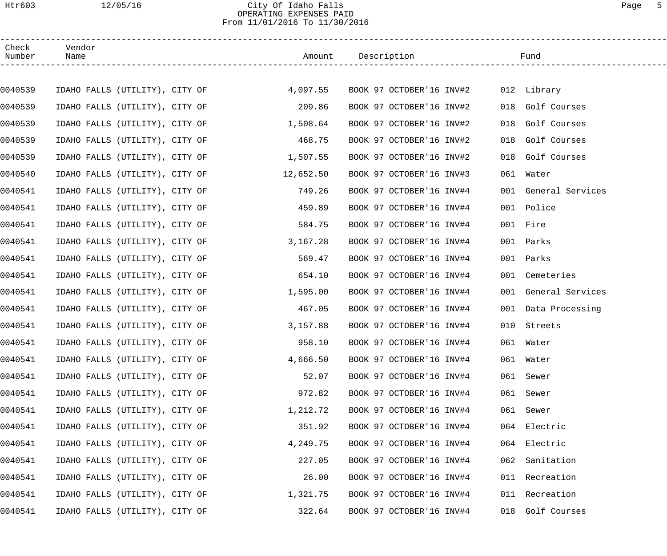#### Htr603 12/05/16 City Of Idaho Falls Page 5 OPERATING EXPENSES PAID From 11/01/2016 To 11/30/2016

| Check<br>Number | Vendor<br>Name                 |                                           |          |                          |     | Fund                 |
|-----------------|--------------------------------|-------------------------------------------|----------|--------------------------|-----|----------------------|
|                 |                                |                                           |          |                          |     |                      |
| 0040539         |                                | IDAHO FALLS (UTILITY), CITY OF $4,097.55$ |          | BOOK 97 OCTOBER'16 INV#2 |     | 012 Library          |
| 0040539         |                                | IDAHO FALLS (UTILITY), CITY OF            | 209.86   | BOOK 97 OCTOBER'16 INV#2 |     | 018 Golf Courses     |
| 0040539         |                                | IDAHO FALLS (UTILITY), CITY OF            | 1,508.64 | BOOK 97 OCTOBER'16 INV#2 |     | 018 Golf Courses     |
| 0040539         |                                | IDAHO FALLS (UTILITY), CITY OF            | 468.75   | BOOK 97 OCTOBER'16 INV#2 |     | 018 Golf Courses     |
| 0040539         |                                | IDAHO FALLS (UTILITY), CITY OF 1,507.55   |          | BOOK 97 OCTOBER'16 INV#2 |     | 018 Golf Courses     |
| 0040540         |                                | IDAHO FALLS (UTILITY), CITY OF 12,652.50  |          | BOOK 97 OCTOBER'16 INV#3 |     | 061 Water            |
| 0040541         |                                | IDAHO FALLS (UTILITY), CITY OF            | 749.26   | BOOK 97 OCTOBER'16 INV#4 |     | 001 General Services |
| 0040541         |                                | IDAHO FALLS (UTILITY), CITY OF            | 459.89   | BOOK 97 OCTOBER'16 INV#4 |     | 001 Police           |
| 0040541         |                                | IDAHO FALLS (UTILITY), CITY OF            | 584.75   | BOOK 97 OCTOBER'16 INV#4 |     | 001 Fire             |
| 0040541         |                                | IDAHO FALLS (UTILITY), CITY OF            | 3,167.28 | BOOK 97 OCTOBER'16 INV#4 |     | 001 Parks            |
| 0040541         |                                | IDAHO FALLS (UTILITY), CITY OF            | 569.47   | BOOK 97 OCTOBER'16 INV#4 |     | 001 Parks            |
| 0040541         |                                | IDAHO FALLS (UTILITY), CITY OF            | 654.10   | BOOK 97 OCTOBER'16 INV#4 |     | 001 Cemeteries       |
| 0040541         |                                | IDAHO FALLS (UTILITY), CITY OF            | 1,595.00 | BOOK 97 OCTOBER'16 INV#4 |     | 001 General Services |
| 0040541         |                                | IDAHO FALLS (UTILITY), CITY OF            | 467.05   | BOOK 97 OCTOBER'16 INV#4 |     | 001 Data Processing  |
| 0040541         |                                | IDAHO FALLS (UTILITY), CITY OF            | 3,157.88 | BOOK 97 OCTOBER'16 INV#4 |     | 010 Streets          |
| 0040541         | IDAHO FALLS (UTILITY), CITY OF |                                           | 958.10   | BOOK 97 OCTOBER'16 INV#4 |     | 061 Water            |
| 0040541         | IDAHO FALLS (UTILITY), CITY OF |                                           | 4,666.50 | BOOK 97 OCTOBER'16 INV#4 |     | 061 Water            |
| 0040541         | IDAHO FALLS (UTILITY), CITY OF |                                           | 52.07    | BOOK 97 OCTOBER'16 INV#4 |     | 061 Sewer            |
| 0040541         | IDAHO FALLS (UTILITY), CITY OF |                                           | 972.82   | BOOK 97 OCTOBER'16 INV#4 |     | 061 Sewer            |
| 0040541         | IDAHO FALLS (UTILITY), CITY OF |                                           | 1,212.72 | BOOK 97 OCTOBER'16 INV#4 |     | 061 Sewer            |
| 0040541         | IDAHO FALLS (UTILITY), CITY OF |                                           | 351.92   | BOOK 97 OCTOBER'16 INV#4 |     | 064 Electric         |
| 0040541         | IDAHO FALLS (UTILITY), CITY OF |                                           | 4,249.75 | BOOK 97 OCTOBER'16 INV#4 |     | 064 Electric         |
| 0040541         | IDAHO FALLS (UTILITY), CITY OF |                                           | 227.05   | BOOK 97 OCTOBER'16 INV#4 | 062 | Sanitation           |
| 0040541         | IDAHO FALLS (UTILITY), CITY OF |                                           | 26.00    | BOOK 97 OCTOBER'16 INV#4 |     | 011 Recreation       |
| 0040541         | IDAHO FALLS (UTILITY), CITY OF |                                           | 1,321.75 | BOOK 97 OCTOBER'16 INV#4 |     | 011 Recreation       |
| 0040541         | IDAHO FALLS (UTILITY), CITY OF |                                           | 322.64   | BOOK 97 OCTOBER'16 INV#4 |     | 018 Golf Courses     |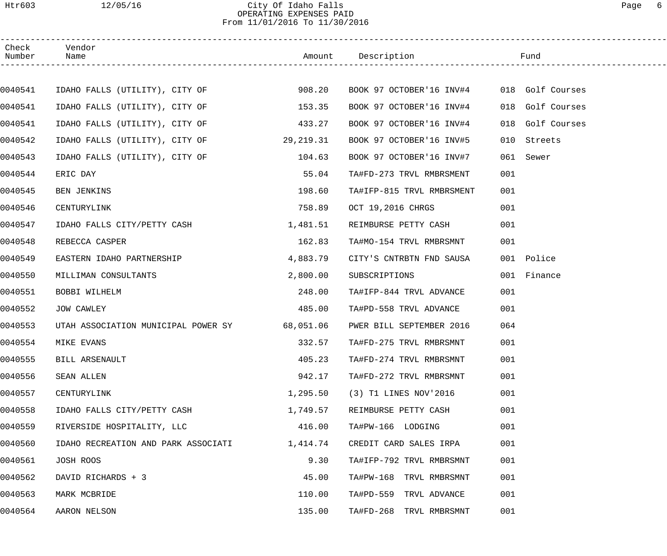#### Htr603 12/05/16 City Of Idaho Falls Page 6 OPERATING EXPENSES PAID From 11/01/2016 To 11/30/2016

| Check<br>Number | Vendor<br>Name                                |           | Amount Description                        | Fund                |
|-----------------|-----------------------------------------------|-----------|-------------------------------------------|---------------------|
|                 |                                               |           |                                           |                     |
| 0040541         | IDAHO FALLS (UTILITY), CITY OF 508.20         |           | BOOK 97 OCTOBER'16 INV#4 018 Golf Courses |                     |
| 0040541         | IDAHO FALLS (UTILITY), CITY OF                | 153.35    | BOOK 97 OCTOBER'16 INV#4                  | 018<br>Golf Courses |
| 0040541         | IDAHO FALLS (UTILITY), CITY OF                | 433.27    | BOOK 97 OCTOBER'16 INV#4                  | 018<br>Golf Courses |
| 0040542         | IDAHO FALLS (UTILITY), CITY OF                | 29,219.31 | BOOK 97 OCTOBER'16 INV#5                  | 010<br>Streets      |
| 0040543         | IDAHO FALLS (UTILITY), CITY OF                | 104.63    | BOOK 97 OCTOBER'16 INV#7                  | 061 Sewer           |
| 0040544         | ERIC DAY                                      | 55.04     | TA#FD-273 TRVL RMBRSMENT                  | 001                 |
| 0040545         | <b>BEN JENKINS</b>                            | 198.60    | TA#IFP-815 TRVL RMBRSMENT                 | 001                 |
| 0040546         | CENTURYLINK                                   | 758.89    | OCT 19,2016 CHRGS                         | 001                 |
| 0040547         | IDAHO FALLS CITY/PETTY CASH                   | 1,481.51  | REIMBURSE PETTY CASH                      | 001                 |
| 0040548         | REBECCA CASPER                                | 162.83    | TA#MO-154 TRVL RMBRSMNT                   | 001                 |
| 0040549         | EASTERN IDAHO PARTNERSHIP                     | 4,883.79  | CITY'S CNTRBTN FND SAUSA                  | 001 Police          |
| 0040550         | MILLIMAN CONSULTANTS                          | 2,800.00  | SUBSCRIPTIONS                             | 001 Finance         |
| 0040551         | BOBBI WILHELM                                 | 248.00    | TA#IFP-844 TRVL ADVANCE                   | 001                 |
| 0040552         | JOW CAWLEY                                    | 485.00    | TA#PD-558 TRVL ADVANCE                    | 001                 |
| 0040553         | UTAH ASSOCIATION MUNICIPAL POWER SY 68,051.06 |           | PWER BILL SEPTEMBER 2016                  | 064                 |
| 0040554         | MIKE EVANS                                    | 332.57    | TA#FD-275 TRVL RMBRSMNT                   | 001                 |
| 0040555         | BILL ARSENAULT                                | 405.23    | TA#FD-274 TRVL RMBRSMNT                   | 001                 |
| 0040556         | SEAN ALLEN                                    | 942.17    | TA#FD-272 TRVL RMBRSMNT                   | 001                 |
| 0040557         | CENTURYLINK                                   | 1,295.50  | (3) T1 LINES NOV'2016                     | 001                 |
| 0040558         | IDAHO FALLS CITY/PETTY CASH                   | 1,749.57  | REIMBURSE PETTY CASH                      | 001                 |
| 0040559         | RIVERSIDE HOSPITALITY, LLC                    | 416.00    | TA#PW-166 LODGING                         | 001                 |
| 0040560         | IDAHO RECREATION AND PARK ASSOCIATI           | 1,414.74  | CREDIT CARD SALES IRPA                    | 001                 |
| 0040561         | JOSH ROOS                                     | 9.30      | TA#IFP-792 TRVL RMBRSMNT                  | 001                 |
| 0040562         | DAVID RICHARDS + 3                            | 45.00     | TA#PW-168 TRVL RMBRSMNT                   | 001                 |
| 0040563         | MARK MCBRIDE                                  | 110.00    | TA#PD-559 TRVL ADVANCE                    | 001                 |
| 0040564         | AARON NELSON                                  | 135.00    | TA#FD-268 TRVL RMBRSMNT                   | 001                 |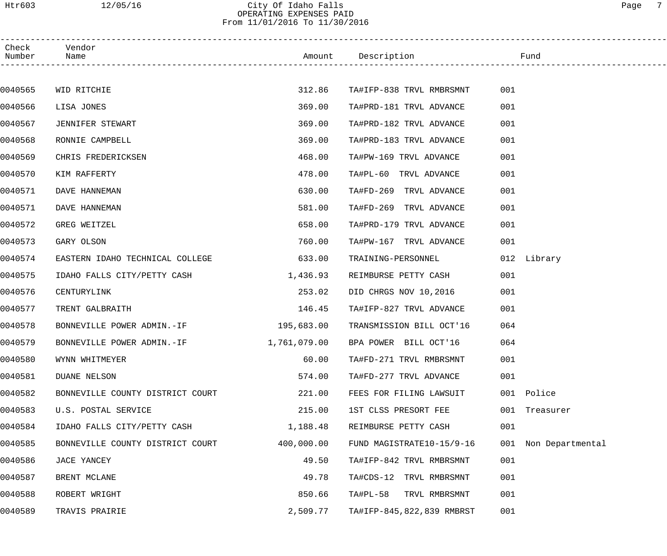| Check<br>Number | Vendor<br>Name                   |            | Amount Description                 | Fund                 |  |
|-----------------|----------------------------------|------------|------------------------------------|----------------------|--|
|                 |                                  |            |                                    |                      |  |
| 0040565         | WID RITCHIE                      | 312.86     | TA#IFP-838 TRVL RMBRSMNT           | 001                  |  |
| 0040566         | LISA JONES                       | 369.00     | TA#PRD-181 TRVL ADVANCE            | 001                  |  |
| 0040567         | JENNIFER STEWART                 | 369.00     | TA#PRD-182 TRVL ADVANCE            | 001                  |  |
| 0040568         | RONNIE CAMPBELL                  | 369.00     | TA#PRD-183 TRVL ADVANCE            | 001                  |  |
| 0040569         | CHRIS FREDERICKSEN               | 468.00     | TA#PW-169 TRVL ADVANCE             | 001                  |  |
| 0040570         | KIM RAFFERTY                     | 478.00     | TA#PL-60 TRVL ADVANCE              | 001                  |  |
| 0040571         | DAVE HANNEMAN                    | 630.00     | TA#FD-269 TRVL ADVANCE             | 001                  |  |
| 0040571         | DAVE HANNEMAN                    | 581.00     | TA#FD-269 TRVL ADVANCE             | 001                  |  |
| 0040572         | GREG WEITZEL                     | 658.00     | TA#PRD-179 TRVL ADVANCE            | 001                  |  |
| 0040573         | GARY OLSON                       | 760.00     | TA#PW-167 TRVL ADVANCE             | 001                  |  |
| 0040574         | EASTERN IDAHO TECHNICAL COLLEGE  | 633.00     | TRAINING-PERSONNEL                 | 012 Library          |  |
| 0040575         | IDAHO FALLS CITY/PETTY CASH      | 1,436.93   | REIMBURSE PETTY CASH               | 001                  |  |
| 0040576         | CENTURYLINK                      | 253.02     | DID CHRGS NOV 10,2016              | 001                  |  |
| 0040577         | TRENT GALBRAITH                  | 146.45     | TA#IFP-827 TRVL ADVANCE            | 001                  |  |
| 0040578         | BONNEVILLE POWER ADMIN.-IF       | 195,683.00 | TRANSMISSION BILL OCT'16           | 064                  |  |
| 0040579         | BONNEVILLE POWER ADMIN.-IF       |            | 1,761,079.00 BPA POWER BILL OCT'16 | 064                  |  |
| 0040580         | WYNN WHITMEYER                   | 60.00      | TA#FD-271 TRVL RMBRSMNT            | 001                  |  |
| 0040581         | <b>DUANE NELSON</b>              | 574.00     | TA#FD-277 TRVL ADVANCE             | 001                  |  |
| 0040582         | BONNEVILLE COUNTY DISTRICT COURT | 221.00     | FEES FOR FILING LAWSUIT            | 001 Police           |  |
| 0040583         | U.S. POSTAL SERVICE              | 215.00     | 1ST CLSS PRESORT FEE               | 001 Treasurer        |  |
| 0040584         | IDAHO FALLS CITY/PETTY CASH      | 1,188.48   | REIMBURSE PETTY CASH               | 001                  |  |
| 0040585         | BONNEVILLE COUNTY DISTRICT COURT | 400,000.00 | FUND MAGISTRATE10-15/9-16          | 001 Non Departmental |  |
| 0040586         | JACE YANCEY                      | 49.50      | TA#IFP-842 TRVL RMBRSMNT           | 001                  |  |
| 0040587         | BRENT MCLANE                     | 49.78      | TA#CDS-12 TRVL RMBRSMNT            | 001                  |  |
| 0040588         | ROBERT WRIGHT                    | 850.66     | TA#PL-58 TRVL RMBRSMNT             | 001                  |  |
| 0040589         | TRAVIS PRAIRIE                   | 2,509.77   | TA#IFP-845,822,839 RMBRST          | 001                  |  |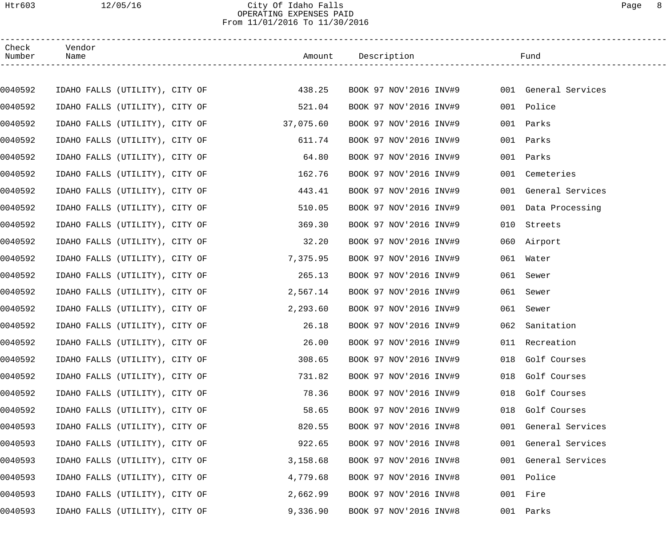Htr603 12/05/16 City Of Idaho Falls Page 8

## OPERATING EXPENSES PAID From 11/01/2016 To 11/30/2016

| Check<br>Number | Vendor<br>Name                 |  |           | Amount Description     |     | Fund                 |  |
|-----------------|--------------------------------|--|-----------|------------------------|-----|----------------------|--|
|                 |                                |  |           |                        |     |                      |  |
| 0040592         | IDAHO FALLS (UTILITY), CITY OF |  | 438.25    | BOOK 97 NOV'2016 INV#9 |     | 001 General Services |  |
| 0040592         | IDAHO FALLS (UTILITY), CITY OF |  | 521.04    | BOOK 97 NOV'2016 INV#9 |     | 001 Police           |  |
| 0040592         | IDAHO FALLS (UTILITY), CITY OF |  | 37,075.60 | BOOK 97 NOV'2016 INV#9 | 001 | Parks                |  |
| 0040592         | IDAHO FALLS (UTILITY), CITY OF |  | 611.74    | BOOK 97 NOV'2016 INV#9 | 001 | Parks                |  |
| 0040592         | IDAHO FALLS (UTILITY), CITY OF |  | 64.80     | BOOK 97 NOV'2016 INV#9 | 001 | Parks                |  |
| 0040592         | IDAHO FALLS (UTILITY), CITY OF |  | 162.76    | BOOK 97 NOV'2016 INV#9 |     | 001 Cemeteries       |  |
| 0040592         | IDAHO FALLS (UTILITY), CITY OF |  | 443.41    | BOOK 97 NOV'2016 INV#9 |     | 001 General Services |  |
| 0040592         | IDAHO FALLS (UTILITY), CITY OF |  | 510.05    | BOOK 97 NOV'2016 INV#9 |     | 001 Data Processing  |  |
| 0040592         | IDAHO FALLS (UTILITY), CITY OF |  | 369.30    | BOOK 97 NOV'2016 INV#9 | 010 | Streets              |  |
| 0040592         | IDAHO FALLS (UTILITY), CITY OF |  | 32.20     | BOOK 97 NOV'2016 INV#9 |     | 060 Airport          |  |
| 0040592         | IDAHO FALLS (UTILITY), CITY OF |  | 7,375.95  | BOOK 97 NOV'2016 INV#9 |     | 061 Water            |  |
| 0040592         | IDAHO FALLS (UTILITY), CITY OF |  | 265.13    | BOOK 97 NOV'2016 INV#9 | 061 | Sewer                |  |
| 0040592         | IDAHO FALLS (UTILITY), CITY OF |  | 2,567.14  | BOOK 97 NOV'2016 INV#9 | 061 | Sewer                |  |
| 0040592         | IDAHO FALLS (UTILITY), CITY OF |  | 2,293.60  | BOOK 97 NOV'2016 INV#9 | 061 | Sewer                |  |
| 0040592         | IDAHO FALLS (UTILITY), CITY OF |  | 26.18     | BOOK 97 NOV'2016 INV#9 | 062 | Sanitation           |  |
| 0040592         | IDAHO FALLS (UTILITY), CITY OF |  | 26.00     | BOOK 97 NOV'2016 INV#9 |     | 011 Recreation       |  |
| 0040592         | IDAHO FALLS (UTILITY), CITY OF |  | 308.65    | BOOK 97 NOV'2016 INV#9 |     | 018 Golf Courses     |  |
| 0040592         | IDAHO FALLS (UTILITY), CITY OF |  | 731.82    | BOOK 97 NOV'2016 INV#9 |     | 018 Golf Courses     |  |
| 0040592         | IDAHO FALLS (UTILITY), CITY OF |  | 78.36     | BOOK 97 NOV'2016 INV#9 |     | 018 Golf Courses     |  |
| 0040592         | IDAHO FALLS (UTILITY), CITY OF |  | 58.65     | BOOK 97 NOV'2016 INV#9 |     | 018 Golf Courses     |  |
| 0040593         | IDAHO FALLS (UTILITY), CITY OF |  | 820.55    | BOOK 97 NOV'2016 INV#8 |     | 001 General Services |  |
| 0040593         | IDAHO FALLS (UTILITY), CITY OF |  | 922.65    | BOOK 97 NOV'2016 INV#8 |     | 001 General Services |  |
| 0040593         | IDAHO FALLS (UTILITY), CITY OF |  | 3,158.68  | BOOK 97 NOV'2016 INV#8 |     | 001 General Services |  |
| 0040593         | IDAHO FALLS (UTILITY), CITY OF |  | 4,779.68  | BOOK 97 NOV'2016 INV#8 |     | 001 Police           |  |
| 0040593         | IDAHO FALLS (UTILITY), CITY OF |  | 2,662.99  | BOOK 97 NOV'2016 INV#8 |     | 001 Fire             |  |
| 0040593         | IDAHO FALLS (UTILITY), CITY OF |  | 9,336.90  | BOOK 97 NOV'2016 INV#8 |     | 001 Parks            |  |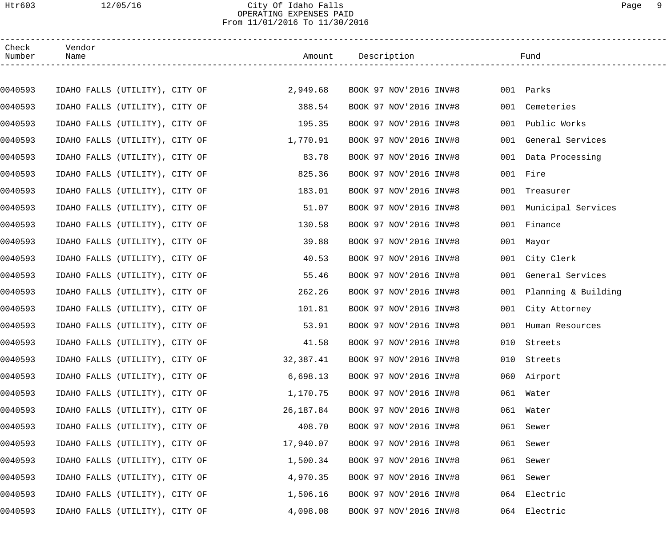#### Htr603 12/05/16 City Of Idaho Falls Page 9 OPERATING EXPENSES PAID From 11/01/2016 To 11/30/2016

| Check<br>Number | Vendor<br>Name                 |  |           | Amount Description     |     | Fund                   |
|-----------------|--------------------------------|--|-----------|------------------------|-----|------------------------|
|                 |                                |  |           |                        |     |                        |
| 0040593         | IDAHO FALLS (UTILITY), CITY OF |  | 2,949.68  | BOOK 97 NOV'2016 INV#8 |     | 001 Parks              |
| 0040593         | IDAHO FALLS (UTILITY), CITY OF |  | 388.54    | BOOK 97 NOV'2016 INV#8 | 001 | Cemeteries             |
| 0040593         | IDAHO FALLS (UTILITY), CITY OF |  | 195.35    | BOOK 97 NOV'2016 INV#8 | 001 | Public Works           |
| 0040593         | IDAHO FALLS (UTILITY), CITY OF |  | 1,770.91  | BOOK 97 NOV'2016 INV#8 |     | 001 General Services   |
| 0040593         | IDAHO FALLS (UTILITY), CITY OF |  | 83.78     | BOOK 97 NOV'2016 INV#8 |     | 001 Data Processing    |
| 0040593         | IDAHO FALLS (UTILITY), CITY OF |  | 825.36    | BOOK 97 NOV'2016 INV#8 |     | 001 Fire               |
| 0040593         | IDAHO FALLS (UTILITY), CITY OF |  | 183.01    | BOOK 97 NOV'2016 INV#8 | 001 | Treasurer              |
| 0040593         | IDAHO FALLS (UTILITY), CITY OF |  | 51.07     | BOOK 97 NOV'2016 INV#8 |     | 001 Municipal Services |
| 0040593         | IDAHO FALLS (UTILITY), CITY OF |  | 130.58    | BOOK 97 NOV'2016 INV#8 | 001 | Finance                |
| 0040593         | IDAHO FALLS (UTILITY), CITY OF |  | 39.88     | BOOK 97 NOV'2016 INV#8 |     | 001 Mayor              |
| 0040593         | IDAHO FALLS (UTILITY), CITY OF |  | 40.53     | BOOK 97 NOV'2016 INV#8 |     | 001 City Clerk         |
| 0040593         | IDAHO FALLS (UTILITY), CITY OF |  | 55.46     | BOOK 97 NOV'2016 INV#8 | 001 | General Services       |
| 0040593         | IDAHO FALLS (UTILITY), CITY OF |  | 262.26    | BOOK 97 NOV'2016 INV#8 | 001 | Planning & Building    |
| 0040593         | IDAHO FALLS (UTILITY), CITY OF |  | 101.81    | BOOK 97 NOV'2016 INV#8 |     | 001 City Attorney      |
| 0040593         | IDAHO FALLS (UTILITY), CITY OF |  | 53.91     | BOOK 97 NOV'2016 INV#8 | 001 | Human Resources        |
| 0040593         | IDAHO FALLS (UTILITY), CITY OF |  | 41.58     | BOOK 97 NOV'2016 INV#8 |     | 010 Streets            |
| 0040593         | IDAHO FALLS (UTILITY), CITY OF |  | 32,387.41 | BOOK 97 NOV'2016 INV#8 |     | 010 Streets            |
| 0040593         | IDAHO FALLS (UTILITY), CITY OF |  | 6,698.13  | BOOK 97 NOV'2016 INV#8 |     | 060 Airport            |
| 0040593         | IDAHO FALLS (UTILITY), CITY OF |  | 1,170.75  | BOOK 97 NOV'2016 INV#8 |     | 061 Water              |
| 0040593         | IDAHO FALLS (UTILITY), CITY OF |  | 26,187.84 | BOOK 97 NOV'2016 INV#8 |     | 061 Water              |
| 0040593         | IDAHO FALLS (UTILITY), CITY OF |  | 408.70    | BOOK 97 NOV'2016 INV#8 |     | 061 Sewer              |
| 0040593         | IDAHO FALLS (UTILITY), CITY OF |  | 17,940.07 | BOOK 97 NOV'2016 INV#8 | 061 | Sewer                  |
| 0040593         | IDAHO FALLS (UTILITY), CITY OF |  | 1,500.34  | BOOK 97 NOV'2016 INV#8 | 061 | Sewer                  |
| 0040593         | IDAHO FALLS (UTILITY), CITY OF |  | 4,970.35  | BOOK 97 NOV'2016 INV#8 | 061 | Sewer                  |
| 0040593         | IDAHO FALLS (UTILITY), CITY OF |  | 1,506.16  | BOOK 97 NOV'2016 INV#8 |     | 064 Electric           |
| 0040593         | IDAHO FALLS (UTILITY), CITY OF |  | 4,098.08  | BOOK 97 NOV'2016 INV#8 |     | 064 Electric           |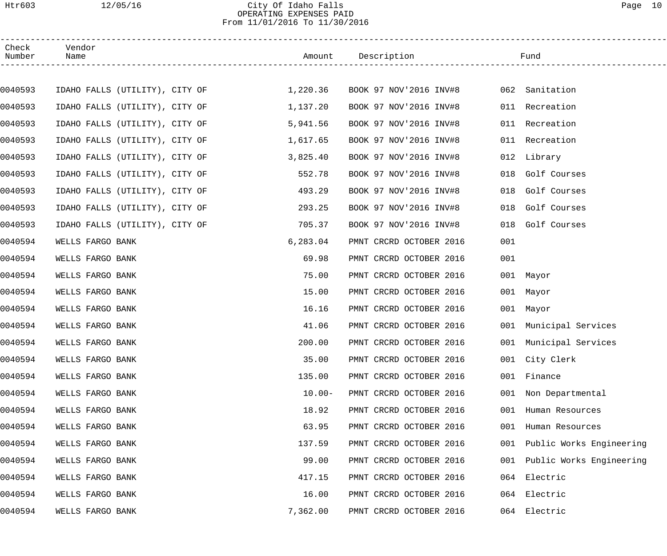Htr603 12/05/16 City Of Idaho Falls Page 10

# OPERATING EXPENSES PAID From 11/01/2016 To 11/30/2016

| Check<br>Number | Vendor<br>Name                 |                                |           | Amount Description                    |     | Fund                            |  |
|-----------------|--------------------------------|--------------------------------|-----------|---------------------------------------|-----|---------------------------------|--|
|                 |                                |                                |           |                                       |     |                                 |  |
| 0040593         |                                | IDAHO FALLS (UTILITY), CITY OF | 1,220.36  | BOOK 97 NOV'2016 INV#8 062 Sanitation |     |                                 |  |
| 0040593         |                                | IDAHO FALLS (UTILITY), CITY OF | 1,137.20  | BOOK 97 NOV'2016 INV#8                |     | 011 Recreation                  |  |
| 0040593         | IDAHO FALLS (UTILITY), CITY OF |                                | 5,941.56  | BOOK 97 NOV'2016 INV#8                |     | 011 Recreation                  |  |
| 0040593         | IDAHO FALLS (UTILITY), CITY OF |                                | 1,617.65  | BOOK 97 NOV'2016 INV#8                |     | 011 Recreation                  |  |
| 0040593         | IDAHO FALLS (UTILITY), CITY OF |                                | 3,825.40  | BOOK 97 NOV'2016 INV#8                |     | 012 Library                     |  |
| 0040593         | IDAHO FALLS (UTILITY), CITY OF |                                | 552.78    | BOOK 97 NOV'2016 INV#8                | 018 | Golf Courses                    |  |
| 0040593         | IDAHO FALLS (UTILITY), CITY OF |                                | 493.29    | BOOK 97 NOV'2016 INV#8                | 018 | Golf Courses                    |  |
| 0040593         | IDAHO FALLS (UTILITY), CITY OF |                                | 293.25    | BOOK 97 NOV'2016 INV#8                | 018 | Golf Courses                    |  |
| 0040593         | IDAHO FALLS (UTILITY), CITY OF |                                | 705.37    | BOOK 97 NOV'2016 INV#8                | 018 | Golf Courses                    |  |
| 0040594         | WELLS FARGO BANK               |                                | 6,283.04  | PMNT CRCRD OCTOBER 2016               | 001 |                                 |  |
| 0040594         | WELLS FARGO BANK               |                                | 69.98     | PMNT CRCRD OCTOBER 2016               | 001 |                                 |  |
| 0040594         | WELLS FARGO BANK               |                                | 75.00     | PMNT CRCRD OCTOBER 2016               |     | 001 Mayor                       |  |
| 0040594         | WELLS FARGO BANK               |                                | 15.00     | PMNT CRCRD OCTOBER 2016               |     | 001 Mayor                       |  |
| 0040594         | WELLS FARGO BANK               |                                | 16.16     | PMNT CRCRD OCTOBER 2016               |     | 001 Mayor                       |  |
| 0040594         | WELLS FARGO BANK               |                                | 41.06     | PMNT CRCRD OCTOBER 2016               |     | 001 Municipal Services          |  |
| 0040594         | WELLS FARGO BANK               |                                | 200.00    | PMNT CRCRD OCTOBER 2016               |     | 001 Municipal Services          |  |
| 0040594         | WELLS FARGO BANK               |                                | 35.00     | PMNT CRCRD OCTOBER 2016               |     | 001 City Clerk                  |  |
| 0040594         | WELLS FARGO BANK               |                                | 135.00    | PMNT CRCRD OCTOBER 2016               |     | Finance<br>001                  |  |
| 0040594         | WELLS FARGO BANK               |                                | $10.00 -$ | PMNT CRCRD OCTOBER 2016               |     | 001<br>Non Departmental         |  |
| 0040594         | WELLS FARGO BANK               |                                | 18.92     | PMNT CRCRD OCTOBER 2016               |     | 001<br>Human Resources          |  |
| 0040594         | WELLS FARGO BANK               |                                | 63.95     | PMNT CRCRD OCTOBER 2016               |     | 001<br>Human Resources          |  |
| 0040594         | WELLS FARGO BANK               |                                | 137.59    | PMNT CRCRD OCTOBER 2016               |     | Public Works Engineering<br>001 |  |
| 0040594         | WELLS FARGO BANK               |                                | 99.00     | PMNT CRCRD OCTOBER 2016               |     | Public Works Engineering<br>001 |  |
| 0040594         | WELLS FARGO BANK               |                                | 417.15    | PMNT CRCRD OCTOBER 2016               | 064 | Electric                        |  |
| 0040594         | WELLS FARGO BANK               |                                | 16.00     | PMNT CRCRD OCTOBER 2016               |     | Electric<br>064                 |  |
| 0040594         | WELLS FARGO BANK               |                                | 7,362.00  | PMNT CRCRD OCTOBER 2016               |     | 064 Electric                    |  |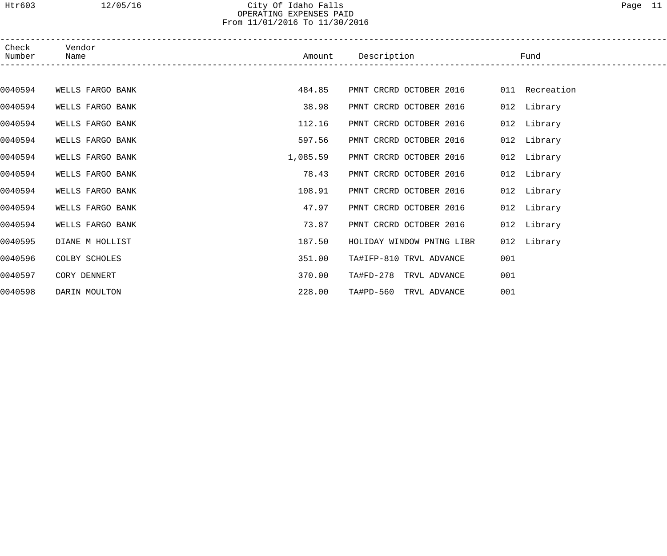Htr603 12/05/16 City Of Idaho Falls Page 11

#### OPERATING EXPENSES PAID From 11/01/2016 To 11/30/2016

| Check<br>Number | Vendor<br>Name   | Amount   | Description               | Fund           |  |
|-----------------|------------------|----------|---------------------------|----------------|--|
|                 |                  |          |                           |                |  |
| 0040594         | WELLS FARGO BANK | 484.85   | PMNT CRCRD OCTOBER 2016   | 011 Recreation |  |
| 0040594         | WELLS FARGO BANK | 38.98    | PMNT CRCRD OCTOBER 2016   | 012 Library    |  |
| 0040594         | WELLS FARGO BANK | 112.16   | PMNT CRCRD OCTOBER 2016   | 012 Library    |  |
| 0040594         | WELLS FARGO BANK | 597.56   | PMNT CRCRD OCTOBER 2016   | 012 Library    |  |
| 0040594         | WELLS FARGO BANK | 1,085.59 | PMNT CRCRD OCTOBER 2016   | 012 Library    |  |
| 0040594         | WELLS FARGO BANK | 78.43    | PMNT CRCRD OCTOBER 2016   | 012 Library    |  |
| 0040594         | WELLS FARGO BANK | 108.91   | PMNT CRCRD OCTOBER 2016   | 012 Library    |  |
| 0040594         | WELLS FARGO BANK | 47.97    | PMNT CRCRD OCTOBER 2016   | 012 Library    |  |
| 0040594         | WELLS FARGO BANK | 73.87    | PMNT CRCRD OCTOBER 2016   | 012 Library    |  |
| 0040595         | DIANE M HOLLIST  | 187.50   | HOLIDAY WINDOW PNTNG LIBR | 012 Library    |  |
| 0040596         | COLBY SCHOLES    | 351.00   | TA#IFP-810 TRVL ADVANCE   | 001            |  |
| 0040597         | CORY DENNERT     | 370.00   | TA#FD-278 TRVL ADVANCE    | 001            |  |
| 0040598         | DARIN MOULTON    | 228.00   | TA#PD-560 TRVL ADVANCE    | 001            |  |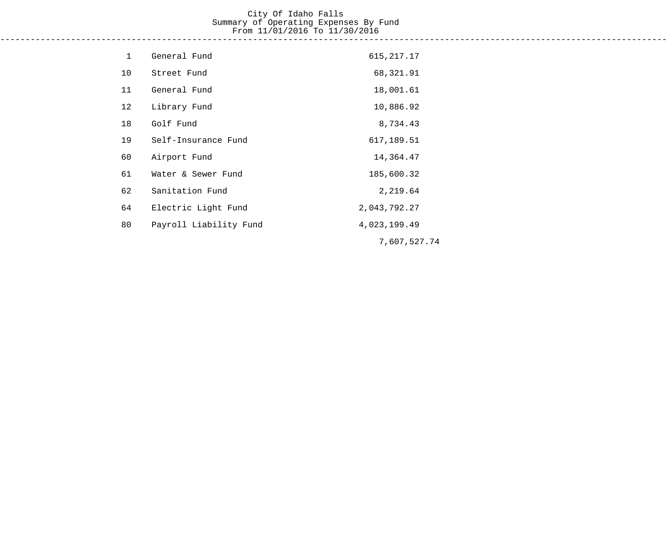#### City Of Idaho Falls Summary of Operating Expenses By Fund From 11/01/2016 To 11/30/2016 ------------------------------------------------------------------------------------------------------------------------------------

| $\mathbf 1$ | General Fund           | 615, 217. 17 |
|-------------|------------------------|--------------|
| 10          | Street Fund            | 68,321.91    |
| 11          | General Fund           | 18,001.61    |
| 12          | Library Fund           | 10,886.92    |
| 18          | Golf Fund              | 8,734.43     |
| 19          | Self-Insurance Fund    | 617,189.51   |
| 60          | Airport Fund           | 14,364.47    |
| 61          | Water & Sewer Fund     | 185,600.32   |
| 62          | Sanitation Fund        | 2,219.64     |
| 64          | Electric Light Fund    | 2,043,792.27 |
| 80          | Payroll Liability Fund | 4,023,199.49 |
|             |                        | 7,607,527.74 |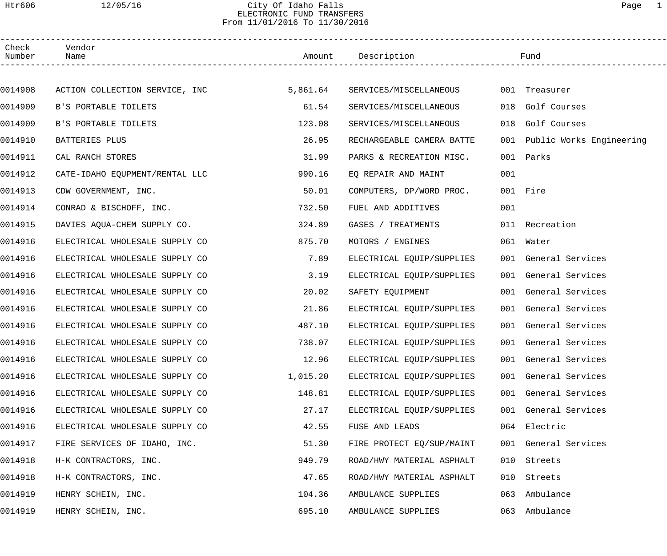## Htr606 12/05/16 City Of Idaho Falls Page 1 ELECTRONIC FUND TRANSFERS From 11/01/2016 To 11/30/2016

| Check<br>Number | Vendor<br>Name                 |          | Amount Description        |     | Fund                         |  |
|-----------------|--------------------------------|----------|---------------------------|-----|------------------------------|--|
|                 |                                |          |                           |     |                              |  |
| 0014908         | ACTION COLLECTION SERVICE, INC | 5,861.64 | SERVICES/MISCELLANEOUS    |     | 001 Treasurer                |  |
| 0014909         | B'S PORTABLE TOILETS           | 61.54    | SERVICES/MISCELLANEOUS    |     | 018 Golf Courses             |  |
| 0014909         | B'S PORTABLE TOILETS           | 123.08   | SERVICES/MISCELLANEOUS    | 018 | Golf Courses                 |  |
| 0014910         | BATTERIES PLUS                 | 26.95    | RECHARGEABLE CAMERA BATTE |     | 001 Public Works Engineering |  |
| 0014911         | CAL RANCH STORES               | 31.99    | PARKS & RECREATION MISC.  |     | 001 Parks                    |  |
| 0014912         | CATE-IDAHO EQUPMENT/RENTAL LLC | 990.16   | EQ REPAIR AND MAINT       | 001 |                              |  |
| 0014913         | CDW GOVERNMENT, INC.           | 50.01    | COMPUTERS, DP/WORD PROC.  |     | 001 Fire                     |  |
| 0014914         | CONRAD & BISCHOFF, INC.        | 732.50   | FUEL AND ADDITIVES        | 001 |                              |  |
| 0014915         | DAVIES AQUA-CHEM SUPPLY CO.    | 324.89   | GASES / TREATMENTS        |     | 011 Recreation               |  |
| 0014916         | ELECTRICAL WHOLESALE SUPPLY CO | 875.70   | MOTORS / ENGINES          |     | 061 Water                    |  |
| 0014916         | ELECTRICAL WHOLESALE SUPPLY CO | 7.89     | ELECTRICAL EQUIP/SUPPLIES |     | 001 General Services         |  |
| 0014916         | ELECTRICAL WHOLESALE SUPPLY CO | 3.19     | ELECTRICAL EQUIP/SUPPLIES |     | 001 General Services         |  |
| 0014916         | ELECTRICAL WHOLESALE SUPPLY CO | 20.02    | SAFETY EQUIPMENT          |     | 001 General Services         |  |
| 0014916         | ELECTRICAL WHOLESALE SUPPLY CO | 21.86    | ELECTRICAL EQUIP/SUPPLIES |     | 001 General Services         |  |
| 0014916         | ELECTRICAL WHOLESALE SUPPLY CO | 487.10   | ELECTRICAL EQUIP/SUPPLIES |     | 001 General Services         |  |
| 0014916         | ELECTRICAL WHOLESALE SUPPLY CO | 738.07   | ELECTRICAL EQUIP/SUPPLIES |     | 001 General Services         |  |
| 0014916         | ELECTRICAL WHOLESALE SUPPLY CO | 12.96    | ELECTRICAL EQUIP/SUPPLIES |     | 001 General Services         |  |
| 0014916         | ELECTRICAL WHOLESALE SUPPLY CO | 1,015.20 | ELECTRICAL EQUIP/SUPPLIES |     | 001 General Services         |  |
| 0014916         | ELECTRICAL WHOLESALE SUPPLY CO | 148.81   | ELECTRICAL EQUIP/SUPPLIES |     | 001 General Services         |  |
| 0014916         | ELECTRICAL WHOLESALE SUPPLY CO | 27.17    | ELECTRICAL EQUIP/SUPPLIES |     | 001 General Services         |  |
| 0014916         | ELECTRICAL WHOLESALE SUPPLY CO | 42.55    | FUSE AND LEADS            |     | 064 Electric                 |  |
| 0014917         | FIRE SERVICES OF IDAHO, INC.   | 51.30    | FIRE PROTECT EQ/SUP/MAINT |     | 001 General Services         |  |
| 0014918         | H-K CONTRACTORS, INC.          | 949.79   | ROAD/HWY MATERIAL ASPHALT | 010 | Streets                      |  |
| 0014918         | H-K CONTRACTORS, INC.          | 47.65    | ROAD/HWY MATERIAL ASPHALT | 010 | Streets                      |  |
| 0014919         | HENRY SCHEIN, INC.             | 104.36   | AMBULANCE SUPPLIES        | 063 | Ambulance                    |  |
| 0014919         | HENRY SCHEIN, INC.             | 695.10   | AMBULANCE SUPPLIES        |     | 063 Ambulance                |  |
|                 |                                |          |                           |     |                              |  |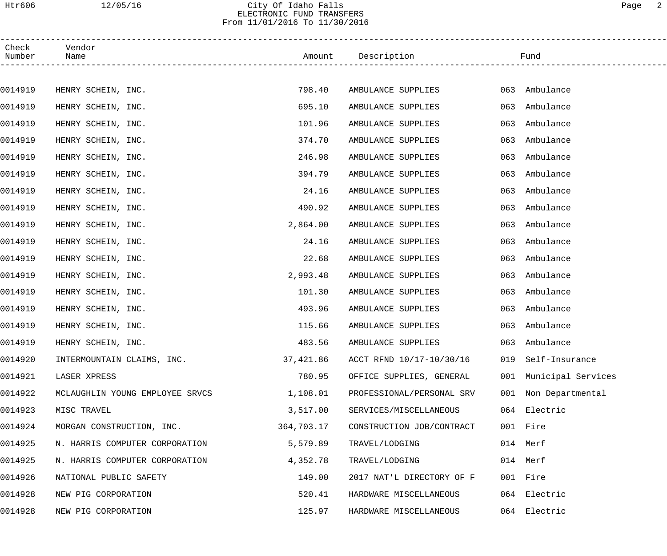## Htr606 12/05/16 City Of Idaho Falls Page 2 ELECTRONIC FUND TRANSFERS From 11/01/2016 To 11/30/2016

| Check<br>Number | Vendor<br>Name         |                                 |            | Amount Description        |     | Fund                   |
|-----------------|------------------------|---------------------------------|------------|---------------------------|-----|------------------------|
|                 |                        |                                 |            |                           |     |                        |
| 0014919         | HENRY SCHEIN, INC.     |                                 | 798.40     | AMBULANCE SUPPLIES        |     | 063 Ambulance          |
| 0014919         | HENRY SCHEIN, INC.     |                                 | 695.10     | AMBULANCE SUPPLIES        | 063 | Ambulance              |
| 0014919         | HENRY SCHEIN, INC.     |                                 | 101.96     | AMBULANCE SUPPLIES        | 063 | Ambulance              |
| 0014919         | HENRY SCHEIN, INC.     |                                 | 374.70     | AMBULANCE SUPPLIES        | 063 | Ambulance              |
| 0014919         | HENRY SCHEIN, INC.     |                                 | 246.98     | AMBULANCE SUPPLIES        | 063 | Ambulance              |
| 0014919         | HENRY SCHEIN, INC.     |                                 | 394.79     | AMBULANCE SUPPLIES        | 063 | Ambulance              |
| 0014919         | HENRY SCHEIN, INC.     |                                 | 24.16      | AMBULANCE SUPPLIES        | 063 | Ambulance              |
| 0014919         | HENRY SCHEIN, INC.     |                                 | 490.92     | AMBULANCE SUPPLIES        | 063 | Ambulance              |
| 0014919         | HENRY SCHEIN, INC.     |                                 | 2,864.00   | AMBULANCE SUPPLIES        | 063 | Ambulance              |
| 0014919         | HENRY SCHEIN, INC.     |                                 | 24.16      | AMBULANCE SUPPLIES        | 063 | Ambulance              |
| 0014919         | HENRY SCHEIN, INC.     |                                 | 22.68      | AMBULANCE SUPPLIES        | 063 | Ambulance              |
| 0014919         | HENRY SCHEIN, INC.     |                                 | 2,993.48   | AMBULANCE SUPPLIES        | 063 | Ambulance              |
| 0014919         | HENRY SCHEIN, INC.     |                                 | 101.30     | AMBULANCE SUPPLIES        | 063 | Ambulance              |
| 0014919         | HENRY SCHEIN, INC.     |                                 | 493.96     | AMBULANCE SUPPLIES        | 063 | Ambulance              |
| 0014919         | HENRY SCHEIN, INC.     |                                 | 115.66     | AMBULANCE SUPPLIES        | 063 | Ambulance              |
| 0014919         | HENRY SCHEIN, INC.     |                                 | 483.56     | AMBULANCE SUPPLIES        |     | 063 Ambulance          |
| 0014920         |                        | INTERMOUNTAIN CLAIMS, INC.      | 37,421.86  | ACCT RFND 10/17-10/30/16  |     | 019 Self-Insurance     |
| 0014921         | LASER XPRESS           |                                 | 780.95     | OFFICE SUPPLIES, GENERAL  |     | 001 Municipal Services |
| 0014922         |                        | MCLAUGHLIN YOUNG EMPLOYEE SRVCS | 1,108.01   | PROFESSIONAL/PERSONAL SRV |     | 001 Non Departmental   |
| 0014923         | MISC TRAVEL            |                                 | 3,517.00   | SERVICES/MISCELLANEOUS    |     | 064 Electric           |
| 0014924         |                        | MORGAN CONSTRUCTION, INC.       | 364,703.17 | CONSTRUCTION JOB/CONTRACT |     | 001 Fire               |
| 0014925         |                        | N. HARRIS COMPUTER CORPORATION  | 5,579.89   | TRAVEL/LODGING            |     | 014 Merf               |
| 0014925         |                        | N. HARRIS COMPUTER CORPORATION  | 4,352.78   | TRAVEL/LODGING            |     | 014 Merf               |
| 0014926         | NATIONAL PUBLIC SAFETY |                                 | 149.00     | 2017 NAT'L DIRECTORY OF F |     | 001 Fire               |
| 0014928         | NEW PIG CORPORATION    |                                 | 520.41     | HARDWARE MISCELLANEOUS    |     | 064 Electric           |
| 0014928         | NEW PIG CORPORATION    |                                 | 125.97     | HARDWARE MISCELLANEOUS    |     | 064 Electric           |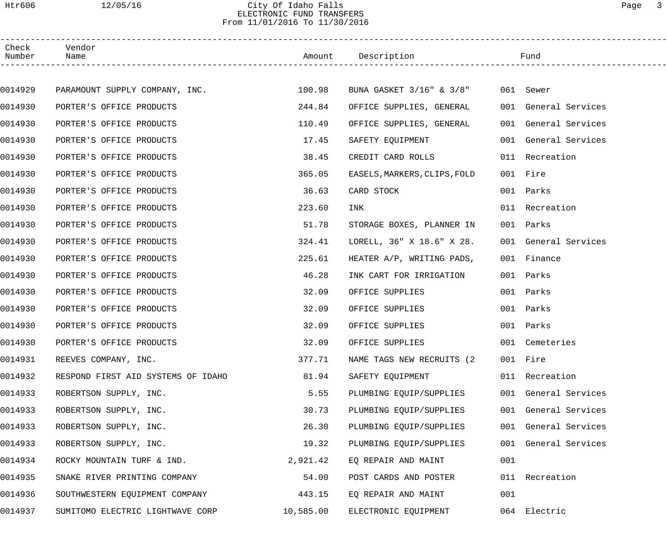### Htr606 12/05/16 City Of Idaho Falls Page 3 ELECTRONIC FUND TRANSFERS From 11/01/2016 To 11/30/2016

| Check<br>Number | Vendor<br>Name                        |           | Amount Description Fund            |     |                      |  |
|-----------------|---------------------------------------|-----------|------------------------------------|-----|----------------------|--|
|                 |                                       |           |                                    |     |                      |  |
| 0014929         | PARAMOUNT SUPPLY COMPANY, INC. 100.98 |           | BUNA GASKET 3/16" & 3/8" 061 Sewer |     |                      |  |
| 0014930         | PORTER'S OFFICE PRODUCTS              | 244.84    | OFFICE SUPPLIES, GENERAL           |     | 001 General Services |  |
| 0014930         | PORTER'S OFFICE PRODUCTS              | 110.49    | OFFICE SUPPLIES, GENERAL           |     | 001 General Services |  |
| 0014930         | PORTER'S OFFICE PRODUCTS              | 17.45     | SAFETY EQUIPMENT                   |     | 001 General Services |  |
| 0014930         | PORTER'S OFFICE PRODUCTS              | 38.45     | CREDIT CARD ROLLS                  |     | 011 Recreation       |  |
| 0014930         | PORTER'S OFFICE PRODUCTS              | 365.05    | EASELS, MARKERS, CLIPS, FOLD       |     | 001 Fire             |  |
| 0014930         | PORTER'S OFFICE PRODUCTS              | 36.63     | CARD STOCK NORTH STOCK             |     | 001 Parks            |  |
| 0014930         | PORTER'S OFFICE PRODUCTS              | 223.60    | INK                                |     | 011 Recreation       |  |
| 0014930         | PORTER'S OFFICE PRODUCTS              | 51.78     | STORAGE BOXES, PLANNER IN          |     | 001 Parks            |  |
| 0014930         | PORTER'S OFFICE PRODUCTS              | 324.41    | LORELL, 36" X 18.6" X 28.          |     | 001 General Services |  |
| 0014930         | PORTER'S OFFICE PRODUCTS              | 225.61    | HEATER A/P, WRITING PADS,          |     | 001 Finance          |  |
| 0014930         | PORTER'S OFFICE PRODUCTS              | 46.28     | INK CART FOR IRRIGATION            |     | 001 Parks            |  |
| 0014930         | PORTER'S OFFICE PRODUCTS              | 32.09     | OFFICE SUPPLIES                    |     | 001 Parks            |  |
| 0014930         | PORTER'S OFFICE PRODUCTS              | 32.09     | OFFICE SUPPLIES                    |     | 001 Parks            |  |
| 0014930         | PORTER'S OFFICE PRODUCTS              | 32.09     | OFFICE SUPPLIES                    |     | 001 Parks            |  |
| 0014930         | PORTER'S OFFICE PRODUCTS              | 32.09     | OFFICE SUPPLIES                    |     | 001 Cemeteries       |  |
| 0014931         | REEVES COMPANY, INC.                  | 377.71    | NAME TAGS NEW RECRUITS (2          |     | 001 Fire             |  |
| 0014932         | RESPOND FIRST AID SYSTEMS OF IDAHO    | 81.94     | SAFETY EQUIPMENT                   |     | 011 Recreation       |  |
| 0014933         | ROBERTSON SUPPLY, INC.                | 5.55      | PLUMBING EQUIP/SUPPLIES            |     | 001 General Services |  |
| 0014933         | ROBERTSON SUPPLY, INC.                | 30.73     | PLUMBING EQUIP/SUPPLIES            |     | 001 General Services |  |
| 0014933         | ROBERTSON SUPPLY, INC.                | 26.30     | PLUMBING EQUIP/SUPPLIES            |     | 001 General Services |  |
| 0014933         | ROBERTSON SUPPLY, INC.                | 19.32     | PLUMBING EQUIP/SUPPLIES            |     | 001 General Services |  |
| 0014934         | ROCKY MOUNTAIN TURF & IND.            | 2,921.42  | EQ REPAIR AND MAINT                | 001 |                      |  |
| 0014935         | SNAKE RIVER PRINTING COMPANY          | 54.00     | POST CARDS AND POSTER              |     | 011 Recreation       |  |
| 0014936         | SOUTHWESTERN EQUIPMENT COMPANY        | 443.15    | EQ REPAIR AND MAINT                | 001 |                      |  |
| 0014937         | SUMITOMO ELECTRIC LIGHTWAVE CORP      | 10,585.00 | ELECTRONIC EQUIPMENT               |     | 064 Electric         |  |
|                 |                                       |           |                                    |     |                      |  |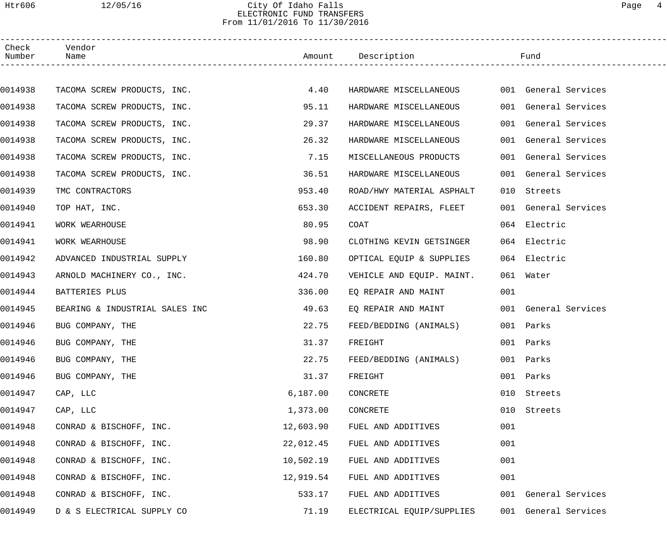## Htr606 12/05/16 City Of Idaho Falls Page 4 ELECTRONIC FUND TRANSFERS From 11/01/2016 To 11/30/2016

| Check<br>Number | Vendor<br>Name                 |           | Amount Description        |     | Fund                 |  |
|-----------------|--------------------------------|-----------|---------------------------|-----|----------------------|--|
|                 |                                |           |                           |     |                      |  |
| 0014938         | TACOMA SCREW PRODUCTS, INC.    | 4.40      | HARDWARE MISCELLANEOUS    |     | 001 General Services |  |
| 0014938         | TACOMA SCREW PRODUCTS, INC.    | 95.11     | HARDWARE MISCELLANEOUS    |     | 001 General Services |  |
| 0014938         | TACOMA SCREW PRODUCTS, INC.    | 29.37     | HARDWARE MISCELLANEOUS    | 001 | General Services     |  |
| 0014938         | TACOMA SCREW PRODUCTS, INC.    | 26.32     | HARDWARE MISCELLANEOUS    |     | 001 General Services |  |
| 0014938         | TACOMA SCREW PRODUCTS, INC.    | 7.15      | MISCELLANEOUS PRODUCTS    |     | 001 General Services |  |
| 0014938         | TACOMA SCREW PRODUCTS, INC.    | 36.51     | HARDWARE MISCELLANEOUS    |     | 001 General Services |  |
| 0014939         | TMC CONTRACTORS                | 953.40    | ROAD/HWY MATERIAL ASPHALT | 010 | Streets              |  |
| 0014940         | TOP HAT, INC.                  | 653.30    | ACCIDENT REPAIRS, FLEET   |     | 001 General Services |  |
| 0014941         | WORK WEARHOUSE                 | 80.95     | COAT                      |     | 064 Electric         |  |
| 0014941         | WORK WEARHOUSE                 | 98.90     | CLOTHING KEVIN GETSINGER  |     | 064 Electric         |  |
| 0014942         | ADVANCED INDUSTRIAL SUPPLY     | 160.80    | OPTICAL EQUIP & SUPPLIES  |     | 064 Electric         |  |
| 0014943         | ARNOLD MACHINERY CO., INC.     | 424.70    | VEHICLE AND EQUIP. MAINT. |     | 061 Water            |  |
| 0014944         | BATTERIES PLUS                 | 336.00    | EQ REPAIR AND MAINT       | 001 |                      |  |
| 0014945         | BEARING & INDUSTRIAL SALES INC | 49.63     | EQ REPAIR AND MAINT       |     | 001 General Services |  |
| 0014946         | BUG COMPANY, THE               | 22.75     | FEED/BEDDING (ANIMALS)    |     | 001 Parks            |  |
| 0014946         | BUG COMPANY, THE               | 31.37     | FREIGHT                   |     | 001 Parks            |  |
| 0014946         | BUG COMPANY, THE               | 22.75     | FEED/BEDDING (ANIMALS)    |     | 001 Parks            |  |
| 0014946         | BUG COMPANY, THE               | 31.37     | FREIGHT                   | 001 | Parks                |  |
| 0014947         | CAP, LLC                       | 6,187.00  | CONCRETE                  | 010 | Streets              |  |
| 0014947         | CAP, LLC                       | 1,373.00  | CONCRETE                  | 010 | Streets              |  |
| 0014948         | CONRAD & BISCHOFF, INC.        | 12,603.90 | FUEL AND ADDITIVES        | 001 |                      |  |
| 0014948         | CONRAD & BISCHOFF, INC.        | 22,012.45 | FUEL AND ADDITIVES        | 001 |                      |  |
| 0014948         | CONRAD & BISCHOFF, INC.        | 10,502.19 | FUEL AND ADDITIVES        | 001 |                      |  |
| 0014948         | CONRAD & BISCHOFF, INC.        | 12,919.54 | FUEL AND ADDITIVES        | 001 |                      |  |
| 0014948         | CONRAD & BISCHOFF, INC.        | 533.17    | FUEL AND ADDITIVES        |     | 001 General Services |  |
| 0014949         | D & S ELECTRICAL SUPPLY CO     | 71.19     | ELECTRICAL EQUIP/SUPPLIES |     | 001 General Services |  |
|                 |                                |           |                           |     |                      |  |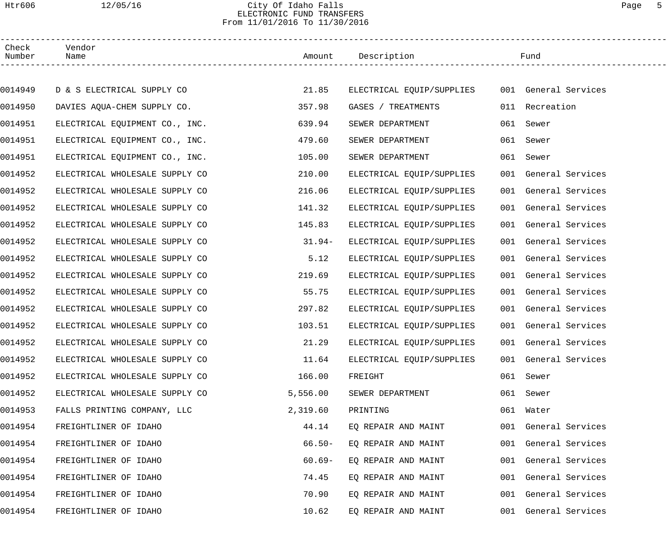## Htr606 12/05/16 City Of Idaho Falls Page 5 ELECTRONIC FUND TRANSFERS From 11/01/2016 To 11/30/2016

| Check<br>Number | Vendor<br>Name                 |           | Amount Description                             |     | Fund                 |
|-----------------|--------------------------------|-----------|------------------------------------------------|-----|----------------------|
|                 |                                |           |                                                |     |                      |
| 0014949         | D & S ELECTRICAL SUPPLY CO     | 21.85     | ELECTRICAL EQUIP/SUPPLIES 001 General Services |     |                      |
| 0014950         | DAVIES AQUA-CHEM SUPPLY CO.    | 357.98    | GASES / TREATMENTS                             |     | 011 Recreation       |
| 0014951         | ELECTRICAL EQUIPMENT CO., INC. | 639.94    | SEWER DEPARTMENT                               | 061 | Sewer                |
| 0014951         | ELECTRICAL EQUIPMENT CO., INC. | 479.60    | SEWER DEPARTMENT                               |     | 061 Sewer            |
| 0014951         | ELECTRICAL EQUIPMENT CO., INC. | 105.00    | SEWER DEPARTMENT                               |     | 061 Sewer            |
| 0014952         | ELECTRICAL WHOLESALE SUPPLY CO | 210.00    | ELECTRICAL EQUIP/SUPPLIES                      |     | 001 General Services |
| 0014952         | ELECTRICAL WHOLESALE SUPPLY CO | 216.06    | ELECTRICAL EOUIP/SUPPLIES                      |     | 001 General Services |
| 0014952         | ELECTRICAL WHOLESALE SUPPLY CO | 141.32    | ELECTRICAL EQUIP/SUPPLIES                      |     | 001 General Services |
| 0014952         | ELECTRICAL WHOLESALE SUPPLY CO | 145.83    | ELECTRICAL EQUIP/SUPPLIES                      |     | 001 General Services |
| 0014952         | ELECTRICAL WHOLESALE SUPPLY CO | $31.94-$  | ELECTRICAL EQUIP/SUPPLIES                      |     | 001 General Services |
| 0014952         | ELECTRICAL WHOLESALE SUPPLY CO | 5.12      | ELECTRICAL EQUIP/SUPPLIES                      |     | 001 General Services |
| 0014952         | ELECTRICAL WHOLESALE SUPPLY CO | 219.69    | ELECTRICAL EQUIP/SUPPLIES                      |     | 001 General Services |
| 0014952         | ELECTRICAL WHOLESALE SUPPLY CO | 55.75     | ELECTRICAL EQUIP/SUPPLIES                      |     | 001 General Services |
| 0014952         | ELECTRICAL WHOLESALE SUPPLY CO | 297.82    | ELECTRICAL EQUIP/SUPPLIES                      |     | 001 General Services |
| 0014952         | ELECTRICAL WHOLESALE SUPPLY CO | 103.51    | ELECTRICAL EQUIP/SUPPLIES                      |     | 001 General Services |
| 0014952         | ELECTRICAL WHOLESALE SUPPLY CO | 21.29     | ELECTRICAL EQUIP/SUPPLIES                      |     | 001 General Services |
| 0014952         | ELECTRICAL WHOLESALE SUPPLY CO | 11.64     | ELECTRICAL EQUIP/SUPPLIES                      |     | 001 General Services |
| 0014952         | ELECTRICAL WHOLESALE SUPPLY CO | 166.00    | FREIGHT                                        |     | 061 Sewer            |
| 0014952         | ELECTRICAL WHOLESALE SUPPLY CO | 5,556.00  | SEWER DEPARTMENT                               | 061 | Sewer                |
| 0014953         | FALLS PRINTING COMPANY, LLC    | 2,319.60  | PRINTING                                       |     | 061 Water            |
| 0014954         | FREIGHTLINER OF IDAHO          | 44.14     | EQ REPAIR AND MAINT                            |     | 001 General Services |
| 0014954         | FREIGHTLINER OF IDAHO          | $66.50 -$ | EQ REPAIR AND MAINT                            |     | 001 General Services |
| 0014954         | FREIGHTLINER OF IDAHO          | $60.69-$  | EQ REPAIR AND MAINT                            |     | 001 General Services |
| 0014954         | FREIGHTLINER OF IDAHO          | 74.45     | EQ REPAIR AND MAINT                            |     | 001 General Services |
| 0014954         | FREIGHTLINER OF IDAHO          | 70.90     | EQ REPAIR AND MAINT                            |     | 001 General Services |
| 0014954         | FREIGHTLINER OF IDAHO          | 10.62     | EQ REPAIR AND MAINT                            |     | 001 General Services |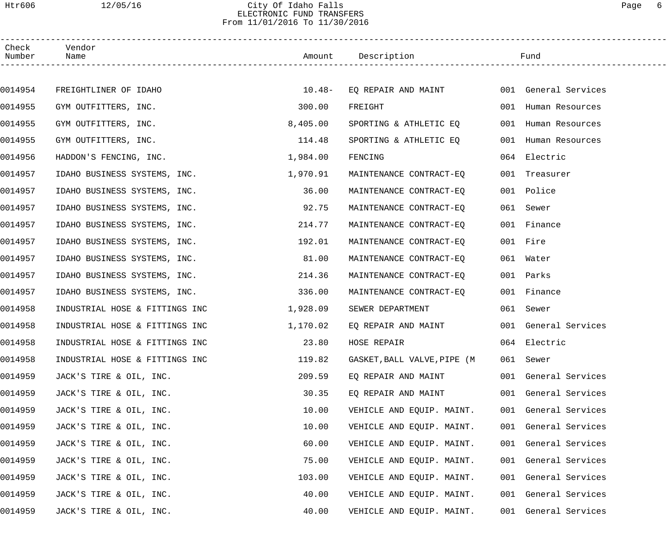#### Htr606 12/05/16 City Of Idaho Falls Page 6 ELECTRONIC FUND TRANSFERS From 11/01/2016 To 11/30/2016

| Check<br>Number | Vendor<br>Name                 |          | Amount Description                       |     | Fund                 |  |
|-----------------|--------------------------------|----------|------------------------------------------|-----|----------------------|--|
|                 |                                |          |                                          |     |                      |  |
| 0014954         | FREIGHTLINER OF IDAHO          | $10.48-$ | EQ REPAIR AND MAINT 001 General Services |     |                      |  |
| 0014955         | GYM OUTFITTERS, INC.           | 300.00   | FREIGHT                                  |     | 001 Human Resources  |  |
| 0014955         | GYM OUTFITTERS, INC.           | 8,405.00 | SPORTING & ATHLETIC EQ                   | 001 | Human Resources      |  |
| 0014955         | GYM OUTFITTERS, INC.           | 114.48   | SPORTING & ATHLETIC EQ                   |     | 001 Human Resources  |  |
| 0014956         | HADDON'S FENCING, INC.         | 1,984.00 | FENCING                                  |     | 064 Electric         |  |
| 0014957         | IDAHO BUSINESS SYSTEMS, INC.   | 1,970.91 | MAINTENANCE CONTRACT-EQ                  |     | 001 Treasurer        |  |
| 0014957         | IDAHO BUSINESS SYSTEMS, INC.   | 36.00    | MAINTENANCE CONTRACT-EQ                  |     | 001 Police           |  |
| 0014957         | IDAHO BUSINESS SYSTEMS, INC.   | 92.75    | MAINTENANCE CONTRACT-EQ                  |     | 061 Sewer            |  |
| 0014957         | IDAHO BUSINESS SYSTEMS, INC.   | 214.77   | MAINTENANCE CONTRACT-EO                  |     | 001 Finance          |  |
| 0014957         | IDAHO BUSINESS SYSTEMS, INC.   | 192.01   | MAINTENANCE CONTRACT-EQ                  |     | 001 Fire             |  |
| 0014957         | IDAHO BUSINESS SYSTEMS, INC.   | 81.00    | MAINTENANCE CONTRACT-EQ                  |     | 061 Water            |  |
| 0014957         | IDAHO BUSINESS SYSTEMS, INC.   | 214.36   | MAINTENANCE CONTRACT-EQ                  |     | 001 Parks            |  |
| 0014957         | IDAHO BUSINESS SYSTEMS, INC.   | 336.00   | MAINTENANCE CONTRACT-EQ                  |     | 001 Finance          |  |
| 0014958         | INDUSTRIAL HOSE & FITTINGS INC | 1,928.09 | SEWER DEPARTMENT                         |     | 061 Sewer            |  |
| 0014958         | INDUSTRIAL HOSE & FITTINGS INC | 1,170.02 | EQ REPAIR AND MAINT                      |     | 001 General Services |  |
| 0014958         | INDUSTRIAL HOSE & FITTINGS INC | 23.80    | HOSE REPAIR                              |     | 064 Electric         |  |
| 0014958         | INDUSTRIAL HOSE & FITTINGS INC | 119.82   | GASKET, BALL VALVE, PIPE (M              |     | 061 Sewer            |  |
| 0014959         | JACK'S TIRE & OIL, INC.        | 209.59   | EQ REPAIR AND MAINT                      |     | 001 General Services |  |
| 0014959         | JACK'S TIRE & OIL, INC.        | 30.35    | EQ REPAIR AND MAINT                      |     | 001 General Services |  |
| 0014959         | JACK'S TIRE & OIL, INC.        | 10.00    | VEHICLE AND EQUIP. MAINT.                |     | 001 General Services |  |
| 0014959         | JACK'S TIRE & OIL, INC.        | 10.00    | VEHICLE AND EQUIP. MAINT.                |     | 001 General Services |  |
| 0014959         | JACK'S TIRE & OIL, INC.        | 60.00    | VEHICLE AND EQUIP. MAINT.                | 001 | General Services     |  |
| 0014959         | JACK'S TIRE & OIL, INC.        | 75.00    | VEHICLE AND EQUIP. MAINT.                | 001 | General Services     |  |
| 0014959         | JACK'S TIRE & OIL, INC.        | 103.00   | VEHICLE AND EQUIP. MAINT.                |     | 001 General Services |  |
| 0014959         | JACK'S TIRE & OIL, INC.        | 40.00    | VEHICLE AND EQUIP. MAINT.                |     | 001 General Services |  |
| 0014959         | JACK'S TIRE & OIL, INC.        | 40.00    | VEHICLE AND EQUIP. MAINT.                | 001 | General Services     |  |
|                 |                                |          |                                          |     |                      |  |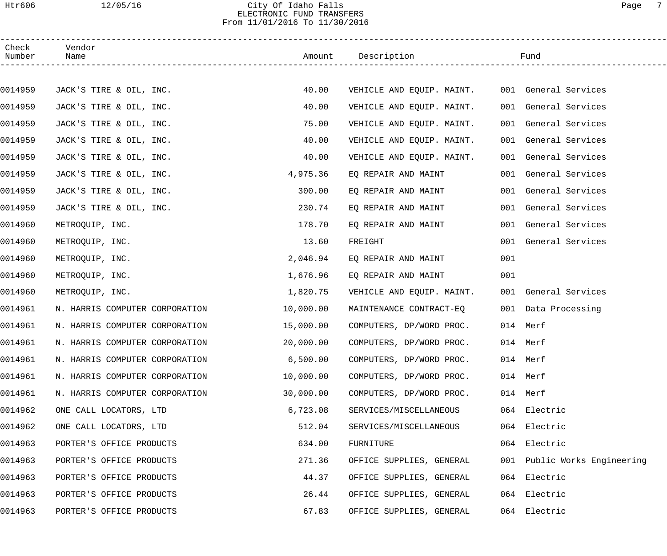## Htr606 12/05/16 City Of Idaho Falls Page 7 ELECTRONIC FUND TRANSFERS From 11/01/2016 To 11/30/2016

| Check<br>Number | Vendor<br>Name                 |           | Amount Description        |     | Fund                         |  |
|-----------------|--------------------------------|-----------|---------------------------|-----|------------------------------|--|
|                 |                                |           |                           |     |                              |  |
| 0014959         | JACK'S TIRE & OIL, INC.        | 40.00     | VEHICLE AND EQUIP. MAINT. |     | 001 General Services         |  |
| 0014959         | JACK'S TIRE & OIL, INC.        | 40.00     | VEHICLE AND EQUIP. MAINT. |     | 001 General Services         |  |
| 0014959         | JACK'S TIRE & OIL, INC.        | 75.00     | VEHICLE AND EQUIP. MAINT. |     | 001 General Services         |  |
| 0014959         | JACK'S TIRE & OIL, INC.        | 40.00     | VEHICLE AND EQUIP. MAINT. |     | 001 General Services         |  |
| 0014959         | JACK'S TIRE & OIL, INC.        | 40.00     | VEHICLE AND EQUIP. MAINT. |     | 001 General Services         |  |
| 0014959         | JACK'S TIRE & OIL, INC.        | 4,975.36  | EQ REPAIR AND MAINT       |     | 001 General Services         |  |
| 0014959         | JACK'S TIRE & OIL, INC.        | 300.00    | EQ REPAIR AND MAINT       |     | 001 General Services         |  |
| 0014959         | JACK'S TIRE & OIL, INC.        | 230.74    | EQ REPAIR AND MAINT       |     | 001 General Services         |  |
| 0014960         | METROQUIP, INC.                | 178.70    | EQ REPAIR AND MAINT       |     | 001 General Services         |  |
| 0014960         | METROQUIP, INC.                | 13.60     | FREIGHT                   |     | 001 General Services         |  |
| 0014960         | METROQUIP, INC.                | 2,046.94  | EQ REPAIR AND MAINT       | 001 |                              |  |
| 0014960         | METROQUIP, INC.                | 1,676.96  | EQ REPAIR AND MAINT       | 001 |                              |  |
| 0014960         | METROQUIP, INC.                | 1,820.75  | VEHICLE AND EQUIP. MAINT. |     | 001 General Services         |  |
| 0014961         | N. HARRIS COMPUTER CORPORATION | 10,000.00 | MAINTENANCE CONTRACT-EQ   |     | 001 Data Processing          |  |
| 0014961         | N. HARRIS COMPUTER CORPORATION | 15,000.00 | COMPUTERS, DP/WORD PROC.  |     | 014 Merf                     |  |
| 0014961         | N. HARRIS COMPUTER CORPORATION | 20,000.00 | COMPUTERS, DP/WORD PROC.  |     | 014 Merf                     |  |
| 0014961         | N. HARRIS COMPUTER CORPORATION | 6,500.00  | COMPUTERS, DP/WORD PROC.  |     | 014 Merf                     |  |
| 0014961         | N. HARRIS COMPUTER CORPORATION | 10,000.00 | COMPUTERS, DP/WORD PROC.  |     | 014 Merf                     |  |
| 0014961         | N. HARRIS COMPUTER CORPORATION | 30,000.00 | COMPUTERS, DP/WORD PROC.  |     | 014 Merf                     |  |
| 0014962         | ONE CALL LOCATORS, LTD         | 6,723.08  | SERVICES/MISCELLANEOUS    |     | 064 Electric                 |  |
| 0014962         | ONE CALL LOCATORS, LTD         | 512.04    | SERVICES/MISCELLANEOUS    |     | 064 Electric                 |  |
| 0014963         | PORTER'S OFFICE PRODUCTS       | 634.00    | FURNITURE                 |     | 064 Electric                 |  |
| 0014963         | PORTER'S OFFICE PRODUCTS       | 271.36    | OFFICE SUPPLIES, GENERAL  |     | 001 Public Works Engineering |  |
| 0014963         | PORTER'S OFFICE PRODUCTS       | 44.37     | OFFICE SUPPLIES, GENERAL  |     | 064 Electric                 |  |
| 0014963         | PORTER'S OFFICE PRODUCTS       | 26.44     | OFFICE SUPPLIES, GENERAL  |     | 064 Electric                 |  |
| 0014963         | PORTER'S OFFICE PRODUCTS       | 67.83     | OFFICE SUPPLIES, GENERAL  |     | 064 Electric                 |  |
|                 |                                |           |                           |     |                              |  |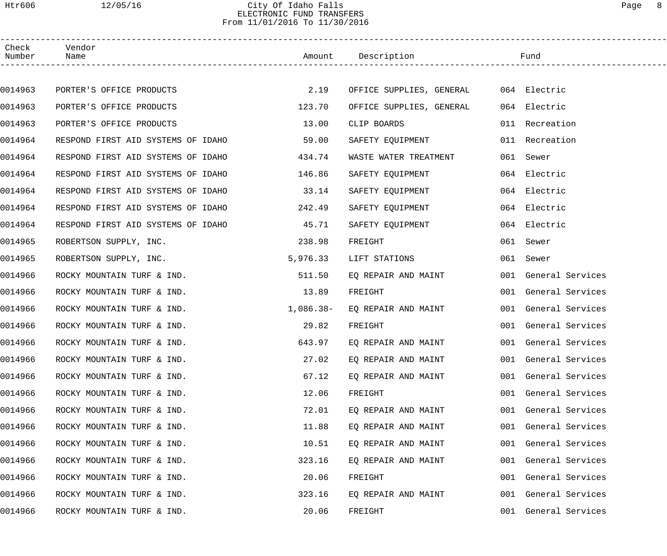## Htr606 12/05/16 City Of Idaho Falls Page 8 ELECTRONIC FUND TRANSFERS From 11/01/2016 To 11/30/2016

------------------------------------------------------------------------------------------------------------------------------------

| Check<br>Number | Vendor<br>Name                                       |             |                          |     |                      |  |
|-----------------|------------------------------------------------------|-------------|--------------------------|-----|----------------------|--|
|                 |                                                      |             |                          |     |                      |  |
| 0014963         | PORTER'S OFFICE PRODUCTS                             | 2.19        | OFFICE SUPPLIES, GENERAL |     | 064 Electric         |  |
| 0014963         | PORTER'S OFFICE PRODUCTS                             | 123.70      | OFFICE SUPPLIES, GENERAL |     | 064 Electric         |  |
| 0014963         | PORTER'S OFFICE PRODUCTS                             | 13.00       | CLIP BOARDS              |     | 011 Recreation       |  |
| 0014964         | RESPOND FIRST AID SYSTEMS OF IDAHO                   | 59.00       | SAFETY EQUIPMENT         |     | 011 Recreation       |  |
| 0014964         | RESPOND FIRST AID SYSTEMS OF IDAHO                   | 434.74      | WASTE WATER TREATMENT    |     | 061 Sewer            |  |
| 0014964         | RESPOND FIRST AID SYSTEMS OF IDAHO                   | 146.86      | SAFETY EQUIPMENT         |     | 064 Electric         |  |
| 0014964         | RESPOND FIRST AID SYSTEMS OF IDAHO                   | 33.14       | SAFETY EQUIPMENT         |     | 064 Electric         |  |
| 0014964         | RESPOND FIRST AID SYSTEMS OF IDAHO                   | 242.49      | SAFETY EQUIPMENT         |     | 064 Electric         |  |
| 0014964         | RESPOND FIRST AID SYSTEMS OF IDAHO                   | 45.71       | SAFETY EQUIPMENT         |     | 064 Electric         |  |
| 0014965         | ROBERTSON SUPPLY, INC.                               | 238.98      | FREIGHT                  |     | 061 Sewer            |  |
| 0014965         | ROBERTSON SUPPLY, INC.                               | 5,976.33    | LIFT STATIONS            |     | 061 Sewer            |  |
| 0014966         | ROCKY MOUNTAIN TURF & IND.                           | 511.50      | EQ REPAIR AND MAINT      |     | 001 General Services |  |
| 0014966         | ROCKY MOUNTAIN TURF & IND.                           | 13.89       | FREIGHT                  |     | 001 General Services |  |
| 0014966         | ROCKY MOUNTAIN TURF & IND.                           | $1,086.38-$ | EQ REPAIR AND MAINT      |     | 001 General Services |  |
| 0014966         | ROCKY MOUNTAIN TURF & IND.                           | 29.82       | FREIGHT                  |     | 001 General Services |  |
| 0014966         | ROCKY MOUNTAIN TURF & IND.                           | 643.97      | EQ REPAIR AND MAINT      |     | 001 General Services |  |
| 0014966         | ROCKY MOUNTAIN TURF & IND. 27.02 EQ REPAIR AND MAINT |             |                          |     | 001 General Services |  |
| 0014966         | ROCKY MOUNTAIN TURF & IND.                           | 67.12       | EQ REPAIR AND MAINT      |     | 001 General Services |  |
| 0014966         | ROCKY MOUNTAIN TURF & IND.                           | 12.06       | FREIGHT                  | 001 | General Services     |  |
| 0014966         | ROCKY MOUNTAIN TURF & IND.                           | 72.01       | EQ REPAIR AND MAINT      | 001 | General Services     |  |
| 0014966         | ROCKY MOUNTAIN TURF & IND.                           | 11.88       | EO REPAIR AND MAINT      | 001 | General Services     |  |
| 0014966         | ROCKY MOUNTAIN TURF & IND.                           | 10.51       | EQ REPAIR AND MAINT      | 001 | General Services     |  |
| 0014966         | ROCKY MOUNTAIN TURF & IND.                           | 323.16      | EQ REPAIR AND MAINT      | 001 | General Services     |  |
| 0014966         | ROCKY MOUNTAIN TURF & IND.                           | 20.06       | FREIGHT                  | 001 | General Services     |  |
| 0014966         | ROCKY MOUNTAIN TURF & IND.                           | 323.16      | EQ REPAIR AND MAINT      | 001 | General Services     |  |
| 0014966         | ROCKY MOUNTAIN TURF & IND.                           | 20.06       | FREIGHT                  | 001 | General Services     |  |
|                 |                                                      |             |                          |     |                      |  |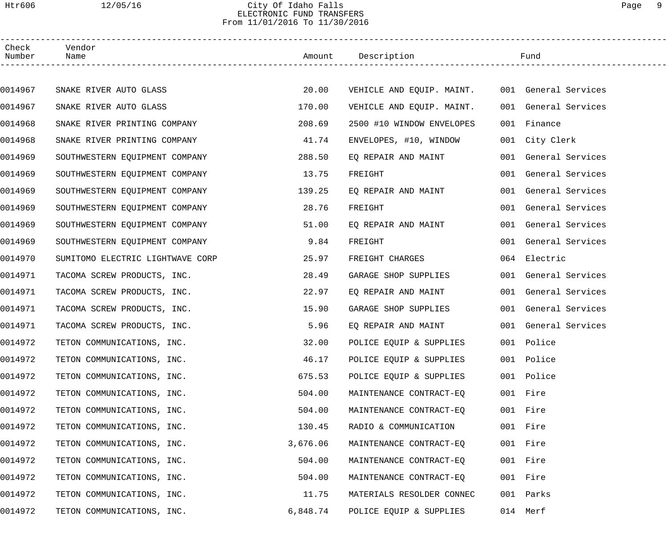## Htr606 12/05/16 City Of Idaho Falls Page 9 ELECTRONIC FUND TRANSFERS From 11/01/2016 To 11/30/2016

| Check<br>Number | Vendor<br>Name                   |          | Amount Description                             | Fund                 |  |
|-----------------|----------------------------------|----------|------------------------------------------------|----------------------|--|
|                 |                                  |          |                                                |                      |  |
| 0014967         | SNAKE RIVER AUTO GLASS           | 20.00    | VEHICLE AND EQUIP. MAINT. 001 General Services |                      |  |
| 0014967         | SNAKE RIVER AUTO GLASS           | 170.00   | VEHICLE AND EQUIP. MAINT.                      | 001 General Services |  |
| 0014968         | SNAKE RIVER PRINTING COMPANY     | 208.69   | 2500 #10 WINDOW ENVELOPES                      | 001 Finance          |  |
| 0014968         | SNAKE RIVER PRINTING COMPANY     | 41.74    | ENVELOPES, #10, WINDOW                         | 001 City Clerk       |  |
| 0014969         | SOUTHWESTERN EQUIPMENT COMPANY   | 288.50   | EQ REPAIR AND MAINT                            | 001 General Services |  |
| 0014969         | SOUTHWESTERN EQUIPMENT COMPANY   | 13.75    | FREIGHT                                        | 001 General Services |  |
| 0014969         | SOUTHWESTERN EQUIPMENT COMPANY   | 139.25   | EQ REPAIR AND MAINT                            | 001 General Services |  |
| 0014969         | SOUTHWESTERN EQUIPMENT COMPANY   | 28.76    | FREIGHT                                        | 001 General Services |  |
| 0014969         | SOUTHWESTERN EQUIPMENT COMPANY   | 51.00    | EQ REPAIR AND MAINT                            | 001 General Services |  |
| 0014969         | SOUTHWESTERN EQUIPMENT COMPANY   | 9.84     | FREIGHT                                        | 001 General Services |  |
| 0014970         | SUMITOMO ELECTRIC LIGHTWAVE CORP | 25.97    | FREIGHT CHARGES                                | 064 Electric         |  |
| 0014971         | TACOMA SCREW PRODUCTS, INC.      | 28.49    | GARAGE SHOP SUPPLIES                           | 001 General Services |  |
| 0014971         | TACOMA SCREW PRODUCTS, INC.      | 22.97    | EQ REPAIR AND MAINT                            | 001 General Services |  |
| 0014971         | TACOMA SCREW PRODUCTS, INC.      | 15.90    | GARAGE SHOP SUPPLIES                           | 001 General Services |  |
| 0014971         | TACOMA SCREW PRODUCTS, INC.      | 5.96     | EQ REPAIR AND MAINT                            | 001 General Services |  |
| 0014972         | TETON COMMUNICATIONS, INC.       | 32.00    | POLICE EQUIP & SUPPLIES                        | 001 Police           |  |
| 0014972         | TETON COMMUNICATIONS, INC.       | 46.17    | POLICE EQUIP & SUPPLIES                        | 001 Police           |  |
| 0014972         | TETON COMMUNICATIONS, INC.       | 675.53   | POLICE EQUIP & SUPPLIES                        | 001 Police           |  |
| 0014972         | TETON COMMUNICATIONS, INC.       | 504.00   | MAINTENANCE CONTRACT-EO                        | 001 Fire             |  |
| 0014972         | TETON COMMUNICATIONS, INC.       | 504.00   | MAINTENANCE CONTRACT-EQ                        | 001 Fire             |  |
| 0014972         | TETON COMMUNICATIONS, INC.       | 130.45   | RADIO & COMMUNICATION                          | 001 Fire             |  |
| 0014972         | TETON COMMUNICATIONS, INC.       | 3,676.06 | MAINTENANCE CONTRACT-EQ                        | 001 Fire             |  |
| 0014972         | TETON COMMUNICATIONS, INC.       | 504.00   | MAINTENANCE CONTRACT-EQ                        | 001 Fire             |  |
| 0014972         | TETON COMMUNICATIONS, INC.       | 504.00   | MAINTENANCE CONTRACT-EQ                        | 001 Fire             |  |
| 0014972         | TETON COMMUNICATIONS, INC.       | 11.75    | MATERIALS RESOLDER CONNEC                      | 001 Parks            |  |
| 0014972         | TETON COMMUNICATIONS, INC.       | 6,848.74 | POLICE EQUIP & SUPPLIES                        | 014 Merf             |  |
|                 |                                  |          |                                                |                      |  |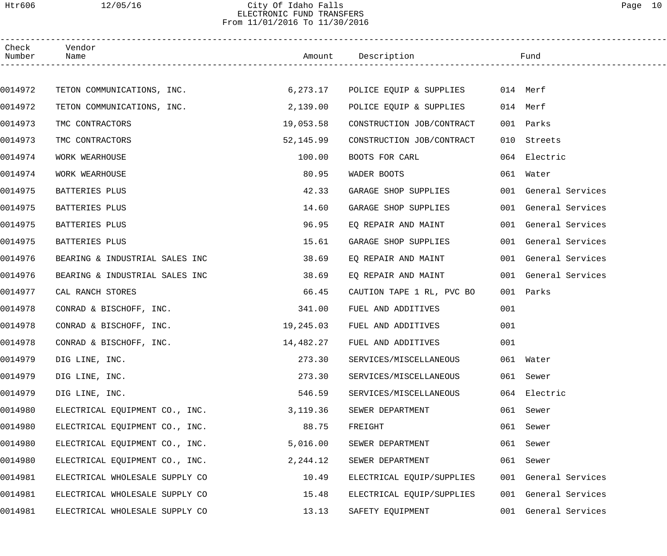## Htr606 12/05/16 City Of Idaho Falls Page 10 ELECTRONIC FUND TRANSFERS From 11/01/2016 To 11/30/2016

| Check<br>Number | Vendor<br>Name                 |           | Amount Description                        |     | Fund                 |  |
|-----------------|--------------------------------|-----------|-------------------------------------------|-----|----------------------|--|
|                 |                                |           |                                           |     |                      |  |
| 0014972         | TETON COMMUNICATIONS, INC.     |           | 6,273.17 POLICE EQUIP & SUPPLIES 014 Merf |     |                      |  |
| 0014972         | TETON COMMUNICATIONS, INC.     | 2,139.00  | POLICE EQUIP & SUPPLIES                   |     | 014 Merf             |  |
| 0014973         | TMC CONTRACTORS                | 19,053.58 | CONSTRUCTION JOB/CONTRACT                 |     | 001 Parks            |  |
| 0014973         | TMC CONTRACTORS                | 52,145.99 | CONSTRUCTION JOB/CONTRACT                 | 010 | Streets              |  |
| 0014974         | WORK WEARHOUSE                 | 100.00    | BOOTS FOR CARL                            |     | 064 Electric         |  |
| 0014974         | WORK WEARHOUSE                 | 80.95     | WADER BOOTS                               |     | 061 Water            |  |
| 0014975         | BATTERIES PLUS                 | 42.33     | GARAGE SHOP SUPPLIES                      |     | 001 General Services |  |
| 0014975         | BATTERIES PLUS                 | 14.60     | GARAGE SHOP SUPPLIES                      |     | 001 General Services |  |
| 0014975         | BATTERIES PLUS                 | 96.95     | EQ REPAIR AND MAINT                       |     | 001 General Services |  |
| 0014975         | BATTERIES PLUS                 | 15.61     | GARAGE SHOP SUPPLIES                      |     | 001 General Services |  |
| 0014976         | BEARING & INDUSTRIAL SALES INC | 38.69     | EQ REPAIR AND MAINT                       |     | 001 General Services |  |
| 0014976         | BEARING & INDUSTRIAL SALES INC | 38.69     | EQ REPAIR AND MAINT                       |     | 001 General Services |  |
| 0014977         | CAL RANCH STORES               | 66.45     | CAUTION TAPE 1 RL, PVC BO                 |     | 001 Parks            |  |
| 0014978         | CONRAD & BISCHOFF, INC.        | 341.00    | FUEL AND ADDITIVES                        | 001 |                      |  |
| 0014978         | CONRAD & BISCHOFF, INC.        | 19,245.03 | FUEL AND ADDITIVES                        | 001 |                      |  |
| 0014978         | CONRAD & BISCHOFF, INC.        | 14,482.27 | FUEL AND ADDITIVES                        | 001 |                      |  |
| 0014979         | DIG LINE, INC.                 | 273.30    | SERVICES/MISCELLANEOUS                    |     | 061 Water            |  |
| 0014979         | DIG LINE, INC.                 | 273.30    | SERVICES/MISCELLANEOUS                    |     | 061 Sewer            |  |
| 0014979         | DIG LINE, INC.                 | 546.59    | SERVICES/MISCELLANEOUS                    |     | 064 Electric         |  |
| 0014980         | ELECTRICAL EQUIPMENT CO., INC. | 3,119.36  | SEWER DEPARTMENT                          |     | 061 Sewer            |  |
| 0014980         | ELECTRICAL EQUIPMENT CO., INC. | 88.75     | FREIGHT                                   |     | 061 Sewer            |  |
| 0014980         | ELECTRICAL EQUIPMENT CO., INC. | 5,016.00  | SEWER DEPARTMENT                          |     | 061 Sewer            |  |
| 0014980         | ELECTRICAL EQUIPMENT CO., INC. | 2,244.12  | SEWER DEPARTMENT                          |     | 061 Sewer            |  |
| 0014981         | ELECTRICAL WHOLESALE SUPPLY CO | 10.49     | ELECTRICAL EQUIP/SUPPLIES                 |     | 001 General Services |  |
| 0014981         | ELECTRICAL WHOLESALE SUPPLY CO | 15.48     | ELECTRICAL EQUIP/SUPPLIES                 |     | 001 General Services |  |
| 0014981         | ELECTRICAL WHOLESALE SUPPLY CO | 13.13     | SAFETY EQUIPMENT                          | 001 | General Services     |  |
|                 |                                |           |                                           |     |                      |  |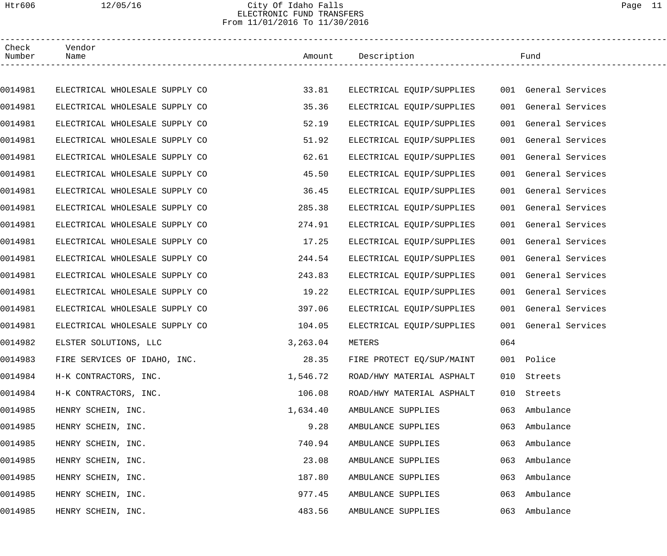## Htr606 12/05/16 City Of Idaho Falls Page 11 ELECTRONIC FUND TRANSFERS From 11/01/2016 To 11/30/2016

| Check<br>Number | Vendor<br>Name                 |          | Amount Description        |     | Fund                 |  |
|-----------------|--------------------------------|----------|---------------------------|-----|----------------------|--|
|                 |                                |          |                           |     |                      |  |
| 0014981         | ELECTRICAL WHOLESALE SUPPLY CO | 33.81    | ELECTRICAL EQUIP/SUPPLIES |     | 001 General Services |  |
| 0014981         | ELECTRICAL WHOLESALE SUPPLY CO | 35.36    | ELECTRICAL EQUIP/SUPPLIES |     | 001 General Services |  |
| 0014981         | ELECTRICAL WHOLESALE SUPPLY CO | 52.19    | ELECTRICAL EQUIP/SUPPLIES |     | 001 General Services |  |
| 0014981         | ELECTRICAL WHOLESALE SUPPLY CO | 51.92    | ELECTRICAL EQUIP/SUPPLIES |     | 001 General Services |  |
| 0014981         | ELECTRICAL WHOLESALE SUPPLY CO | 62.61    | ELECTRICAL EQUIP/SUPPLIES |     | 001 General Services |  |
| 0014981         | ELECTRICAL WHOLESALE SUPPLY CO | 45.50    | ELECTRICAL EQUIP/SUPPLIES |     | 001 General Services |  |
| 0014981         | ELECTRICAL WHOLESALE SUPPLY CO | 36.45    | ELECTRICAL EOUIP/SUPPLIES |     | 001 General Services |  |
| 0014981         | ELECTRICAL WHOLESALE SUPPLY CO | 285.38   | ELECTRICAL EQUIP/SUPPLIES |     | 001 General Services |  |
| 0014981         | ELECTRICAL WHOLESALE SUPPLY CO | 274.91   | ELECTRICAL EQUIP/SUPPLIES |     | 001 General Services |  |
| 0014981         | ELECTRICAL WHOLESALE SUPPLY CO | 17.25    | ELECTRICAL EQUIP/SUPPLIES |     | 001 General Services |  |
| 0014981         | ELECTRICAL WHOLESALE SUPPLY CO | 244.54   | ELECTRICAL EQUIP/SUPPLIES |     | 001 General Services |  |
| 0014981         | ELECTRICAL WHOLESALE SUPPLY CO | 243.83   | ELECTRICAL EQUIP/SUPPLIES |     | 001 General Services |  |
| 0014981         | ELECTRICAL WHOLESALE SUPPLY CO | 19.22    | ELECTRICAL EQUIP/SUPPLIES |     | 001 General Services |  |
| 0014981         | ELECTRICAL WHOLESALE SUPPLY CO | 397.06   | ELECTRICAL EQUIP/SUPPLIES |     | 001 General Services |  |
| 0014981         | ELECTRICAL WHOLESALE SUPPLY CO | 104.05   | ELECTRICAL EQUIP/SUPPLIES |     | 001 General Services |  |
| 0014982         | ELSTER SOLUTIONS, LLC          | 3,263.04 | METERS                    | 064 |                      |  |
| 0014983         | FIRE SERVICES OF IDAHO, INC.   | 28.35    | FIRE PROTECT EQ/SUP/MAINT |     | 001 Police           |  |
| 0014984         | H-K CONTRACTORS, INC.          | 1,546.72 | ROAD/HWY MATERIAL ASPHALT | 010 | Streets              |  |
| 0014984         | H-K CONTRACTORS, INC.          | 106.08   | ROAD/HWY MATERIAL ASPHALT | 010 | Streets              |  |
| 0014985         | HENRY SCHEIN, INC.             | 1,634.40 | AMBULANCE SUPPLIES        | 063 | Ambulance            |  |
| 0014985         | HENRY SCHEIN, INC.             | 9.28     | AMBULANCE SUPPLIES        | 063 | Ambulance            |  |
| 0014985         | HENRY SCHEIN, INC.             | 740.94   | AMBULANCE SUPPLIES        | 063 | Ambulance            |  |
| 0014985         | HENRY SCHEIN, INC.             | 23.08    | AMBULANCE SUPPLIES        | 063 | Ambulance            |  |
| 0014985         | HENRY SCHEIN, INC.             | 187.80   | AMBULANCE SUPPLIES        | 063 | Ambulance            |  |
| 0014985         | HENRY SCHEIN, INC.             | 977.45   | AMBULANCE SUPPLIES        | 063 | Ambulance            |  |
| 0014985         | HENRY SCHEIN, INC.             | 483.56   | AMBULANCE SUPPLIES        | 063 | Ambulance            |  |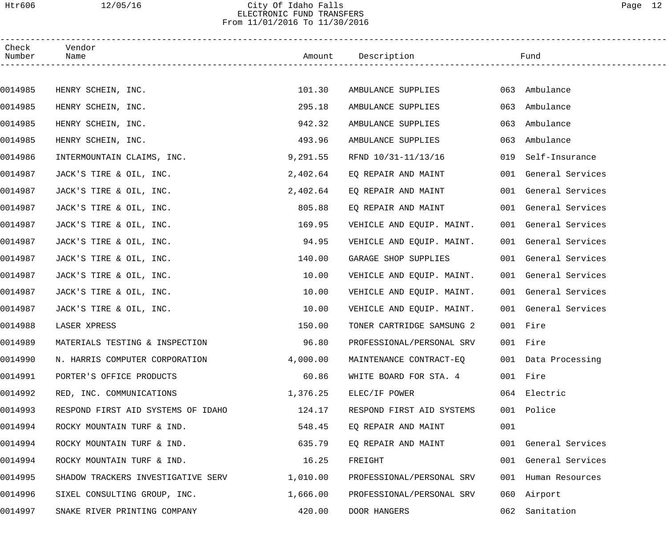## Htr606 12/05/16 City Of Idaho Falls Page 12 ELECTRONIC FUND TRANSFERS From 11/01/2016 To 11/30/2016

| Check<br>Number | Vendor<br>Name                     |          | Amount Description        |     | Fund                 |
|-----------------|------------------------------------|----------|---------------------------|-----|----------------------|
|                 |                                    |          |                           |     |                      |
| 0014985         | HENRY SCHEIN, INC.                 | 101.30   | AMBULANCE SUPPLIES        |     | 063 Ambulance        |
| 0014985         | HENRY SCHEIN, INC.                 | 295.18   | AMBULANCE SUPPLIES        | 063 | Ambulance            |
| 0014985         | HENRY SCHEIN, INC.                 | 942.32   | AMBULANCE SUPPLIES        | 063 | Ambulance            |
| 0014985         | HENRY SCHEIN, INC.                 | 493.96   | AMBULANCE SUPPLIES        | 063 | Ambulance            |
| 0014986         | INTERMOUNTAIN CLAIMS, INC.         | 9,291.55 | RFND 10/31-11/13/16       | 019 | Self-Insurance       |
| 0014987         | JACK'S TIRE & OIL, INC.            | 2,402.64 | EQ REPAIR AND MAINT       |     | 001 General Services |
| 0014987         | JACK'S TIRE & OIL, INC.            | 2,402.64 | EQ REPAIR AND MAINT       |     | 001 General Services |
| 0014987         | JACK'S TIRE & OIL, INC.            | 805.88   | EO REPAIR AND MAINT       |     | 001 General Services |
| 0014987         | JACK'S TIRE & OIL, INC.            | 169.95   | VEHICLE AND EQUIP. MAINT. |     | 001 General Services |
| 0014987         | JACK'S TIRE & OIL, INC.            | 94.95    | VEHICLE AND EQUIP. MAINT. |     | 001 General Services |
| 0014987         | JACK'S TIRE & OIL, INC.            | 140.00   | GARAGE SHOP SUPPLIES      |     | 001 General Services |
| 0014987         | JACK'S TIRE & OIL, INC.            | 10.00    | VEHICLE AND EQUIP. MAINT. |     | 001 General Services |
| 0014987         | JACK'S TIRE & OIL, INC.            | 10.00    | VEHICLE AND EQUIP. MAINT. |     | 001 General Services |
| 0014987         | JACK'S TIRE & OIL, INC.            | 10.00    | VEHICLE AND EQUIP. MAINT. |     | 001 General Services |
| 0014988         | LASER XPRESS                       | 150.00   | TONER CARTRIDGE SAMSUNG 2 |     | 001 Fire             |
| 0014989         | MATERIALS TESTING & INSPECTION     | 96.80    | PROFESSIONAL/PERSONAL SRV |     | 001 Fire             |
| 0014990         | N. HARRIS COMPUTER CORPORATION     | 4,000.00 | MAINTENANCE CONTRACT-EQ   |     | 001 Data Processing  |
| 0014991         | PORTER'S OFFICE PRODUCTS           | 60.86    | WHITE BOARD FOR STA. 4    |     | 001 Fire             |
| 0014992         | RED, INC. COMMUNICATIONS           | 1,376.25 | ELEC/IF POWER             |     | 064 Electric         |
| 0014993         | RESPOND FIRST AID SYSTEMS OF IDAHO | 124.17   | RESPOND FIRST AID SYSTEMS |     | 001 Police           |
| 0014994         | ROCKY MOUNTAIN TURF & IND.         | 548.45   | EO REPAIR AND MAINT       | 001 |                      |
| 0014994         | ROCKY MOUNTAIN TURF & IND.         | 635.79   | EQ REPAIR AND MAINT       |     | 001 General Services |
| 0014994         | ROCKY MOUNTAIN TURF & IND.         | 16.25    | FREIGHT                   |     | 001 General Services |
| 0014995         | SHADOW TRACKERS INVESTIGATIVE SERV | 1,010.00 | PROFESSIONAL/PERSONAL SRV |     | 001 Human Resources  |
| 0014996         | SIXEL CONSULTING GROUP, INC.       | 1,666.00 | PROFESSIONAL/PERSONAL SRV |     | 060 Airport          |
| 0014997         | SNAKE RIVER PRINTING COMPANY       | 420.00   | DOOR HANGERS              | 062 | Sanitation           |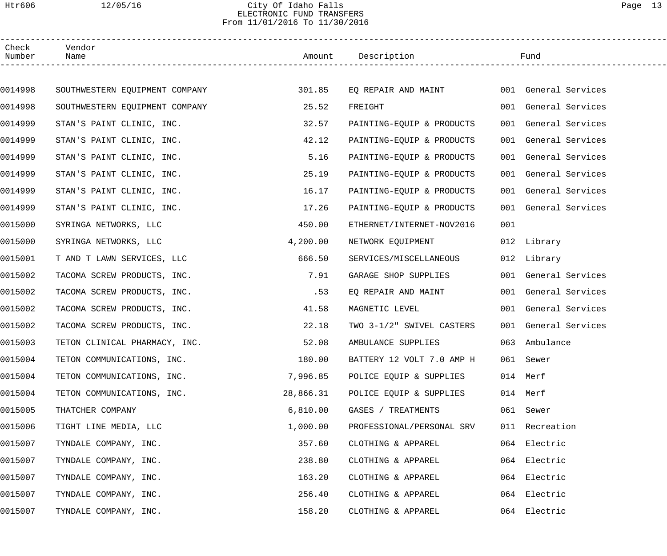### Htr606 12/05/16 City Of Idaho Falls Page 13 ELECTRONIC FUND TRANSFERS From 11/01/2016 To 11/30/2016

| Check<br>Number | Vendor<br>Name                 |           | Amount Description        |     | Fund                 |
|-----------------|--------------------------------|-----------|---------------------------|-----|----------------------|
|                 |                                |           |                           |     |                      |
| 0014998         | SOUTHWESTERN EQUIPMENT COMPANY | 301.85    | EQ REPAIR AND MAINT       |     | 001 General Services |
| 0014998         | SOUTHWESTERN EQUIPMENT COMPANY | 25.52     | FREIGHT                   |     | 001 General Services |
| 0014999         | STAN'S PAINT CLINIC, INC.      | 32.57     | PAINTING-EQUIP & PRODUCTS |     | 001 General Services |
| 0014999         | STAN'S PAINT CLINIC, INC.      | 42.12     | PAINTING-EQUIP & PRODUCTS |     | 001 General Services |
| 0014999         | STAN'S PAINT CLINIC, INC.      | 5.16      | PAINTING-EQUIP & PRODUCTS |     | 001 General Services |
| 0014999         | STAN'S PAINT CLINIC, INC.      | 25.19     | PAINTING-EQUIP & PRODUCTS |     | 001 General Services |
| 0014999         | STAN'S PAINT CLINIC, INC.      | 16.17     | PAINTING-EQUIP & PRODUCTS |     | 001 General Services |
| 0014999         | STAN'S PAINT CLINIC, INC.      | 17.26     | PAINTING-EQUIP & PRODUCTS |     | 001 General Services |
| 0015000         | SYRINGA NETWORKS, LLC          | 450.00    | ETHERNET/INTERNET-NOV2016 | 001 |                      |
| 0015000         | SYRINGA NETWORKS, LLC          | 4,200.00  | NETWORK EQUIPMENT         |     | 012 Library          |
| 0015001         | T AND T LAWN SERVICES, LLC     | 666.50    | SERVICES/MISCELLANEOUS    |     | 012 Library          |
| 0015002         | TACOMA SCREW PRODUCTS, INC.    | 7.91      | GARAGE SHOP SUPPLIES      |     | 001 General Services |
| 0015002         | TACOMA SCREW PRODUCTS, INC.    | .53       | EQ REPAIR AND MAINT       |     | 001 General Services |
| 0015002         | TACOMA SCREW PRODUCTS, INC.    | 41.58     | MAGNETIC LEVEL            |     | 001 General Services |
| 0015002         | TACOMA SCREW PRODUCTS, INC.    | 22.18     | TWO 3-1/2" SWIVEL CASTERS |     | 001 General Services |
| 0015003         | TETON CLINICAL PHARMACY, INC.  | 52.08     | AMBULANCE SUPPLIES        |     | 063 Ambulance        |
| 0015004         | TETON COMMUNICATIONS, INC.     | 180.00    | BATTERY 12 VOLT 7.0 AMP H |     | 061 Sewer            |
| 0015004         | TETON COMMUNICATIONS, INC.     | 7,996.85  | POLICE EQUIP & SUPPLIES   |     | 014 Merf             |
| 0015004         | TETON COMMUNICATIONS, INC.     | 28,866.31 | POLICE EQUIP & SUPPLIES   |     | 014 Merf             |
| 0015005         | THATCHER COMPANY               | 6,810.00  | GASES / TREATMENTS        |     | 061 Sewer            |
| 0015006         | TIGHT LINE MEDIA, LLC          | 1,000.00  | PROFESSIONAL/PERSONAL SRV |     | 011 Recreation       |
| 0015007         | TYNDALE COMPANY, INC.          | 357.60    | CLOTHING & APPAREL        |     | 064 Electric         |
| 0015007         | TYNDALE COMPANY, INC.          | 238.80    | CLOTHING & APPAREL        |     | 064 Electric         |
| 0015007         | TYNDALE COMPANY, INC.          | 163.20    | CLOTHING & APPAREL        |     | 064 Electric         |
| 0015007         | TYNDALE COMPANY, INC.          | 256.40    | CLOTHING & APPAREL        |     | 064 Electric         |
| 0015007         | TYNDALE COMPANY, INC.          | 158.20    | CLOTHING & APPAREL        |     | 064 Electric         |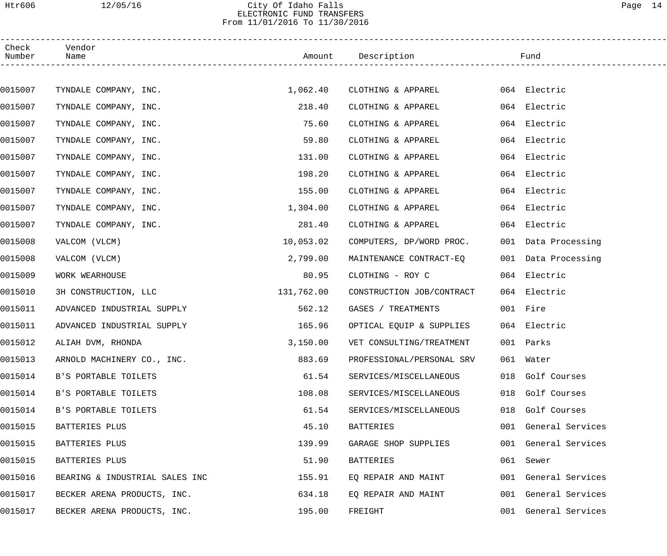### Htr606 12/05/16 City Of Idaho Falls Page 14 ELECTRONIC FUND TRANSFERS From 11/01/2016 To 11/30/2016

| Check<br>Number | Vendor<br>Name                 |            | Amount Description        |     | Fund                 |  |
|-----------------|--------------------------------|------------|---------------------------|-----|----------------------|--|
|                 |                                |            |                           |     |                      |  |
| 0015007         | TYNDALE COMPANY, INC.          | 1,062.40   | CLOTHING & APPAREL        |     | 064 Electric         |  |
| 0015007         | TYNDALE COMPANY, INC.          | 218.40     | CLOTHING & APPAREL        |     | 064 Electric         |  |
| 0015007         | TYNDALE COMPANY, INC.          | 75.60      | CLOTHING & APPAREL        |     | 064 Electric         |  |
| 0015007         | TYNDALE COMPANY, INC.          | 59.80      | CLOTHING & APPAREL        |     | 064 Electric         |  |
| 0015007         | TYNDALE COMPANY, INC.          | 131.00     | CLOTHING & APPAREL        |     | 064 Electric         |  |
| 0015007         | TYNDALE COMPANY, INC.          | 198.20     | CLOTHING & APPAREL        |     | 064 Electric         |  |
| 0015007         | TYNDALE COMPANY, INC.          | 155.00     | CLOTHING & APPAREL        |     | 064 Electric         |  |
| 0015007         | TYNDALE COMPANY, INC.          | 1,304.00   | CLOTHING & APPAREL        |     | 064 Electric         |  |
| 0015007         | TYNDALE COMPANY, INC.          | 281.40     | CLOTHING & APPAREL        |     | 064 Electric         |  |
| 0015008         | VALCOM (VLCM)                  | 10,053.02  | COMPUTERS, DP/WORD PROC.  |     | 001 Data Processing  |  |
| 0015008         | VALCOM (VLCM)                  | 2,799.00   | MAINTENANCE CONTRACT-EQ   |     | 001 Data Processing  |  |
| 0015009         | WORK WEARHOUSE                 | 80.95      | CLOTHING - ROY C          |     | 064 Electric         |  |
| 0015010         | 3H CONSTRUCTION, LLC           | 131,762.00 | CONSTRUCTION JOB/CONTRACT |     | 064 Electric         |  |
| 0015011         | ADVANCED INDUSTRIAL SUPPLY     | 562.12     | GASES / TREATMENTS        |     | 001 Fire             |  |
| 0015011         | ADVANCED INDUSTRIAL SUPPLY     | 165.96     | OPTICAL EQUIP & SUPPLIES  |     | 064 Electric         |  |
| 0015012         | ALIAH DVM, RHONDA              | 3,150.00   | VET CONSULTING/TREATMENT  |     | 001 Parks            |  |
| 0015013         | ARNOLD MACHINERY CO., INC.     | 883.69     | PROFESSIONAL/PERSONAL SRV |     | 061 Water            |  |
| 0015014         | B'S PORTABLE TOILETS           | 61.54      | SERVICES/MISCELLANEOUS    |     | 018 Golf Courses     |  |
| 0015014         | B'S PORTABLE TOILETS           | 108.08     | SERVICES/MISCELLANEOUS    | 018 | Golf Courses         |  |
| 0015014         | B'S PORTABLE TOILETS           | 61.54      | SERVICES/MISCELLANEOUS    | 018 | Golf Courses         |  |
| 0015015         | BATTERIES PLUS                 | 45.10      | <b>BATTERIES</b>          |     | 001 General Services |  |
| 0015015         | BATTERIES PLUS                 | 139.99     | GARAGE SHOP SUPPLIES      |     | 001 General Services |  |
| 0015015         | BATTERIES PLUS                 | 51.90      | BATTERIES                 | 061 | Sewer                |  |
| 0015016         | BEARING & INDUSTRIAL SALES INC | 155.91     | EQ REPAIR AND MAINT       |     | 001 General Services |  |
| 0015017         | BECKER ARENA PRODUCTS, INC.    | 634.18     | EQ REPAIR AND MAINT       |     | 001 General Services |  |
| 0015017         | BECKER ARENA PRODUCTS, INC.    | 195.00     | FREIGHT                   |     | 001 General Services |  |
|                 |                                |            |                           |     |                      |  |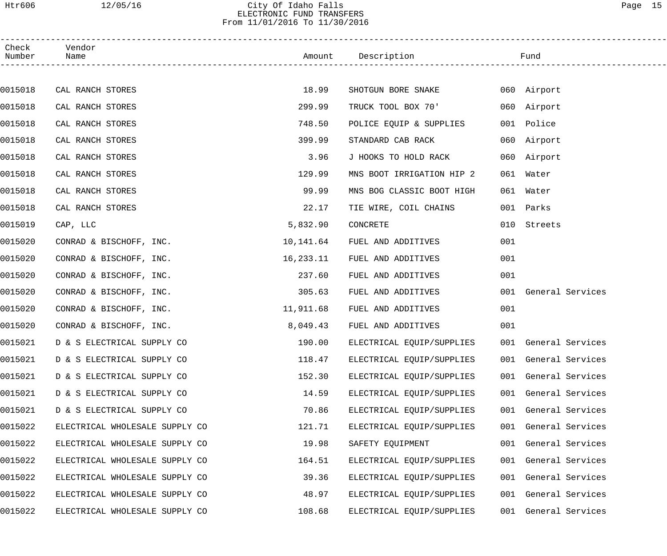## Htr606 12/05/16 City Of Idaho Falls Page 15 ELECTRONIC FUND TRANSFERS From 11/01/2016 To 11/30/2016

| Check<br>Number | Vendor<br>Name                 |           | Amount Description        |     | Fund                 |  |
|-----------------|--------------------------------|-----------|---------------------------|-----|----------------------|--|
|                 |                                |           |                           |     |                      |  |
| 0015018         | CAL RANCH STORES               | 18.99     | SHOTGUN BORE SNAKE        |     | 060 Airport          |  |
| 0015018         | CAL RANCH STORES               | 299.99    | TRUCK TOOL BOX 70'        |     | 060 Airport          |  |
| 0015018         | CAL RANCH STORES               | 748.50    | POLICE EQUIP & SUPPLIES   |     | 001 Police           |  |
| 0015018         | CAL RANCH STORES               | 399.99    | STANDARD CAB RACK         |     | 060 Airport          |  |
| 0015018         | CAL RANCH STORES               | 3.96      | J HOOKS TO HOLD RACK      |     | 060 Airport          |  |
| 0015018         | CAL RANCH STORES               | 129.99    | MNS BOOT IRRIGATION HIP 2 | 061 | Water                |  |
| 0015018         | CAL RANCH STORES               | 99.99     | MNS BOG CLASSIC BOOT HIGH |     | 061 Water            |  |
| 0015018         | CAL RANCH STORES               | 22.17     | TIE WIRE, COIL CHAINS     |     | 001 Parks            |  |
| 0015019         | CAP, LLC                       | 5,832.90  | CONCRETE                  | 010 | Streets              |  |
| 0015020         | CONRAD & BISCHOFF, INC.        | 10,141.64 | FUEL AND ADDITIVES        | 001 |                      |  |
| 0015020         | CONRAD & BISCHOFF, INC.        | 16,233.11 | FUEL AND ADDITIVES        | 001 |                      |  |
| 0015020         | CONRAD & BISCHOFF, INC.        | 237.60    | FUEL AND ADDITIVES        | 001 |                      |  |
| 0015020         | CONRAD & BISCHOFF, INC.        | 305.63    | FUEL AND ADDITIVES        |     | 001 General Services |  |
| 0015020         | CONRAD & BISCHOFF, INC.        | 11,911.68 | FUEL AND ADDITIVES        | 001 |                      |  |
| 0015020         | CONRAD & BISCHOFF, INC.        | 8,049.43  | FUEL AND ADDITIVES        | 001 |                      |  |
| 0015021         | D & S ELECTRICAL SUPPLY CO     | 190.00    | ELECTRICAL EQUIP/SUPPLIES |     | 001 General Services |  |
| 0015021         | D & S ELECTRICAL SUPPLY CO     | 118.47    | ELECTRICAL EQUIP/SUPPLIES |     | 001 General Services |  |
| 0015021         | D & S ELECTRICAL SUPPLY CO     | 152.30    | ELECTRICAL EQUIP/SUPPLIES |     | 001 General Services |  |
| 0015021         | D & S ELECTRICAL SUPPLY CO     | 14.59     | ELECTRICAL EQUIP/SUPPLIES |     | 001 General Services |  |
| 0015021         | D & S ELECTRICAL SUPPLY CO     | 70.86     | ELECTRICAL EQUIP/SUPPLIES |     | 001 General Services |  |
| 0015022         | ELECTRICAL WHOLESALE SUPPLY CO | 121.71    | ELECTRICAL EQUIP/SUPPLIES |     | 001 General Services |  |
| 0015022         | ELECTRICAL WHOLESALE SUPPLY CO | 19.98     | SAFETY EQUIPMENT          |     | 001 General Services |  |
| 0015022         | ELECTRICAL WHOLESALE SUPPLY CO | 164.51    | ELECTRICAL EQUIP/SUPPLIES |     | 001 General Services |  |
| 0015022         | ELECTRICAL WHOLESALE SUPPLY CO | 39.36     | ELECTRICAL EQUIP/SUPPLIES |     | 001 General Services |  |
| 0015022         | ELECTRICAL WHOLESALE SUPPLY CO | 48.97     | ELECTRICAL EQUIP/SUPPLIES |     | 001 General Services |  |
| 0015022         | ELECTRICAL WHOLESALE SUPPLY CO | 108.68    | ELECTRICAL EQUIP/SUPPLIES |     | 001 General Services |  |
|                 |                                |           |                           |     |                      |  |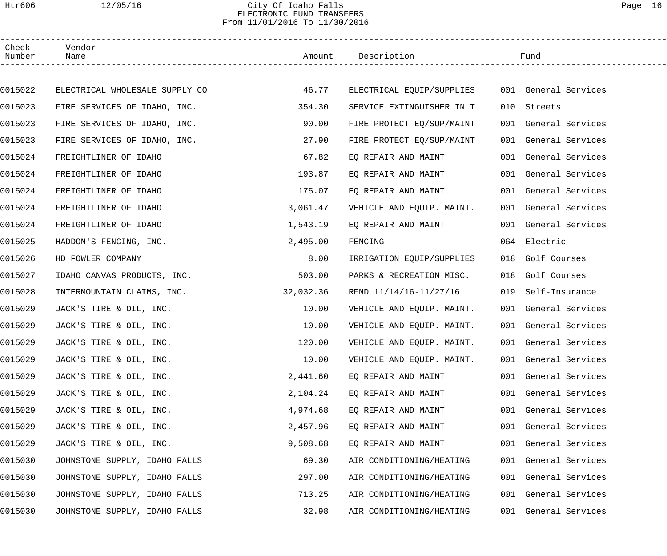## Htr606 12/05/16 City Of Idaho Falls Page 16 ELECTRONIC FUND TRANSFERS From 11/01/2016 To 11/30/2016

| Check<br>Number | Vendor<br>Name                 |           | Amount Description        |     | Fund                 |  |
|-----------------|--------------------------------|-----------|---------------------------|-----|----------------------|--|
|                 |                                |           |                           |     |                      |  |
| 0015022         | ELECTRICAL WHOLESALE SUPPLY CO | 46.77     | ELECTRICAL EQUIP/SUPPLIES |     | 001 General Services |  |
| 0015023         | FIRE SERVICES OF IDAHO, INC.   | 354.30    | SERVICE EXTINGUISHER IN T | 010 | Streets              |  |
| 0015023         | FIRE SERVICES OF IDAHO, INC.   | 90.00     | FIRE PROTECT EQ/SUP/MAINT |     | 001 General Services |  |
| 0015023         | FIRE SERVICES OF IDAHO, INC.   | 27.90     | FIRE PROTECT EQ/SUP/MAINT |     | 001 General Services |  |
| 0015024         | FREIGHTLINER OF IDAHO          | 67.82     | EQ REPAIR AND MAINT       |     | 001 General Services |  |
| 0015024         | FREIGHTLINER OF IDAHO          | 193.87    | EQ REPAIR AND MAINT       |     | 001 General Services |  |
| 0015024         | FREIGHTLINER OF IDAHO          | 175.07    | EQ REPAIR AND MAINT       |     | 001 General Services |  |
| 0015024         | FREIGHTLINER OF IDAHO          | 3,061.47  | VEHICLE AND EQUIP. MAINT. |     | 001 General Services |  |
| 0015024         | FREIGHTLINER OF IDAHO          | 1,543.19  | EQ REPAIR AND MAINT       |     | 001 General Services |  |
| 0015025         | HADDON'S FENCING, INC.         | 2,495.00  | FENCING                   |     | 064 Electric         |  |
| 0015026         | HD FOWLER COMPANY              | 8.00      | IRRIGATION EQUIP/SUPPLIES |     | 018 Golf Courses     |  |
| 0015027         | IDAHO CANVAS PRODUCTS, INC.    | 503.00    | PARKS & RECREATION MISC.  | 018 | Golf Courses         |  |
| 0015028         | INTERMOUNTAIN CLAIMS, INC.     | 32,032.36 | RFND 11/14/16-11/27/16    | 019 | Self-Insurance       |  |
| 0015029         | JACK'S TIRE & OIL, INC.        | 10.00     | VEHICLE AND EQUIP. MAINT. |     | 001 General Services |  |
| 0015029         | JACK'S TIRE & OIL, INC.        | 10.00     | VEHICLE AND EQUIP. MAINT. |     | 001 General Services |  |
| 0015029         | JACK'S TIRE & OIL, INC.        | 120.00    | VEHICLE AND EQUIP. MAINT. |     | 001 General Services |  |
| 0015029         | JACK'S TIRE & OIL, INC.        | 10.00     | VEHICLE AND EQUIP. MAINT. |     | 001 General Services |  |
| 0015029         | JACK'S TIRE & OIL, INC.        | 2,441.60  | EQ REPAIR AND MAINT       |     | 001 General Services |  |
| 0015029         | JACK'S TIRE & OIL, INC.        | 2,104.24  | EQ REPAIR AND MAINT       |     | 001 General Services |  |
| 0015029         | JACK'S TIRE & OIL, INC.        | 4,974.68  | EQ REPAIR AND MAINT       |     | 001 General Services |  |
| 0015029         | JACK'S TIRE & OIL, INC.        | 2,457.96  | EO REPAIR AND MAINT       |     | 001 General Services |  |
| 0015029         | JACK'S TIRE & OIL, INC.        | 9,508.68  | EQ REPAIR AND MAINT       |     | 001 General Services |  |
| 0015030         | JOHNSTONE SUPPLY, IDAHO FALLS  | 69.30     | AIR CONDITIONING/HEATING  |     | 001 General Services |  |
| 0015030         | JOHNSTONE SUPPLY, IDAHO FALLS  | 297.00    | AIR CONDITIONING/HEATING  |     | 001 General Services |  |
| 0015030         | JOHNSTONE SUPPLY, IDAHO FALLS  | 713.25    | AIR CONDITIONING/HEATING  |     | 001 General Services |  |
| 0015030         | JOHNSTONE SUPPLY, IDAHO FALLS  | 32.98     | AIR CONDITIONING/HEATING  |     | 001 General Services |  |
|                 |                                |           |                           |     |                      |  |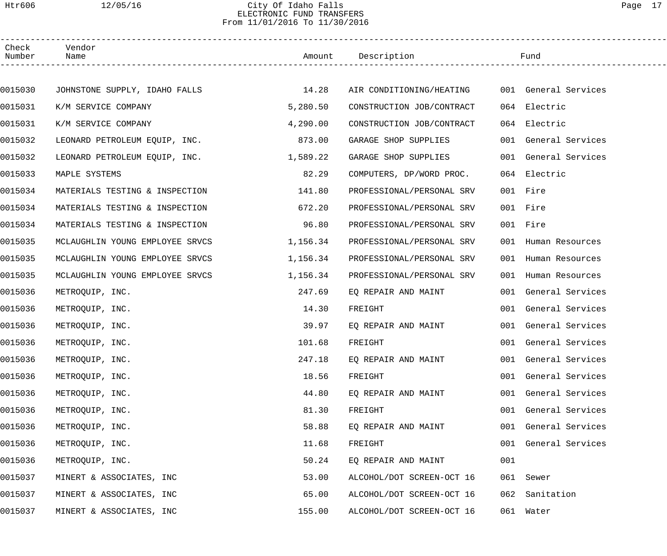## Htr606 12/05/16 City Of Idaho Falls Page 17 ELECTRONIC FUND TRANSFERS From 11/01/2016 To 11/30/2016

| Check<br>Number | Vendor<br>Name                  |          |                           |     | Fund                 |
|-----------------|---------------------------------|----------|---------------------------|-----|----------------------|
|                 |                                 |          |                           |     |                      |
| 0015030         | JOHNSTONE SUPPLY, IDAHO FALLS   | 14.28    | AIR CONDITIONING/HEATING  |     | 001 General Services |
| 0015031         | K/M SERVICE COMPANY             | 5,280.50 | CONSTRUCTION JOB/CONTRACT |     | 064 Electric         |
| 0015031         | K/M SERVICE COMPANY             | 4,290.00 | CONSTRUCTION JOB/CONTRACT |     | 064 Electric         |
| 0015032         | LEONARD PETROLEUM EQUIP, INC.   | 873.00   | GARAGE SHOP SUPPLIES      |     | 001 General Services |
| 0015032         | LEONARD PETROLEUM EQUIP, INC.   | 1,589.22 | GARAGE SHOP SUPPLIES      |     | 001 General Services |
| 0015033         | MAPLE SYSTEMS                   | 82.29    | COMPUTERS, DP/WORD PROC.  |     | 064 Electric         |
| 0015034         | MATERIALS TESTING & INSPECTION  | 141.80   | PROFESSIONAL/PERSONAL SRV |     | 001 Fire             |
| 0015034         | MATERIALS TESTING & INSPECTION  | 672.20   | PROFESSIONAL/PERSONAL SRV |     | 001 Fire             |
| 0015034         | MATERIALS TESTING & INSPECTION  | 96.80    | PROFESSIONAL/PERSONAL SRV |     | 001 Fire             |
| 0015035         | MCLAUGHLIN YOUNG EMPLOYEE SRVCS | 1,156.34 | PROFESSIONAL/PERSONAL SRV |     | 001 Human Resources  |
| 0015035         | MCLAUGHLIN YOUNG EMPLOYEE SRVCS | 1,156.34 | PROFESSIONAL/PERSONAL SRV |     | 001 Human Resources  |
| 0015035         | MCLAUGHLIN YOUNG EMPLOYEE SRVCS | 1,156.34 | PROFESSIONAL/PERSONAL SRV |     | 001 Human Resources  |
| 0015036         | METROQUIP, INC.                 | 247.69   | EQ REPAIR AND MAINT       |     | 001 General Services |
| 0015036         | METROQUIP, INC.                 | 14.30    | FREIGHT                   |     | 001 General Services |
| 0015036         | METROQUIP, INC.                 | 39.97    | EQ REPAIR AND MAINT       |     | 001 General Services |
| 0015036         | METROQUIP, INC.                 | 101.68   | FREIGHT                   |     | 001 General Services |
| 0015036         | METROQUIP, INC.                 | 247.18   | EQ REPAIR AND MAINT       |     | 001 General Services |
| 0015036         | METROQUIP, INC.                 | 18.56    | FREIGHT                   |     | 001 General Services |
| 0015036         | METROQUIP, INC.                 | 44.80    | EQ REPAIR AND MAINT       | 001 | General Services     |
| 0015036         | METROQUIP, INC.                 | 81.30    | FREIGHT                   | 001 | General Services     |
| 0015036         | METROQUIP, INC.                 | 58.88    | EQ REPAIR AND MAINT       |     | 001 General Services |
| 0015036         | METROQUIP, INC.                 | 11.68    | FREIGHT                   | 001 | General Services     |
| 0015036         | METROQUIP, INC.                 | 50.24    | EQ REPAIR AND MAINT       | 001 |                      |
| 0015037         | MINERT & ASSOCIATES, INC        | 53.00    | ALCOHOL/DOT SCREEN-OCT 16 | 061 | Sewer                |
| 0015037         | MINERT & ASSOCIATES, INC        | 65.00    | ALCOHOL/DOT SCREEN-OCT 16 | 062 | Sanitation           |
| 0015037         | MINERT & ASSOCIATES, INC        | 155.00   | ALCOHOL/DOT SCREEN-OCT 16 |     | 061 Water            |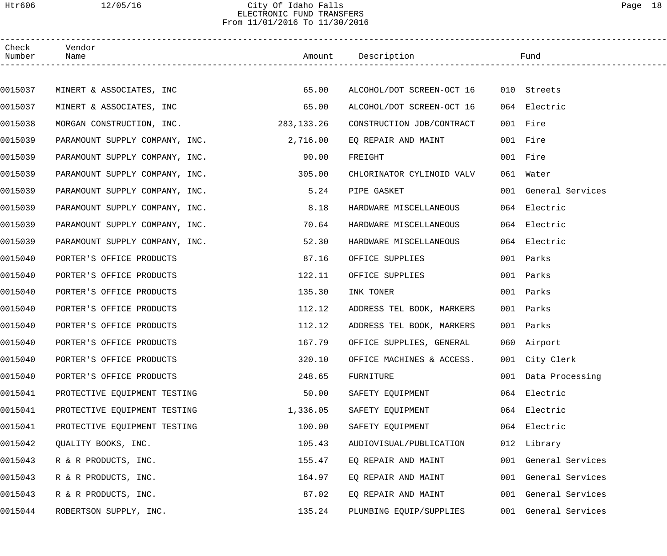## Htr606 12/05/16 City Of Idaho Falls Page 18 ELECTRONIC FUND TRANSFERS From 11/01/2016 To 11/30/2016

| Check<br>Number | Vendor<br>Name                 |            | Amount Description        | Fund                 |  |
|-----------------|--------------------------------|------------|---------------------------|----------------------|--|
|                 |                                |            |                           |                      |  |
| 0015037         | MINERT & ASSOCIATES, INC       | 65.00      | ALCOHOL/DOT SCREEN-OCT 16 | 010 Streets          |  |
| 0015037         | MINERT & ASSOCIATES, INC       | 65.00      | ALCOHOL/DOT SCREEN-OCT 16 | 064 Electric         |  |
| 0015038         | MORGAN CONSTRUCTION, INC.      | 283,133.26 | CONSTRUCTION JOB/CONTRACT | 001 Fire             |  |
| 0015039         | PARAMOUNT SUPPLY COMPANY, INC. | 2,716.00   | EQ REPAIR AND MAINT       | 001 Fire             |  |
| 0015039         | PARAMOUNT SUPPLY COMPANY, INC. | 90.00      | FREIGHT                   | 001 Fire             |  |
| 0015039         | PARAMOUNT SUPPLY COMPANY, INC. | 305.00     | CHLORINATOR CYLINOID VALV | 061 Water            |  |
| 0015039         | PARAMOUNT SUPPLY COMPANY, INC. | 5.24       | PIPE GASKET               | 001 General Services |  |
| 0015039         | PARAMOUNT SUPPLY COMPANY, INC. | 8.18       | HARDWARE MISCELLANEOUS    | 064 Electric         |  |
| 0015039         | PARAMOUNT SUPPLY COMPANY, INC. | 70.64      | HARDWARE MISCELLANEOUS    | 064 Electric         |  |
| 0015039         | PARAMOUNT SUPPLY COMPANY, INC. | 52.30      | HARDWARE MISCELLANEOUS    | 064 Electric         |  |
| 0015040         | PORTER'S OFFICE PRODUCTS       | 87.16      | OFFICE SUPPLIES           | 001 Parks            |  |
| 0015040         | PORTER'S OFFICE PRODUCTS       | 122.11     | OFFICE SUPPLIES           | 001 Parks            |  |
| 0015040         | PORTER'S OFFICE PRODUCTS       | 135.30     | INK TONER                 | 001 Parks            |  |
| 0015040         | PORTER'S OFFICE PRODUCTS       | 112.12     | ADDRESS TEL BOOK, MARKERS | 001 Parks            |  |
| 0015040         | PORTER'S OFFICE PRODUCTS       | 112.12     | ADDRESS TEL BOOK, MARKERS | 001 Parks            |  |
| 0015040         | PORTER'S OFFICE PRODUCTS       | 167.79     | OFFICE SUPPLIES, GENERAL  | 060 Airport          |  |
| 0015040         | PORTER'S OFFICE PRODUCTS       | 320.10     | OFFICE MACHINES & ACCESS. | 001 City Clerk       |  |
| 0015040         | PORTER'S OFFICE PRODUCTS       | 248.65     | FURNITURE                 | 001 Data Processing  |  |
| 0015041         | PROTECTIVE EQUIPMENT TESTING   | 50.00      | SAFETY EQUIPMENT          | 064 Electric         |  |
| 0015041         | PROTECTIVE EQUIPMENT TESTING   | 1,336.05   | SAFETY EQUIPMENT          | 064 Electric         |  |
| 0015041         | PROTECTIVE EQUIPMENT TESTING   | 100.00     | SAFETY EQUIPMENT          | 064 Electric         |  |
| 0015042         | QUALITY BOOKS, INC.            | 105.43     | AUDIOVISUAL/PUBLICATION   | 012 Library          |  |
| 0015043         | R & R PRODUCTS, INC.           | 155.47     | EQ REPAIR AND MAINT       | 001 General Services |  |
| 0015043         | R & R PRODUCTS, INC.           | 164.97     | EQ REPAIR AND MAINT       | 001 General Services |  |
| 0015043         | R & R PRODUCTS, INC.           | 87.02      | EQ REPAIR AND MAINT       | 001 General Services |  |
| 0015044         | ROBERTSON SUPPLY, INC.         | 135.24     | PLUMBING EQUIP/SUPPLIES   | 001 General Services |  |
|                 |                                |            |                           |                      |  |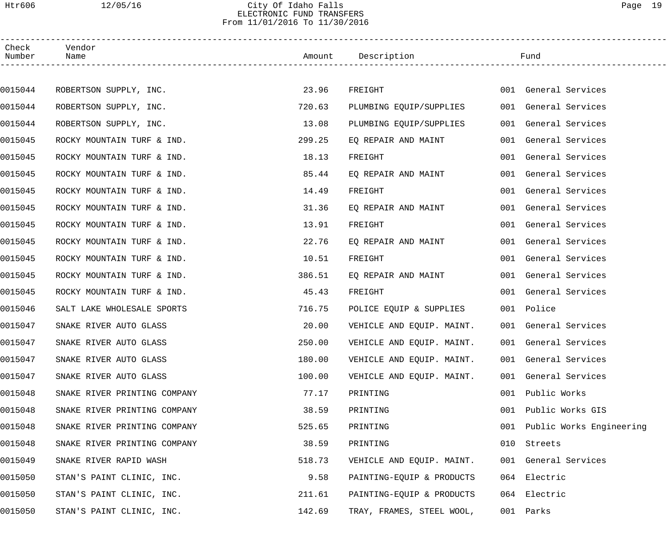#### Htr606 12/05/16 City Of Idaho Falls Page 19 ELECTRONIC FUND TRANSFERS From 11/01/2016 To 11/30/2016

| Check<br>Vendor                         |        |                           |     |                          |
|-----------------------------------------|--------|---------------------------|-----|--------------------------|
| Number<br>Name                          |        | Amount Description        |     | Fund                     |
|                                         |        |                           |     |                          |
| 0015044<br>ROBERTSON SUPPLY, INC.       | 23.96  | FREIGHT                   |     | 001 General Services     |
| 0015044<br>ROBERTSON SUPPLY, INC.       | 720.63 | PLUMBING EQUIP/SUPPLIES   |     | 001 General Services     |
| 0015044<br>ROBERTSON SUPPLY, INC.       | 13.08  | PLUMBING EQUIP/SUPPLIES   |     | 001 General Services     |
| 0015045<br>ROCKY MOUNTAIN TURF & IND.   | 299.25 | EQ REPAIR AND MAINT       |     | 001 General Services     |
| 0015045<br>ROCKY MOUNTAIN TURF & IND.   | 18.13  | FREIGHT                   |     | 001 General Services     |
| 0015045<br>ROCKY MOUNTAIN TURF & IND.   | 85.44  | EQ REPAIR AND MAINT       |     | 001 General Services     |
| 0015045<br>ROCKY MOUNTAIN TURF & IND.   | 14.49  | FREIGHT                   |     | 001 General Services     |
| 0015045<br>ROCKY MOUNTAIN TURF & IND.   | 31.36  | EQ REPAIR AND MAINT       |     | 001 General Services     |
| 0015045<br>ROCKY MOUNTAIN TURF & IND.   | 13.91  | FREIGHT                   |     | 001 General Services     |
| 0015045<br>ROCKY MOUNTAIN TURF & IND.   | 22.76  | EQ REPAIR AND MAINT       |     | 001 General Services     |
| 0015045<br>ROCKY MOUNTAIN TURF & IND.   | 10.51  | FREIGHT                   |     | 001 General Services     |
| 0015045<br>ROCKY MOUNTAIN TURF & IND.   | 386.51 | EQ REPAIR AND MAINT       |     | 001 General Services     |
| 0015045<br>ROCKY MOUNTAIN TURF & IND.   | 45.43  | FREIGHT                   |     | 001 General Services     |
| 0015046<br>SALT LAKE WHOLESALE SPORTS   | 716.75 | POLICE EQUIP & SUPPLIES   |     | 001 Police               |
| 0015047<br>SNAKE RIVER AUTO GLASS       | 20.00  | VEHICLE AND EQUIP. MAINT. |     | 001 General Services     |
| 0015047<br>SNAKE RIVER AUTO GLASS       | 250.00 | VEHICLE AND EQUIP. MAINT. |     | 001 General Services     |
| 0015047<br>SNAKE RIVER AUTO GLASS       | 180.00 | VEHICLE AND EQUIP. MAINT. |     | 001 General Services     |
| 0015047<br>SNAKE RIVER AUTO GLASS       | 100.00 | VEHICLE AND EQUIP. MAINT. |     | 001 General Services     |
| 0015048<br>SNAKE RIVER PRINTING COMPANY | 77.17  | PRINTING                  | 001 | Public Works             |
| 0015048<br>SNAKE RIVER PRINTING COMPANY | 38.59  | PRINTING                  | 001 | Public Works GIS         |
| 0015048<br>SNAKE RIVER PRINTING COMPANY | 525.65 | PRINTING                  | 001 | Public Works Engineering |
| 0015048<br>SNAKE RIVER PRINTING COMPANY | 38.59  | PRINTING                  | 010 | Streets                  |
| 0015049<br>SNAKE RIVER RAPID WASH       | 518.73 | VEHICLE AND EQUIP. MAINT. |     | 001 General Services     |
| 0015050<br>STAN'S PAINT CLINIC, INC.    | 9.58   | PAINTING-EQUIP & PRODUCTS |     | 064 Electric             |
| 0015050<br>STAN'S PAINT CLINIC, INC.    | 211.61 | PAINTING-EQUIP & PRODUCTS |     | 064 Electric             |
| 0015050<br>STAN'S PAINT CLINIC, INC.    | 142.69 | TRAY, FRAMES, STEEL WOOL, |     | 001 Parks                |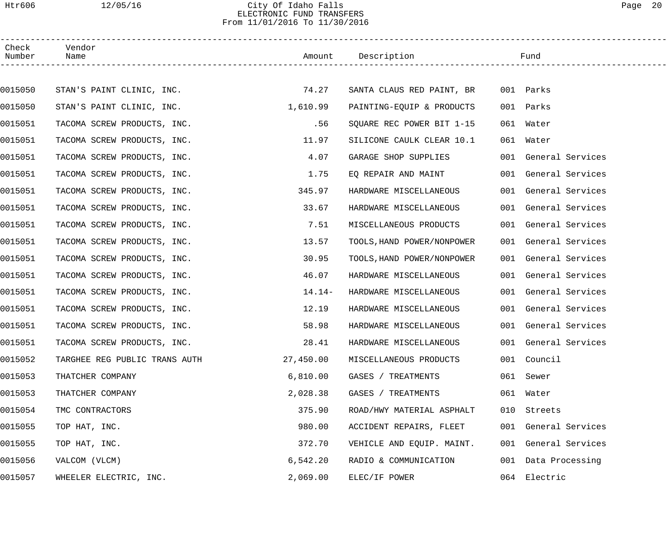## Htr606 12/05/16 City Of Idaho Falls Page 20 ELECTRONIC FUND TRANSFERS From 11/01/2016 To 11/30/2016

| Check<br>Number | Vendor<br>Name                |           | Amount Description         | Fund                 |  |
|-----------------|-------------------------------|-----------|----------------------------|----------------------|--|
|                 |                               |           |                            |                      |  |
| 0015050         | STAN'S PAINT CLINIC, INC.     | 74.27     | SANTA CLAUS RED PAINT, BR  | 001 Parks            |  |
| 0015050         | STAN'S PAINT CLINIC, INC.     | 1,610.99  | PAINTING-EQUIP & PRODUCTS  | 001 Parks            |  |
| 0015051         | TACOMA SCREW PRODUCTS, INC.   | .56       | SQUARE REC POWER BIT 1-15  | 061<br>Water         |  |
| 0015051         | TACOMA SCREW PRODUCTS, INC.   | 11.97     | SILICONE CAULK CLEAR 10.1  | 061 Water            |  |
| 0015051         | TACOMA SCREW PRODUCTS, INC.   | 4.07      | GARAGE SHOP SUPPLIES       | 001 General Services |  |
| 0015051         | TACOMA SCREW PRODUCTS, INC.   | 1.75      | EQ REPAIR AND MAINT        | 001 General Services |  |
| 0015051         | TACOMA SCREW PRODUCTS, INC.   | 345.97    | HARDWARE MISCELLANEOUS     | 001 General Services |  |
| 0015051         | TACOMA SCREW PRODUCTS, INC.   | 33.67     | HARDWARE MISCELLANEOUS     | 001 General Services |  |
| 0015051         | TACOMA SCREW PRODUCTS, INC.   | 7.51      | MISCELLANEOUS PRODUCTS     | 001 General Services |  |
| 0015051         | TACOMA SCREW PRODUCTS, INC.   | 13.57     | TOOLS, HAND POWER/NONPOWER | 001 General Services |  |
| 0015051         | TACOMA SCREW PRODUCTS, INC.   | 30.95     | TOOLS, HAND POWER/NONPOWER | 001 General Services |  |
| 0015051         | TACOMA SCREW PRODUCTS, INC.   | 46.07     | HARDWARE MISCELLANEOUS     | 001 General Services |  |
| 0015051         | TACOMA SCREW PRODUCTS, INC.   | 14.14-    | HARDWARE MISCELLANEOUS     | 001 General Services |  |
| 0015051         | TACOMA SCREW PRODUCTS, INC.   | 12.19     | HARDWARE MISCELLANEOUS     | 001 General Services |  |
| 0015051         | TACOMA SCREW PRODUCTS, INC.   | 58.98     | HARDWARE MISCELLANEOUS     | 001 General Services |  |
| 0015051         | TACOMA SCREW PRODUCTS, INC.   | 28.41     | HARDWARE MISCELLANEOUS     | 001 General Services |  |
| 0015052         | TARGHEE REG PUBLIC TRANS AUTH | 27,450.00 | MISCELLANEOUS PRODUCTS     | 001 Council          |  |
| 0015053         | THATCHER COMPANY              | 6,810.00  | GASES / TREATMENTS         | 061 Sewer            |  |
| 0015053         | THATCHER COMPANY              | 2,028.38  | GASES / TREATMENTS         | 061 Water            |  |
| 0015054         | TMC CONTRACTORS               | 375.90    | ROAD/HWY MATERIAL ASPHALT  | 010 Streets          |  |
| 0015055         | TOP HAT, INC.                 | 980.00    | ACCIDENT REPAIRS, FLEET    | 001 General Services |  |
| 0015055         | TOP HAT, INC.                 | 372.70    | VEHICLE AND EQUIP. MAINT.  | 001 General Services |  |
| 0015056         | VALCOM (VLCM)                 | 6,542.20  | RADIO & COMMUNICATION      | 001 Data Processing  |  |
| 0015057         | WHEELER ELECTRIC, INC.        | 2,069.00  | ELEC/IF POWER              | 064 Electric         |  |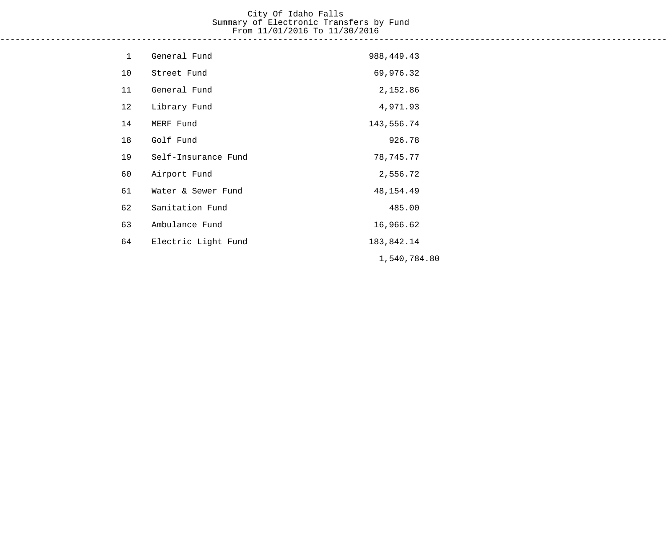## City Of Idaho Falls Summary of Electronic Transfers by Fund From 11/01/2016 To 11/30/2016

------------------------------------------------------------------------------------------------------------------------------------

| $\mathbf{1}$ | General Fund        | 988, 449. 43 |
|--------------|---------------------|--------------|
| 10           | Street Fund         | 69,976.32    |
| 11           | General Fund        | 2,152.86     |
| 12           | Library Fund        | 4,971.93     |
| 14           | MERF Fund           | 143,556.74   |
| 18           | Golf Fund           | 926.78       |
| 19           | Self-Insurance Fund | 78,745.77    |
| 60           | Airport Fund        | 2,556.72     |
| 61           | Water & Sewer Fund  | 48, 154. 49  |
| 62           | Sanitation Fund     | 485.00       |
| 63           | Ambulance Fund      | 16,966.62    |
| 64           | Electric Light Fund | 183,842.14   |
|              |                     | 1,540,784.80 |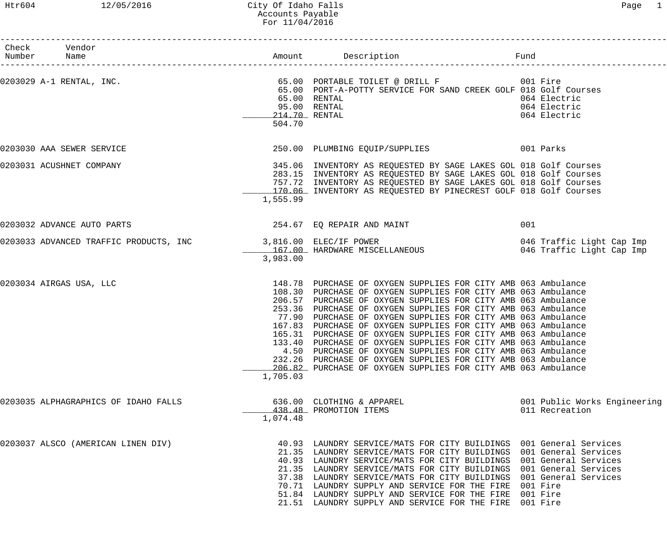### Htr604 12/05/2016 City Of Idaho Falls Page 1 Accounts Payable For 11/04/2016

| Check Vendor<br>Number Name          |                         |                                                                                                                                                                                                                                                                                                                                                                                                                                                                                                                                                                                                                                                                                                                                      | Fund                                           |
|--------------------------------------|-------------------------|--------------------------------------------------------------------------------------------------------------------------------------------------------------------------------------------------------------------------------------------------------------------------------------------------------------------------------------------------------------------------------------------------------------------------------------------------------------------------------------------------------------------------------------------------------------------------------------------------------------------------------------------------------------------------------------------------------------------------------------|------------------------------------------------|
| 0203029 A-1 RENTAL, INC.             | 214.70 RENTAL<br>504.70 | 65.00 PORT-A-POTTY SERVICE FOR SAND CREEK GOLF 018 Golf Courses<br>65.00 RENTAL<br>95.00 RENTAL                                                                                                                                                                                                                                                                                                                                                                                                                                                                                                                                                                                                                                      | 064 Electric<br>064 Electric<br>064 Electric   |
| 0203030 AAA SEWER SERVICE            |                         | 250.00 PLUMBING EQUIP/SUPPLIES 001 Parks                                                                                                                                                                                                                                                                                                                                                                                                                                                                                                                                                                                                                                                                                             |                                                |
| 0203031 ACUSHNET COMPANY             | 1,555.99                | 345.06 INVENTORY AS REQUESTED BY SAGE LAKES GOL 018 Golf Courses<br>283.15 INVENTORY AS REQUESTED BY SAGE LAKES GOL 018 Golf Courses<br>757.72 INVENTORY AS REQUESTED BY SAGE LAKES GOL 018 Golf Courses<br>170.06 INVENTORY AS REQUESTED BY PINECREST GOLF 018 Golf Courses                                                                                                                                                                                                                                                                                                                                                                                                                                                         |                                                |
| 0203032 ADVANCE AUTO PARTS           |                         | 254.67 EQ REPAIR AND MAINT                                                                                                                                                                                                                                                                                                                                                                                                                                                                                                                                                                                                                                                                                                           | 001                                            |
|                                      | 3,983.00                | 0203033 ADVANCED TRAFFIC PRODUCTS, INC        3,816.00 ELEC/IF POWER                046 Traffic Light Cap Imp<br>167.00 HARDWARE MISCELLANEOUS             046 Traffic Light Cap Imp                                                                                                                                                                                                                                                                                                                                                                                                                                                                                                                                                 |                                                |
| 0203034 AIRGAS USA, LLC              | 1,705.03                | 148.78 PURCHASE OF OXYGEN SUPPLIES FOR CITY AMB 063 Ambulance<br>108.30 PURCHASE OF OXYGEN SUPPLIES FOR CITY AMB 063 Ambulance<br>206.57 PURCHASE OF OXYGEN SUPPLIES FOR CITY AMB 063 Ambulance<br>253.36 PURCHASE OF OXYGEN SUPPLIES FOR CITY AMB 063 Ambulance<br>77.90 PURCHASE OF OXYGEN SUPPLIES FOR CITY AMB 063 Ambulance<br>167.83 PURCHASE OF OXYGEN SUPPLIES FOR CITY AMB 063 Ambulance<br>165.31 PURCHASE OF OXYGEN SUPPLIES FOR CITY AMB 063 Ambulance<br>133.40 PURCHASE OF OXYGEN SUPPLIES FOR CITY AMB 063 Ambulance<br>4.50 PURCHASE OF OXYGEN SUPPLIES FOR CITY AMB 063 Ambulance<br>232.26 PURCHASE OF OXYGEN SUPPLIES FOR CITY AMB 063 Ambulance<br>206.82 PURCHASE OF OXYGEN SUPPLIES FOR CITY AMB 063 Ambulance |                                                |
| 0203035 ALPHAGRAPHICS OF IDAHO FALLS | 1,074.48                | 636.00 CLOTHING & APPAREL<br>438.48 PROMOTION ITEMS                                                                                                                                                                                                                                                                                                                                                                                                                                                                                                                                                                                                                                                                                  | 001 Public Works Engineering<br>011 Recreation |
| 0203037 ALSCO (AMERICAN LINEN DIV)   |                         | 40.93 LAUNDRY SERVICE/MATS FOR CITY BUILDINGS 001 General Services<br>21.35 LAUNDRY SERVICE/MATS FOR CITY BUILDINGS 001 General Services<br>40.93 LAUNDRY SERVICE/MATS FOR CITY BUILDINGS 001 General Services<br>21.35 LAUNDRY SERVICE/MATS FOR CITY BUILDINGS 001 General Services<br>37.38 LAUNDRY SERVICE/MATS FOR CITY BUILDINGS 001 General Services<br>70.71 LAUNDRY SUPPLY AND SERVICE FOR THE FIRE 001 Fire<br>51.84 LAUNDRY SUPPLY AND SERVICE FOR THE FIRE 001 Fire<br>21.51 LAUNDRY SUPPLY AND SERVICE FOR THE FIRE 001 Fire                                                                                                                                                                                             |                                                |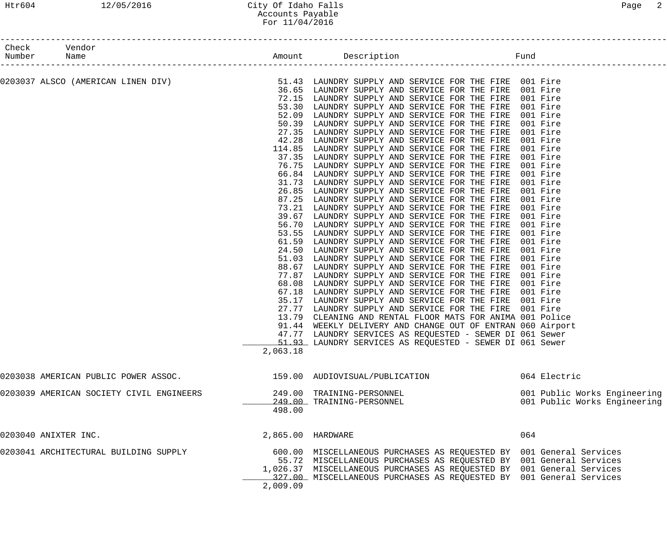## Htr604 12/05/2016 City Of Idaho Falls Page 2 Accounts Payable For 11/04/2016

| Check Vendor<br>Number Name |                                                                                                                                                                 |                                                                                                                                        |                                                                                                                                                                                                                                                                                                                                                                                                                                                                                                                                                                                                                                                                                                                                                                                                                                                                                                                                                                                                                                                                                                                                                                                                                                                                                                                                                                                                                                                                                                                            |                                                                                                                                                                                                                                                                      |                                                              |
|-----------------------------|-----------------------------------------------------------------------------------------------------------------------------------------------------------------|----------------------------------------------------------------------------------------------------------------------------------------|----------------------------------------------------------------------------------------------------------------------------------------------------------------------------------------------------------------------------------------------------------------------------------------------------------------------------------------------------------------------------------------------------------------------------------------------------------------------------------------------------------------------------------------------------------------------------------------------------------------------------------------------------------------------------------------------------------------------------------------------------------------------------------------------------------------------------------------------------------------------------------------------------------------------------------------------------------------------------------------------------------------------------------------------------------------------------------------------------------------------------------------------------------------------------------------------------------------------------------------------------------------------------------------------------------------------------------------------------------------------------------------------------------------------------------------------------------------------------------------------------------------------------|----------------------------------------------------------------------------------------------------------------------------------------------------------------------------------------------------------------------------------------------------------------------|--------------------------------------------------------------|
|                             | 0203037 ALSCO (AMERICAN LINEN DIV)             51.43 LAUNDRY SUPPLY AND SERVICE FOR THE FIRE 001 Fire<br>36.65 LAUNDRY SUPPLY AND SERVICE FOR THE FIRE 001 Fire | 52.09<br>50.39<br>42.28<br>31.73<br>87.25<br>56.70<br>53.55<br>61.59<br>24.50<br>77.87<br>68.08<br>67.18<br>35.17<br>27.77<br>2,063.18 | 72.15 LAUNDRY SUPPLY AND SERVICE FOR THE FIRE 001 Fire<br>53.30 LAUNDRY SUPPLY AND SERVICE FOR THE FIRE<br>LAUNDRY SUPPLY AND SERVICE FOR THE FIRE<br>LAUNDRY SUPPLY AND SERVICE FOR THE FIRE<br>27.35 LAUNDRY SUPPLY AND SERVICE FOR THE FIRE<br>LAUNDRY SUPPLY AND SERVICE FOR THE FIRE<br>114.85 LAUNDRY SUPPLY AND SERVICE FOR THE FIRE<br>37.35 LAUNDRY SUPPLY AND SERVICE FOR THE FIRE<br>76.75 LAUNDRY SUPPLY AND SERVICE FOR THE FIRE<br>66.84 LAUNDRY SUPPLY AND SERVICE FOR THE FIRE<br>LAUNDRY SUPPLY AND SERVICE FOR THE FIRE<br>26.85 LAUNDRY SUPPLY AND SERVICE FOR THE FIRE<br>LAUNDRY SUPPLY AND SERVICE FOR THE FIRE<br>73.21 LAUNDRY SUPPLY AND SERVICE FOR THE FIRE<br>39.67 LAUNDRY SUPPLY AND SERVICE FOR THE FIRE<br>LAUNDRY SUPPLY AND SERVICE FOR THE FIRE<br>LAUNDRY SUPPLY AND SERVICE FOR THE FIRE<br>LAUNDRY SUPPLY AND SERVICE FOR THE FIRE<br>LAUNDRY SUPPLY AND SERVICE FOR THE FIRE<br>51.03 LAUNDRY SUPPLY AND SERVICE FOR THE FIRE 001 Fire<br>88.67 LAUNDRY SUPPLY AND SERVICE FOR THE FIRE<br>LAUNDRY SUPPLY AND SERVICE FOR THE FIRE<br>LAUNDRY SUPPLY AND SERVICE FOR THE FIRE<br>LAUNDRY SUPPLY AND SERVICE FOR THE FIRE<br>LAUNDRY SUPPLY AND SERVICE FOR THE FIRE 001 Fire<br>LAUNDRY SUPPLY AND SERVICE FOR THE FIRE 001 Fire<br>13.79 CLEANING AND RENTAL FLOOR MATS FOR ANIMA 001 Police<br>91.44 WEEKLY DELIVERY AND CHANGE OUT OF ENTRAN 060 Airport<br>47.77 LAUNDRY SERVICES AS REQUESTED - SEWER DI 061 Sewer<br>51.93 LAUNDRY SERVICES AS REQUESTED - SEWER DI 061 Sewer | 001 Fire<br>001 Fire<br>001 Fire<br>001 Fire<br>001 Fire<br>001 Fire<br>001 Fire<br>001 Fire<br>001 Fire<br>001 Fire<br>001 Fire<br>001 Fire<br>001 Fire<br>001 Fire<br>001 Fire<br>001 Fire<br>001 Fire<br>001 Fire<br>001 Fire<br>001 Fire<br>001 Fire<br>001 Fire |                                                              |
|                             | 0203038 AMERICAN PUBLIC POWER ASSOC.                                                                                                                            |                                                                                                                                        | 159.00 AUDIOVISUAL/PUBLICATION                                                                                                                                                                                                                                                                                                                                                                                                                                                                                                                                                                                                                                                                                                                                                                                                                                                                                                                                                                                                                                                                                                                                                                                                                                                                                                                                                                                                                                                                                             | 064 Electric                                                                                                                                                                                                                                                         |                                                              |
|                             | 0203039 AMERICAN SOCIETY CIVIL ENGINEERS                                                                                                                        | 498.00                                                                                                                                 | 249.00 TRAINING-PERSONNEL<br>249.00 TRAINING-PERSONNEL                                                                                                                                                                                                                                                                                                                                                                                                                                                                                                                                                                                                                                                                                                                                                                                                                                                                                                                                                                                                                                                                                                                                                                                                                                                                                                                                                                                                                                                                     |                                                                                                                                                                                                                                                                      | 001 Public Works Engineering<br>001 Public Works Engineering |
| 0203040 ANIXTER INC.        |                                                                                                                                                                 | 2,865.00 HARDWARE                                                                                                                      |                                                                                                                                                                                                                                                                                                                                                                                                                                                                                                                                                                                                                                                                                                                                                                                                                                                                                                                                                                                                                                                                                                                                                                                                                                                                                                                                                                                                                                                                                                                            | 064                                                                                                                                                                                                                                                                  |                                                              |
|                             | 0203041 ARCHITECTURAL BUILDING SUPPLY                                                                                                                           | 2,009.09                                                                                                                               | 600.00 MISCELLANEOUS PURCHASES AS REQUESTED BY 001 General Services<br>55.72 MISCELLANEOUS PURCHASES AS REQUESTED BY 001 General Services<br>1,026.37 MISCELLANEOUS PURCHASES AS REQUESTED BY 001 General Services<br>327.00 MISCELLANEOUS PURCHASES AS REQUESTED BY 001 General Services                                                                                                                                                                                                                                                                                                                                                                                                                                                                                                                                                                                                                                                                                                                                                                                                                                                                                                                                                                                                                                                                                                                                                                                                                                  |                                                                                                                                                                                                                                                                      |                                                              |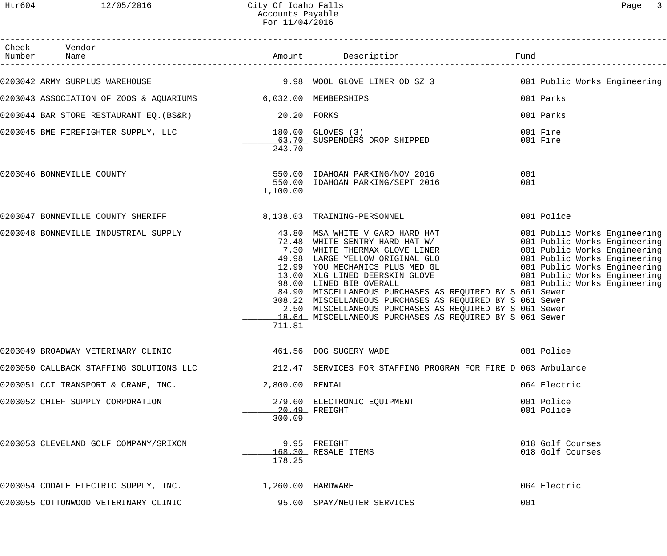| Check Vendor                                                 |                 |                                                                                                                                                                                                                                                                                                                                                                                                                                                                                      |                      |                                      |
|--------------------------------------------------------------|-----------------|--------------------------------------------------------------------------------------------------------------------------------------------------------------------------------------------------------------------------------------------------------------------------------------------------------------------------------------------------------------------------------------------------------------------------------------------------------------------------------------|----------------------|--------------------------------------|
|                                                              |                 | 0203042 ARMY SURPLUS WAREHOUSE THE SAND MOOL GLOVE LINER OD SZ 3 SAND 19.98 WOOL GLOVE LINER OD SZ 3                                                                                                                                                                                                                                                                                                                                                                                 |                      |                                      |
| 0203043 ASSOCIATION OF ZOOS & AQUARIUMS 6,032.00 MEMBERSHIPS |                 |                                                                                                                                                                                                                                                                                                                                                                                                                                                                                      | 001 Parks            |                                      |
| 0203044 BAR STORE RESTAURANT EQ. (BS&R) 20.20 FORKS          |                 |                                                                                                                                                                                                                                                                                                                                                                                                                                                                                      | 001 Parks            |                                      |
|                                                              |                 | 0203045 BME FIREFIGHTER SUPPLY, LLC            180.00 GLOVES (3)<br>43.70 SUSPENDERS DROP SHIPPED                                                                                                                                                                                                                                                                                                                                                                                    | 001 Fire<br>001 Fire |                                      |
|                                                              | 243.70          |                                                                                                                                                                                                                                                                                                                                                                                                                                                                                      |                      |                                      |
| 0203046 BONNEVILLE COUNTY                                    | 1,100.00        | 550.00 IDAHOAN PARKING/NOV 2016<br>550.00 IDAHOAN PARKING/SEPT 2016                                                                                                                                                                                                                                                                                                                                                                                                                  | 001<br>001           |                                      |
|                                                              |                 |                                                                                                                                                                                                                                                                                                                                                                                                                                                                                      |                      | 001 Police                           |
|                                                              | 711.81          | 0203048 BONNEVILLE INDUSTRIAL SUPPLY 43.80 MSA WHITE V GARD HARD HAT 001 Public Works Engineering<br>7.30 WHITE SENTRY HARD HAT W/ 001 Public Works Engineering<br>7.30 WHITE THERMAX GLOVE LINER 001 Public Works Engineering<br>49<br>84.90 MISCELLANEOUS PURCHASES AS REQUIRED BY S 061 Sewer<br>308.22 MISCELLANEOUS PURCHASES AS REQUIRED BY S 061 Sewer<br>2.50 MISCELLANEOUS PURCHASES AS REQUIRED BY S 061 Sewer<br>18.64 MISCELLANEOUS PURCHASES AS REQUIRED BY S 061 Sewer |                      |                                      |
| 0203049 BROADWAY VETERINARY CLINIC                           |                 | 461.56 DOG SUGERY WADE                                                                                                                                                                                                                                                                                                                                                                                                                                                               |                      | 001 Police                           |
|                                                              |                 | 0203050 CALLBACK STAFFING SOLUTIONS LLC 212.47 SERVICES FOR STAFFING PROGRAM FOR FIRE D 063 Ambulance                                                                                                                                                                                                                                                                                                                                                                                |                      |                                      |
| 0203051 CCI TRANSPORT & CRANE, INC.                          | 2,800.00 RENTAL |                                                                                                                                                                                                                                                                                                                                                                                                                                                                                      |                      | 064 Electric                         |
| 0203052 CHIEF SUPPLY CORPORATION                             | 300.09          | 279.60 ELECTRONIC EQUIPMENT<br>$20.49$ FREIGHT                                                                                                                                                                                                                                                                                                                                                                                                                                       |                      | 001 Police<br>001 Police             |
| 0203053 CLEVELAND GOLF COMPANY/SRIXON                        | 178.25          | 9.95 FREIGHT<br>168.30 RESALE ITEMS                                                                                                                                                                                                                                                                                                                                                                                                                                                  |                      | 018 Golf Courses<br>018 Golf Courses |
| 0203054 CODALE ELECTRIC SUPPLY, INC. 1,260.00 HARDWARE       |                 |                                                                                                                                                                                                                                                                                                                                                                                                                                                                                      |                      | 064 Electric                         |
| 0203055 COTTONWOOD VETERINARY CLINIC                         |                 | 95.00 SPAY/NEUTER SERVICES                                                                                                                                                                                                                                                                                                                                                                                                                                                           | 001                  |                                      |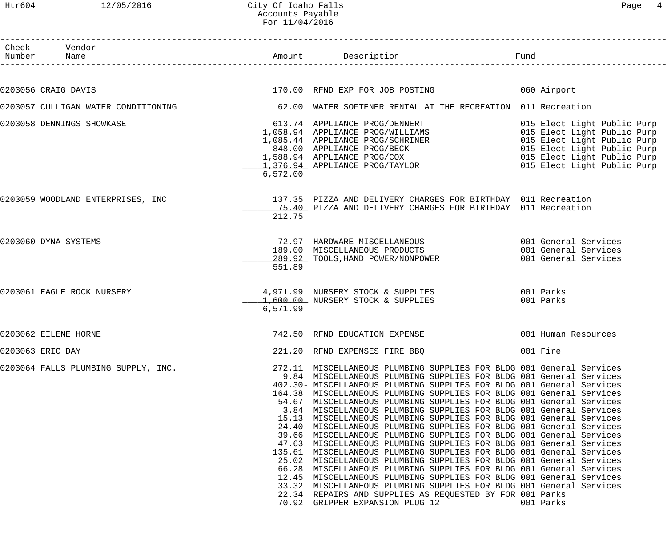0203056 CRAIG DAVIS

| Htr604          | 12/05/2016                         | City Of Idaho Falls<br>Accounts Payable<br>For 11/04/2016 |                                                                                                                                                                                                                                                                                                                                                                    | 4<br>Page                                                            |
|-----------------|------------------------------------|-----------------------------------------------------------|--------------------------------------------------------------------------------------------------------------------------------------------------------------------------------------------------------------------------------------------------------------------------------------------------------------------------------------------------------------------|----------------------------------------------------------------------|
| Check<br>Number | Vendor<br>Name                     | Amount                                                    | Description                                                                                                                                                                                                                                                                                                                                                        | Fund                                                                 |
|                 | 203056 CRAIG DAVIS                 |                                                           | 170.00 RFND EXP FOR JOB POSTING                                                                                                                                                                                                                                                                                                                                    | 060 Airport                                                          |
|                 | 203057 CULLIGAN WATER CONDITIONING |                                                           | 62.00 WATER SOFTENER RENTAL AT THE RECREATION 011 Recreation                                                                                                                                                                                                                                                                                                       |                                                                      |
|                 | 203058 DENNINGS SHOWKASE           | 6,572.00                                                  | 62.00 WALLER PROG/DENNERT<br>1,058.94 APPLIANCE PROG/NILLIAMS<br>1,085.44 APPLIANCE PROG/SCHRINER<br>015 Elect Light Public Purp<br>015 Elect Light Public Purp<br>015 Elect Light Public Purp<br>015 Elect Light Public Purp<br>015 Elect L                                                                                                                       |                                                                      |
|                 | 203059 WOODLAND ENTERPRISES, INC   | 212.75                                                    | 137.35 PIZZA AND DELIVERY CHARGES FOR BIRTHDAY 011 Recreation<br>15.40 PIZZA AND DELIVERY CHARGES FOR BIRTHDAY 011 Recreation                                                                                                                                                                                                                                      |                                                                      |
|                 | 203060 DYNA SYSTEMS                | 551.89                                                    | 72.97 HARDWARE MISCELLANEOUS<br>189.00 MISCELLANEOUS PRODUCTS<br>289.92 TOOLS, HAND POWER/NONPOWER                                                                                                                                                                                                                                                                 | 001 General Services<br>001 General Services<br>001 General Services |
|                 | 203061 EAGLE ROCK NURSERY          | 6,571.99                                                  | 4,971.99 NURSERY STOCK & SUPPLIES<br>1,600.00 NURSERY STOCK & SUPPLIES                                                                                                                                                                                                                                                                                             | 001 Parks<br>001 Parks                                               |
|                 | 203062 EILENE HORNE                |                                                           | 742.50 RFND EDUCATION EXPENSE                                                                                                                                                                                                                                                                                                                                      | 001 Human Resources                                                  |
| 203063 ERIC DAY |                                    |                                                           | 221.20 RFND EXPENSES FIRE BBQ                                                                                                                                                                                                                                                                                                                                      | 001 Fire                                                             |
|                 | 203064 FALLS PLUMBING SUPPLY, INC. |                                                           | 272.11 MISCELLANEOUS PLUMBING SUPPLIES FOR BLDG 001 General Services<br>9.84 MISCELLANEOUS PLUMBING SUPPLIES FOR BLDG 001 General Services<br>402.30- MISCELLANEOUS PLUMBING SUPPLIES FOR BLDG 001 General Services<br>164.38 MISCELLANEOUS PLUMBING SUPPLIES FOR BLDG 001 General Services<br>54.67 MISCELLANEOUS PLUMBING SUPPLIES FOR BLDG 001 General Services |                                                                      |

| 0203062 EILENE HORNE                |                                                                                                          | 742.50 RFND EDUCATION EXPENSE                                                                                                                                                                                                                                                                                                                                                                                                                                                                                                                                                                                                                                                                                                                                                                                                                                                                                                                             |  |  |           | 001 Human Resources |
|-------------------------------------|----------------------------------------------------------------------------------------------------------|-----------------------------------------------------------------------------------------------------------------------------------------------------------------------------------------------------------------------------------------------------------------------------------------------------------------------------------------------------------------------------------------------------------------------------------------------------------------------------------------------------------------------------------------------------------------------------------------------------------------------------------------------------------------------------------------------------------------------------------------------------------------------------------------------------------------------------------------------------------------------------------------------------------------------------------------------------------|--|--|-----------|---------------------|
| 0203063 ERIC DAY                    |                                                                                                          | 221.20 RFND EXPENSES FIRE BBQ                                                                                                                                                                                                                                                                                                                                                                                                                                                                                                                                                                                                                                                                                                                                                                                                                                                                                                                             |  |  | 001 Fire  |                     |
| 0203064 FALLS PLUMBING SUPPLY, INC. | 9.84<br>164.38<br>54.67<br>3.84<br>15.13<br>24.40<br>39.66<br>47.63<br>135.61<br>25.02<br>66.28<br>12.45 | 272.11 MISCELLANEOUS PLUMBING SUPPLIES FOR BLDG 001 General Services<br>MISCELLANEOUS PLUMBING SUPPLIES FOR BLDG 001 General Services<br>402.30- MISCELLANEOUS PLUMBING SUPPLIES FOR BLDG 001 General Services<br>MISCELLANEOUS PLUMBING SUPPLIES FOR BLDG 001 General Services<br>MISCELLANEOUS PLUMBING SUPPLIES FOR BLDG 001 General Services<br>MISCELLANEOUS PLUMBING SUPPLIES FOR BLDG 001 General Services<br>MISCELLANEOUS PLUMBING SUPPLIES FOR BLDG 001 General Services<br>MISCELLANEOUS PLUMBING SUPPLIES FOR BLDG 001 General Services<br>MISCELLANEOUS PLUMBING SUPPLIES FOR BLDG 001 General Services<br>MISCELLANEOUS PLUMBING SUPPLIES FOR BLDG 001 General Services<br>MISCELLANEOUS PLUMBING SUPPLIES FOR BLDG 001 General Services<br>MISCELLANEOUS PLUMBING SUPPLIES FOR BLDG 001 General Services<br>MISCELLANEOUS PLUMBING SUPPLIES FOR BLDG 001 General Services<br>MISCELLANEOUS PLUMBING SUPPLIES FOR BLDG 001 General Services |  |  |           |                     |
|                                     | 33.32<br>22.34<br>70.92                                                                                  | MISCELLANEOUS PLUMBING SUPPLIES FOR BLDG 001 General Services<br>REPAIRS AND SUPPLIES AS REQUESTED BY FOR 001 Parks<br>GRIPPER EXPANSION PLUG 12                                                                                                                                                                                                                                                                                                                                                                                                                                                                                                                                                                                                                                                                                                                                                                                                          |  |  | 001 Parks |                     |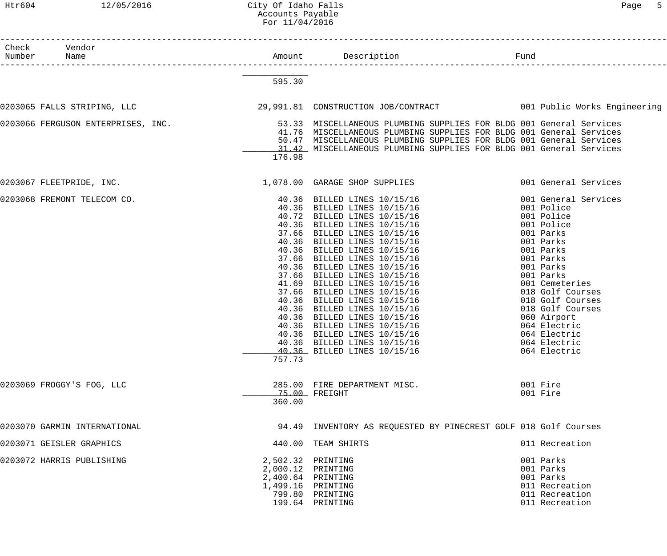#### Htr604 12/05/2016 City Of Idaho Falls Page 5 Accounts Payable For 11/04/2016

| Number | Check Vendor<br>Name         |                                                                                  |                                                                                                                                                                                                                                                                                                                                                                                                                                                                                                                                                                 |                                                                                                                                                                                                                                                                                                           |
|--------|------------------------------|----------------------------------------------------------------------------------|-----------------------------------------------------------------------------------------------------------------------------------------------------------------------------------------------------------------------------------------------------------------------------------------------------------------------------------------------------------------------------------------------------------------------------------------------------------------------------------------------------------------------------------------------------------------|-----------------------------------------------------------------------------------------------------------------------------------------------------------------------------------------------------------------------------------------------------------------------------------------------------------|
|        |                              | 595.30                                                                           |                                                                                                                                                                                                                                                                                                                                                                                                                                                                                                                                                                 |                                                                                                                                                                                                                                                                                                           |
|        |                              |                                                                                  | 0203065 FALLS STRIPING, LLC<br>29,991.81 CONSTRUCTION JOB/CONTRACT<br>001 Public Works Engineering                                                                                                                                                                                                                                                                                                                                                                                                                                                              |                                                                                                                                                                                                                                                                                                           |
|        |                              | 176.98                                                                           | 0203066 FERGUSON ENTERPRISES, INC.<br>53.33 MISCELLANEOUS PLUMBING SUPPLIES FOR BLDG 001 General Services<br>41.76 MISCELLANEOUS PLUMBING SUPPLIES FOR BLDG 001 General Services<br>50.47 MISCELLANEOUS PLUMBING SUPPLIES FOR BLDG 001 General Services<br>11.42 MISCELLANEOUS PLUMBING SUPPLIES FOR BLDG 001 General Services                                                                                                                                                                                                                                  |                                                                                                                                                                                                                                                                                                           |
|        | 0203067 FLEETPRIDE, INC.     |                                                                                  | 1,078.00 GARAGE SHOP SUPPLIES                                                                                                                                                                                                                                                                                                                                                                                                                                                                                                                                   | 001 General Services                                                                                                                                                                                                                                                                                      |
|        | 0203068 FREMONT TELECOM CO.  | 40.36<br>37.66<br>41.69<br>37.66<br>40.36<br>40.36<br>40.36<br>757.73            | 40.36 BILLED LINES 10/15/16<br>40.36 BILLED LINES 10/15/16<br>40.72 BILLED LINES 10/15/16<br>BILLED LINES 10/15/16<br>BILLED LINES 10/15/16<br>40.36 BILLED LINES 10/15/16<br>40.36 BILLED LINES 10/15/16<br>37.66 BILLED LINES 10/15/16<br>40.36 BILLED LINES 10/15/16<br>37.66 BILLED LINES 10/15/16<br>BILLED LINES 10/15/16<br>BILLED LINES 10/15/16<br>BILLED LINES 10/15/16<br>BILLED LINES 10/15/16<br>BILLED LINES 10/15/16<br>40.36 BILLED LINES 10/15/16<br>40.36 BILLED LINES 10/15/16<br>40.36 BILLED LINES 10/15/16<br>40.36 BILLED LINES 10/15/16 | 001 General Services<br>001 Police<br>001 Police<br>001 Police<br>001 Parks<br>001 Parks<br>001 Parks<br>001 Parks<br>001 Parks<br>001 Parks<br>001 Cemeteries<br>018 Golf Courses<br>018 Golf Courses<br>018 Golf Courses<br>060 Airport<br>064 Electric<br>064 Electric<br>064 Electric<br>064 Electric |
|        | 0203069 FROGGY'S FOG, LLC    | 360.00                                                                           | 285.00 FIRE DEPARTMENT MISC.<br>75.00 FREIGHT                                                                                                                                                                                                                                                                                                                                                                                                                                                                                                                   | 001 Fire<br>001 Fire                                                                                                                                                                                                                                                                                      |
|        | 0203070 GARMIN INTERNATIONAL |                                                                                  | 94.49 INVENTORY AS REQUESTED BY PINECREST GOLF 018 Golf Courses                                                                                                                                                                                                                                                                                                                                                                                                                                                                                                 |                                                                                                                                                                                                                                                                                                           |
|        | 0203071 GEISLER GRAPHICS     |                                                                                  | 440.00 TEAM SHIRTS                                                                                                                                                                                                                                                                                                                                                                                                                                                                                                                                              | 011 Recreation                                                                                                                                                                                                                                                                                            |
|        | 0203072 HARRIS PUBLISHING    | 2,502.32 PRINTING<br>2,000.12 PRINTING<br>2,400.64 PRINTING<br>1,499.16 PRINTING | 799.80 PRINTING<br>199.64 PRINTING                                                                                                                                                                                                                                                                                                                                                                                                                                                                                                                              | 001 Parks<br>001 Parks<br>001 Parks<br>011 Recreation<br>011 Recreation<br>011 Recreation                                                                                                                                                                                                                 |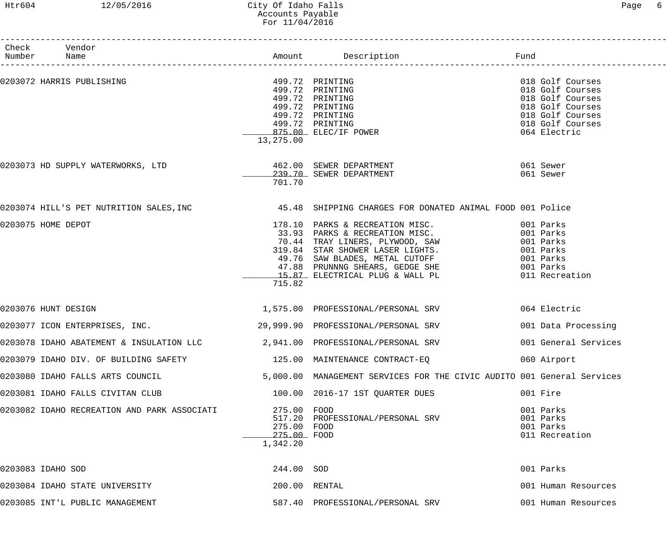# Htr604 12/05/2016 City Of Idaho Falls Page 6 Accounts Payable For 11/04/2016

| Check Vendor<br>Number Name                                          |                                                       |                                                                                                                                                                                                                                          |                                                                              |
|----------------------------------------------------------------------|-------------------------------------------------------|------------------------------------------------------------------------------------------------------------------------------------------------------------------------------------------------------------------------------------------|------------------------------------------------------------------------------|
| 0203072 HARRIS PUBLISHING                                            |                                                       | 499.72 PRINTING<br>499.72 PRINTING<br>499.72 PRINTING<br>499.72 PRINTING                                                                                                                                                                 | 018 Golf Courses<br>018 Golf Courses<br>018 Golf Courses<br>018 Golf Courses |
|                                                                      | 13,275.00                                             | 499.72 PRINTING<br>499.72 PRINTING<br>875.00 ELEC/IF POWER                                                                                                                                                                               | 018 Golf Courses<br>018 Golf Courses<br>064 Electric                         |
| 0203073 HD SUPPLY WATERWORKS, LTD                                    | 701.70                                                | 462.00 SEWER DEPARTMENT<br>239.70 SEWER DEPARTMENT                                                                                                                                                                                       | 061 Sewer<br>061 Sewer                                                       |
|                                                                      |                                                       | 0203074 HILL'S PET NUTRITION SALES, INC 45.48 SHIPPING CHARGES FOR DONATED ANIMAL FOOD 001 Police                                                                                                                                        |                                                                              |
| 0203075 HOME DEPOT                                                   | 715.82                                                | 178.10 PARKS & RECREATION MISC. 001 Parks<br>33.93 PARKS & RECREATION MISC. 001 Parks<br>70.44 TRAY LINERS, PLYWOOD, SAW 001 Parks<br>319.84 STAR SHOWER LASER LIGHTS. 001 Parks<br>49.76 SAW BLADES, METAL CUTOFF 001 Parks<br>47.88 PR |                                                                              |
| 0203076 HUNT DESIGN                                                  |                                                       | 1,575.00 PROFESSIONAL/PERSONAL SRV 064 Electric                                                                                                                                                                                          |                                                                              |
| 0203077 ICON ENTERPRISES, INC.                                       |                                                       | 29,999.90 PROFESSIONAL/PERSONAL SRV                                                                                                                                                                                                      | 001 Data Processing                                                          |
| 0203078 IDAHO ABATEMENT & INSULATION LLC                             |                                                       | 2,941.00 PROFESSIONAL/PERSONAL SRV                                                                                                                                                                                                       | 001 General Services                                                         |
| 0203079 IDAHO DIV. OF BUILDING SAFETY 125.00 MAINTENANCE CONTRACT-EQ |                                                       |                                                                                                                                                                                                                                          | 060 Airport                                                                  |
| 0203080 IDAHO FALLS ARTS COUNCIL                                     |                                                       | 5,000.00 MANAGEMENT SERVICES FOR THE CIVIC AUDITO 001 General Services                                                                                                                                                                   |                                                                              |
| 0203081 IDAHO FALLS CIVITAN CLUB                                     |                                                       | 100.00 2016-17 1ST QUARTER DUES                                                                                                                                                                                                          | 001 Fire                                                                     |
| 0203082 IDAHO RECREATION AND PARK ASSOCIATI                          | 275.00 FOOD<br>275.00 FOOD<br>275.00 FOOD<br>1,342.20 | 517.20 PROFESSIONAL/PERSONAL SRV                                                                                                                                                                                                         | 001 Parks<br>001 Parks<br>001 Parks<br>011 Recreation                        |
| 0203083 IDAHO SOD                                                    | 244.00 SOD                                            |                                                                                                                                                                                                                                          | 001 Parks                                                                    |
| 0203084 IDAHO STATE UNIVERSITY                                       | 200.00 RENTAL                                         |                                                                                                                                                                                                                                          | 001 Human Resources                                                          |
| 0203085 INT'L PUBLIC MANAGEMENT                                      |                                                       | 587.40 PROFESSIONAL/PERSONAL SRV                                                                                                                                                                                                         | 001 Human Resources                                                          |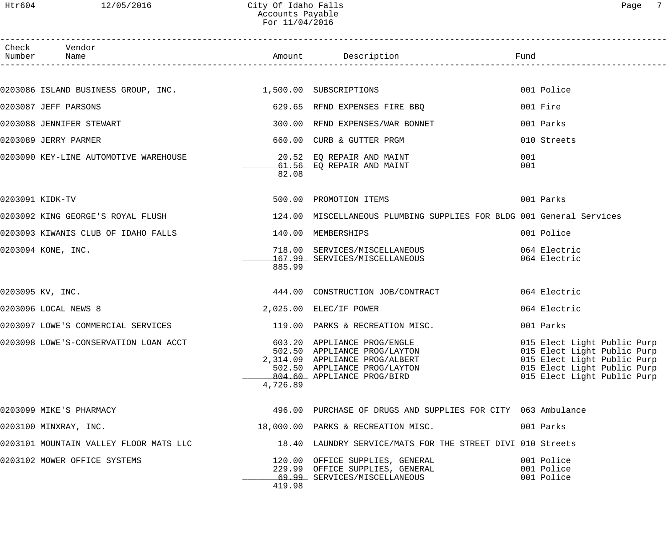------------------------------------------------------------------------------------------------------------------------------------

| ⊢<br>C<br>⊣ |  |
|-------------|--|
|-------------|--|

| Check | Vendor<br>Number Name                                                         |          |                                                                                                                                                             | Fund                                                                                                                                                    |
|-------|-------------------------------------------------------------------------------|----------|-------------------------------------------------------------------------------------------------------------------------------------------------------------|---------------------------------------------------------------------------------------------------------------------------------------------------------|
|       |                                                                               |          |                                                                                                                                                             |                                                                                                                                                         |
|       | 0203086 ISLAND BUSINESS GROUP, INC. 1,500.00 SUBSCRIPTIONS                    |          |                                                                                                                                                             | 001 Police                                                                                                                                              |
|       | 0203087 JEFF PARSONS                                                          |          | 629.65 RFND EXPENSES FIRE BBQ                                                                                                                               | 001 Fire                                                                                                                                                |
|       | 0203088 JENNIFER STEWART                                                      |          | 300.00 RFND EXPENSES/WAR BONNET                                                                                                                             | 001 Parks                                                                                                                                               |
|       | 0203089 JERRY PARMER                                                          |          | 660.00 CURB & GUTTER PRGM                                                                                                                                   | 010 Streets                                                                                                                                             |
|       | 0203090 KEY-LINE AUTOMOTIVE WAREHOUSE                                         | 82.08    | 20.52 EQ REPAIR AND MAINT<br>61.56 EQ REPAIR AND MAINT                                                                                                      | 001<br>001                                                                                                                                              |
|       | 0203091 KIDK-TV                                                               |          | 500.00 PROMOTION ITEMS                                                                                                                                      | 001 Parks                                                                                                                                               |
|       | 0203092 KING GEORGE'S ROYAL FLUSH                                             |          | 124.00 MISCELLANEOUS PLUMBING SUPPLIES FOR BLDG 001 General Services                                                                                        |                                                                                                                                                         |
|       | 0203093 KIWANIS CLUB OF IDAHO FALLS                                           |          | 140.00 MEMBERSHIPS                                                                                                                                          | 001 Police                                                                                                                                              |
|       | 0203094 KONE, INC.                                                            | 885.99   | 718.00 SERVICES/MISCELLANEOUS<br>167.99 SERVICES/MISCELLANEOUS                                                                                              | 064 Electric<br>064 Electric                                                                                                                            |
|       | 0203095 KV, INC.                                                              |          | 444.00 CONSTRUCTION JOB/CONTRACT                                                                                                                            | 064 Electric                                                                                                                                            |
|       | 0203096 LOCAL NEWS 8                                                          |          | 2,025.00 ELEC/IF POWER                                                                                                                                      | 064 Electric                                                                                                                                            |
|       | 0203097 LOWE'S COMMERCIAL SERVICES THE READ MODEL OF PARKS & RECREATION MISC. |          |                                                                                                                                                             | 001 Parks                                                                                                                                               |
|       | 0203098 LOWE'S-CONSERVATION LOAN ACCT                                         | 4,726.89 | 603.20 APPLIANCE PROG/ENGLE<br>502.50 APPLIANCE PROG/LAYTON<br>2,314.09 APPLIANCE PROG/ALBERT<br>502.50 APPLIANCE PROG/LAYTON<br>804.60 APPLIANCE PROG/BIRD | 015 Elect Light Public Purp<br>015 Elect Light Public Purp<br>015 Elect Light Public Purp<br>015 Elect Light Public Purp<br>015 Elect Light Public Purp |
|       | 0203099 MIKE'S PHARMACY                                                       |          | 496.00 PURCHASE OF DRUGS AND SUPPLIES FOR CITY 063 Ambulance                                                                                                |                                                                                                                                                         |
|       | 0203100 MINXRAY, INC.                                                         |          | 18,000.00 PARKS & RECREATION MISC.                                                                                                                          | 001 Parks                                                                                                                                               |
|       | 0203101 MOUNTAIN VALLEY FLOOR MATS LLC                                        |          | 18.40 LAUNDRY SERVICE/MATS FOR THE STREET DIVI 010 Streets                                                                                                  |                                                                                                                                                         |
|       | 0203102 MOWER OFFICE SYSTEMS                                                  | 419.98   | 120.00 OFFICE SUPPLIES, GENERAL<br>229.99 OFFICE SUPPLIES, GENERAL<br>69.99 SERVICES/MISCELLANEOUS                                                          | 001 Police<br>001 Police<br>001 Police                                                                                                                  |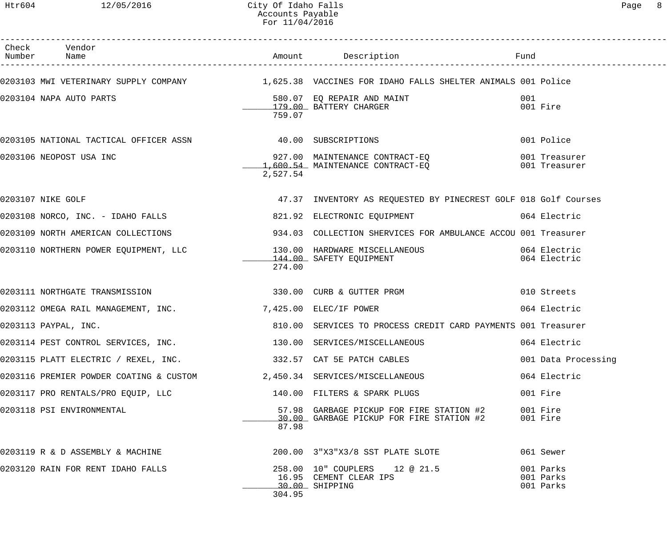| Check Vendor<br>Number Name                                               |          |                                                                                                                                                      |                                     |
|---------------------------------------------------------------------------|----------|------------------------------------------------------------------------------------------------------------------------------------------------------|-------------------------------------|
|                                                                           |          | 0203103 MWI VETERINARY SUPPLY COMPANY 1,625.38 VACCINES FOR IDAHO FALLS SHELTER ANIMALS 001 Police                                                   |                                     |
| 0203104 NAPA AUTO PARTS 580.07 EQ REPAIR AND MAINT                        | 759.07   |                                                                                                                                                      | 001<br>001 Fire                     |
| 0203105 NATIONAL TACTICAL OFFICER ASSN 40.00 SUBSCRIPTIONS                |          |                                                                                                                                                      | 001 Police                          |
| 0203106 NEOPOST USA INC                                                   | 2,527.54 | 927.00 MAINTENANCE CONTRACT-EQ 001 Treasurer<br>1,600.54 MAINTENANCE CONTRACT-EQ 001 Treasurer                                                       |                                     |
| 0203107 NIKE GOLF                                                         |          | 47.37 INVENTORY AS REQUESTED BY PINECREST GOLF 018 Golf Courses                                                                                      |                                     |
|                                                                           |          | 0203108 NORCO, INC. - IDAHO FALLS 621.92 ELECTRONIC EQUIPMENT 664 Electric                                                                           |                                     |
|                                                                           |          |                                                                                                                                                      |                                     |
|                                                                           | 274.00   | 0203110 NORTHERN POWER EQUIPMENT, LLC                 130.00 HARDWARE MISCELLANEOUS                          064 Electric<br>144.00 SAFETY EQUIPMENT |                                     |
| 0203111 NORTHGATE TRANSMISSION 6200 1330.00 CURB & GUTTER PRGM            |          |                                                                                                                                                      | 010 Streets                         |
| 0203112 OMEGA RAIL MANAGEMENT, INC. 7, 425.00 ELEC/IF POWER               |          |                                                                                                                                                      | 064 Electric                        |
| 0203113 PAYPAL, INC.                                                      |          | 810.00 SERVICES TO PROCESS CREDIT CARD PAYMENTS 001 Treasurer                                                                                        |                                     |
| 0203114 PEST CONTROL SERVICES, INC. 130.00 SERVICES/MISCELLANEOUS         |          |                                                                                                                                                      | 064 Electric                        |
| 0203115 PLATT ELECTRIC / REXEL, INC. 332.57 CAT 5E PATCH CABLES           |          |                                                                                                                                                      | 001 Data Processing                 |
| 0203116 PREMIER POWDER COATING & CUSTOM $2,450.34$ SERVICES/MISCELLANEOUS |          |                                                                                                                                                      | 064 Electric                        |
| 0203117 PRO RENTALS/PRO EQUIP, LLC                                        |          | 140.00 FILTERS & SPARK PLUGS                                                                                                                         | 001 Fire                            |
| 0203118 PSI ENVIRONMENTAL                                                 | 87.98    | 57.98 GARBAGE PICKUP FOR FIRE STATION #2<br>30.00 GARBAGE PICKUP FOR FIRE STATION #2                                                                 | 001 Fire<br>001 Fire                |
| 0203119 R & D ASSEMBLY & MACHINE                                          |          | 200.00 3"X3"X3/8 SST PLATE SLOTE                                                                                                                     | 061 Sewer                           |
| 0203120 RAIN FOR RENT IDAHO FALLS                                         | 304.95   | 258.00 10" COUPLERS 12 @ 21.5<br>16.95 CEMENT CLEAR IPS<br>30.00 SHIPPING                                                                            | 001 Parks<br>001 Parks<br>001 Parks |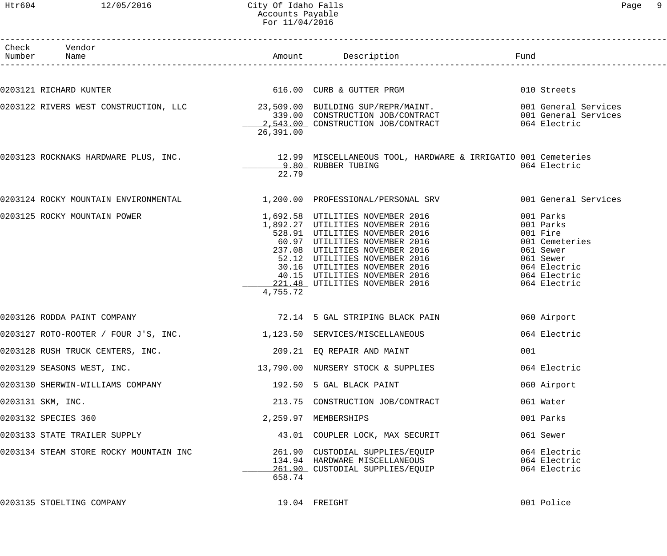# Htr604 12/05/2016 City Of Idaho Falls Page 9 Accounts Payable For 11/04/2016

| Раαе |  |
|------|--|
|------|--|

| Check Vendor<br>Number Name                                          |           |                                                                                                                                                                                                                                                     |     |                        |
|----------------------------------------------------------------------|-----------|-----------------------------------------------------------------------------------------------------------------------------------------------------------------------------------------------------------------------------------------------------|-----|------------------------|
|                                                                      |           |                                                                                                                                                                                                                                                     |     |                        |
| 0203121 RICHARD KUNTER                                               |           | 616.00 CURB & GUTTER PRGM                                                                                                                                                                                                                           |     | 010 Streets            |
|                                                                      |           | 0203122 RIVERS WEST CONSTRUCTION, LLC<br>339.00 CONSTRUCTION JOB/CONTRACT 001 General Services<br>2,543.00 CONSTRUCTION JOB/CONTRACT 064 Electric                                                                                                   |     |                        |
|                                                                      |           |                                                                                                                                                                                                                                                     |     |                        |
|                                                                      | 26,391.00 |                                                                                                                                                                                                                                                     |     |                        |
|                                                                      |           | 0203123 ROCKNAKS HARDWARE PLUS, INC. 12.99 MISCELLANEOUS TOOL, HARDWARE & IRRIGATIO 001 Cemeteries                                                                                                                                                  |     |                        |
|                                                                      | 22.79     | 9.80 RUBBER TUBING                                                                                                                                                                                                                                  |     | 064 Electric           |
| 0203124 ROCKY MOUNTAIN ENVIRONMENTAL                                 |           | 1,200.00 PROFESSIONAL/PERSONAL SRV 6001 General Services                                                                                                                                                                                            |     |                        |
| 0203125 ROCKY MOUNTAIN POWER                                         |           | 1,692.58 UTILITIES NOVEMBER 2016<br>1,892.27 UTILITIES NOVEMBER 2016<br>528.91 UTILITIES NOVEMBER 2016<br>60.97 UTILITIES NOVEMBER 2016<br>237.08 UTILITIES NOVEMBER 2016<br>52.12 UTILITIES NOVEMBER 2016<br>30.16 UTILITIES NOVEMBER 2016<br>40.1 |     | 001 Parks              |
|                                                                      |           |                                                                                                                                                                                                                                                     |     | 001 Parks              |
|                                                                      |           |                                                                                                                                                                                                                                                     |     | 001 Fire               |
|                                                                      |           |                                                                                                                                                                                                                                                     |     | 001 Cemeteries         |
|                                                                      |           |                                                                                                                                                                                                                                                     |     | 061 Sewer<br>061 Sewer |
|                                                                      |           |                                                                                                                                                                                                                                                     |     | 064 Electric           |
|                                                                      |           |                                                                                                                                                                                                                                                     |     | 064 Electric           |
|                                                                      | 4,755.72  | 221.48 UTILITIES NOVEMBER 2016                                                                                                                                                                                                                      |     | 064 Electric           |
| 0203126 RODDA PAINT COMPANY                                          |           | 72.14 5 GAL STRIPING BLACK PAIN                                                                                                                                                                                                                     |     | 060 Airport            |
| 0203127 ROTO-ROOTER / FOUR J'S, INC. 1,123.50 SERVICES/MISCELLANEOUS |           |                                                                                                                                                                                                                                                     |     | 064 Electric           |
| 0203128 RUSH TRUCK CENTERS, INC.                                     |           | 209.21 EQ REPAIR AND MAINT                                                                                                                                                                                                                          | 001 |                        |
|                                                                      |           | 0203129 SEASONS WEST, INC. THE READ MURSERY STOCK & SUPPLIES                                                                                                                                                                                        |     | 064 Electric           |
| 0203130 SHERWIN-WILLIAMS COMPANY                                     |           | 192.50 5 GAL BLACK PAINT                                                                                                                                                                                                                            |     | 060 Airport            |
| 0203131 SKM, INC.                                                    |           | 213.75 CONSTRUCTION JOB/CONTRACT                                                                                                                                                                                                                    |     | 061 Water              |
| 0203132 SPECIES 360                                                  |           | 2,259.97 MEMBERSHIPS                                                                                                                                                                                                                                |     | 001 Parks              |
| 0203133 STATE TRAILER SUPPLY                                         |           | 43.01 COUPLER LOCK, MAX SECURIT                                                                                                                                                                                                                     |     | 061 Sewer              |
| 0203134 STEAM STORE ROCKY MOUNTAIN INC                               |           | 261.90 CUSTODIAL SUPPLIES/EQUIP<br>134.94 HARDWARE MISCELLANEOUS                                                                                                                                                                                    |     | 064 Electric           |
|                                                                      |           |                                                                                                                                                                                                                                                     |     | 064 Electric           |
|                                                                      | 658.74    | 261.90 CUSTODIAL SUPPLIES/EQUIP                                                                                                                                                                                                                     |     | 064 Electric           |
| 0203135 STOELTING COMPANY                                            |           | 19.04 FREIGHT                                                                                                                                                                                                                                       |     | 001 Police             |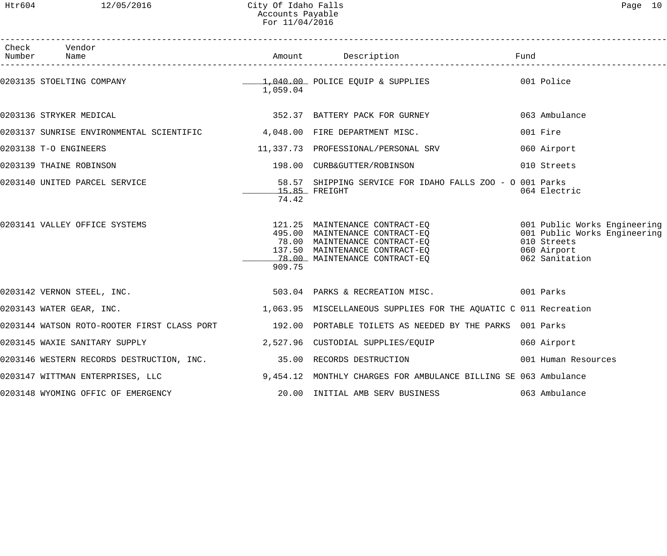Htr604 12/05/2016 City Of Idaho Falls Page 10 Accounts Payable For 11/04/2016

| Page |  |
|------|--|
|      |  |

| Check Vendor                                                                                         |                               |                                                                                                                                                                                                                                              |                     |
|------------------------------------------------------------------------------------------------------|-------------------------------|----------------------------------------------------------------------------------------------------------------------------------------------------------------------------------------------------------------------------------------------|---------------------|
| 0203135 STOELTING COMPANY                                                                            | 1,059.04                      | 1,040.00 POLICE EQUIP & SUPPLIES 001 Police                                                                                                                                                                                                  |                     |
| 0203136 STRYKER MEDICAL                                                                              |                               | 352.37 BATTERY PACK FOR GURNEY                                                                                                                                                                                                               | 063 Ambulance       |
| 0203137 SUNRISE ENVIRONMENTAL SCIENTIFIC 4,048.00 FIRE DEPARTMENT MISC.                              |                               |                                                                                                                                                                                                                                              | 001 Fire            |
| 0203138 T-O ENGINEERS                                                                                |                               | 11,337.73 PROFESSIONAL/PERSONAL SRV                                                                                                                                                                                                          | 060 Airport         |
| 0203139 THAINE ROBINSON                                                                              |                               | 198.00 CURB&GUTTER/ROBINSON                                                                                                                                                                                                                  | 010 Streets         |
| 0203140 UNITED PARCEL SERVICE                                                                        | _______15.85 FREIGHT<br>74.42 | 58.57 SHIPPING SERVICE FOR IDAHO FALLS ZOO - O 001 Parks                                                                                                                                                                                     | 064 Electric        |
| 0203141 VALLEY OFFICE SYSTEMS                                                                        | 909.75                        | 121.25 MAINTENANCE CONTRACT-EQ<br>495.00 MAINTENANCE CONTRACT-EQ<br>78.00 MAINTENANCE CONTRACT-EQ<br>137.50 MAINTENANCE CONTRACT-EQ<br>137.50 MAINTENANCE CONTRACT-EQ<br>78.00 MAINTENANCE CONTRACT-EQ<br>138.00 MAINTENANCE CONTRACT-EQ<br> |                     |
| 0203142 VERNON STEEL, INC. THE SALE REARY STARES & RECREATION MISC. THE SALE ON PARKS ON PARKS       |                               |                                                                                                                                                                                                                                              |                     |
| 0203143 WATER GEAR, INC.                                                                             |                               | 1,063.95 MISCELLANEOUS SUPPLIES FOR THE AQUATIC C 011 Recreation                                                                                                                                                                             |                     |
| 0203144 WATSON ROTO-ROOTER FIRST CLASS PORT 192.00 PORTABLE TOILETS AS NEEDED BY THE PARKS 001 Parks |                               |                                                                                                                                                                                                                                              |                     |
| 0203145 WAXIE SANITARY SUPPLY                                                                        |                               | 2,527.96 CUSTODIAL SUPPLIES/EQUIP                                                                                                                                                                                                            | 060 Airport         |
| 0203146 WESTERN RECORDS DESTRUCTION, INC. 35.00 RECORDS DESTRUCTION                                  |                               |                                                                                                                                                                                                                                              | 001 Human Resources |
| 0203147 WITTMAN ENTERPRISES, LLC 3. THE MONTHLY CHARGES FOR AMBULANCE BILLING SE 063 Ambulance       |                               |                                                                                                                                                                                                                                              |                     |
| 0203148 WYOMING OFFIC OF EMERGENCY 20.00 INITIAL AMB SERV BUSINESS                                   |                               |                                                                                                                                                                                                                                              | 063 Ambulance       |
|                                                                                                      |                               |                                                                                                                                                                                                                                              |                     |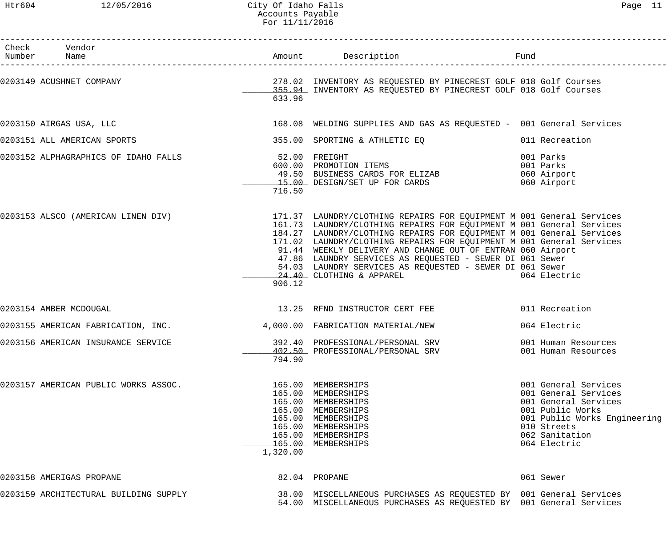|--|--|--|

| Check Vendor<br>Number Name                        |          |                                                                                                                                                                                                                                                                                                                                                                                                                                                                                                                                                                           |                                                                                                                                                                           |
|----------------------------------------------------|----------|---------------------------------------------------------------------------------------------------------------------------------------------------------------------------------------------------------------------------------------------------------------------------------------------------------------------------------------------------------------------------------------------------------------------------------------------------------------------------------------------------------------------------------------------------------------------------|---------------------------------------------------------------------------------------------------------------------------------------------------------------------------|
|                                                    | 633.96   |                                                                                                                                                                                                                                                                                                                                                                                                                                                                                                                                                                           |                                                                                                                                                                           |
| 0203150 AIRGAS USA, LLC                            |          | 168.08 WELDING SUPPLIES AND GAS AS REQUESTED - 001 General Services                                                                                                                                                                                                                                                                                                                                                                                                                                                                                                       |                                                                                                                                                                           |
| 0203151 ALL AMERICAN SPORTS                        |          |                                                                                                                                                                                                                                                                                                                                                                                                                                                                                                                                                                           |                                                                                                                                                                           |
| 0203152 ALPHAGRAPHICS OF IDAHO FALLS 62.00 FREIGHT | 716.50   | 52.00 FREIGHT<br>600.00 PROMOTION ITEMS<br>49.50 BUSINESS CARDS FOR ELIZAB<br>15.00 DESIGN/SET UP FOR CARDS                                                                                                                                                                                                                                                                                                                                                                                                                                                               | 001 Parks<br>001 Parks<br>060 Airport<br>060 Airport                                                                                                                      |
|                                                    | 906.12   | 0203153 ALSCO (AMERICAN LINEN DIV)                         171.37 LAUNDRY/CLOTHING REPAIRS FOR EQUIPMENT M 001 General Services<br>161.73 LAUNDRY/CLOTHING REPAIRS FOR EQUIPMENT M 001 General Services<br>184.27 LAUNDRY/CLOTHING REPAIRS FOR EQUIPMENT M 001 General Services<br>171.02 LAUNDRY/CLOTHING REPAIRS FOR EQUIPMENT M 001 General Services<br>91.44 WEEKLY DELIVERY AND CHANGE OUT OF ENTRAN 060 Airport<br>47.86 LAUNDRY SERVICES AS REQUESTED - SEWER DI 061 Sewer<br>54.03 LAUNDRY SERVICES AS REQUESTED - SEWER DI 061 Sewer<br>24.40 CLOTHING & APPAREL | 064 Electric                                                                                                                                                              |
| 0203154 AMBER MCDOUGAL                             |          | 13.25 RFND INSTRUCTOR CERT FEE 6011 Recreation                                                                                                                                                                                                                                                                                                                                                                                                                                                                                                                            |                                                                                                                                                                           |
| 0203155 AMERICAN FABRICATION, INC.                 |          | 4,000.00 FABRICATION MATERIAL/NEW                                                                                                                                                                                                                                                                                                                                                                                                                                                                                                                                         | 064 Electric                                                                                                                                                              |
| 0203156 AMERICAN INSURANCE SERVICE                 | 794.90   | 392.40 PROFESSIONAL/PERSONAL SRV<br>402.50 PROFESSIONAL/PERSONAL SRV                                                                                                                                                                                                                                                                                                                                                                                                                                                                                                      | 001 Human Resources<br>001 Human Resources                                                                                                                                |
| 0203157 AMERICAN PUBLIC WORKS ASSOC.               | 1,320.00 | 165.00 MEMBERSHIPS<br>165.00 MEMBERSHIPS<br>165.00 MEMBERSHIPS<br>165.00 MEMBERSHIPS<br>165.00 MEMBERSHIPS<br>165.00 MEMBERSHIPS<br>165.00 MEMBERSHIPS<br>165.00 MEMBERSHIPS                                                                                                                                                                                                                                                                                                                                                                                              | 001 General Services<br>001 General Services<br>001 General Services<br>001 Public Works<br>001 Public Works Engineering<br>010 Streets<br>062 Sanitation<br>064 Electric |
| 0203158 AMERIGAS PROPANE                           |          | 82.04 PROPANE                                                                                                                                                                                                                                                                                                                                                                                                                                                                                                                                                             | 061 Sewer                                                                                                                                                                 |
| 0203159 ARCHITECTURAL BUILDING SUPPLY              |          | 38.00 MISCELLANEOUS PURCHASES AS REQUESTED BY 001 General Services<br>54.00 MISCELLANEOUS PURCHASES AS REQUESTED BY 001 General Services                                                                                                                                                                                                                                                                                                                                                                                                                                  |                                                                                                                                                                           |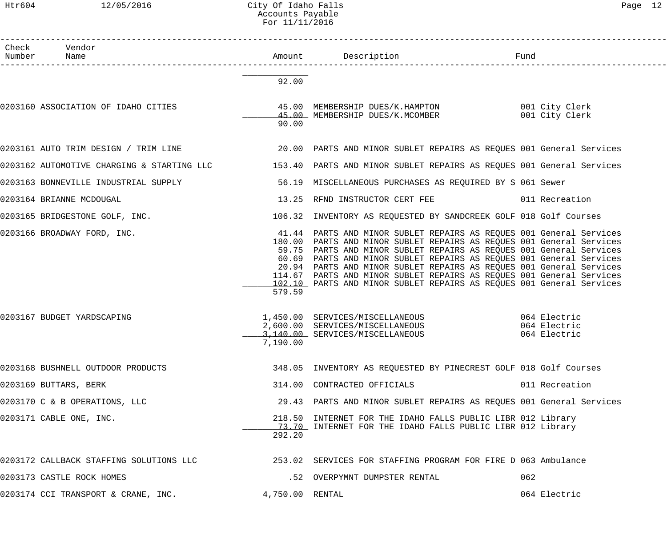#### Htr604 12/05/2016 City Of Idaho Falls Page 12 Accounts Payable For 11/11/2016

| Check Vendor<br>Number Name          |                 | Amount Description                                                                                                                                                                                                                                                                                                                                                                                                                                                                                               | Fund                         |
|--------------------------------------|-----------------|------------------------------------------------------------------------------------------------------------------------------------------------------------------------------------------------------------------------------------------------------------------------------------------------------------------------------------------------------------------------------------------------------------------------------------------------------------------------------------------------------------------|------------------------------|
|                                      | 92.00           |                                                                                                                                                                                                                                                                                                                                                                                                                                                                                                                  |                              |
| 0203160 ASSOCIATION OF IDAHO CITIES  | 90.00           | 45.00 MEMBERSHIP DUES/K.HAMPTON 001 City Clerk<br>45.00 MEMBERSHIP DUES/K.MCOMBER                                                                                                                                                                                                                                                                                                                                                                                                                                | 001 City Clerk               |
|                                      |                 | 0203161 AUTO TRIM DESIGN / TRIM LINE   1990 000 PARTS AND MINOR SUBLET REPAIRS AS REQUES 001 General Services                                                                                                                                                                                                                                                                                                                                                                                                    |                              |
|                                      |                 | 0203162 AUTOMOTIVE CHARGING & STARTING LLC           153.40 PARTS AND MINOR SUBLET REPAIRS AS REQUES 001 General Services                                                                                                                                                                                                                                                                                                                                                                                        |                              |
| 0203163 BONNEVILLE INDUSTRIAL SUPPLY |                 | 56.19 MISCELLANEOUS PURCHASES AS REQUIRED BY S 061 Sewer                                                                                                                                                                                                                                                                                                                                                                                                                                                         |                              |
| 0203164 BRIANNE MCDOUGAL             |                 | 13.25 RFND INSTRUCTOR CERT FEE 6011 Recreation                                                                                                                                                                                                                                                                                                                                                                                                                                                                   |                              |
| 0203165 BRIDGESTONE GOLF, INC.       |                 | 106.32 INVENTORY AS REQUESTED BY SANDCREEK GOLF 018 Golf Courses                                                                                                                                                                                                                                                                                                                                                                                                                                                 |                              |
| 0203166 BROADWAY FORD, INC.          | 579.59          | 41.44 PARTS AND MINOR SUBLET REPAIRS AS REQUES 001 General Services<br>180.00 PARTS AND MINOR SUBLET REPAIRS AS REQUES 001 General Services<br>59.75 PARTS AND MINOR SUBLET REPAIRS AS REQUES 001 General Services<br>60.69 PARTS AND MINOR SUBLET REPAIRS AS REQUES 001 General Services<br>20.94 PARTS AND MINOR SUBLET REPAIRS AS REQUES 001 General Services<br>114.67 PARTS AND MINOR SUBLET REPAIRS AS REQUES 001 General Services<br>102.10 PARTS AND MINOR SUBLET REPAIRS AS REQUES 001 General Services |                              |
| 0203167 BUDGET YARDSCAPING           | 7,190.00        | 1,450.00 SERVICES/MISCELLANEOUS 064 Electric<br>2,600.00 SERVICES/MISCELLANEOUS<br>3,140.00 SERVICES/MISCELLANEOUS                                                                                                                                                                                                                                                                                                                                                                                               | 064 Electric<br>064 Electric |
| 0203168 BUSHNELL OUTDOOR PRODUCTS    |                 | 348.05 INVENTORY AS REQUESTED BY PINECREST GOLF 018 Golf Courses                                                                                                                                                                                                                                                                                                                                                                                                                                                 |                              |
| 0203169 BUTTARS, BERK                |                 | 314.00 CONTRACTED OFFICIALS                                                                                                                                                                                                                                                                                                                                                                                                                                                                                      | 011 Recreation               |
| 0203170 C & B OPERATIONS, LLC        |                 | 29.43 PARTS AND MINOR SUBLET REPAIRS AS REQUES 001 General Services                                                                                                                                                                                                                                                                                                                                                                                                                                              |                              |
| 0203171 CABLE ONE, INC.              | 292.20          | 218.50 INTERNET FOR THE IDAHO FALLS PUBLIC LIBR 012 Library<br>73.70 INTERNET FOR THE IDAHO FALLS PUBLIC LIBR 012 Library                                                                                                                                                                                                                                                                                                                                                                                        |                              |
|                                      |                 | 0203172 CALLBACK STAFFING SOLUTIONS LLC 253.02 SERVICES FOR STAFFING PROGRAM FOR FIRE D 063 Ambulance                                                                                                                                                                                                                                                                                                                                                                                                            |                              |
| 0203173 CASTLE ROCK HOMES            |                 | .52 OVERPYMNT DUMPSTER RENTAL                                                                                                                                                                                                                                                                                                                                                                                                                                                                                    | 062                          |
| 0203174 CCI TRANSPORT & CRANE, INC.  | 4,750.00 RENTAL |                                                                                                                                                                                                                                                                                                                                                                                                                                                                                                                  | 064 Electric                 |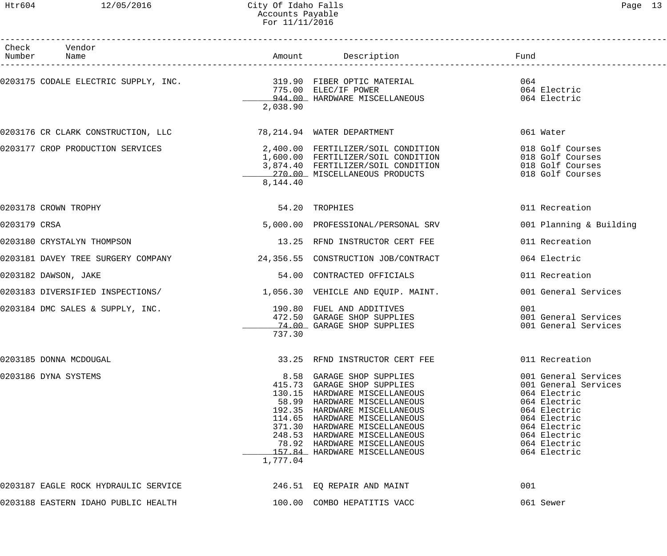# Htr604 12/05/2016 City Of Idaho Falls Page 13 Accounts Payable For 11/11/2016

------------------------------------------------------------------------------------------------------------------------------------

| Check<br>Vendor<br>Number<br>Name                                      |          | Amount Description                                                                                                                                                                                                                                                                                                                          | Fund                                                                                                                                                         |
|------------------------------------------------------------------------|----------|---------------------------------------------------------------------------------------------------------------------------------------------------------------------------------------------------------------------------------------------------------------------------------------------------------------------------------------------|--------------------------------------------------------------------------------------------------------------------------------------------------------------|
| 0203175 CODALE ELECTRIC SUPPLY, INC. 319.90 FIBER OPTIC MATERIAL       | 2,038.90 | 775.00 ELEC/IF POWER<br>944.00 HARDWARE MISCELLANEOUS<br>775.00 ELEC/IF POWER                                                                                                                                                                                                                                                               | 064<br>064 Electric<br>064 Electric                                                                                                                          |
| 0203176 CR CLARK CONSTRUCTION, LLC          78,214.94 WATER DEPARTMENT |          |                                                                                                                                                                                                                                                                                                                                             | 061 Water                                                                                                                                                    |
| 0203177 CROP PRODUCTION SERVICES                                       | 8,144.40 | 2,400.00 FERTILIZER/SOIL CONDITION<br>1,600.00 FERTILIZER/SOIL CONDITION<br>3,874.40 FERTILIZER/SOIL CONDITION 018 Golf Courses<br>270.00 MISCELLANEOUS PRODUCTS                                                                                                                                                                            | 018 Golf Courses<br>018 Golf Courses<br>018 Golf Courses                                                                                                     |
| 0203178 CROWN TROPHY                                                   |          | 54.20 TROPHIES                                                                                                                                                                                                                                                                                                                              | 011 Recreation                                                                                                                                               |
| 0203179 CRSA                                                           |          | 5,000.00 PROFESSIONAL/PERSONAL SRV                                                                                                                                                                                                                                                                                                          | 001 Planning & Building                                                                                                                                      |
| 0203180 CRYSTALYN THOMPSON                                             |          | 13.25 RFND INSTRUCTOR CERT FEE                                                                                                                                                                                                                                                                                                              | 011 Recreation                                                                                                                                               |
| 0203181 DAVEY TREE SURGERY COMPANY                                     |          | 24,356.55 CONSTRUCTION JOB/CONTRACT                                                                                                                                                                                                                                                                                                         | 064 Electric                                                                                                                                                 |
| 0203182 DAWSON, JAKE                                                   |          | 54.00 CONTRACTED OFFICIALS                                                                                                                                                                                                                                                                                                                  | 011 Recreation                                                                                                                                               |
| 0203183 DIVERSIFIED INSPECTIONS/                                       |          | 1,056.30 VEHICLE AND EQUIP. MAINT.                                                                                                                                                                                                                                                                                                          | 001 General Services                                                                                                                                         |
| 0203184 DMC SALES & SUPPLY, INC.                                       | 737.30   | 190.80 FUEL AND ADDITIVES<br>472.50 GARAGE SHOP SUPPLIES<br>74.00 GARAGE SHOP SUPPLIES                                                                                                                                                                                                                                                      | 001<br>001 General Services<br>001 General Services                                                                                                          |
| 0203185 DONNA MCDOUGAL                                                 |          | 33.25 RFND INSTRUCTOR CERT FEE                                                                                                                                                                                                                                                                                                              | 011 Recreation                                                                                                                                               |
| 0203186 DYNA SYSTEMS                                                   | 1,777.04 | 8.58 GARAGE SHOP SUPPLIES<br>415.73 GARAGE SHOP SUPPLIES<br>130.15 HARDWARE MISCELLANEOUS<br>58.99 HARDWARE MISCELLANEOUS<br>192.35 HARDWARE MISCELLANEOUS<br>114.65 HARDWARE MISCELLANEOUS<br>371.30 HARDWARE MISCELLANEOUS<br>248.53 HARDWARE MISCELLANEOUS<br>78.92 HARDWARE MISCELLANEOUS 664 Electric<br>157.84 HARDWARE MISCELLANEOUS | 001 General Services<br>001 General Services<br>064 Electric<br>064 Electric<br>064 Electric<br>064 Electric<br>064 Electric<br>064 Electric<br>064 Electric |
| 0203187 EAGLE ROCK HYDRAULIC SERVICE                                   |          | 246.51 EQ REPAIR AND MAINT                                                                                                                                                                                                                                                                                                                  | 001                                                                                                                                                          |
| 0203188 EASTERN IDAHO PUBLIC HEALTH                                    |          | 100.00 COMBO HEPATITIS VACC                                                                                                                                                                                                                                                                                                                 | 061 Sewer                                                                                                                                                    |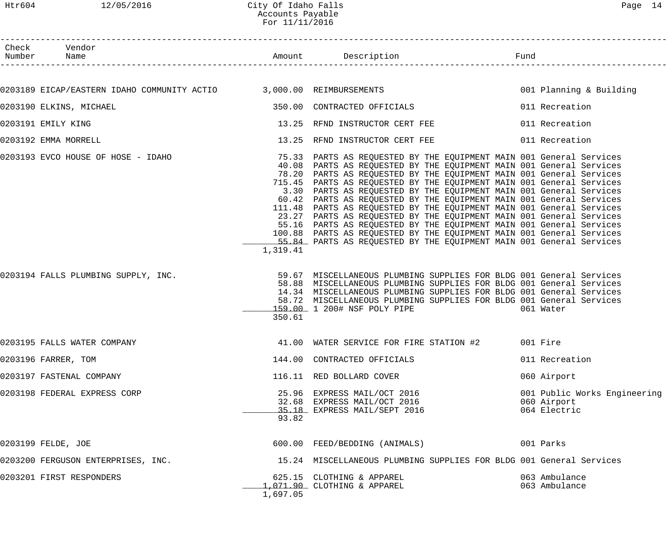| г |  |
|---|--|
|---|--|

| Htr604 | 12/05/2016                                                                | City Of Idaho Falls<br>Accounts Payable<br>For 11/11/2016 |                                                                                                                                                                                                                                                                                                                                                                                                                                                                                                                                                                                                                                                                                                                                                                                                                                                                                                                                                                                                                                                                                                         |      | Page 14                                                     |
|--------|---------------------------------------------------------------------------|-----------------------------------------------------------|---------------------------------------------------------------------------------------------------------------------------------------------------------------------------------------------------------------------------------------------------------------------------------------------------------------------------------------------------------------------------------------------------------------------------------------------------------------------------------------------------------------------------------------------------------------------------------------------------------------------------------------------------------------------------------------------------------------------------------------------------------------------------------------------------------------------------------------------------------------------------------------------------------------------------------------------------------------------------------------------------------------------------------------------------------------------------------------------------------|------|-------------------------------------------------------------|
|        | Check Vendor<br>Number Name                                               |                                                           |                                                                                                                                                                                                                                                                                                                                                                                                                                                                                                                                                                                                                                                                                                                                                                                                                                                                                                                                                                                                                                                                                                         | Fund |                                                             |
|        |                                                                           |                                                           |                                                                                                                                                                                                                                                                                                                                                                                                                                                                                                                                                                                                                                                                                                                                                                                                                                                                                                                                                                                                                                                                                                         |      |                                                             |
|        | 0203189 EICAP/EASTERN IDAHO COMMUNITY ACTIO 3,000.00 REIMBURSEMENTS       |                                                           |                                                                                                                                                                                                                                                                                                                                                                                                                                                                                                                                                                                                                                                                                                                                                                                                                                                                                                                                                                                                                                                                                                         |      | 001 Planning & Building                                     |
|        | 0203190 ELKINS, MICHAEL                                                   |                                                           | 350.00 CONTRACTED OFFICIALS                                                                                                                                                                                                                                                                                                                                                                                                                                                                                                                                                                                                                                                                                                                                                                                                                                                                                                                                                                                                                                                                             |      | 011 Recreation                                              |
|        | 0203191 EMILY KING                                                        |                                                           | 13.25 RFND INSTRUCTOR CERT FEE                                                                                                                                                                                                                                                                                                                                                                                                                                                                                                                                                                                                                                                                                                                                                                                                                                                                                                                                                                                                                                                                          |      | 011 Recreation                                              |
|        | 0203192 EMMA MORRELL                                                      |                                                           | 13.25 RFND INSTRUCTOR CERT FEE                                                                                                                                                                                                                                                                                                                                                                                                                                                                                                                                                                                                                                                                                                                                                                                                                                                                                                                                                                                                                                                                          |      | 011 Recreation                                              |
|        | 0203193 EVCO HOUSE OF HOSE - IDAHO<br>0203194 FALLS PLUMBING SUPPLY, INC. | 1,319.41                                                  | 75.33 PARTS AS REQUESTED BY THE EQUIPMENT MAIN 001 General Services<br>40.08 PARTS AS REQUESTED BY THE EQUIPMENT MAIN 001 General Services<br>78.20 PARTS AS REQUESTED BY THE EQUIPMENT MAIN 001 General Services<br>715.45 PARTS AS REQUESTED BY THE EQUIPMENT MAIN 001 General Services<br>3.30 PARTS AS REQUESTED BY THE EQUIPMENT MAIN 001 General Services<br>60.42 PARTS AS REQUESTED BY THE EQUIPMENT MAIN 001 General Services<br>111.48 PARTS AS REQUESTED BY THE EQUIPMENT MAIN 001 General Services<br>23.27 PARTS AS REQUESTED BY THE EQUIPMENT MAIN 001 General Services<br>55.16 PARTS AS REQUESTED BY THE EQUIPMENT MAIN 001 General Services<br>100.88 PARTS AS REQUESTED BY THE EQUIPMENT MAIN 001 General Services<br>55.84 PARTS AS REQUESTED BY THE EQUIPMENT MAIN 001 General Services<br>59.67 MISCELLANEOUS PLUMBING SUPPLIES FOR BLDG 001 General Services<br>58.88 MISCELLANEOUS PLUMBING SUPPLIES FOR BLDG 001 General Services<br>14.34 MISCELLANEOUS PLUMBING SUPPLIES FOR BLDG 001 General Services<br>58.72 MISCELLANEOUS PLUMBING SUPPLIES FOR BLDG 001 General Services |      |                                                             |
|        | 0203195 FALLS WATER COMPANY                                               | 350.61                                                    | 159.00 1 200# NSF POLY PIPE<br>41.00 WATER SERVICE FOR FIRE STATION #2                                                                                                                                                                                                                                                                                                                                                                                                                                                                                                                                                                                                                                                                                                                                                                                                                                                                                                                                                                                                                                  |      | 061 Water<br>001 Fire                                       |
|        | 0203196 FARRER, TOM                                                       |                                                           | 144.00 CONTRACTED OFFICIALS                                                                                                                                                                                                                                                                                                                                                                                                                                                                                                                                                                                                                                                                                                                                                                                                                                                                                                                                                                                                                                                                             |      | 011 Recreation                                              |
|        | 0203197 FASTENAL COMPANY                                                  |                                                           | 116.11 RED BOLLARD COVER                                                                                                                                                                                                                                                                                                                                                                                                                                                                                                                                                                                                                                                                                                                                                                                                                                                                                                                                                                                                                                                                                |      | 060 Airport                                                 |
|        | 0203198 FEDERAL EXPRESS CORP                                              | 93.82                                                     | 25.96 EXPRESS MAIL/OCT 2016<br>32.68 EXPRESS MAIL/OCT 2016<br>35.18 EXPRESS MAIL/SEPT 2016                                                                                                                                                                                                                                                                                                                                                                                                                                                                                                                                                                                                                                                                                                                                                                                                                                                                                                                                                                                                              |      | 001 Public Works Engineering<br>060 Airport<br>064 Electric |
|        | 0203199 FELDE, JOE                                                        |                                                           | 600.00 FEED/BEDDING (ANIMALS)                                                                                                                                                                                                                                                                                                                                                                                                                                                                                                                                                                                                                                                                                                                                                                                                                                                                                                                                                                                                                                                                           |      | 001 Parks                                                   |
|        | 0203200 FERGUSON ENTERPRISES, INC.                                        |                                                           | 15.24 MISCELLANEOUS PLUMBING SUPPLIES FOR BLDG 001 General Services                                                                                                                                                                                                                                                                                                                                                                                                                                                                                                                                                                                                                                                                                                                                                                                                                                                                                                                                                                                                                                     |      |                                                             |

0203201 FIRST RESPONDERS 625.15 CLOTHING & APPAREL 063 Ambulance \_\_\_\_\_\_\_\_\_\_\_\_\_ 1,071.90 CLOTHING & APPAREL 063 Ambulance 1,697.05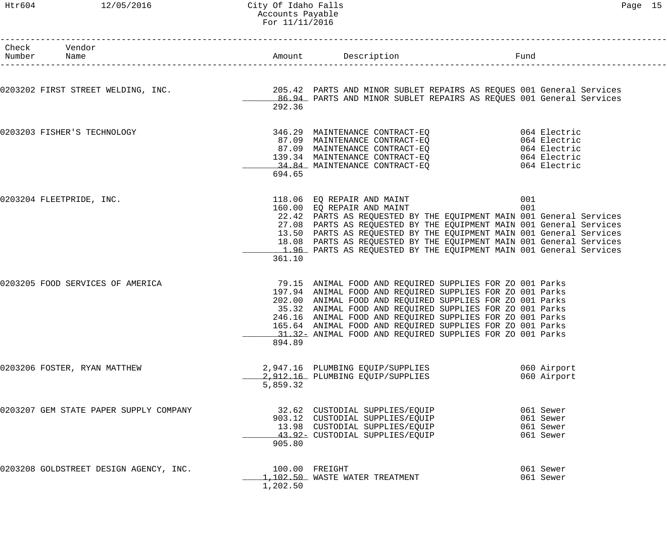#### Htr604 12/05/2016 City Of Idaho Falls Page 15 Accounts Payable For 11/11/2016

| c |  |
|---|--|
|---|--|

| Check Vendor<br>Number Name                                                                                                                                                            |          |                                                                                                                                                                                                                                                                                                                                                                                                                                      |            |                                                  |
|----------------------------------------------------------------------------------------------------------------------------------------------------------------------------------------|----------|--------------------------------------------------------------------------------------------------------------------------------------------------------------------------------------------------------------------------------------------------------------------------------------------------------------------------------------------------------------------------------------------------------------------------------------|------------|--------------------------------------------------|
| 0203202 FIRST STREET WELDING, INC. 205.42 PARTS AND MINOR SUBLET REPAIRS AS REQUES 001 General Services 0203202<br>86.94 PARTS AND MINOR SUBLET REPAIRS AS REQUES 001 General Services | 292.36   |                                                                                                                                                                                                                                                                                                                                                                                                                                      |            |                                                  |
| 0203203 FISHER'S TECHNOLOGY                                                                                                                                                            | 694.65   | 346.29 MAINTENANCE CONTRACT-EQ<br>87.09 MAINTENANCE CONTRACT-EQ<br>87.09 MAINTENANCE CONTRACT-EQ<br>139.34 MAINTENANCE CONTRACT-EQ<br>34.84 MAINTENANCE CONTRACT-EQ<br>34.84 MAINTENANCE CONTRACT-EQ<br>34.84 MAINTENANCE CONTRACT-EQ<br>34.                                                                                                                                                                                         |            |                                                  |
| 0203204 FLEETPRIDE, INC.                                                                                                                                                               | 361.10   | 118.06  EQ REPAIR AND MAINT<br>160.00  EQ REPAIR AND MAINT<br>22.42 PARTS AS REQUESTED BY THE EQUIPMENT MAIN 001 General Services<br>27.08 PARTS AS REQUESTED BY THE EQUIPMENT MAIN 001 General Services<br>13.50 PARTS AS REQUESTED BY THE EQUIPMENT MAIN 001 General Services<br>18.08 PARTS AS REQUESTED BY THE EQUIPMENT MAIN 001 General Services<br>1.96 PARTS AS REQUESTED BY THE EQUIPMENT MAIN 001 General Services         | 001<br>001 |                                                  |
| 0203205 FOOD SERVICES OF AMERICA                                                                                                                                                       | 894.89   | 79.15 ANIMAL FOOD AND REQUIRED SUPPLIES FOR ZO 001 Parks<br>197.94 ANIMAL FOOD AND REQUIRED SUPPLIES FOR ZO 001 Parks<br>202.00 ANIMAL FOOD AND REQUIRED SUPPLIES FOR ZO 001 Parks<br>35.32 ANIMAL FOOD AND REQUIRED SUPPLIES FOR ZO 001 Parks<br>246.16 ANIMAL FOOD AND REQUIRED SUPPLIES FOR ZO 001 Parks<br>165.64 ANIMAL FOOD AND REQUIRED SUPPLIES FOR ZO 001 Parks<br>31.32 ANIMAL FOOD AND REQUIRED SUPPLIES FOR ZO 001 Parks |            |                                                  |
| 0203206 FOSTER, RYAN MATTHEW                                                                                                                                                           | 5,859.32 | 2,947.16 PLUMBING EQUIP/SUPPLIES<br>2,912.16 PLUMBING EQUIP/SUPPLIES                                                                                                                                                                                                                                                                                                                                                                 |            | 060 Airport<br>060 Airport                       |
| 0203207 GEM STATE PAPER SUPPLY COMPANY                                                                                                                                                 | 905.80   | 32.62 CUSTODIAL SUPPLIES/EQUIP<br>903.12 CUSTODIAL SUPPLIES/EQUIP<br>13.98 CUSTODIAL SUPPLIES/EQUIP<br>43.92- CUSTODIAL SUPPLIES/EQUIP                                                                                                                                                                                                                                                                                               |            | 061 Sewer<br>061 Sewer<br>061 Sewer<br>061 Sewer |
| 0203208 GOLDSTREET DESIGN AGENCY, INC.                                                                                                                                                 | 1,202.50 | 100.00 FREIGHT<br>1,102.50 WASTE WATER TREATMENT                                                                                                                                                                                                                                                                                                                                                                                     |            | 061 Sewer<br>061 Sewer                           |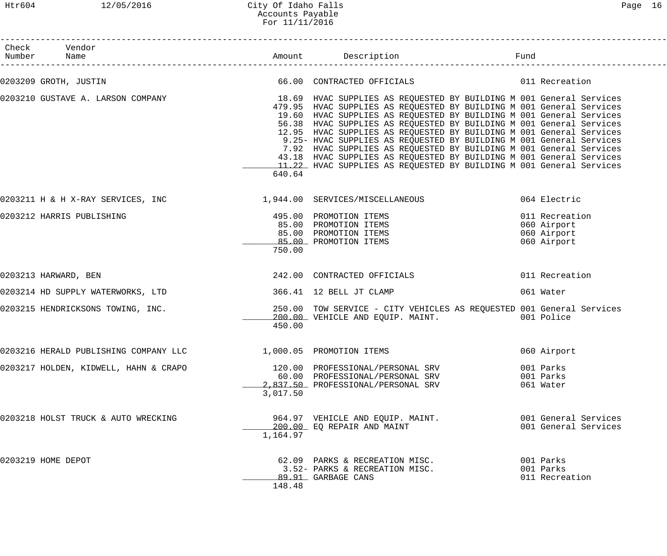#### Htr604 12/05/2016 City Of Idaho Falls Page 16 Accounts Payable For 11/11/2016

| Check Vendor<br>Number Name                                                                           |          |                                                                                                                                                                                                                                                                                                                                                                                                                                                                                                                                                                                      |                                                             |
|-------------------------------------------------------------------------------------------------------|----------|--------------------------------------------------------------------------------------------------------------------------------------------------------------------------------------------------------------------------------------------------------------------------------------------------------------------------------------------------------------------------------------------------------------------------------------------------------------------------------------------------------------------------------------------------------------------------------------|-------------------------------------------------------------|
| 0203209 GROTH, JUSTIN                                                                                 |          | 66.00 CONTRACTED OFFICIALS 6011 Recreation                                                                                                                                                                                                                                                                                                                                                                                                                                                                                                                                           |                                                             |
| 0203210 GUSTAVE A. LARSON COMPANY 18.69 HVAC SUPPLIES AS REQUESTED BY BUILDING M 001 General Services | 640.64   | 479.95 HVAC SUPPLIES AS REQUESTED BY BUILDING M 001 General Services<br>19.60 HVAC SUPPLIES AS REQUESTED BY BUILDING M 001 General Services<br>56.38 HVAC SUPPLIES AS REQUESTED BY BUILDING M 001 General Services<br>12.95 HVAC SUPPLIES AS REQUESTED BY BUILDING M 001 General Services<br>9.25- HVAC SUPPLIES AS REQUESTED BY BUILDING M 001 General Services<br>7.92 HVAC SUPPLIES AS REQUESTED BY BUILDING M 001 General Services<br>43.18 HVAC SUPPLIES AS REQUESTED BY BUILDING M 001 General Services<br>11.22 HVAC SUPPLIES AS REQUESTED BY BUILDING M 001 General Services |                                                             |
| 0203211 H & H X-RAY SERVICES, INC                                                                     |          | 1,944.00 SERVICES/MISCELLANEOUS                                                                                                                                                                                                                                                                                                                                                                                                                                                                                                                                                      | 064 Electric                                                |
| 0203212 HARRIS PUBLISHING                                                                             | 750.00   | 495.00 PROMOTION ITEMS<br>85.00 PROMOTION ITEMS<br>85.00 PROMOTION ITEMS<br>85.00 PROMOTION ITEMS                                                                                                                                                                                                                                                                                                                                                                                                                                                                                    | 011 Recreation<br>060 Airport<br>060 Airport<br>060 Airport |
| 0203213 HARWARD, BEN                                                                                  |          | 242.00 CONTRACTED OFFICIALS                                                                                                                                                                                                                                                                                                                                                                                                                                                                                                                                                          | 011 Recreation                                              |
| 0203214 HD SUPPLY WATERWORKS, LTD                                                                     |          | 366.41 12 BELL JT CLAMP                                                                                                                                                                                                                                                                                                                                                                                                                                                                                                                                                              | 061 Water                                                   |
| 0203215 HENDRICKSONS TOWING, INC.                                                                     | 450.00   | 250.00 TOW SERVICE - CITY VEHICLES AS REQUESTED 001 General Services<br>200.00 VEHICLE AND EQUIP. MAINT. 001 Police                                                                                                                                                                                                                                                                                                                                                                                                                                                                  |                                                             |
| 0203216 HERALD PUBLISHING COMPANY LLC $1,000.05$ PROMOTION ITEMS                                      |          |                                                                                                                                                                                                                                                                                                                                                                                                                                                                                                                                                                                      | 060 Airport                                                 |
| 0203217 HOLDEN, KIDWELL, HAHN & CRAPO                                                                 | 3,017.50 | 120.00 PROFESSIONAL/PERSONAL SRV<br>60.00 PROFESSIONAL/PERSONAL SRV<br>2,837.50 PROFESSIONAL/PERSONAL SRV                                                                                                                                                                                                                                                                                                                                                                                                                                                                            | 001 Parks<br>001 Parks<br>061 Water                         |
| 0203218 HOLST TRUCK & AUTO WRECKING                                                                   | 1,164.97 | 964.97 VEHICLE AND EQUIP. MAINT.<br>200.00 EQ REPAIR AND MAINT                                                                                                                                                                                                                                                                                                                                                                                                                                                                                                                       | 001 General Services<br>001 General Services                |
| 0203219 HOME DEPOT                                                                                    | 148.48   | 62.09 PARKS & RECREATION MISC.<br>3.52- PARKS & RECREATION MISC.<br>89.91 GARBAGE CANS                                                                                                                                                                                                                                                                                                                                                                                                                                                                                               | 001 Parks<br>001 Parks<br>011 Recreation                    |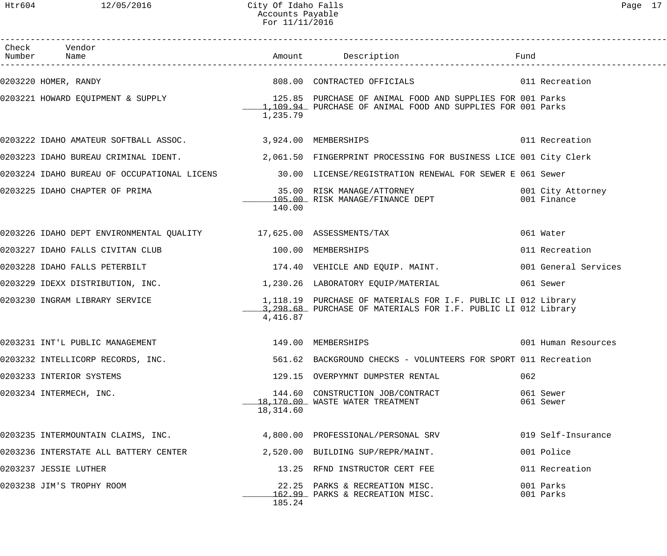| Check Vendor<br>Number Name                                                                          |                    |                                                                                                                                                                |                        |                                  |
|------------------------------------------------------------------------------------------------------|--------------------|----------------------------------------------------------------------------------------------------------------------------------------------------------------|------------------------|----------------------------------|
| 0203220 HOMER, RANDY                                                                                 |                    | 808.00 CONTRACTED OFFICIALS 608.00 11 Recreation                                                                                                               |                        |                                  |
|                                                                                                      | 1,235.79           | 0203221 HOWARD EQUIPMENT & SUPPLY THE RELEVIE SERVIES OF ANIMAL FOOD AND SUPPLIES FOR 001 Parks<br>1.109.94 PURCHASE OF ANIMAL FOOD AND SUPPLIES FOR 001 Parks |                        |                                  |
| 0203222 IDAHO AMATEUR SOFTBALL ASSOC. 3,924.00 MEMBERSHIPS                                           |                    |                                                                                                                                                                |                        | 011 Recreation                   |
|                                                                                                      |                    | 0203223 IDAHO BUREAU CRIMINAL IDENT. 2,061.50 FINGERPRINT PROCESSING FOR BUSINESS LICE 001 City Clerk                                                          |                        |                                  |
|                                                                                                      |                    | 0203224 IDAHO BUREAU OF OCCUPATIONAL LICENS 30.00 LICENSE/REGISTRATION RENEWAL FOR SEWER E 061 Sewer                                                           |                        |                                  |
|                                                                                                      | 140.00             |                                                                                                                                                                |                        | 001 City Attorney<br>001 Finance |
| 0203226 IDAHO DEPT ENVIRONMENTAL QUALITY 17,625.00 ASSESSMENTS/TAX                                   |                    |                                                                                                                                                                | 061 Water              |                                  |
| 0203227 IDAHO FALLS CIVITAN CLUB                                                                     |                    | 100.00 MEMBERSHIPS                                                                                                                                             |                        | 011 Recreation                   |
| 0203228 IDAHO FALLS PETERBILT                                                                        |                    | 174.40 VEHICLE AND EQUIP. MAINT.                                                                                                                               |                        | 001 General Services             |
| 0203229 IDEXX DISTRIBUTION, INC.                                  1,230.26 LABORATORY EQUIP/MATERIAL |                    |                                                                                                                                                                | 061 Sewer              |                                  |
| 0203230 INGRAM LIBRARY SERVICE                                                                       | 4,416.87           | 1,118.19 PURCHASE OF MATERIALS FOR I.F. PUBLIC LI 012 Library<br>3, 298.68 PURCHASE OF MATERIALS FOR I.F. PUBLIC LI 012 Library                                |                        |                                  |
| 0203231 INT'L PUBLIC MANAGEMENT                                                                      | 149.00 MEMBERSHIPS |                                                                                                                                                                |                        | 001 Human Resources              |
| 0203232 INTELLICORP RECORDS, INC.                                                                    |                    | 561.62 BACKGROUND CHECKS - VOLUNTEERS FOR SPORT 011 Recreation                                                                                                 |                        |                                  |
| 0203233 INTERIOR SYSTEMS                                                                             |                    | 129.15 OVERPYMNT DUMPSTER RENTAL                                                                                                                               | 062                    |                                  |
| 0203234 INTERMECH, INC.                                                                              | 18,314.60          | 144.60 CONSTRUCTION JOB/CONTRACT<br>18,170.00 WASTE WATER TREATMENT                                                                                            | 061 Sewer<br>061 Sewer |                                  |
| 0203235 INTERMOUNTAIN CLAIMS, INC.                                                                   |                    | 4,800.00 PROFESSIONAL/PERSONAL SRV                                                                                                                             |                        | 019 Self-Insurance               |
| 0203236 INTERSTATE ALL BATTERY CENTER                                                                |                    | 2,520.00 BUILDING SUP/REPR/MAINT.                                                                                                                              |                        | 001 Police                       |
| 0203237 JESSIE LUTHER                                                                                |                    | 13.25 RFND INSTRUCTOR CERT FEE                                                                                                                                 |                        | 011 Recreation                   |
| 0203238 JIM'S TROPHY ROOM                                                                            | 185.24             | 22.25 PARKS & RECREATION MISC.<br>162.99 PARKS & RECREATION MISC.                                                                                              | 001 Parks<br>001 Parks |                                  |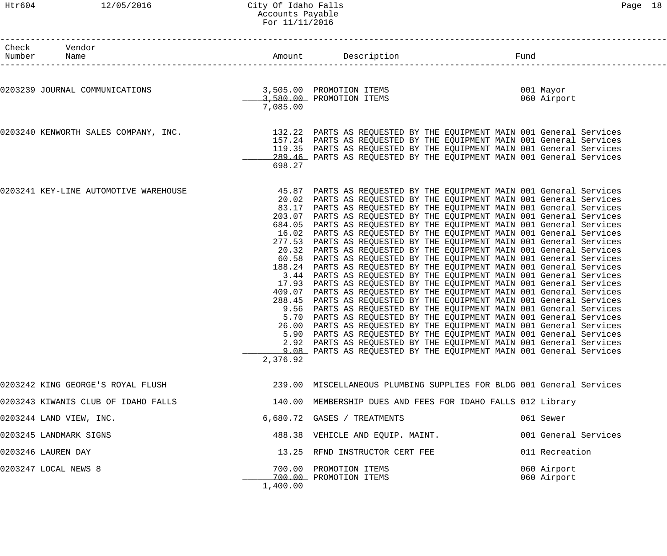#### Htr604 12/05/2016 City Of Idaho Falls 2008 Communications and the Page 18 Accounts Payable For 11/11/2016

| Check Vendor<br>Number Name                                                            |                                                                                                                                                            |                                                                                                                                                                                                                                                                                                                                                                                                                                                                                                                                                                                                                                                                                                                                                                                                                                                                                                                                                                                                                                                                                                                                                                                                                                                                                                                                                                        |                          |
|----------------------------------------------------------------------------------------|------------------------------------------------------------------------------------------------------------------------------------------------------------|------------------------------------------------------------------------------------------------------------------------------------------------------------------------------------------------------------------------------------------------------------------------------------------------------------------------------------------------------------------------------------------------------------------------------------------------------------------------------------------------------------------------------------------------------------------------------------------------------------------------------------------------------------------------------------------------------------------------------------------------------------------------------------------------------------------------------------------------------------------------------------------------------------------------------------------------------------------------------------------------------------------------------------------------------------------------------------------------------------------------------------------------------------------------------------------------------------------------------------------------------------------------------------------------------------------------------------------------------------------------|--------------------------|
| 0203239 JOURNAL COMMUNICATIONS<br>3,505.00 PROMOTION ITEMS<br>3,580.00 PROMOTION ITEMS | 7,085.00                                                                                                                                                   |                                                                                                                                                                                                                                                                                                                                                                                                                                                                                                                                                                                                                                                                                                                                                                                                                                                                                                                                                                                                                                                                                                                                                                                                                                                                                                                                                                        | 001 Mayor<br>060 Airport |
| 0203240 KENWORTH SALES COMPANY, INC.                                                   | 119.35<br>698.27                                                                                                                                           | 132.22 PARTS AS REQUESTED BY THE EQUIPMENT MAIN 001 General Services<br>157.24 PARTS AS REQUESTED BY THE EQUIPMENT MAIN 001 General Services<br>PARTS AS REQUESTED BY THE EQUIPMENT MAIN 001 General Services<br>289.46 PARTS AS REQUESTED BY THE EQUIPMENT MAIN 001 General Services                                                                                                                                                                                                                                                                                                                                                                                                                                                                                                                                                                                                                                                                                                                                                                                                                                                                                                                                                                                                                                                                                  |                          |
| 0203241 KEY-LINE AUTOMOTIVE WAREHOUSE                                                  | 83.17<br>203.07<br>684.05<br>16.02<br>277.53<br>20.32<br>60.58<br>188.24<br>3.44<br>17.93<br>409.07<br>288.45<br>9.56<br>5.70<br>26.00<br>5.90<br>2,376.92 | 45.87 PARTS AS REQUESTED BY THE EQUIPMENT MAIN 001 General Services<br>20.02 PARTS AS REQUESTED BY THE EQUIPMENT MAIN 001 General Services<br>PARTS AS REQUESTED BY THE EQUIPMENT MAIN 001 General Services<br>PARTS AS REQUESTED BY THE EQUIPMENT MAIN 001 General Services<br>PARTS AS REQUESTED BY THE EQUIPMENT MAIN 001 General Services<br>PARTS AS REQUESTED BY THE EQUIPMENT MAIN 001 General Services<br>PARTS AS REQUESTED BY THE EQUIPMENT MAIN 001 General Services<br>PARTS AS REQUESTED BY THE EQUIPMENT MAIN 001 General Services<br>PARTS AS REQUESTED BY THE EQUIPMENT MAIN 001 General Services<br>PARTS AS REQUESTED BY THE EQUIPMENT MAIN 001 General Services<br>PARTS AS REQUESTED BY THE EQUIPMENT MAIN 001 General Services<br>PARTS AS REQUESTED BY THE EQUIPMENT MAIN 001 General Services<br>PARTS AS REQUESTED BY THE EQUIPMENT MAIN 001 General Services<br>PARTS AS REQUESTED BY THE EQUIPMENT MAIN 001 General Services<br>PARTS AS REQUESTED BY THE EQUIPMENT MAIN 001 General Services<br>PARTS AS REQUESTED BY THE EQUIPMENT MAIN 001 General Services<br>PARTS AS REQUESTED BY THE EQUIPMENT MAIN 001 General Services<br>PARTS AS REQUESTED BY THE EQUIPMENT MAIN 001 General Services<br>2.92 PARTS AS REQUESTED BY THE EQUIPMENT MAIN 001 General Services<br>9.08 PARTS AS REQUESTED BY THE EQUIPMENT MAIN 001 General Services |                          |
| 0203242 KING GEORGE'S ROYAL FLUSH                                                      |                                                                                                                                                            | 239.00 MISCELLANEOUS PLUMBING SUPPLIES FOR BLDG 001 General Services                                                                                                                                                                                                                                                                                                                                                                                                                                                                                                                                                                                                                                                                                                                                                                                                                                                                                                                                                                                                                                                                                                                                                                                                                                                                                                   |                          |
| 0203243 KIWANIS CLUB OF IDAHO FALLS                                                    |                                                                                                                                                            | 140.00 MEMBERSHIP DUES AND FEES FOR IDAHO FALLS 012 Library                                                                                                                                                                                                                                                                                                                                                                                                                                                                                                                                                                                                                                                                                                                                                                                                                                                                                                                                                                                                                                                                                                                                                                                                                                                                                                            |                          |
| 0203244 LAND VIEW, INC.                                                                |                                                                                                                                                            | 6,680.72 GASES / TREATMENTS                                                                                                                                                                                                                                                                                                                                                                                                                                                                                                                                                                                                                                                                                                                                                                                                                                                                                                                                                                                                                                                                                                                                                                                                                                                                                                                                            | 061 Sewer                |
| 0203245 LANDMARK SIGNS                                                                 |                                                                                                                                                            | 488.38 VEHICLE AND EQUIP. MAINT.                                                                                                                                                                                                                                                                                                                                                                                                                                                                                                                                                                                                                                                                                                                                                                                                                                                                                                                                                                                                                                                                                                                                                                                                                                                                                                                                       | 001 General Services     |
| 0203246 LAUREN DAY                                                                     |                                                                                                                                                            | 13.25 RFND INSTRUCTOR CERT FEE                                                                                                                                                                                                                                                                                                                                                                                                                                                                                                                                                                                                                                                                                                                                                                                                                                                                                                                                                                                                                                                                                                                                                                                                                                                                                                                                         | 011 Recreation           |

\_\_\_\_\_\_\_\_\_\_\_\_\_ 700.00 PROMOTION ITEMS 060 Airport

1,400.00

0203247 LOCAL NEWS 8 <sup>700.00</sup> PROMOTION ITEMS 060 Airport<br>700.00 PROMOTION ITEMS 060 Airport 060 Airport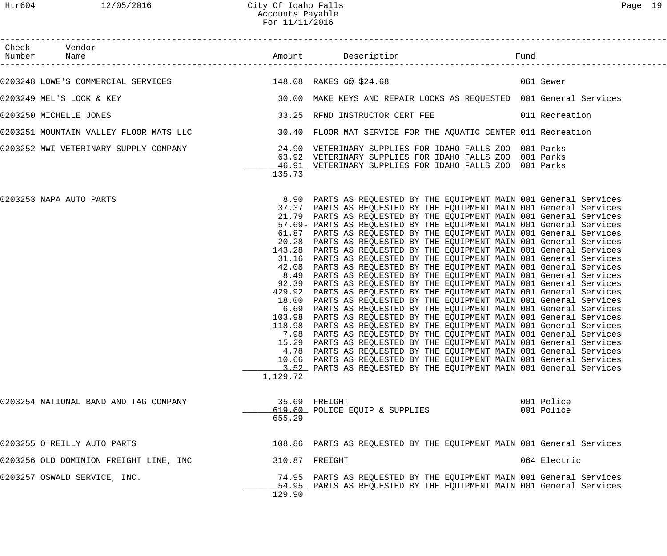| Check Vendor                                                                                                              |          |                                                                                                                                                                                                                                                                                                                                                                                                                                                                                                                                                                                                                                                                                                                                                                                                                                                                                                                                                                                                                                                                                                                                                                                                                                                                                                                                                                                                                                                                                                                                                |                          |
|---------------------------------------------------------------------------------------------------------------------------|----------|------------------------------------------------------------------------------------------------------------------------------------------------------------------------------------------------------------------------------------------------------------------------------------------------------------------------------------------------------------------------------------------------------------------------------------------------------------------------------------------------------------------------------------------------------------------------------------------------------------------------------------------------------------------------------------------------------------------------------------------------------------------------------------------------------------------------------------------------------------------------------------------------------------------------------------------------------------------------------------------------------------------------------------------------------------------------------------------------------------------------------------------------------------------------------------------------------------------------------------------------------------------------------------------------------------------------------------------------------------------------------------------------------------------------------------------------------------------------------------------------------------------------------------------------|--------------------------|
| 0203248 LOWE'S COMMERCIAL SERVICES 148.08 RAKES 6@ \$24.68 60 PAXES 148.08 RAKES 148.08 RAKES 6@ \$24.68                  |          |                                                                                                                                                                                                                                                                                                                                                                                                                                                                                                                                                                                                                                                                                                                                                                                                                                                                                                                                                                                                                                                                                                                                                                                                                                                                                                                                                                                                                                                                                                                                                |                          |
| 0203249 MEL'S LOCK & KEY                                                                                                  |          | 30.00 MAKE KEYS AND REPAIR LOCKS AS REQUESTED 001 General Services                                                                                                                                                                                                                                                                                                                                                                                                                                                                                                                                                                                                                                                                                                                                                                                                                                                                                                                                                                                                                                                                                                                                                                                                                                                                                                                                                                                                                                                                             |                          |
| 0203250 MICHELLE JONES                                                                                                    |          | 33.25 RFND INSTRUCTOR CERT FEE 6011 Recreation                                                                                                                                                                                                                                                                                                                                                                                                                                                                                                                                                                                                                                                                                                                                                                                                                                                                                                                                                                                                                                                                                                                                                                                                                                                                                                                                                                                                                                                                                                 |                          |
| 0203251 MOUNTAIN VALLEY FLOOR MATS LLC                     30.40  FLOOR MAT SERVICE FOR THE AQUATIC CENTER 011 Recreation |          |                                                                                                                                                                                                                                                                                                                                                                                                                                                                                                                                                                                                                                                                                                                                                                                                                                                                                                                                                                                                                                                                                                                                                                                                                                                                                                                                                                                                                                                                                                                                                |                          |
| 0203252 MWI VETERINARY SUPPLY COMPANY 1999 1999 24.90 VETERINARY SUPPLIES FOR IDAHO FALLS ZOO 001 Parks                   | 135.73   | 63.92 VETERINARY SUPPLIES FOR IDAHO FALLS ZOO 001 Parks<br>46.91 VETERINARY SUPPLIES FOR IDAHO FALLS ZOO 001 Parks                                                                                                                                                                                                                                                                                                                                                                                                                                                                                                                                                                                                                                                                                                                                                                                                                                                                                                                                                                                                                                                                                                                                                                                                                                                                                                                                                                                                                             |                          |
| 0203253 NAPA AUTO PARTS                                                                                                   | 1,129.72 | 8.90 PARTS AS REQUESTED BY THE EQUIPMENT MAIN 001 General Services<br>37.37 PARTS AS REQUESTED BY THE EQUIPMENT MAIN 001 General Services<br>21.79 PARTS AS REQUESTED BY THE EQUIPMENT MAIN 001 General Services<br>57.69- PARTS AS REQUESTED BY THE EQUIPMENT MAIN 001 General Services<br>61.87 PARTS AS REQUESTED BY THE EQUIPMENT MAIN 001 General Services<br>20.28 PARTS AS REQUESTED BY THE EQUIPMENT MAIN 001 General Services<br>143.28 PARTS AS REQUESTED BY THE EQUIPMENT MAIN 001 General Services<br>31.16 PARTS AS REQUESTED BY THE EQUIPMENT MAIN 001 General Services<br>42.08 PARTS AS REQUESTED BY THE EQUIPMENT MAIN 001 General Services<br>8.49 PARTS AS REQUESTED BY THE EQUIPMENT MAIN 001 General Services<br>92.39 PARTS AS REQUESTED BY THE EQUIPMENT MAIN 001 General Services<br>429.92 PARTS AS REQUESTED BY THE EQUIPMENT MAIN 001 General Services<br>18.00 PARTS AS REQUESTED BY THE EQUIPMENT MAIN 001 General Services<br>6.69 PARTS AS REQUESTED BY THE EQUIPMENT MAIN 001 General Services<br>103.98 PARTS AS REQUESTED BY THE EQUIPMENT MAIN 001 General Services<br>118.98 PARTS AS REQUESTED BY THE EQUIPMENT MAIN 001 General Services<br>7.98 PARTS AS REQUESTED BY THE EQUIPMENT MAIN 001 General Services<br>15.29 PARTS AS REQUESTED BY THE EQUIPMENT MAIN 001 General Services<br>4.78 PARTS AS REQUESTED BY THE EQUIPMENT MAIN 001 General Services<br>10.66 PARTS AS REQUESTED BY THE EQUIPMENT MAIN 001 General Services<br>3.52 PARTS AS REQUESTED BY THE EQUIPMENT MAIN 001 General Services |                          |
| 0203254 NATIONAL BAND AND TAG COMPANY                                                                                     | 655.29   | 35.69 FREIGHT<br>619.60 POLICE EQUIP & SUPPLIES                                                                                                                                                                                                                                                                                                                                                                                                                                                                                                                                                                                                                                                                                                                                                                                                                                                                                                                                                                                                                                                                                                                                                                                                                                                                                                                                                                                                                                                                                                | 001 Police<br>001 Police |
| 0203255 O'REILLY AUTO PARTS                                                                                               |          | 108.86 PARTS AS REQUESTED BY THE EQUIPMENT MAIN 001 General Services                                                                                                                                                                                                                                                                                                                                                                                                                                                                                                                                                                                                                                                                                                                                                                                                                                                                                                                                                                                                                                                                                                                                                                                                                                                                                                                                                                                                                                                                           |                          |
| 0203256 OLD DOMINION FREIGHT LINE, INC                                                                                    |          | 310.87 FREIGHT                                                                                                                                                                                                                                                                                                                                                                                                                                                                                                                                                                                                                                                                                                                                                                                                                                                                                                                                                                                                                                                                                                                                                                                                                                                                                                                                                                                                                                                                                                                                 | 064 Electric             |
| 0203257 OSWALD SERVICE, INC.                                                                                              | 129.90   | 74.95 PARTS AS REQUESTED BY THE EQUIPMENT MAIN 001 General Services<br>54.95 PARTS AS REQUESTED BY THE EQUIPMENT MAIN 001 General Services                                                                                                                                                                                                                                                                                                                                                                                                                                                                                                                                                                                                                                                                                                                                                                                                                                                                                                                                                                                                                                                                                                                                                                                                                                                                                                                                                                                                     |                          |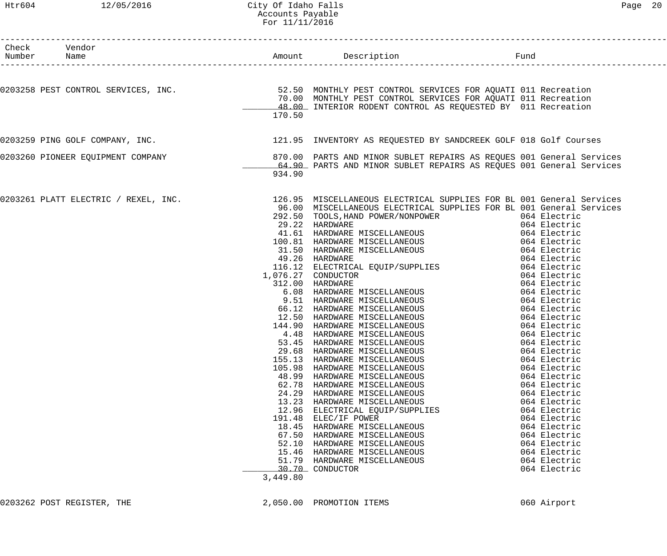#### Htr604 12/05/2016 City Of Idaho Falls Page 20 Accounts Payable For 11/11/2016

| Check Vendor<br>Number Name          |          |                                                                                                                                                                                                                                        | Fund                         |
|--------------------------------------|----------|----------------------------------------------------------------------------------------------------------------------------------------------------------------------------------------------------------------------------------------|------------------------------|
|                                      |          |                                                                                                                                                                                                                                        |                              |
|                                      |          | 0203258 PEST CONTROL SERVICES, INC.<br>2.50 MONTHLY PEST CONTROL SERVICES FOR AQUATI 011 Recreation                                                                                                                                    |                              |
|                                      |          | 70.00 MONTHLY PEST CONTROL SERVICES FOR AQUATI 011 Recreation                                                                                                                                                                          |                              |
|                                      |          | 48.00 INTERIOR RODENT CONTROL AS REQUESTED BY 011 Recreation                                                                                                                                                                           |                              |
|                                      | 170.50   |                                                                                                                                                                                                                                        |                              |
|                                      |          | 0203259 PING GOLF COMPANY, INC. THE SAME SERVICE SERVICE OF STRINGER SAMP SAND CREEK GOLF 018 Golf Courses                                                                                                                             |                              |
| 0203260 PIONEER EQUIPMENT COMPANY    |          | 870.00 PARTS AND MINOR SUBLET REPAIRS AS REQUES 001 General Services                                                                                                                                                                   |                              |
|                                      |          | 64.90 PARTS AND MINOR SUBLET REPAIRS AS REQUES 001 General Services                                                                                                                                                                    |                              |
|                                      | 934.90   |                                                                                                                                                                                                                                        |                              |
| 0203261 PLATT ELECTRIC / REXEL, INC. |          | 126.95 MISCELLANEOUS ELECTRICAL SUPPLIES FOR BL 001 General Services                                                                                                                                                                   |                              |
|                                      |          | 96.00 MISCELLANEOUS ELECTRICAL SUPPLIES FOR BL 001 General Services                                                                                                                                                                    |                              |
|                                      |          | 292.50 TOOLS, HAND POWER/NONPOWER 064 Electric                                                                                                                                                                                         |                              |
|                                      |          | 292.30 IOOLS, AAND FOWER (NONFOWER 064 Electric<br>29.22 HARDWARE MISCELLANEOUS 064 Electric<br>100.81 HARDWARE MISCELLANEOUS 064 Electric<br>31.50 HARDWARE MISCELLANEOUS 064 Electric<br>49.26 HARDWARE (16.12 ELECTRICAL EQUIP/SUPP |                              |
|                                      |          |                                                                                                                                                                                                                                        |                              |
|                                      |          |                                                                                                                                                                                                                                        |                              |
|                                      |          |                                                                                                                                                                                                                                        |                              |
|                                      |          |                                                                                                                                                                                                                                        |                              |
|                                      |          |                                                                                                                                                                                                                                        |                              |
|                                      |          | 1,076.27 CONDUCTOR<br>-27 CONDUCTOR<br>12.00 HARDWARE MISCELLANEOUS 064 Electric<br>064 Electric<br>9.51 HARDWARE MISCELLANEOUS 064 Electric<br>9.51 HARDWARE MISCELLANEOUS 064 Electric                                               |                              |
|                                      |          | 312.00 HARDWARE                                                                                                                                                                                                                        |                              |
|                                      |          |                                                                                                                                                                                                                                        |                              |
|                                      |          | 66.12 HARDWARE MISCELLANEOUS 064 Electric                                                                                                                                                                                              |                              |
|                                      |          | 12.50 HARDWARE MISCELLANEOUS 064 Electric                                                                                                                                                                                              |                              |
|                                      |          | 144.90 HARDWARE MISCELLANEOUS 664 Electric                                                                                                                                                                                             |                              |
|                                      |          |                                                                                                                                                                                                                                        |                              |
|                                      |          | 53.45 HARDWARE MISCELLANEOUS                                                                                                                                                                                                           | 064 Electric                 |
|                                      | 29.68    | HARDWARE MISCELLANEOUS                                                                                                                                                                                                                 | 064 Electric                 |
|                                      | 155.13   | HARDWARE MISCELLANEOUS                                                                                                                                                                                                                 | 064 Electric                 |
|                                      | 105.98   | HARDWARE MISCELLANEOUS                                                                                                                                                                                                                 | 064 Electric                 |
|                                      | 48.99    | HARDWARE MISCELLANEOUS                                                                                                                                                                                                                 | 064 Electric                 |
|                                      | 62.78    | HARDWARE MISCELLANEOUS                                                                                                                                                                                                                 | 064 Electric                 |
|                                      | 24.29    | HARDWARE MISCELLANEOUS                                                                                                                                                                                                                 | 064 Electric                 |
|                                      | 13.23    | HARDWARE MISCELLANEOUS                                                                                                                                                                                                                 | 064 Electric                 |
|                                      | 12.96    | ELECTRICAL EQUIP/SUPPLIES                                                                                                                                                                                                              | 064 Electric                 |
|                                      | 191.48   | ELEC/IF POWER                                                                                                                                                                                                                          | 064 Electric                 |
|                                      | 18.45    | HARDWARE MISCELLANEOUS                                                                                                                                                                                                                 | 064 Electric                 |
|                                      | 67.50    | HARDWARE MISCELLANEOUS                                                                                                                                                                                                                 | 064 Electric                 |
|                                      | 52.10    | HARDWARE MISCELLANEOUS                                                                                                                                                                                                                 | 064 Electric                 |
|                                      | 15.46    | HARDWARE MISCELLANEOUS                                                                                                                                                                                                                 | 064 Electric                 |
|                                      | 51.79    | HARDWARE MISCELLANEOUS<br>30.70 CONDUCTOR                                                                                                                                                                                              | 064 Electric<br>064 Electric |
|                                      | 3,449.80 |                                                                                                                                                                                                                                        |                              |
|                                      |          |                                                                                                                                                                                                                                        |                              |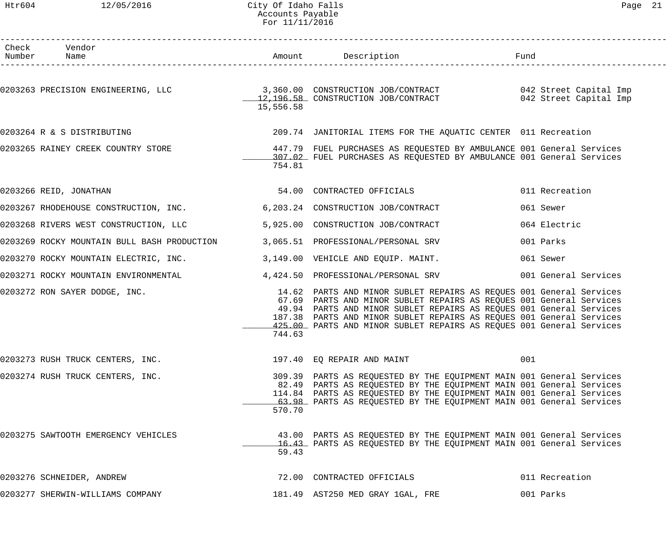#### Htr604 12/05/2016 City Of Idaho Falls Page 21 Accounts Payable For 11/11/2016

| Check Vendor<br>Number Name                                                                                    |           |                                                                                                                                                                                                                                                                                                                                                                   |                      |
|----------------------------------------------------------------------------------------------------------------|-----------|-------------------------------------------------------------------------------------------------------------------------------------------------------------------------------------------------------------------------------------------------------------------------------------------------------------------------------------------------------------------|----------------------|
|                                                                                                                | 15,556.58 |                                                                                                                                                                                                                                                                                                                                                                   |                      |
| 0203264 R & S DISTRIBUTING                                                                                     |           | 209.74 JANITORIAL ITEMS FOR THE AQUATIC CENTER 011 Recreation                                                                                                                                                                                                                                                                                                     |                      |
| 0203265 RAINEY CREEK COUNTRY STORE <b>147.79</b> FUEL PURCHASES AS REQUESTED BY AMBULANCE 001 General Services | 754.81    | 107.02 FUEL PURCHASES AS REQUESTED BY AMBULANCE 001 General Services                                                                                                                                                                                                                                                                                              |                      |
| 0203266 REID, JONATHAN                                                                                         |           | 54.00 CONTRACTED OFFICIALS                                                                                                                                                                                                                                                                                                                                        | 011 Recreation       |
| 0203267 RHODEHOUSE CONSTRUCTION, INC. 6,203.24 CONSTRUCTION JOB/CONTRACT                                       |           |                                                                                                                                                                                                                                                                                                                                                                   | 061 Sewer            |
| 0203268 RIVERS WEST CONSTRUCTION, LLC                                                                          |           | 5,925.00 CONSTRUCTION JOB/CONTRACT                                                                                                                                                                                                                                                                                                                                | 064 Electric         |
| 0203269 ROCKY MOUNTAIN BULL BASH PRODUCTION 3,065.51 PROFESSIONAL/PERSONAL SRV                                 |           |                                                                                                                                                                                                                                                                                                                                                                   | 001 Parks            |
| 0203270 ROCKY MOUNTAIN ELECTRIC, INC. 3,149.00 VEHICLE AND EQUIP. MAINT.                                       |           |                                                                                                                                                                                                                                                                                                                                                                   | 061 Sewer            |
| 0203271 ROCKY MOUNTAIN ENVIRONMENTAL                                                                           |           | 4,424.50 PROFESSIONAL/PERSONAL SRV                                                                                                                                                                                                                                                                                                                                | 001 General Services |
| 0203272 RON SAYER DODGE, INC.                                                                                  | 744.63    | 14.62 PARTS AND MINOR SUBLET REPAIRS AS REQUES 001 General Services<br>67.69 PARTS AND MINOR SUBLET REPAIRS AS REQUES 001 General Services<br>49.94 PARTS AND MINOR SUBLET REPAIRS AS REQUES 001 General Services<br>187.38 PARTS AND MINOR SUBLET REPAIRS AS REQUES 001 General Services<br>425.00 PARTS AND MINOR SUBLET REPAIRS AS REQUES 001 General Services |                      |
| 0203273 RUSH TRUCK CENTERS, INC.                                                                               |           | 197.40 EQ REPAIR AND MAINT                                                                                                                                                                                                                                                                                                                                        | 001                  |
| 0203274 RUSH TRUCK CENTERS, INC.                                                                               | 570.70    | 309.39 PARTS AS REQUESTED BY THE EQUIPMENT MAIN 001 General Services<br>82.49 PARTS AS REQUESTED BY THE EQUIPMENT MAIN 001 General Services<br>114.84 PARTS AS REQUESTED BY THE EQUIPMENT MAIN 001 General Services<br>63.98 PARTS AS REQUESTED BY THE EQUIPMENT MAIN 001 General Services                                                                        |                      |
| 0203275 SAWTOOTH EMERGENCY VEHICLES                                                                            | 59.43     | 43.00 PARTS AS REQUESTED BY THE EQUIPMENT MAIN 001 General Services<br>16.43 PARTS AS REQUESTED BY THE EQUIPMENT MAIN 001 General Services                                                                                                                                                                                                                        |                      |
| 0203276 SCHNEIDER, ANDREW                                                                                      |           | 72.00 CONTRACTED OFFICIALS                                                                                                                                                                                                                                                                                                                                        | 011 Recreation       |
| 0203277 SHERWIN-WILLIAMS COMPANY                                                                               |           | 181.49 AST250 MED GRAY 1GAL, FRE                                                                                                                                                                                                                                                                                                                                  | 001 Parks            |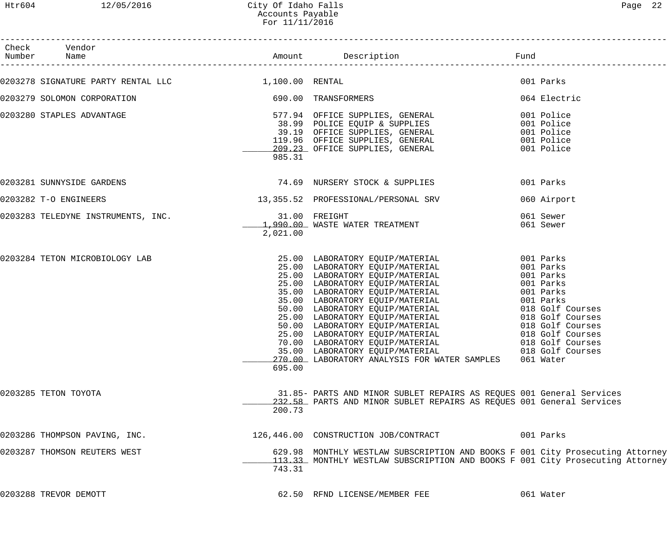| Check Vendor<br>Number Name                        |                           |                                                                                                                                                                                                                                                                                                                                                                                                                                                                                                                                                                                                                             |                                                   |
|----------------------------------------------------|---------------------------|-----------------------------------------------------------------------------------------------------------------------------------------------------------------------------------------------------------------------------------------------------------------------------------------------------------------------------------------------------------------------------------------------------------------------------------------------------------------------------------------------------------------------------------------------------------------------------------------------------------------------------|---------------------------------------------------|
| 0203278 SIGNATURE PARTY RENTAL LLC 1,100.00 RENTAL |                           |                                                                                                                                                                                                                                                                                                                                                                                                                                                                                                                                                                                                                             | 001 Parks                                         |
| 0203279 SOLOMON CORPORATION                        |                           | 690.00 TRANSFORMERS                                                                                                                                                                                                                                                                                                                                                                                                                                                                                                                                                                                                         | 064 Electric                                      |
| 0203280 STAPLES ADVANTAGE                          | 985.31                    | 577.94 OFFICE SUPPLIES, GENERAL                                                                                                                                                                                                                                                                                                                                                                                                                                                                                                                                                                                             | 001 Police                                        |
| 0203281 SUNNYSIDE GARDENS                          |                           | 74.69 NURSERY STOCK & SUPPLIES                                                                                                                                                                                                                                                                                                                                                                                                                                                                                                                                                                                              | 001 Parks                                         |
| 0203282 T-O ENGINEERS                              |                           | 13,355.52 PROFESSIONAL/PERSONAL SRV                                                                                                                                                                                                                                                                                                                                                                                                                                                                                                                                                                                         | 060 Airport                                       |
| 0203283 TELEDYNE INSTRUMENTS, INC.                 | 31.00 FREIGHT<br>2,021.00 | 1,990.00 WASTE WATER TREATMENT                                                                                                                                                                                                                                                                                                                                                                                                                                                                                                                                                                                              | 061 Sewer<br>061 Sewer                            |
| 0203284 TETON MICROBIOLOGY LAB                     | 695.00                    | 25.00 LABORATORY EQUIP/MATERIAL 001 Parks<br>25.00 LABORATORY EQUIP/MATERIAL 001 Parks<br>25.00 LABORATORY EQUIP/MATERIAL 001 Parks<br>25.00 LABORATORY EQUIP/MATERIAL 001 Parks<br>35.00 LABORATORY EQUIP/MATERIAL 001 Parks<br>35.00 L<br>35.00 LABORATORY EQUIP/MATERIAL 001 Parks<br>25.00 LABORATORY EQUIP/MATERIAL 018 Golf Courses<br>25.00 LABORATORY EQUIP/MATERIAL 018 Golf Courses<br>50.00 LABORATORY EQUIP/MATERIAL 018 Golf Courses<br>25.00 LABORATORY EQUIP/MATERIAL 618 Golf Courses<br>70.00 LABORATORY EQUIP/MATERIAL<br>35.00 LABORATORY EQUIP/MATERIAL<br>270.00 LABORATORY ANALYSIS FOR WATER SAMPLES | 018 Golf Courses<br>018 Golf Courses<br>061 Water |
| 0203285 TETON TOYOTA                               | 200.73                    | 31.85- PARTS AND MINOR SUBLET REPAIRS AS REQUES 001 General Services<br>232.58 PARTS AND MINOR SUBLET REPAIRS AS REQUES 001 General Services                                                                                                                                                                                                                                                                                                                                                                                                                                                                                |                                                   |
| 0203286 THOMPSON PAVING, INC.                      |                           | 126,446.00 CONSTRUCTION JOB/CONTRACT                                                                                                                                                                                                                                                                                                                                                                                                                                                                                                                                                                                        | 001 Parks                                         |
| 0203287 THOMSON REUTERS WEST                       | 743.31                    | 629.98 MONTHLY WESTLAW SUBSCRIPTION AND BOOKS F 001 City Prosecuting Attorney<br>113.33 MONTHLY WESTLAW SUBSCRIPTION AND BOOKS F 001 City Prosecuting Attorney                                                                                                                                                                                                                                                                                                                                                                                                                                                              |                                                   |
| 0203288 TREVOR DEMOTT                              |                           | 62.50 RFND LICENSE/MEMBER FEE                                                                                                                                                                                                                                                                                                                                                                                                                                                                                                                                                                                               | 061 Water                                         |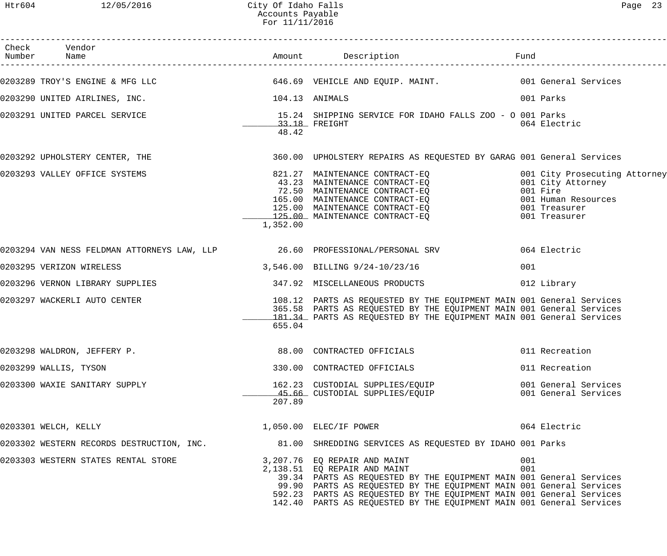| Check Vendor<br>Number Name               |                | Amount Description Description                                                                                                                                                                                                                                                                                                                             |            |                                                                                                                         |
|-------------------------------------------|----------------|------------------------------------------------------------------------------------------------------------------------------------------------------------------------------------------------------------------------------------------------------------------------------------------------------------------------------------------------------------|------------|-------------------------------------------------------------------------------------------------------------------------|
|                                           |                | 0203289 TROY'S ENGINE & MFG LLC                            646.69 VEHICLE AND EQUIP. MAINT.                  001 General Services                                                                                                                                                                                                                          |            |                                                                                                                         |
| 0203290 UNITED AIRLINES, INC.             | 104.13 ANIMALS |                                                                                                                                                                                                                                                                                                                                                            |            | 001 Parks                                                                                                               |
| 0203291 UNITED PARCEL SERVICE             | 48.42          | 15.24 SHIPPING SERVICE FOR IDAHO FALLS ZOO - O 001 Parks<br>$33.18$ FREIGHT                                                                                                                                                                                                                                                                                |            | 064 Electric                                                                                                            |
| 0203292 UPHOLSTERY CENTER, THE            |                | 360.00 UPHOLSTERY REPAIRS AS REQUESTED BY GARAG 001 General Services                                                                                                                                                                                                                                                                                       |            |                                                                                                                         |
| 0203293 VALLEY OFFICE SYSTEMS             | 1,352.00       | 821.27 MAINTENANCE CONTRACT-EQ<br>43.23 MAINTENANCE CONTRACT-EQ<br>72.50 MAINTENANCE CONTRACT-EQ<br>165.00 MAINTENANCE CONTRACT-EQ<br>125.00 MAINTENANCE CONTRACT-EQ<br>125.00 MAINTENANCE CONTRACT-EQ                                                                                                                                                     |            | 001 City Prosecuting Attorney<br>001 City Attorney<br>001 Fire<br>001 Human Resources<br>001 Treasurer<br>001 Treasurer |
|                                           |                |                                                                                                                                                                                                                                                                                                                                                            |            | 064 Electric                                                                                                            |
| 0203295 VERIZON WIRELESS                  |                | 3,546.00 BILLING 9/24-10/23/16                                                                                                                                                                                                                                                                                                                             | 001        |                                                                                                                         |
| 0203296 VERNON LIBRARY SUPPLIES           |                | 347.92 MISCELLANEOUS PRODUCTS                                                                                                                                                                                                                                                                                                                              |            | 012 Library                                                                                                             |
| 0203297 WACKERLI AUTO CENTER              | 655.04         | 108.12 PARTS AS REQUESTED BY THE EQUIPMENT MAIN 001 General Services<br>365.58 PARTS AS REQUESTED BY THE EQUIPMENT MAIN 001 General Services<br>181.34 PARTS AS REQUESTED BY THE EQUIPMENT MAIN 001 General Services                                                                                                                                       |            |                                                                                                                         |
| 0203298 WALDRON, JEFFERY P.               |                |                                                                                                                                                                                                                                                                                                                                                            |            |                                                                                                                         |
| 0203299 WALLIS, TYSON                     |                | 330.00 CONTRACTED OFFICIALS                                                                                                                                                                                                                                                                                                                                |            | 011 Recreation                                                                                                          |
| 0203300 WAXIE SANITARY SUPPLY             | 207.89         | 162.23   CUSTODIAL  SUPPLIES/EQUIP<br><u>45.66   CUSTODIAL  SUPPLIES/EQ</u> UIP                                                                                                                                                                                                                                                                            |            | 001 General Services<br>001 General Services                                                                            |
| 0203301 WELCH, KELLY                      |                | 1,050.00 ELEC/IF POWER                                                                                                                                                                                                                                                                                                                                     |            | 064 Electric                                                                                                            |
| 0203302 WESTERN RECORDS DESTRUCTION, INC. |                | 81.00 SHREDDING SERVICES AS REQUESTED BY IDAHO 001 Parks                                                                                                                                                                                                                                                                                                   |            |                                                                                                                         |
| 0203303 WESTERN STATES RENTAL STORE       |                | 3,207.76 EQ REPAIR AND MAINT<br>2,138.51 EQ REPAIR AND MAINT<br>39.34 PARTS AS REQUESTED BY THE EQUIPMENT MAIN 001 General Services<br>99.90 PARTS AS REQUESTED BY THE EQUIPMENT MAIN 001 General Services<br>592.23 PARTS AS REQUESTED BY THE EQUIPMENT MAIN 001 General Services<br>142.40 PARTS AS REQUESTED BY THE EQUIPMENT MAIN 001 General Services | 001<br>001 |                                                                                                                         |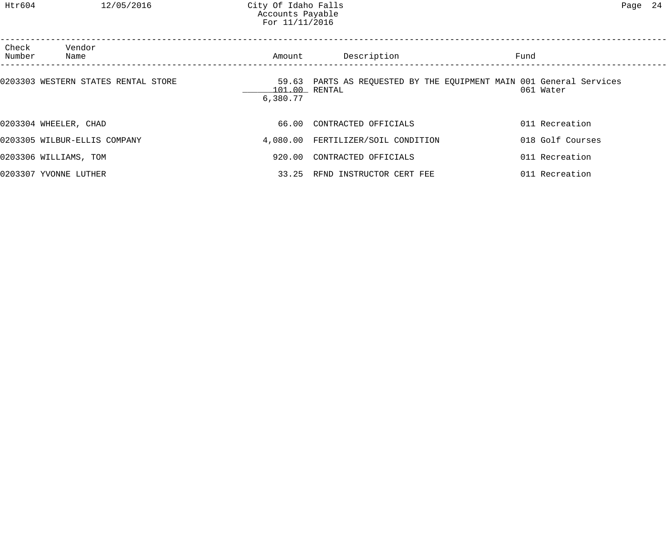| Check<br>Number | Vendor<br>Name                      | Amount                    | Description                                                         | Fund |                  |  |
|-----------------|-------------------------------------|---------------------------|---------------------------------------------------------------------|------|------------------|--|
|                 | 0203303 WESTERN STATES RENTAL STORE | 101.00 RENTAL<br>6,380.77 | 59.63 PARTS AS REQUESTED BY THE EQUIPMENT MAIN 001 General Services |      | 061 Water        |  |
|                 | 0203304 WHEELER, CHAD               |                           | 66.00 CONTRACTED OFFICIALS                                          |      | 011 Recreation   |  |
|                 | 0203305 WILBUR-ELLIS COMPANY        |                           | 4,080.00 FERTILIZER/SOIL CONDITION                                  |      | 018 Golf Courses |  |
|                 | 0203306 WILLIAMS, TOM               | 920.00                    | CONTRACTED OFFICIALS                                                |      | 011 Recreation   |  |
|                 | 0203307 YVONNE LUTHER               | 33.25                     | RFND INSTRUCTOR CERT FEE                                            |      | 011 Recreation   |  |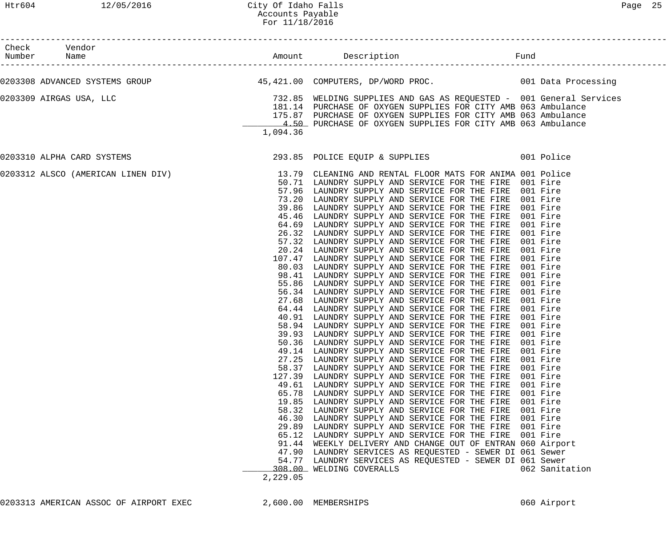| Check Vendor<br>Checr<br>Number Name                                                                                                                               |                                                                                                              |                                                                                                                                                                                                                                                                                                                                                                                                                                                                                                                                                                                                                                                                                                                                                                                                                                                                                                                                                                                                                                                                                                                                                                                                                                                                                                                                                                                                                                                                                                                                                                                                                                                                                                                                                                                                           |                                                                                                                                                                                                                |
|--------------------------------------------------------------------------------------------------------------------------------------------------------------------|--------------------------------------------------------------------------------------------------------------|-----------------------------------------------------------------------------------------------------------------------------------------------------------------------------------------------------------------------------------------------------------------------------------------------------------------------------------------------------------------------------------------------------------------------------------------------------------------------------------------------------------------------------------------------------------------------------------------------------------------------------------------------------------------------------------------------------------------------------------------------------------------------------------------------------------------------------------------------------------------------------------------------------------------------------------------------------------------------------------------------------------------------------------------------------------------------------------------------------------------------------------------------------------------------------------------------------------------------------------------------------------------------------------------------------------------------------------------------------------------------------------------------------------------------------------------------------------------------------------------------------------------------------------------------------------------------------------------------------------------------------------------------------------------------------------------------------------------------------------------------------------------------------------------------------------|----------------------------------------------------------------------------------------------------------------------------------------------------------------------------------------------------------------|
| 0203308 ADVANCED SYSTEMS GROUP 10 100 45,421.00 COMPUTERS, DP/WORD PROC. 100 1001 Data Processing                                                                  |                                                                                                              |                                                                                                                                                                                                                                                                                                                                                                                                                                                                                                                                                                                                                                                                                                                                                                                                                                                                                                                                                                                                                                                                                                                                                                                                                                                                                                                                                                                                                                                                                                                                                                                                                                                                                                                                                                                                           |                                                                                                                                                                                                                |
| 0203309 AIRGAS USA, LLC                                                                                                                                            | 1,094.36                                                                                                     | 732.85   WELDING SUPPLIES AND GAS AS REQUESTED -  001 General Services<br>181.14   PURCHASE OF OXYGEN SUPPLIES FOR CITY AMB 063 Ambulance<br>175.87 PURCHASE OF OXYGEN SUPPLIES FOR CITY AMB 063 Ambulance<br>4.50 PURCHASE OF OXYGEN SUPPLIES FOR CITY AMB 063 Ambulance                                                                                                                                                                                                                                                                                                                                                                                                                                                                                                                                                                                                                                                                                                                                                                                                                                                                                                                                                                                                                                                                                                                                                                                                                                                                                                                                                                                                                                                                                                                                 |                                                                                                                                                                                                                |
| 0203310 ALPHA CARD SYSTEMS                                                                                                                                         |                                                                                                              | 293.85 POLICE EQUIP & SUPPLIES 001 Police                                                                                                                                                                                                                                                                                                                                                                                                                                                                                                                                                                                                                                                                                                                                                                                                                                                                                                                                                                                                                                                                                                                                                                                                                                                                                                                                                                                                                                                                                                                                                                                                                                                                                                                                                                 |                                                                                                                                                                                                                |
| 0203312 ALSCO (AMERICAN LINEN DIV)             13.79 CLEANING AND RENTAL FLOOR MATS FOR ANIMA 001 Police<br>50.71 LAUNDRY SUPPLY AND SERVICE FOR THE FIRE 001 Fire | 27.68<br>27.25<br>58.37<br>127.39<br>65.78<br>46.30<br>29.89<br>65.12<br>91.44<br>47.90<br>54.77<br>2,229.05 | 57.96 LAUNDRY SUPPLY AND SERVICE FOR THE FIRE 001 Fire<br>73.20 LAUNDRY SUPPLY AND SERVICE FOR THE FIRE 001 Fire<br>39.86 LAUNDRY SUPPLY AND SERVICE FOR THE FIRE 001 Fire<br>45.46 LAUNDRY SUPPLY AND SERVICE FOR THE FIRE 001 Fire<br>64.69 LAUNDRY SUPPLY AND SERVICE FOR THE FIRE<br>26.32 LAUNDRY SUPPLY AND SERVICE FOR THE FIRE<br>57.32 LAUNDRY SUPPLY AND SERVICE FOR THE FIRE 001 Fire<br>20.24 LAUNDRY SUPPLY AND SERVICE FOR THE FIRE 001 Fire<br>107.47 LAUNDRY SUPPLY AND SERVICE FOR THE FIRE 001 Fire<br>80.03 LAUNDRY SUPPLY AND SERVICE FOR THE FIRE 001 Fire<br>98.41 LAUNDRY SUPPLY AND SERVICE FOR THE FIRE 001 Fire<br>55.86 LAUNDRY SUPPLY AND SERVICE FOR THE FIRE<br>56.34 LAUNDRY SUPPLY AND SERVICE FOR THE FIRE<br>LAUNDRY SUPPLY AND SERVICE FOR THE FIRE<br>64.44 LAUNDRY SUPPLY AND SERVICE FOR THE FIRE 001 Fire<br>40.91 LAUNDRY SUPPLY AND SERVICE FOR THE FIRE 001 Fire<br>58.94 LAUNDRY SUPPLY AND SERVICE FOR THE FIRE 001 Fire<br>39.93 LAUNDRY SUPPLY AND SERVICE FOR THE FIRE 001 Fire<br>50.36 LAUNDRY SUPPLY AND SERVICE FOR THE FIRE<br>49.14 LAUNDRY SUPPLY AND SERVICE FOR THE FIRE 001 Fire<br>LAUNDRY SUPPLY AND SERVICE FOR THE FIRE<br>LAUNDRY SUPPLY AND SERVICE FOR THE FIRE<br>LAUNDRY SUPPLY AND SERVICE FOR THE FIRE<br>49.61 LAUNDRY SUPPLY AND SERVICE FOR THE FIRE<br>LAUNDRY SUPPLY AND SERVICE FOR THE FIRE<br>19.85 LAUNDRY SUPPLY AND SERVICE FOR THE FIRE<br>58.32 LAUNDRY SUPPLY AND SERVICE FOR THE FIRE<br>LAUNDRY SUPPLY AND SERVICE FOR THE FIRE<br>LAUNDRY SUPPLY AND SERVICE FOR THE FIRE<br>LAUNDRY SUPPLY AND SERVICE FOR THE FIRE<br>WEEKLY DELIVERY AND CHANGE OUT OF ENTRAN 060 Airport<br>LAUNDRY SERVICES AS REQUESTED - SEWER DI 061 Sewer<br>LAUNDRY SERVICES AS REQUESTED - SEWER DI 061 Sewer<br>308.00 WELDING COVERALLS | 001 Fire<br>001 Fire<br>001 Fire<br>001 Fire<br>001 Fire<br>001 Fire<br>001 Fire<br>001 Fire<br>001 Fire<br>001 Fire<br>001 Fire<br>001 Fire<br>001 Fire<br>001 Fire<br>001 Fire<br>001 Fire<br>062 Sanitation |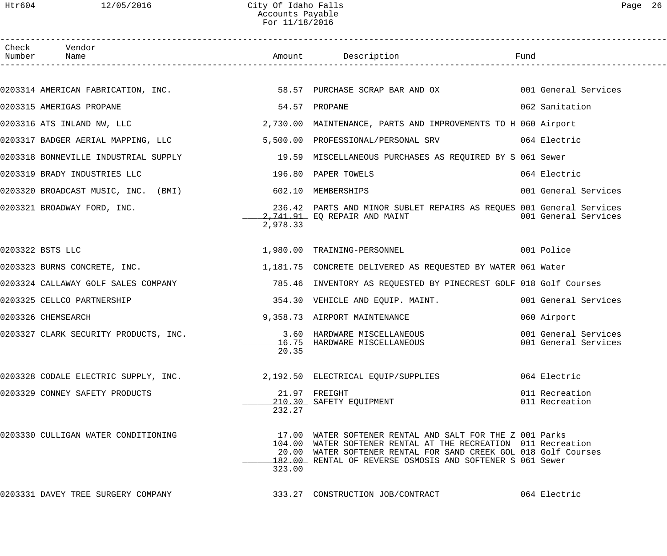Htr604 12/05/2016 City Of Idaho Falls Page 26 Accounts Payable For 11/18/2016

| Check Vendor<br>Number Name                            |               |                                                                                                                                                                                                                                                           |                                              |
|--------------------------------------------------------|---------------|-----------------------------------------------------------------------------------------------------------------------------------------------------------------------------------------------------------------------------------------------------------|----------------------------------------------|
|                                                        |               |                                                                                                                                                                                                                                                           |                                              |
|                                                        |               | 0203314 AMERICAN FABRICATION, INC. 68.57 PURCHASE SCRAP BAR AND OX 001 General Services                                                                                                                                                                   |                                              |
| 0203315 AMERIGAS PROPANE                               | 54.57 PROPANE |                                                                                                                                                                                                                                                           | 062 Sanitation                               |
|                                                        |               | 0203316 ATS INLAND NW, LLC 3.730.00 MAINTENANCE, PARTS AND IMPROVEMENTS TO H 060 Airport                                                                                                                                                                  |                                              |
| 0203317 BADGER AERIAL MAPPING, LLC                     |               | 5,500.00 PROFESSIONAL/PERSONAL SRV 064 Electric                                                                                                                                                                                                           |                                              |
|                                                        |               | 0203318 BONNEVILLE INDUSTRIAL SUPPLY 19.59 MISCELLANEOUS PURCHASES AS REQUIRED BY S 061 Sewer                                                                                                                                                             |                                              |
| 0203319 BRADY INDUSTRIES LLC                           |               | 196.80 PAPER TOWELS                                                                                                                                                                                                                                       | 064 Electric                                 |
| 0203320 BROADCAST MUSIC, INC. (BMI) 602.10 MEMBERSHIPS |               |                                                                                                                                                                                                                                                           | 001 General Services                         |
| 0203321 BROADWAY FORD, INC.                            | 2,978.33      | 236.42 PARTS AND MINOR SUBLET REPAIRS AS REQUES 001 General Services<br>2,741.91 EQ REPAIR AND MAINT                                                                                                                                                      | 001 General Services                         |
| 0203322 BSTS LLC                                       |               | 1,980.00 TRAINING-PERSONNEL 001 Police                                                                                                                                                                                                                    |                                              |
|                                                        |               | 0203323 BURNS CONCRETE, INC. THE SALE RELEVERT MELIVERED AS REQUESTED BY WATER 061 Water                                                                                                                                                                  |                                              |
|                                                        |               | 0203324 CALLAWAY GOLF SALES COMPANY                  785.46 INVENTORY AS REQUESTED BY PINECREST GOLF 018 Golf Courses                                                                                                                                     |                                              |
| 0203325 CELLCO PARTNERSHIP                             |               | 354.30 VEHICLE AND EQUIP. MAINT. 1997 1001 General Services                                                                                                                                                                                               |                                              |
| 0203326 CHEMSEARCH                                     |               | 9,358.73 AIRPORT MAINTENANCE                                                                                                                                                                                                                              | 060 Airport                                  |
| 0203327 CLARK SECURITY PRODUCTS, INC.                  | 20.35         | 3.60 HARDWARE MISCELLANEOUS<br>16.75 HARDWARE MISCELLANEOUS                                                                                                                                                                                               | 001 General Services<br>001 General Services |
| 0203328 CODALE ELECTRIC SUPPLY, INC.                   |               | 2,192.50 ELECTRICAL EQUIP/SUPPLIES                                                                                                                                                                                                                        | 064 Electric                                 |
| 0203329 CONNEY SAFETY PRODUCTS                         | 232.27        | 21.97 FREIGHT<br>210.30 SAFETY EQUIPMENT                                                                                                                                                                                                                  | 011 Recreation<br>011 Recreation             |
| 0203330 CULLIGAN WATER CONDITIONING                    | 323.00        | 17.00 WATER SOFTENER RENTAL AND SALT FOR THE Z 001 Parks<br>104.00 WATER SOFTENER RENTAL AT THE RECREATION 011 Recreation<br>20.00 WATER SOFTENER RENTAL FOR SAND CREEK GOL 018 Golf Courses<br>182.00 RENTAL OF REVERSE OSMOSIS AND SOFTENER S 061 Sewer |                                              |
| 0203331 DAVEY TREE SURGERY COMPANY                     |               | 333.27 CONSTRUCTION JOB/CONTRACT                                                                                                                                                                                                                          | 064 Electric                                 |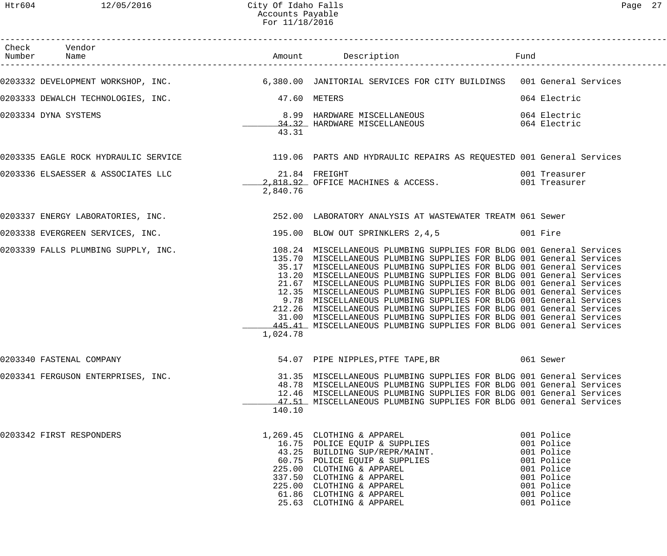| Check Vendor<br>Number Name                     |          | Amount Description <b>Example 1</b> Fund                                                                                                   |                          |
|-------------------------------------------------|----------|--------------------------------------------------------------------------------------------------------------------------------------------|--------------------------|
|                                                 |          | 0203332 DEVELOPMENT WORKSHOP, INC.<br>6,380.00 JANITORIAL SERVICES FOR CITY BUILDINGS 001 General Services                                 |                          |
| 0203333 DEWALCH TECHNOLOGIES, INC. 47.60 METERS |          |                                                                                                                                            | 064 Electric             |
|                                                 |          |                                                                                                                                            |                          |
| 0203334 DYNA SYSTEMS                            |          | 8.99 HARDWARE MISCELLANEOUS<br>064 Electric<br>34.32 HARDWARE MISCELLANEOUS                                                                | 064 Electric             |
|                                                 | 43.31    |                                                                                                                                            |                          |
|                                                 |          | 0203335 EAGLE ROCK HYDRAULIC SERVICE 119.06 PARTS AND HYDRAULIC REPAIRS AS REQUESTED 001 General Services                                  |                          |
|                                                 |          |                                                                                                                                            | 001 Treasurer            |
|                                                 |          | 2,818.92 OFFICE MACHINES & ACCESS. 001 Treasurer                                                                                           |                          |
|                                                 | 2,840.76 |                                                                                                                                            |                          |
|                                                 |          | 0203337 ENERGY LABORATORIES, INC. THE SERVICE SERVICE 252.00 LABORATORY ANALYSIS AT WASTEWATER TREATM 061 Sewer                            |                          |
|                                                 |          | 0203338 EVERGREEN SERVICES, INC. 195.00 BLOW OUT SPRINKLERS 2,4,5 001 Fire                                                                 |                          |
|                                                 |          | 0203339 FALLS PLUMBING SUPPLY, INC. 108.24 MISCELLANEOUS PLUMBING SUPPLIES FOR BLDG 001 General Services                                   |                          |
|                                                 |          | 135.70 MISCELLANEOUS PLUMBING SUPPLIES FOR BLDG 001 General Services                                                                       |                          |
|                                                 |          | 35.17 MISCELLANEOUS PLUMBING SUPPLIES FOR BLDG 001 General Services                                                                        |                          |
|                                                 |          | 13.20 MISCELLANEOUS PLUMBING SUPPLIES FOR BLDG 001 General Services                                                                        |                          |
|                                                 |          | 21.67 MISCELLANEOUS PLUMBING SUPPLIES FOR BLDG 001 General Services                                                                        |                          |
|                                                 |          | 12.35 MISCELLANEOUS PLUMBING SUPPLIES FOR BLDG 001 General Services                                                                        |                          |
|                                                 |          | 9.78 MISCELLANEOUS PLUMBING SUPPLIES FOR BLDG 001 General Services<br>212.26 MISCELLANEOUS PLUMBING SUPPLIES FOR BLDG 001 General Services |                          |
|                                                 |          | 31.00 MISCELLANEOUS PLUMBING SUPPLIES FOR BLDG 001 General Services                                                                        |                          |
|                                                 |          | 445.41 MISCELLANEOUS PLUMBING SUPPLIES FOR BLDG 001 General Services                                                                       |                          |
|                                                 | 1,024.78 |                                                                                                                                            |                          |
| 0203340 FASTENAL COMPANY                        |          | 54.07 PIPE NIPPLES, PTFE TAPE, BR 061 Sewer                                                                                                |                          |
|                                                 |          |                                                                                                                                            |                          |
| 0203341 FERGUSON ENTERPRISES, INC.              |          | 31.35 MISCELLANEOUS PLUMBING SUPPLIES FOR BLDG 001 General Services                                                                        |                          |
|                                                 |          | 48.78 MISCELLANEOUS PLUMBING SUPPLIES FOR BLDG 001 General Services                                                                        |                          |
|                                                 |          | 12.46 MISCELLANEOUS PLUMBING SUPPLIES FOR BLDG 001 General Services                                                                        |                          |
|                                                 | 140.10   | 47.51 MISCELLANEOUS PLUMBING SUPPLIES FOR BLDG 001 General Services                                                                        |                          |
|                                                 |          |                                                                                                                                            |                          |
| 0203342 FIRST RESPONDERS                        |          | 1,269.45 CLOTHING & APPAREL<br>16.75 POLICE EQUIP & SUPPLIES                                                                               | 001 Police               |
|                                                 |          |                                                                                                                                            | 001 Police               |
|                                                 |          | 43.25 BUILDING SUP/REPR/MAINT.                                                                                                             | 001 Police               |
|                                                 |          | 19:29 BOILEING SOL/NEIN/BINT.<br>60.75 POLICE EQUIP & SUPPLIES<br>225.00 CLOTHING & APPAREL<br>337.50 CLOTHING & APPAREL                   | 001 Police               |
|                                                 |          | 225.00 CLOTHING & APPAREL                                                                                                                  | 001 Police               |
|                                                 |          | 337.50 CLOTHING & APPAREL<br>225.00 CLOTHING & APPAREL                                                                                     | 001 Police               |
|                                                 |          |                                                                                                                                            | 001 Police               |
|                                                 |          | 61.86 CLOTHING & APPAREL                                                                                                                   | 001 Police<br>001 Police |
|                                                 |          | 25.63 CLOTHING & APPAREL                                                                                                                   |                          |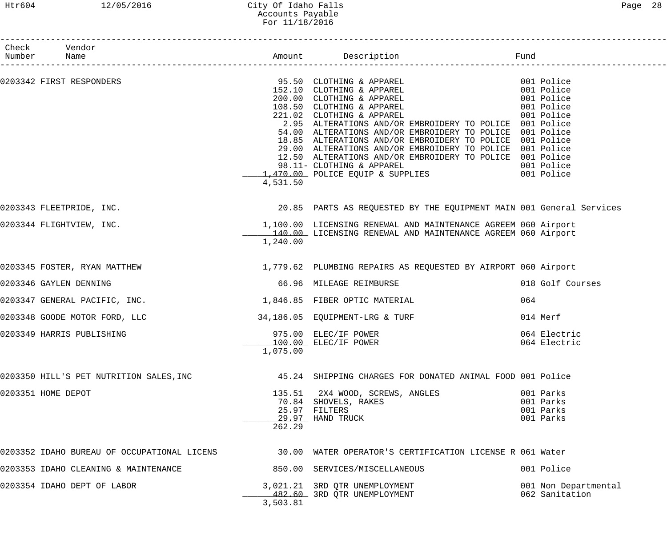## Htr604 12/05/2016 City Of Idaho Falls Page 28 Accounts Payable For 11/18/2016

| Check Vendor<br>Number Name                                   |                  |                                                                                                                                                                                                                                                                                                                                                                                                                                                                                                                                                                                                       |                                                  |
|---------------------------------------------------------------|------------------|-------------------------------------------------------------------------------------------------------------------------------------------------------------------------------------------------------------------------------------------------------------------------------------------------------------------------------------------------------------------------------------------------------------------------------------------------------------------------------------------------------------------------------------------------------------------------------------------------------|--------------------------------------------------|
|                                                               |                  |                                                                                                                                                                                                                                                                                                                                                                                                                                                                                                                                                                                                       |                                                  |
| 0203342 FIRST RESPONDERS                                      | 4,531.50         | 95.50 CLOTHING & APPAREL 001 Police<br>152.10 CLOTHING & APPAREL 001 Police<br>200.00 CLOTHING & APPAREL 001 Police<br>108.50 CLOTHING & APPAREL 001 Police<br>221.02 CLOTHING & APPAREL 001 Police<br>2.95 ALTERATIONS AND/OR EMBROIDERY TO POLICE 001 Police<br>54.00 ALTERATIONS AND/OR EMBROIDERY TO POLICE 001 Police<br>18.85 ALTERATIONS AND/OR EMBROIDERY TO POLICE 001 Police<br>29.00 ALTERATIONS AND/OR EMBROIDERY TO POLICE 001 Police<br>12.50 ALTERATIONS AND/OR EMBROIDERY TO POLICE 001 Police<br>98.11- CLOTHING & APPAREL 001 Police<br>1,470.00 POLICE EQUIP & SUPPLIES 001 Police |                                                  |
| 0203343 FLEETPRIDE, INC.                                      |                  | 20.85 PARTS AS REQUESTED BY THE EQUIPMENT MAIN 001 General Services                                                                                                                                                                                                                                                                                                                                                                                                                                                                                                                                   |                                                  |
| 0203344 FLIGHTVIEW, INC.                                      | 1,240.00         | 1,100.00 LICENSING RENEWAL AND MAINTENANCE AGREEM 060 Airport<br>140.00 LICENSING RENEWAL AND MAINTENANCE AGREEM 060 Airport                                                                                                                                                                                                                                                                                                                                                                                                                                                                          |                                                  |
|                                                               |                  | 0203345 FOSTER, RYAN MATTHEW 1,779.62 PLUMBING REPAIRS AS REQUESTED BY AIRPORT 060 Airport                                                                                                                                                                                                                                                                                                                                                                                                                                                                                                            |                                                  |
| 0203346 GAYLEN DENNING                                        |                  | 66.96 MILEAGE REIMBURSE                                                                                                                                                                                                                                                                                                                                                                                                                                                                                                                                                                               | 018 Golf Courses                                 |
| 0203347 GENERAL PACIFIC, INC. $1,846.85$ FIBER OPTIC MATERIAL |                  |                                                                                                                                                                                                                                                                                                                                                                                                                                                                                                                                                                                                       | 064                                              |
| 0203348 GOODE MOTOR FORD, LLC                                 |                  | 34,186.05 EQUIPMENT-LRG & TURF                                                                                                                                                                                                                                                                                                                                                                                                                                                                                                                                                                        | 014 Merf                                         |
| 0203349 HARRIS PUBLISHING                                     | 1,075.00         | 975.00 ELEC/IF POWER<br>100.00 ELEC/IF POWER                                                                                                                                                                                                                                                                                                                                                                                                                                                                                                                                                          | 064 Electric<br>064 Electric                     |
| 0203350 HILL'S PET NUTRITION SALES, INC                       |                  | 45.24 SHIPPING CHARGES FOR DONATED ANIMAL FOOD 001 Police                                                                                                                                                                                                                                                                                                                                                                                                                                                                                                                                             |                                                  |
| 0203351 HOME DEPOT                                            | 135.51<br>262.29 | 2X4 WOOD, SCREWS, ANGLES<br>70.84 SHOVELS, RAKES<br>25.97 FILTERS<br>29.97 HAND TRUCK                                                                                                                                                                                                                                                                                                                                                                                                                                                                                                                 | 001 Parks<br>001 Parks<br>001 Parks<br>001 Parks |
| 0203352 IDAHO BUREAU OF OCCUPATIONAL LICENS                   |                  | 30.00 WATER OPERATOR'S CERTIFICATION LICENSE R 061 Water                                                                                                                                                                                                                                                                                                                                                                                                                                                                                                                                              |                                                  |
| 0203353 IDAHO CLEANING & MAINTENANCE                          |                  | 850.00 SERVICES/MISCELLANEOUS                                                                                                                                                                                                                                                                                                                                                                                                                                                                                                                                                                         | 001 Police                                       |
| 0203354 IDAHO DEPT OF LABOR                                   | 3,503.81         | 3,021.21 3RD QTR UNEMPLOYMENT<br>482.60 3RD QTR UNEMPLOYMENT                                                                                                                                                                                                                                                                                                                                                                                                                                                                                                                                          | 001 Non Departmental<br>062 Sanitation           |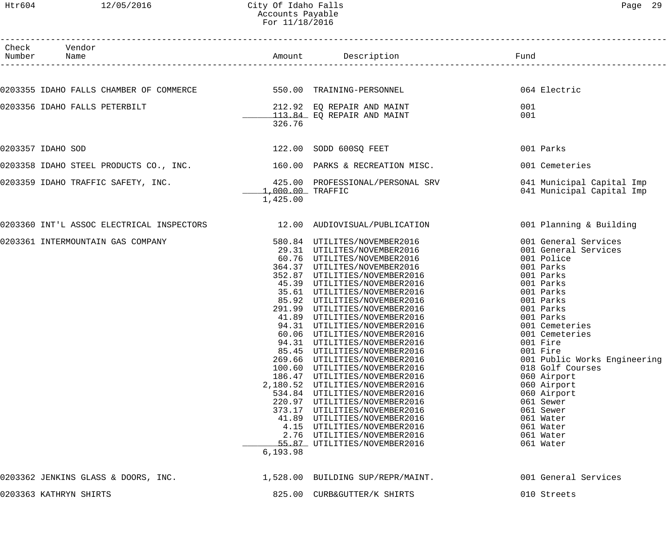## Htr604 12/05/2016 City Of Idaho Falls Page 29 Accounts Payable For 11/18/2016

| Check Vendor<br>Number Name                                              |                    | Amount Description                                                                                                         | Fund                                             |
|--------------------------------------------------------------------------|--------------------|----------------------------------------------------------------------------------------------------------------------------|--------------------------------------------------|
|                                                                          |                    |                                                                                                                            |                                                  |
| 0203355 IDAHO FALLS CHAMBER OF COMMERCE 550.00 TRAINING-PERSONNEL        |                    |                                                                                                                            | 064 Electric                                     |
| 0203356 IDAHO FALLS PETERBILT                                            |                    | 212.92 EQ REPAIR AND MAINT                                                                                                 | 001                                              |
|                                                                          |                    | 113.84 EQ REPAIR AND MAINT                                                                                                 | 001                                              |
|                                                                          | 326.76             |                                                                                                                            |                                                  |
| 0203357 IDAHO SOD                                                        |                    | 122.00 SODD 600SQ FEET                                                                                                     | 001 Parks                                        |
| 0203358 IDAHO STEEL PRODUCTS CO., INC. $160.00$ PARKS & RECREATION MISC. |                    |                                                                                                                            | 001 Cemeteries                                   |
| 0203359 IDAHO TRAFFIC SAFETY, INC.                                       |                    | 425.00 PROFESSIONAL/PERSONAL SRV                                                                                           | 041 Municipal Capital Imp                        |
|                                                                          | $1,000.00$ TRAFFIC |                                                                                                                            | 041 Municipal Capital Imp                        |
|                                                                          | 1,425.00           |                                                                                                                            |                                                  |
| 0203360 INT'L ASSOC ELECTRICAL INSPECTORS                                |                    | 12.00 AUDIOVISUAL/PUBLICATION                                                                                              | 001 Planning & Building                          |
| 0203361 INTERMOUNTAIN GAS COMPANY                                        |                    |                                                                                                                            | 001 General Services                             |
|                                                                          |                    | 580.84 UTILITES/NOVEMBER2016<br>29.31 UTILITES/NOVEMBER2016<br>60.76 UTILITES/NOVEMBER2016<br>364.37 UTILITES/NOVEMBER2016 | 001 General Services                             |
|                                                                          |                    |                                                                                                                            | 001 Police                                       |
|                                                                          |                    |                                                                                                                            | 001 Parks                                        |
|                                                                          |                    | 352.87 UTILITIES/NOVEMBER2016                                                                                              | 001 Parks                                        |
|                                                                          |                    | 45.39 UTILITIES/NOVEMBER2016                                                                                               | 001 Parks                                        |
|                                                                          |                    | 35.61 UTILITIES/NOVEMBER2016                                                                                               | 001 Parks                                        |
|                                                                          |                    | 85.92 UTILITIES/NOVEMBER2016                                                                                               | 001 Parks                                        |
|                                                                          |                    | 291.99 UTILITIES/NOVEMBER2016                                                                                              | 001 Parks                                        |
|                                                                          |                    | 41.89 UTILITIES/NOVEMBER2016                                                                                               | 001 Parks                                        |
|                                                                          |                    | 94.31 UTILITIES/NOVEMBER2016                                                                                               | 001 Cemeteries                                   |
|                                                                          |                    | 60.06 UTILITIES/NOVEMBER2016                                                                                               | 001 Cemeteries                                   |
|                                                                          |                    | 94.31 UTILITIES/NOVEMBER2016                                                                                               | 001 Fire                                         |
|                                                                          |                    | 85.45 UTILITIES/NOVEMBER2016                                                                                               | 001 Fire                                         |
|                                                                          |                    | 269.66 UTILITIES/NOVEMBER2016<br>100.60 UTILITIES/NOVEMBER2016                                                             | 001 Public Works Engineering<br>018 Golf Courses |
|                                                                          |                    | 186.47 UTILITIES/NOVEMBER2016                                                                                              | 060 Airport                                      |
|                                                                          |                    | 2,180.52 UTILITIES/NOVEMBER2016                                                                                            | 060 Airport                                      |
|                                                                          |                    | 534.84 UTILITIES/NOVEMBER2016                                                                                              | 060 Airport                                      |
|                                                                          |                    | 220.97 UTILITIES/NOVEMBER2016                                                                                              | 061 Sewer                                        |
|                                                                          |                    | 373.17 UTILITIES/NOVEMBER2016                                                                                              | 061 Sewer                                        |
|                                                                          |                    | 41.89 UTILITIES/NOVEMBER2016                                                                                               | 061 Water                                        |
|                                                                          |                    | 4.15 UTILITIES/NOVEMBER2016                                                                                                | 061 Water                                        |
|                                                                          |                    | 2.76 UTILITIES/NOVEMBER2016                                                                                                | 061 Water                                        |
|                                                                          |                    | 55.87 UTILITIES/NOVEMBER2016                                                                                               | 061 Water                                        |
|                                                                          | 6,193.98           |                                                                                                                            |                                                  |
| 0203362 JENKINS GLASS & DOORS, INC.                                      |                    | 1,528.00 BUILDING SUP/REPR/MAINT.                                                                                          | 001 General Services                             |
| 0203363 KATHRYN SHIRTS                                                   |                    | 825.00 CURB&GUTTER/K SHIRTS                                                                                                | 010 Streets                                      |
|                                                                          |                    |                                                                                                                            |                                                  |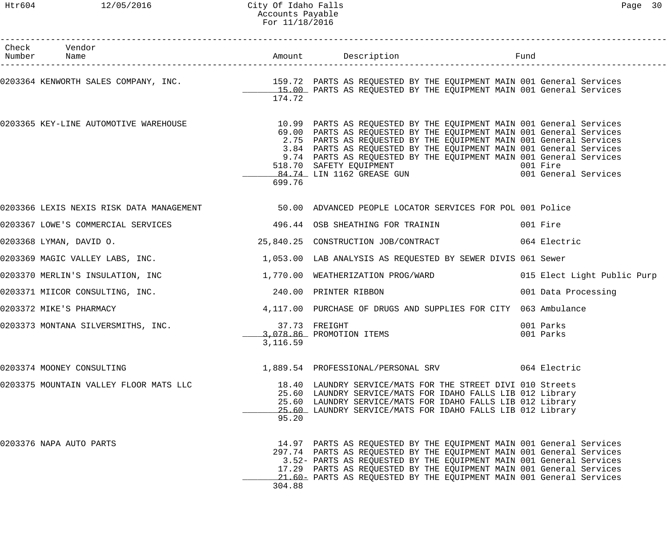| Check Vendor<br>Number Name                                                                             |          |                                                                                                                                                                                                                                                                                                                                                                                                                                                                                                          |                             |  |
|---------------------------------------------------------------------------------------------------------|----------|----------------------------------------------------------------------------------------------------------------------------------------------------------------------------------------------------------------------------------------------------------------------------------------------------------------------------------------------------------------------------------------------------------------------------------------------------------------------------------------------------------|-----------------------------|--|
| 0203364 KENWORTH SALES COMPANY, INC. THE REARTS AS REQUESTED BY THE EQUIPMENT MAIN 001 General Services | 174.72   | 15.00 PARTS AS REQUESTED BY THE EQUIPMENT MAIN 001 General Services                                                                                                                                                                                                                                                                                                                                                                                                                                      |                             |  |
| 0203365 KEY-LINE AUTOMOTIVE WAREHOUSE                                                                   | 699.76   | 10.99 PARTS AS REQUESTED BY THE EQUIPMENT MAIN 001 General Services<br>69.00 PARTS AS REQUESTED BY THE EQUIPMENT MAIN 001 General Services<br>2.75 PARTS AS REQUESTED BY THE EQUIPMENT MAIN 001 General Services<br>3.84 PARTS AS REQUESTED BY THE EQUIPMENT MAIN 001 General Services<br>9.74 PARTS AS REQUESTED BY THE EQUIPMENT MAIN 001 General Services<br>518.70 SAFETY EQUIPMENT<br>1999 - 84.74 LIN 1162 GREASE GUN 1999 - 1999 - 1999 - 1999 - 1999 - 1999 - 1999 - 1999 - 1999 - 1999 - 1999 - |                             |  |
| 0203366 LEXIS NEXIS RISK DATA MANAGEMENT 60 100 ADVANCED PEOPLE LOCATOR SERVICES FOR POL 001 Police     |          |                                                                                                                                                                                                                                                                                                                                                                                                                                                                                                          |                             |  |
| 0203367 LOWE'S COMMERCIAL SERVICES 6 1996.44 OSB SHEATHING FOR TRAININ                                  |          |                                                                                                                                                                                                                                                                                                                                                                                                                                                                                                          | 001 Fire                    |  |
| 0203368 LYMAN, DAVID O.                                                                                 |          | 25,840.25 CONSTRUCTION JOB/CONTRACT 064 Electric                                                                                                                                                                                                                                                                                                                                                                                                                                                         |                             |  |
| 0203369 MAGIC VALLEY LABS, INC.                                                                         |          | 1,053.00 LAB ANALYSIS AS REQUESTED BY SEWER DIVIS 061 Sewer                                                                                                                                                                                                                                                                                                                                                                                                                                              |                             |  |
| 0203370 MERLIN'S INSULATION, INC                                                                        |          | 1,770.00 WEATHERIZATION PROG/WARD                                                                                                                                                                                                                                                                                                                                                                                                                                                                        | 015 Elect Light Public Purp |  |
| 0203371 MIICOR CONSULTING, INC.                                                                         |          | 240.00 PRINTER RIBBON                                                                                                                                                                                                                                                                                                                                                                                                                                                                                    | 001 Data Processing         |  |
| 0203372 MIKE'S PHARMACY                                                                                 |          | 4,117.00 PURCHASE OF DRUGS AND SUPPLIES FOR CITY 063 Ambulance                                                                                                                                                                                                                                                                                                                                                                                                                                           |                             |  |
| 0203373 MONTANA SILVERSMITHS, INC.                                                                      | 3,116.59 | 37.73 FREIGHT<br>3,078.86 PROMOTION ITEMS                                                                                                                                                                                                                                                                                                                                                                                                                                                                | 001 Parks<br>001 Parks      |  |
| 0203374 MOONEY CONSULTING                                                                               |          | 1,889.54 PROFESSIONAL/PERSONAL SRV                                                                                                                                                                                                                                                                                                                                                                                                                                                                       | 064 Electric                |  |
| 0203375 MOUNTAIN VALLEY FLOOR MATS LLC                                                                  | 95.20    | 18.40 LAUNDRY SERVICE/MATS FOR THE STREET DIVI 010 Streets<br>25.60 LAUNDRY SERVICE/MATS FOR IDAHO FALLS LIB 012 Library<br>25.60 LAUNDRY SERVICE/MATS FOR IDAHO FALLS LIB 012 Library<br>25.60 LAUNDRY SERVICE/MATS FOR IDAHO FALLS LIB 012 Library                                                                                                                                                                                                                                                     |                             |  |
| 0203376 NAPA AUTO PARTS                                                                                 | 304.88   | 14.97 PARTS AS REQUESTED BY THE EQUIPMENT MAIN 001 General Services<br>297.74 PARTS AS REQUESTED BY THE EQUIPMENT MAIN 001 General Services<br>3.52- PARTS AS REQUESTED BY THE EQUIPMENT MAIN 001 General Services<br>17.29 PARTS AS REQUESTED BY THE EQUIPMENT MAIN 001 General Services<br>21.60- PARTS AS REQUESTED BY THE EQUIPMENT MAIN 001 General Services                                                                                                                                        |                             |  |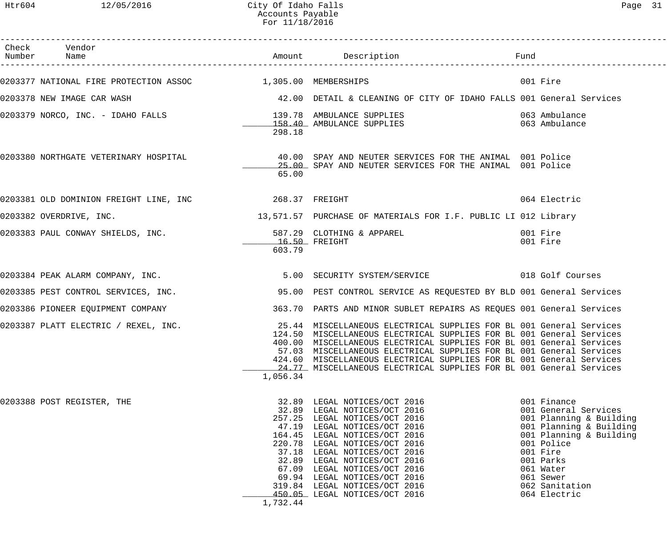| Check Vendor<br>Number Name                                 |          | Amount Description                                                                                                                                                                                                                                                                                                                                                                                                                        |                                                                                                                                                                                                                         |
|-------------------------------------------------------------|----------|-------------------------------------------------------------------------------------------------------------------------------------------------------------------------------------------------------------------------------------------------------------------------------------------------------------------------------------------------------------------------------------------------------------------------------------------|-------------------------------------------------------------------------------------------------------------------------------------------------------------------------------------------------------------------------|
| 0203377 NATIONAL FIRE PROTECTION ASSOC 1,305.00 MEMBERSHIPS |          |                                                                                                                                                                                                                                                                                                                                                                                                                                           | 001 Fire                                                                                                                                                                                                                |
| 0203378 NEW IMAGE CAR WASH                                  |          | 42.00 DETAIL & CLEANING OF CITY OF IDAHO FALLS 001 General Services                                                                                                                                                                                                                                                                                                                                                                       |                                                                                                                                                                                                                         |
|                                                             | 298.18   |                                                                                                                                                                                                                                                                                                                                                                                                                                           |                                                                                                                                                                                                                         |
|                                                             | 65.00    | 0203380 NORTHGATE VETERINARY HOSPITAL 60 100 SPAY AND NEUTER SERVICES FOR THE ANIMAL 001 Police<br>25.00 SPAY AND NEUTER SERVICES FOR THE ANIMAL 001 Police                                                                                                                                                                                                                                                                               |                                                                                                                                                                                                                         |
|                                                             |          |                                                                                                                                                                                                                                                                                                                                                                                                                                           | 064 Electric                                                                                                                                                                                                            |
| 0203382 OVERDRIVE, INC.                                     |          | 13,571.57 PURCHASE OF MATERIALS FOR I.F. PUBLIC LI 012 Library                                                                                                                                                                                                                                                                                                                                                                            |                                                                                                                                                                                                                         |
| 0203383 PAUL CONWAY SHIELDS, INC.                           | 603.79   | 587.29 CLOTHING & APPAREL<br>$16.50$ FREIGHT                                                                                                                                                                                                                                                                                                                                                                                              | 001 Fire<br>001 Fire                                                                                                                                                                                                    |
| 0203384 PEAK ALARM COMPANY, INC.                            |          |                                                                                                                                                                                                                                                                                                                                                                                                                                           |                                                                                                                                                                                                                         |
|                                                             |          | 0203385 PEST CONTROL SERVICES, INC. 40 195.00 PEST CONTROL SERVICE AS REQUESTED BY BLD 001 General Services                                                                                                                                                                                                                                                                                                                               |                                                                                                                                                                                                                         |
| 0203386 PIONEER EQUIPMENT COMPANY                           |          | 363.70 PARTS AND MINOR SUBLET REPAIRS AS REQUES 001 General Services                                                                                                                                                                                                                                                                                                                                                                      |                                                                                                                                                                                                                         |
| 0203387 PLATT ELECTRIC / REXEL, INC.                        | 1,056.34 | 25.44 MISCELLANEOUS ELECTRICAL SUPPLIES FOR BL 001 General Services<br>124.50 MISCELLANEOUS ELECTRICAL SUPPLIES FOR BL 001 General Services<br>400.00 MISCELLANEOUS ELECTRICAL SUPPLIES FOR BL 001 General Services<br>57.03 MISCELLANEOUS ELECTRICAL SUPPLIES FOR BL 001 General Services<br>424.60 MISCELLANEOUS ELECTRICAL SUPPLIES FOR BL 001 General Services<br>24.77 MISCELLANEOUS ELECTRICAL SUPPLIES FOR BL 001 General Services |                                                                                                                                                                                                                         |
| 0203388 POST REGISTER, THE                                  | 1,732.44 | 32.89 LEGAL NOTICES/OCT 2016<br>32.89 LEGAL NOTICES/OCT 2016<br>257.25 LEGAL NOTICES/OCT 2016<br>47.19 LEGAL NOTICES/OCT 2016<br>164.45 LEGAL NOTICES/OCT 2016<br>220.78 LEGAL NOTICES/OCT 2016<br>37.18 LEGAL NOTICES/OCT 2016<br>32.89 LEGAL NOTICES/OCT 2016<br>67.09 LEGAL NOTICES/OCT 2016<br>69.94 LEGAL NOTICES/OCT 2016<br>319.84 LEGAL NOTICES/OCT 2016<br>450.05 LEGAL NOTICES/OCT 2016                                         | 001 Finance<br>001 General Services<br>001 Planning & Building<br>001 Planning & Building<br>001 Planning & Building<br>001 Police<br>001 Fire<br>001 Parks<br>061 Water<br>061 Sewer<br>062 Sanitation<br>064 Electric |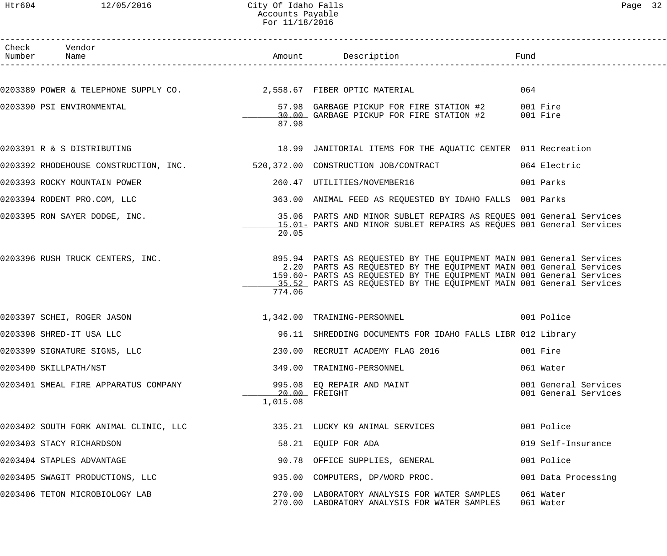#### Htr604 12/05/2016 City Of Idaho Falls Page 32 Accounts Payable For 11/18/2016

| $\sigma$<br>L |  |
|---------------|--|
|---------------|--|

| Check Vendor<br>Number Name                                        |          |                                                                                                                                                                                                                                                                                            |                                              |
|--------------------------------------------------------------------|----------|--------------------------------------------------------------------------------------------------------------------------------------------------------------------------------------------------------------------------------------------------------------------------------------------|----------------------------------------------|
| 0203389 POWER & TELEPHONE SUPPLY CO. 2,558.67 FIBER OPTIC MATERIAL |          |                                                                                                                                                                                                                                                                                            | 064                                          |
| 0203390 PSI ENVIRONMENTAL                                          | 87.98    | 57.98 GARBAGE PICKUP FOR FIRE STATION #2 001 Fire<br>30.00 GARBAGE PICKUP FOR FIRE STATION #2 001 Fire                                                                                                                                                                                     |                                              |
| 0203391 R & S DISTRIBUTING                                         |          | 18.99 JANITORIAL ITEMS FOR THE AQUATIC CENTER 011 Recreation                                                                                                                                                                                                                               |                                              |
|                                                                    |          | 0203392 RHODEHOUSE CONSTRUCTION, INC. 520,372.00 CONSTRUCTION JOB/CONTRACT 664 Electric                                                                                                                                                                                                    |                                              |
| 0203393 ROCKY MOUNTAIN POWER                                       |          | 260.47 UTILITIES/NOVEMBER16                                                                                                                                                                                                                                                                | 001 Parks                                    |
| 0203394 RODENT PRO.COM, LLC                                        |          | 363.00 ANIMAL FEED AS REQUESTED BY IDAHO FALLS 001 Parks                                                                                                                                                                                                                                   |                                              |
| 0203395 RON SAYER DODGE, INC.                                      | 20.05    | 35.06 PARTS AND MINOR SUBLET REPAIRS AS REQUES 001 General Services<br>15.01 PARTS AND MINOR SUBLET REPAIRS AS REQUES 001 General Services                                                                                                                                                 |                                              |
| 0203396 RUSH TRUCK CENTERS, INC.                                   | 774.06   | 895.94 PARTS AS REQUESTED BY THE EQUIPMENT MAIN 001 General Services<br>2.20 PARTS AS REQUESTED BY THE EQUIPMENT MAIN 001 General Services<br>159.60- PARTS AS REQUESTED BY THE EQUIPMENT MAIN 001 General Services<br>15.52 PARTS AS REQUESTED BY THE EQUIPMENT MAIN 001 General Services |                                              |
| 0203397 SCHEI, ROGER JASON                                         |          | 1,342.00 TRAINING-PERSONNEL                                                                                                                                                                                                                                                                | 001 Police                                   |
| 0203398 SHRED-IT USA LLC                                           |          | 96.11 SHREDDING DOCUMENTS FOR IDAHO FALLS LIBR 012 Library                                                                                                                                                                                                                                 |                                              |
| 0203399 SIGNATURE SIGNS, LLC                                       |          | 230.00 RECRUIT ACADEMY FLAG 2016                                                                                                                                                                                                                                                           | 001 Fire                                     |
| 0203400 SKILLPATH/NST                                              |          | 349.00 TRAINING-PERSONNEL                                                                                                                                                                                                                                                                  | 061 Water                                    |
| 0203401 SMEAL FIRE APPARATUS COMPANY                               | 1,015.08 | 995.08 EQ REPAIR AND MAINT<br>20.00 FREIGHT                                                                                                                                                                                                                                                | 001 General Services<br>001 General Services |
| 0203402 SOUTH FORK ANIMAL CLINIC, LLC                              |          | 335.21 LUCKY K9 ANIMAL SERVICES                                                                                                                                                                                                                                                            | 001 Police                                   |
| 0203403 STACY RICHARDSON                                           |          | 58.21 EQUIP FOR ADA                                                                                                                                                                                                                                                                        | 019 Self-Insurance                           |
| 0203404 STAPLES ADVANTAGE                                          |          | 90.78 OFFICE SUPPLIES, GENERAL                                                                                                                                                                                                                                                             | 001 Police                                   |
| 0203405 SWAGIT PRODUCTIONS, LLC                                    |          | 935.00 COMPUTERS, DP/WORD PROC.                                                                                                                                                                                                                                                            | 001 Data Processing                          |
| 0203406 TETON MICROBIOLOGY LAB                                     |          | 270.00 LABORATORY ANALYSIS FOR WATER SAMPLES<br>270.00 LABORATORY ANALYSIS FOR WATER SAMPLES                                                                                                                                                                                               | 061 Water<br>061 Water                       |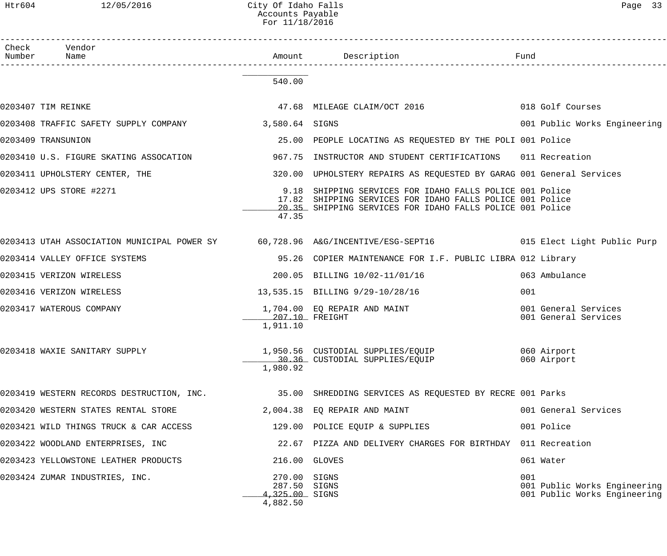| Check Vendor<br>Number Name                          |                                                      |                                                                                                                                                                               |                                                                     |
|------------------------------------------------------|------------------------------------------------------|-------------------------------------------------------------------------------------------------------------------------------------------------------------------------------|---------------------------------------------------------------------|
|                                                      | 540.00                                               |                                                                                                                                                                               |                                                                     |
| 0203407 TIM REINKE                                   |                                                      | 47.68 MILEAGE CLAIM/OCT 2016                                                                                                                                                  | 018 Golf Courses                                                    |
| 0203408 TRAFFIC SAFETY SUPPLY COMPANY 3,580.64 SIGNS |                                                      |                                                                                                                                                                               | 001 Public Works Engineering                                        |
| 0203409 TRANSUNION                                   |                                                      | 25.00 PEOPLE LOCATING AS REQUESTED BY THE POLI 001 Police                                                                                                                     |                                                                     |
| 0203410 U.S. FIGURE SKATING ASSOCATION               | 967.75                                               | INSTRUCTOR AND STUDENT CERTIFICATIONS 011 Recreation                                                                                                                          |                                                                     |
| 0203411 UPHOLSTERY CENTER, THE                       | 320.00                                               | UPHOLSTERY REPAIRS AS REQUESTED BY GARAG 001 General Services                                                                                                                 |                                                                     |
| 0203412 UPS STORE #2271                              | 9.18<br>47.35                                        | SHIPPING SERVICES FOR IDAHO FALLS POLICE 001 Police<br>17.82 SHIPPING SERVICES FOR IDAHO FALLS POLICE 001 Police<br>20.35 SHIPPING SERVICES FOR IDAHO FALLS POLICE 001 Police |                                                                     |
|                                                      |                                                      | 0203413 UTAH ASSOCIATION MUNICIPAL POWER SY 60,728.96 A&G/INCENTIVE/ESG-SEPT16 015 Elect Light Public Purp                                                                    |                                                                     |
| 0203414 VALLEY OFFICE SYSTEMS                        |                                                      | 95.26 COPIER MAINTENANCE FOR I.F. PUBLIC LIBRA 012 Library                                                                                                                    |                                                                     |
| 0203415 VERIZON WIRELESS                             |                                                      | 200.05 BILLING 10/02-11/01/16                                                                                                                                                 | 063 Ambulance                                                       |
| 0203416 VERIZON WIRELESS                             |                                                      | 13,535.15 BILLING 9/29-10/28/16                                                                                                                                               | 001                                                                 |
| 0203417 WATEROUS COMPANY                             | 207.10 FREIGHT<br>1,911.10                           | 1,704.00 EQ REPAIR AND MAINT                                                                                                                                                  | 001 General Services<br>001 General Services                        |
| 0203418 WAXIE SANITARY SUPPLY                        | 1,980.92                                             |                                                                                                                                                                               |                                                                     |
| 0203419 WESTERN RECORDS DESTRUCTION, INC.            |                                                      | 35.00 SHREDDING SERVICES AS REQUESTED BY RECRE 001 Parks                                                                                                                      |                                                                     |
| 0203420 WESTERN STATES RENTAL STORE                  |                                                      | 2,004.38 EQ REPAIR AND MAINT                                                                                                                                                  | 001 General Services                                                |
| 0203421 WILD THINGS TRUCK & CAR ACCESS               |                                                      | 129.00 POLICE EQUIP & SUPPLIES                                                                                                                                                | 001 Police                                                          |
| 0203422 WOODLAND ENTERPRISES, INC                    | 22.67                                                | PIZZA AND DELIVERY CHARGES FOR BIRTHDAY 011 Recreation                                                                                                                        |                                                                     |
| 0203423 YELLOWSTONE LEATHER PRODUCTS                 | 216.00                                               | GLOVES                                                                                                                                                                        | 061 Water                                                           |
| 0203424 ZUMAR INDUSTRIES, INC.                       | 270.00<br>287.50 SIGNS<br>4,325.00 SIGNS<br>4,882.50 | SIGNS                                                                                                                                                                         | 001<br>001 Public Works Engineering<br>001 Public Works Engineering |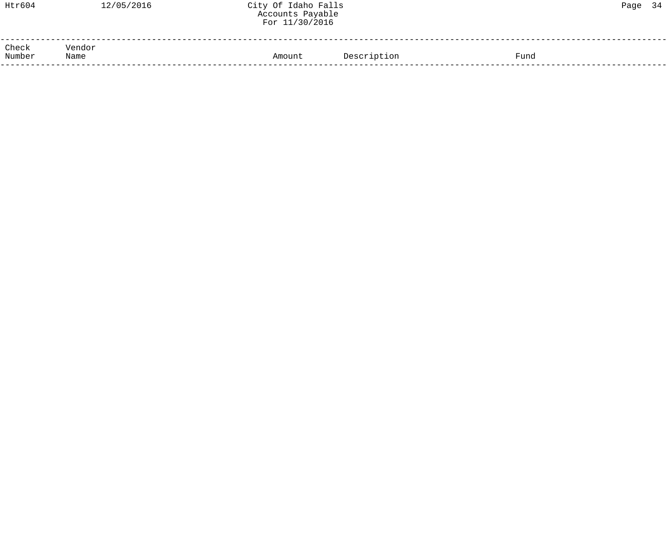| Htr604          | 12/05/2016     | City Of Idaho Falls<br>Accounts Payable<br>For 11/30/2016 |             |      | Page 34 |  |
|-----------------|----------------|-----------------------------------------------------------|-------------|------|---------|--|
| Check<br>Number | Vendor<br>Name | Amount                                                    | Description | Fund |         |  |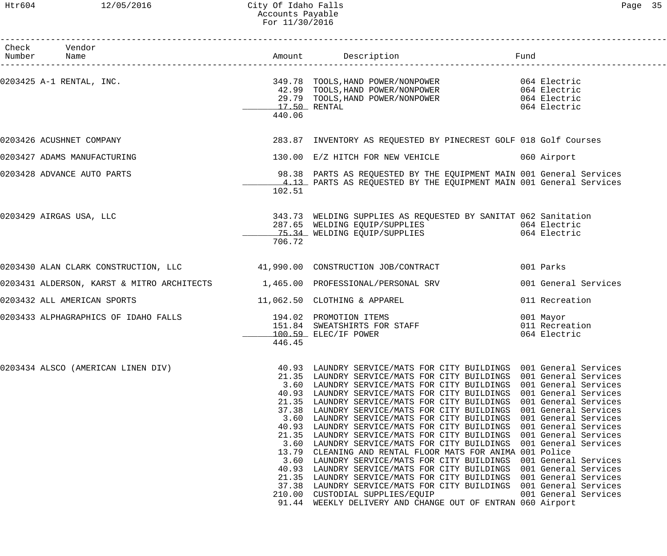## Htr604 12/05/2016 City Of Idaho Falls Page 35 Accounts Payable For 11/30/2016

| Check Vendor<br>Number Name                                                   |                                                                                                                                           |                                                                                                                                                                                                                                                                                                                                                                                                                                                                                                                                                                                                                                                                                                                                                                                                                                        |                                                                                                                                                                                                                                                                                              |
|-------------------------------------------------------------------------------|-------------------------------------------------------------------------------------------------------------------------------------------|----------------------------------------------------------------------------------------------------------------------------------------------------------------------------------------------------------------------------------------------------------------------------------------------------------------------------------------------------------------------------------------------------------------------------------------------------------------------------------------------------------------------------------------------------------------------------------------------------------------------------------------------------------------------------------------------------------------------------------------------------------------------------------------------------------------------------------------|----------------------------------------------------------------------------------------------------------------------------------------------------------------------------------------------------------------------------------------------------------------------------------------------|
| 0203425 A-1 RENTAL, INC.                                                      | 17.50 RENTAL<br>440.06                                                                                                                    | 349.78 TOOLS, HAND POWER/NONPOWER 064 Electric<br>42.99 TOOLS, HAND POWER/NONPOWER 064 Electric<br>29.79 TOOLS, HAND POWER/NONPOWER 064 Electric                                                                                                                                                                                                                                                                                                                                                                                                                                                                                                                                                                                                                                                                                       | 064 Electric                                                                                                                                                                                                                                                                                 |
| 0203426 ACUSHNET COMPANY                                                      |                                                                                                                                           | 283.87 INVENTORY AS REQUESTED BY PINECREST GOLF 018 Golf Courses                                                                                                                                                                                                                                                                                                                                                                                                                                                                                                                                                                                                                                                                                                                                                                       |                                                                                                                                                                                                                                                                                              |
| 0203427 ADAMS MANUFACTURING                                                   |                                                                                                                                           | 130.00 E/Z HITCH FOR NEW VEHICLE 6060 Airport                                                                                                                                                                                                                                                                                                                                                                                                                                                                                                                                                                                                                                                                                                                                                                                          |                                                                                                                                                                                                                                                                                              |
| 0203428 ADVANCE AUTO PARTS                                                    | 102.51                                                                                                                                    | 98.38 PARTS AS REQUESTED BY THE EQUIPMENT MAIN 001 General Services<br>4.13 PARTS AS REQUESTED BY THE EQUIPMENT MAIN 001 General Services                                                                                                                                                                                                                                                                                                                                                                                                                                                                                                                                                                                                                                                                                              |                                                                                                                                                                                                                                                                                              |
| 0203429 AIRGAS USA, LLC                                                       | 706.72                                                                                                                                    | 343.73 WELDING SUPPLIES AS REQUESTED BY SANITAT 062 Sanitation<br>287.65 WELDING EQUIP/SUPPLIES<br><u>75.34</u> WELDING EQUIP/SUPPLIES                                                                                                                                                                                                                                                                                                                                                                                                                                                                                                                                                                                                                                                                                                 | 064 Electric<br>064 Electric                                                                                                                                                                                                                                                                 |
| 0203430 ALAN CLARK CONSTRUCTION, LLC 41,990.00 CONSTRUCTION JOB/CONTRACT      |                                                                                                                                           |                                                                                                                                                                                                                                                                                                                                                                                                                                                                                                                                                                                                                                                                                                                                                                                                                                        | 001 Parks                                                                                                                                                                                                                                                                                    |
| 0203431 ALDERSON, KARST & MITRO ARCHITECTS 1,465.00 PROFESSIONAL/PERSONAL SRV |                                                                                                                                           |                                                                                                                                                                                                                                                                                                                                                                                                                                                                                                                                                                                                                                                                                                                                                                                                                                        | 001 General Services                                                                                                                                                                                                                                                                         |
| 0203432 ALL AMERICAN SPORTS                                                   |                                                                                                                                           | 11,062.50 CLOTHING & APPAREL                                                                                                                                                                                                                                                                                                                                                                                                                                                                                                                                                                                                                                                                                                                                                                                                           | 011 Recreation                                                                                                                                                                                                                                                                               |
| 0203433 ALPHAGRAPHICS OF IDAHO FALLS 194.02 PROMOTION ITEMS                   | 446.45                                                                                                                                    | 151.84 SWEATSHIRTS FOR STAFF<br>100.59 ELEC/IF POWER                                                                                                                                                                                                                                                                                                                                                                                                                                                                                                                                                                                                                                                                                                                                                                                   | 001 Mayor<br>011 Recreation<br>064 Electric                                                                                                                                                                                                                                                  |
| 0203434 ALSCO (AMERICAN LINEN DIV)                                            | 40.93<br>21.35<br>3.60<br>40.93<br>21.35<br>37.38<br>3.60<br>40.93<br>21.35<br>3.60<br>13.79<br>3.60<br>40.93<br>21.35<br>37.38<br>210.00 | LAUNDRY SERVICE/MATS FOR CITY BUILDINGS 001 General Services<br>LAUNDRY SERVICE/MATS FOR CITY BUILDINGS 001 General Services<br>LAUNDRY SERVICE/MATS FOR CITY BUILDINGS<br>LAUNDRY SERVICE/MATS FOR CITY BUILDINGS<br>LAUNDRY SERVICE/MATS FOR CITY BUILDINGS<br>LAUNDRY SERVICE/MATS FOR CITY BUILDINGS<br>LAUNDRY SERVICE/MATS FOR CITY BUILDINGS<br>LAUNDRY SERVICE/MATS FOR CITY BUILDINGS<br>LAUNDRY SERVICE/MATS FOR CITY BUILDINGS<br>LAUNDRY SERVICE/MATS FOR CITY BUILDINGS<br>CLEANING AND RENTAL FLOOR MATS FOR ANIMA 001 Police<br>LAUNDRY SERVICE/MATS FOR CITY BUILDINGS<br>LAUNDRY SERVICE/MATS FOR CITY BUILDINGS<br>LAUNDRY SERVICE/MATS FOR CITY BUILDINGS<br>LAUNDRY SERVICE/MATS FOR CITY BUILDINGS 001 General Services<br>CUSTODIAL SUPPLIES/EQUIP<br>91.44 WEEKLY DELIVERY AND CHANGE OUT OF ENTRAN 060 Airport | 001 General Services<br>001 General Services<br>001 General Services<br>001 General Services<br>001 General Services<br>001 General Services<br>001 General Services<br>001 General Services<br>001 General Services<br>001 General Services<br>001 General Services<br>001 General Services |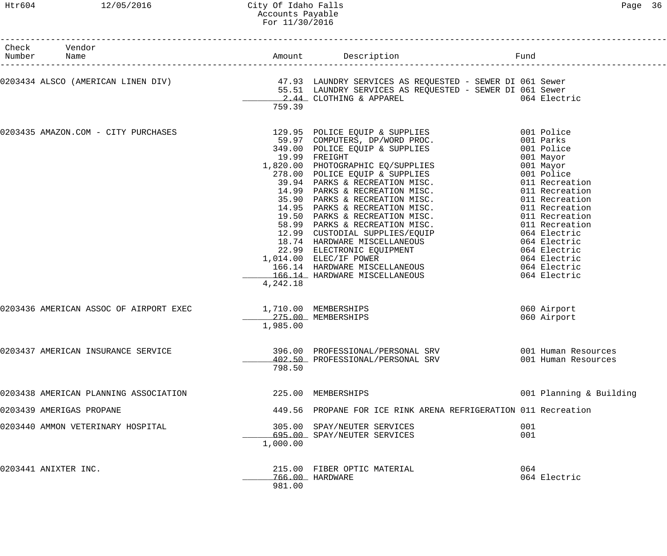## Htr604 12/05/2016 City Of Idaho Falls Page 36 Accounts Payable For 11/30/2016

| Check Vendor<br>Number Name<br>-------------------- |                                                             |          |                                                                                                                                                                                                |                            |
|-----------------------------------------------------|-------------------------------------------------------------|----------|------------------------------------------------------------------------------------------------------------------------------------------------------------------------------------------------|----------------------------|
|                                                     |                                                             | 759.39   | 0203434 ALSCO (AMERICAN LINEN DIV)             47.93 LAUNDRY SERVICES AS REQUESTED - SEWER DI 061 Sewer<br>55.51 LAUNDRY SERVICES AS REQUESTED - SEWER DI 061 Sewer<br>2.44 CLOTHING & APPAREL | 064 Electric               |
| 0203435 AMAZON.COM - CITY PURCHASES                 |                                                             | 4,242.18 | 129.95 POLICE EQUIP & SUPPLIES 001 Police                                                                                                                                                      |                            |
|                                                     | 0203436 AMERICAN ASSOC OF AIRPORT EXEC 1,710.00 MEMBERSHIPS | 1,985.00 | 275.00 MEMBERSHIPS                                                                                                                                                                             | 060 Airport<br>060 Airport |
| 0203437 AMERICAN INSURANCE SERVICE                  |                                                             | 798.50   | 402.50 PROFESSIONAL/PERSONAL SRV                                                                                                                                                               | 001 Human Resources        |
| 0203438 AMERICAN PLANNING ASSOCIATION               |                                                             |          | 225.00 MEMBERSHIPS                                                                                                                                                                             | 001 Planning & Building    |
| 0203439 AMERIGAS PROPANE                            |                                                             |          | 449.56 PROPANE FOR ICE RINK ARENA REFRIGERATION 011 Recreation                                                                                                                                 |                            |
| 0203440 AMMON VETERINARY HOSPITAL                   |                                                             | 1,000.00 | 305.00 SPAY/NEUTER SERVICES<br>695.00 SPAY/NEUTER SERVICES                                                                                                                                     | 001<br>001                 |
| 0203441 ANIXTER INC.                                |                                                             | 981.00   | 215.00 FIBER OPTIC MATERIAL<br>766.00 HARDWARE                                                                                                                                                 | 064<br>064 Electric        |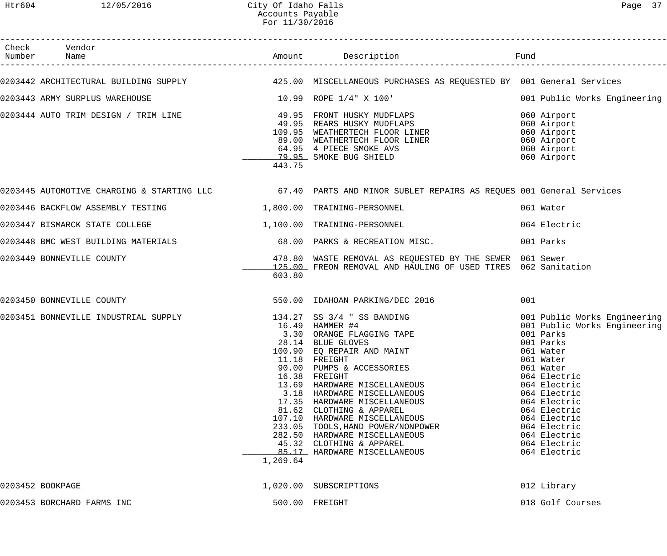| Check Vendor<br>Number Name                                                                                              |          |                                                                                                                                                                                                                                                                                                                                                                                                                                           |                                                                                                                                                                                                                               |
|--------------------------------------------------------------------------------------------------------------------------|----------|-------------------------------------------------------------------------------------------------------------------------------------------------------------------------------------------------------------------------------------------------------------------------------------------------------------------------------------------------------------------------------------------------------------------------------------------|-------------------------------------------------------------------------------------------------------------------------------------------------------------------------------------------------------------------------------|
| 0203442 ARCHITECTURAL BUILDING SUPPLY 125.00 MISCELLANEOUS PURCHASES AS REQUESTED BY 001 General Services                |          |                                                                                                                                                                                                                                                                                                                                                                                                                                           |                                                                                                                                                                                                                               |
|                                                                                                                          |          |                                                                                                                                                                                                                                                                                                                                                                                                                                           |                                                                                                                                                                                                                               |
| 0203443 ARMY SURPLUS WAREHOUSE                                                                                           |          | 10.99 ROPE 1/4" X 100'                                                                                                                                                                                                                                                                                                                                                                                                                    | 001 Public Works Engineering                                                                                                                                                                                                  |
|                                                                                                                          | 443.75   |                                                                                                                                                                                                                                                                                                                                                                                                                                           | 060 Airport<br>060 Airport<br>060 Airport<br>060 Airport<br>060 Airport<br>060 Airport                                                                                                                                        |
| 0203445 AUTOMOTIVE CHARGING & STARTING LLC           67.40 PARTS AND MINOR SUBLET REPAIRS AS REQUES 001 General Services |          |                                                                                                                                                                                                                                                                                                                                                                                                                                           |                                                                                                                                                                                                                               |
| 0203446 BACKFLOW ASSEMBLY TESTING 1,800.00 TRAINING-PERSONNEL                                                            |          |                                                                                                                                                                                                                                                                                                                                                                                                                                           | 061 Water                                                                                                                                                                                                                     |
| 0203447 BISMARCK STATE COLLEGE                                                                                           |          | 1,100.00 TRAINING-PERSONNEL                                                                                                                                                                                                                                                                                                                                                                                                               | 064 Electric                                                                                                                                                                                                                  |
| 0203448 BMC WEST BUILDING MATERIALS 68.00 PARKS & RECREATION MISC.                                                       |          |                                                                                                                                                                                                                                                                                                                                                                                                                                           | 001 Parks                                                                                                                                                                                                                     |
| 0203449 BONNEVILLE COUNTY                                                                                                | 603.80   | 478.80 WASTE REMOVAL AS REQUESTED BY THE SEWER 061 Sewer<br>125.00 FREON REMOVAL AND HAULING OF USED TIRES 062 Sanitation                                                                                                                                                                                                                                                                                                                 |                                                                                                                                                                                                                               |
| 0203450 BONNEVILLE COUNTY                                                                                                |          | 550.00 IDAHOAN PARKING/DEC 2016                                                                                                                                                                                                                                                                                                                                                                                                           | 001                                                                                                                                                                                                                           |
| 0203451 BONNEVILLE INDUSTRIAL SUPPLY                                                                                     | 1,269.64 | 3.30 ORANGE FLAGGING TAPE<br>28.14 BLUE GLOVES<br>100.90 EQ REPAIR AND MAINT<br>11.18 FREIGHT<br>90.00 PUMPS & ACCESSORIES<br>16.38 FREIGHT<br>13.69 HARDWARE MISCELLANEOUS<br>3.18 HARDWARE MISCELLANEOUS<br>17.35 HARDWARE MISCELLANEOUS<br>81.62 CLOTHING & APPAREL<br>107.10 HARDWARE MISCELLANEOUS<br>233.05 TOOLS, HAND POWER/NONPOWER<br>282.50 HARDWARE MISCELLANEOUS<br>45.32 CLOTHING & APPAREL<br>85.17 HARDWARE MISCELLANEOUS | 001 Parks<br>001 Parks<br>061 Water<br>061 Water<br>061 Water<br>064 Electric<br>064 Electric<br>064 Electric<br>064 Electric<br>064 Electric<br>064 Electric<br>064 Electric<br>064 Electric<br>064 Electric<br>064 Electric |
| 0203452 BOOKPAGE                                                                                                         |          | 1,020.00 SUBSCRIPTIONS                                                                                                                                                                                                                                                                                                                                                                                                                    | 012 Library                                                                                                                                                                                                                   |
| 0203453 BORCHARD FARMS INC                                                                                               |          | 500.00 FREIGHT                                                                                                                                                                                                                                                                                                                                                                                                                            | 018 Golf Courses                                                                                                                                                                                                              |
|                                                                                                                          |          |                                                                                                                                                                                                                                                                                                                                                                                                                                           |                                                                                                                                                                                                                               |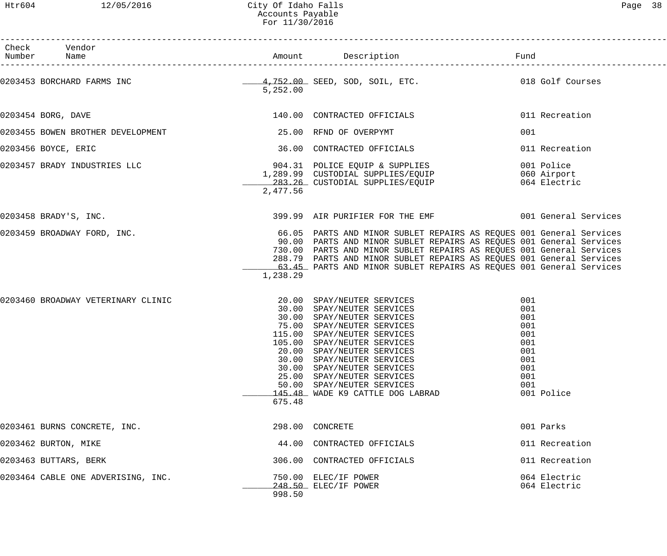Htr604 12/05/2016 City Of Idaho Falls Page 38 Accounts Payable For 11/30/2016

| Page | 8 |
|------|---|
|------|---|

| Check Vendor<br>Number Name        |          |                                                                                                                                                                                                                                                                                                                                                                              |                                                                                         |
|------------------------------------|----------|------------------------------------------------------------------------------------------------------------------------------------------------------------------------------------------------------------------------------------------------------------------------------------------------------------------------------------------------------------------------------|-----------------------------------------------------------------------------------------|
|                                    | 5,252.00 |                                                                                                                                                                                                                                                                                                                                                                              |                                                                                         |
| 0203454 BORG, DAVE                 |          | 140.00 CONTRACTED OFFICIALS                                                                                                                                                                                                                                                                                                                                                  | 011 Recreation                                                                          |
| 0203455 BOWEN BROTHER DEVELOPMENT  |          | 25.00 RFND OF OVERPYMT                                                                                                                                                                                                                                                                                                                                                       | 001                                                                                     |
| 0203456 BOYCE, ERIC                |          | 36.00 CONTRACTED OFFICIALS                                                                                                                                                                                                                                                                                                                                                   | 011 Recreation                                                                          |
|                                    | 2,477.56 |                                                                                                                                                                                                                                                                                                                                                                              | 001 Police<br>060 Airport<br>064 Electric                                               |
| 0203458 BRADY'S, INC.              |          | 399.99 AIR PURIFIER FOR THE EMF 6001 General Services                                                                                                                                                                                                                                                                                                                        |                                                                                         |
| 0203459 BROADWAY FORD, INC.        | 1,238.29 | 66.05 PARTS AND MINOR SUBLET REPAIRS AS REQUES 001 General Services<br>90.00 PARTS AND MINOR SUBLET REPAIRS AS REQUES 001 General Services<br>730.00 PARTS AND MINOR SUBLET REPAIRS AS REQUES 001 General Services<br>288.79 PARTS AND MINOR SUBLET REPAIRS AS REQUES 001 General Services<br>63.45 PARTS AND MINOR SUBLET REPAIRS AS REQUES 001 General Services            |                                                                                         |
| 0203460 BROADWAY VETERINARY CLINIC | 675.48   | 20.00 SPAY/NEUTER SERVICES<br>30.00 SPAY/NEUTER SERVICES<br>30.00 SPAY/NEUTER SERVICES<br>75.00 SPAY/NEUTER SERVICES<br>115.00 SPAY/NEUTER SERVICES<br>105.00 SPAY/NEUTER SERVICES<br>20.00 SPAY/NEUTER SERVICES<br>30.00 SPAY/NEUTER SERVICES<br>30.00 SPAY/NEUTER SERVICES<br>25.00 SPAY/NEUTER SERVICES<br>50.00 SPAY/NEUTER SERVICES<br>145.48 WADE K9 CATTLE DOG LABRAD | 001<br>001<br>001<br>001<br>001<br>001<br>001<br>001<br>001<br>001<br>001<br>001 Police |
| 0203461 BURNS CONCRETE, INC.       |          | 298.00 CONCRETE                                                                                                                                                                                                                                                                                                                                                              | 001 Parks                                                                               |
| 0203462 BURTON, MIKE               |          | 44.00 CONTRACTED OFFICIALS                                                                                                                                                                                                                                                                                                                                                   | 011 Recreation                                                                          |
| 0203463 BUTTARS, BERK              |          | 306.00 CONTRACTED OFFICIALS                                                                                                                                                                                                                                                                                                                                                  | 011 Recreation                                                                          |
| 0203464 CABLE ONE ADVERISING, INC. | 998.50   | 750.00 ELEC/IF POWER<br>248.50 ELEC/IF POWER                                                                                                                                                                                                                                                                                                                                 | 064 Electric<br>064 Electric                                                            |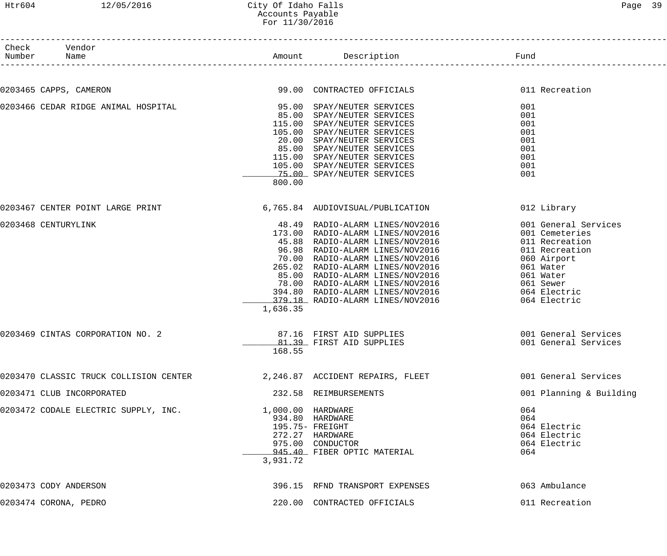#### Htr604 12/05/2016 City Of Idaho Falls Page 39 Accounts Payable For 11/30/2016

| Check Vendor<br>Number Name                                               |          | Amount Description Description                                                                                                                                                  |                         |
|---------------------------------------------------------------------------|----------|---------------------------------------------------------------------------------------------------------------------------------------------------------------------------------|-------------------------|
| 0203465 CAPPS, CAMERON                                                    |          | 99.00 CONTRACTED OFFICIALS                                                                                                                                                      | 011 Recreation          |
| 0203466 CEDAR RIDGE ANIMAL HOSPITAL                                       |          | 95.00 SPAY/NEUTER SERVICES                                                                                                                                                      | 001                     |
|                                                                           |          | 85.00 SPAY/NEUTER SERVICES                                                                                                                                                      | 001                     |
|                                                                           |          | 115.00 SPAY/NEUTER SERVICES                                                                                                                                                     | 001                     |
|                                                                           |          | 105.00 SPAY/NEUTER SERVICES                                                                                                                                                     | 001                     |
|                                                                           |          | 20.00 SPAY/NEUTER SERVICES                                                                                                                                                      | 001                     |
|                                                                           |          | 85.00 SPAY/NEUTER SERVICES                                                                                                                                                      | 001                     |
|                                                                           |          | 115.00 SPAY/NEUTER SERVICES                                                                                                                                                     | 001                     |
|                                                                           |          | 105.00 SPAY/NEUTER SERVICES                                                                                                                                                     | 001                     |
|                                                                           |          | 75.00 SPAY/NEUTER SERVICES                                                                                                                                                      | 001                     |
|                                                                           | 800.00   |                                                                                                                                                                                 |                         |
| 0203467 CENTER POINT LARGE PRINT                                          |          | 6,765.84 AUDIOVISUAL/PUBLICATION                                                                                                                                                | 012 Library             |
|                                                                           |          |                                                                                                                                                                                 |                         |
| 0203468 CENTURYLINK                                                       |          | 48.49 RADIO-ALARM LINES/NOV2016                                                                                                                                                 | 001 General Services    |
|                                                                           |          | 173.00 RADIO-ALARM LINES/NOV2016                                                                                                                                                | 001 Cemeteries          |
|                                                                           |          | 45.88 RADIO-ALARM LINES/NOV2016                                                                                                                                                 | 011 Recreation          |
|                                                                           |          | 96.98 RADIO-ALARM LINES/NOV2016                                                                                                                                                 | 011 Recreation          |
|                                                                           |          | 70.00 RADIO-ALARM LINES/NOV2016<br>AND THE SAME CONSTRAINS TO A 2016<br>25.00 RADIO-ALARM LINES/NOV2016<br>294.80 RADIO-ALARM LINES/NOV2016<br>294.80 RADIO-ALARM LINES/NOV2016 | 060 Airport             |
|                                                                           |          |                                                                                                                                                                                 | 061 Water               |
|                                                                           |          |                                                                                                                                                                                 | 061 Water               |
|                                                                           |          |                                                                                                                                                                                 | 061 Sewer               |
|                                                                           |          |                                                                                                                                                                                 | 064 Electric            |
|                                                                           |          | 379.18 RADIO-ALARM LINES/NOV2016                                                                                                                                                | 064 Electric            |
|                                                                           | 1,636.35 |                                                                                                                                                                                 |                         |
| 0203469 CINTAS CORPORATION NO. 2                                          |          | 87.16 FIRST AID SUPPLIES                                                                                                                                                        | 001 General Services    |
|                                                                           |          | 81.39 FIRST AID SUPPLIES                                                                                                                                                        | 001 General Services    |
|                                                                           | 168.55   |                                                                                                                                                                                 |                         |
| 0203470 CLASSIC TRUCK COLLISION CENTER $2,246.87$ ACCIDENT REPAIRS, FLEET |          |                                                                                                                                                                                 | 001 General Services    |
| 0203471 CLUB INCORPORATED                                                 |          | 232.58 REIMBURSEMENTS                                                                                                                                                           | 001 Planning & Building |
| 0203472 CODALE ELECTRIC SUPPLY, INC.                                      |          | 1,000.00 HARDWARE                                                                                                                                                               | 064                     |
|                                                                           |          | 934.80 HARDWARE                                                                                                                                                                 | 064                     |
|                                                                           |          | 195.75- FREIGHT                                                                                                                                                                 | 064 Electric            |
|                                                                           |          | 272.27 HARDWARE                                                                                                                                                                 | 064 Electric            |
|                                                                           |          | 975.00 CONDUCTOR                                                                                                                                                                | 064 Electric            |
|                                                                           |          | 945.40 FIBER OPTIC MATERIAL                                                                                                                                                     | 064                     |
|                                                                           | 3,931.72 |                                                                                                                                                                                 |                         |
| 0203473 CODY ANDERSON                                                     |          | 396.15 RFND TRANSPORT EXPENSES                                                                                                                                                  | 063 Ambulance           |
|                                                                           |          |                                                                                                                                                                                 |                         |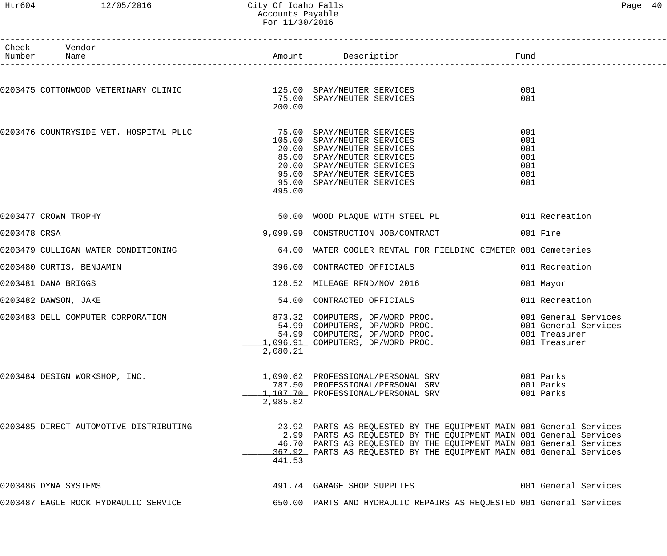Check Vendor

# Htr604 12/05/2016 City Of Idaho Falls Page 40 Accounts Payable For 11/30/2016

------------------------------------------------------------------------------------------------------------------------------------

| Number       | Name                                                              |          | Amount Description                                                                                                                                                                                                                                                                       | Fund                                                                           |
|--------------|-------------------------------------------------------------------|----------|------------------------------------------------------------------------------------------------------------------------------------------------------------------------------------------------------------------------------------------------------------------------------------------|--------------------------------------------------------------------------------|
|              | 0203475 COTTONWOOD VETERINARY CLINIC 125.00 SPAY/NEUTER SERVICES  | 200.00   | 75.00 SPAY/NEUTER SERVICES                                                                                                                                                                                                                                                               | 001<br>001                                                                     |
|              | 0203476 COUNTRYSIDE VET. HOSPITAL PLLC 75.00 SPAY/NEUTER SERVICES | 495.00   | 105.00 SPAY/NEUTER SERVICES<br>20.00 SPAY/NEUTER SERVICES<br>85.00 SPAY/NEUTER SERVICES<br>20.00 SPAY/NEUTER SERVICES<br>95.00 SPAY/NEUTER SERVICES<br>95.00 SPAY/NEUTER SERVICES                                                                                                        | 001<br>001<br>001<br>001<br>001<br>001<br>001                                  |
|              | 0203477 CROWN TROPHY                                              |          | 50.00 WOOD PLAQUE WITH STEEL PL                                                                                                                                                                                                                                                          | 011 Recreation                                                                 |
| 0203478 CRSA |                                                                   |          |                                                                                                                                                                                                                                                                                          | 001 Fire                                                                       |
|              | 0203479 CULLIGAN WATER CONDITIONING                               | 64.00    | WATER COOLER RENTAL FOR FIELDING CEMETER 001 Cemeteries                                                                                                                                                                                                                                  |                                                                                |
|              | 0203480 CURTIS, BENJAMIN                                          | 396.00   | CONTRACTED OFFICIALS                                                                                                                                                                                                                                                                     | 011 Recreation                                                                 |
|              | 0203481 DANA BRIGGS                                               |          | 128.52 MILEAGE RFND/NOV 2016                                                                                                                                                                                                                                                             | 001 Mayor                                                                      |
|              | 0203482 DAWSON, JAKE                                              |          | 54.00 CONTRACTED OFFICIALS                                                                                                                                                                                                                                                               | 011 Recreation                                                                 |
|              | 0203483 DELL COMPUTER CORPORATION                                 | 2,080.21 | 873.32 COMPUTERS, DP/WORD PROC.<br>54.99 COMPUTERS, DP/WORD PROC.<br>54.99 COMPUTERS, DP/WORD PROC.<br>1,096.91 COMPUTERS, DP/WORD PROC.                                                                                                                                                 | 001 General Services<br>001 General Services<br>001 Treasurer<br>001 Treasurer |
|              | 0203484 DESIGN WORKSHOP, INC.                                     | 2,985.82 | 1,090.62 PROFESSIONAL/PERSONAL SRV<br>787.50 PROFESSIONAL/PERSONAL SRV<br>1,107.70 PROFESSIONAL/PERSONAL SRV                                                                                                                                                                             | 001 Parks<br>001 Parks<br>001 Parks                                            |
|              | 0203485 DIRECT AUTOMOTIVE DISTRIBUTING                            | 441.53   | 23.92 PARTS AS REQUESTED BY THE EQUIPMENT MAIN 001 General Services<br>2.99 PARTS AS REQUESTED BY THE EQUIPMENT MAIN 001 General Services<br>46.70 PARTS AS REQUESTED BY THE EQUIPMENT MAIN 001 General Services<br>367.92 PARTS AS REQUESTED BY THE EQUIPMENT MAIN 001 General Services |                                                                                |
|              | 0203486 DYNA SYSTEMS                                              |          | 491.74 GARAGE SHOP SUPPLIES                                                                                                                                                                                                                                                              | 001 General Services                                                           |
|              | 0203487 EAGLE ROCK HYDRAULIC SERVICE                              |          | 650.00 PARTS AND HYDRAULIC REPAIRS AS REQUESTED 001 General Services                                                                                                                                                                                                                     |                                                                                |
|              |                                                                   |          |                                                                                                                                                                                                                                                                                          |                                                                                |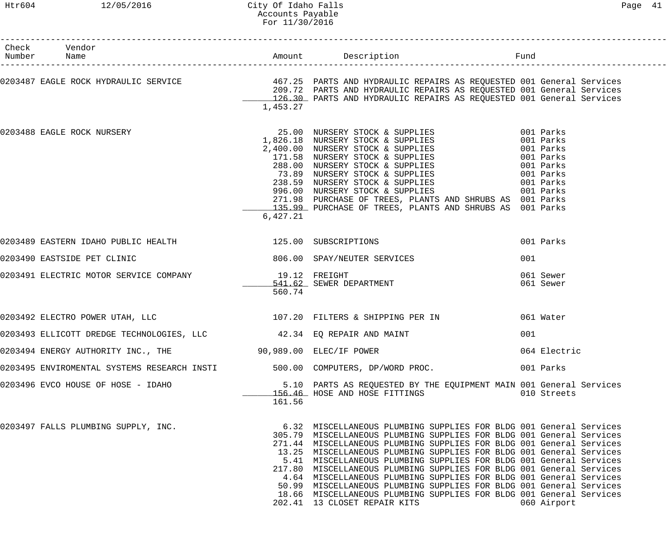| Check Vendor<br>Number Name                                                                                                             |          |                                                                                                                                                                                                                                                                                                                                                                                                                                                                                                                                                                                                                                                                                             |                        |
|-----------------------------------------------------------------------------------------------------------------------------------------|----------|---------------------------------------------------------------------------------------------------------------------------------------------------------------------------------------------------------------------------------------------------------------------------------------------------------------------------------------------------------------------------------------------------------------------------------------------------------------------------------------------------------------------------------------------------------------------------------------------------------------------------------------------------------------------------------------------|------------------------|
|                                                                                                                                         | 1,453.27 | 0203487 EAGLE ROCK HYDRAULIC SERVICE 1999.72 PARTS AND HYDRAULIC REPAIRS AS REQUESTED 001 General Services 1999.72<br>209.72 PARTS AND HYDRAULIC REPAIRS AS REQUESTED 001 General Services<br>126.30 PARTS AND HYDRAULIC REPAIRS AS                                                                                                                                                                                                                                                                                                                                                                                                                                                         |                        |
|                                                                                                                                         | 6,427.21 | 0203488 EAGLE ROCK NURSERY<br>1,826.18 NURSERY STOCK & SUPPLIES<br>2,400.00 NURSERY STOCK & SUPPLIES<br>2,400.00 NURSERY STOCK & SUPPLIES<br>171.58 NURSERY STOCK & SUPPLIES<br>288.00 NURSERY STOCK & SUPPLIES<br>238.59 NURSERY STOCK &<br>271.98 PURCHASE OF TREES, PLANTS AND SHRUBS AS 001 Parks<br>135.99 PURCHASE OF TREES, PLANTS AND SHRUBS AS 001 Parks                                                                                                                                                                                                                                                                                                                           |                        |
| 0203489 EASTERN IDAHO PUBLIC HEALTH 125.00 SUBSCRIPTIONS                                                                                |          |                                                                                                                                                                                                                                                                                                                                                                                                                                                                                                                                                                                                                                                                                             | 001 Parks              |
| 0203490 EASTSIDE PET CLINIC                                                                                                             |          | 806.00 SPAY/NEUTER SERVICES                                                                                                                                                                                                                                                                                                                                                                                                                                                                                                                                                                                                                                                                 | 001                    |
| 0203491 ELECTRIC MOTOR SERVICE COMPANY          19.12 FREIGHT<br>0203491 ELECTRIC MOTOR SERVICE COMPANY          19.12 SEWER DEPARTMENT | 560.74   |                                                                                                                                                                                                                                                                                                                                                                                                                                                                                                                                                                                                                                                                                             | 061 Sewer<br>061 Sewer |
|                                                                                                                                         |          | 0203492 ELECTRO POWER UTAH, LLC 107.20 FILTERS & SHIPPING PER IN 661 Water                                                                                                                                                                                                                                                                                                                                                                                                                                                                                                                                                                                                                  |                        |
| 0203493 ELLICOTT DREDGE TECHNOLOGIES, LLC 42.34 EQ REPAIR AND MAINT                                                                     |          |                                                                                                                                                                                                                                                                                                                                                                                                                                                                                                                                                                                                                                                                                             | 001                    |
| 0203494 ENERGY AUTHORITY INC., THE 30,989.00 ELEC/IF POWER                                                                              |          |                                                                                                                                                                                                                                                                                                                                                                                                                                                                                                                                                                                                                                                                                             | 064 Electric           |
| 0203495 ENVIROMENTAL SYSTEMS RESEARCH INSTI 500.00 COMPUTERS, DP/WORD PROC.                                                             |          |                                                                                                                                                                                                                                                                                                                                                                                                                                                                                                                                                                                                                                                                                             | 001 Parks              |
| 0203496 EVCO HOUSE OF HOSE - IDAHO                                                                                                      | 161.56   | 5.10 PARTS AS REQUESTED BY THE EQUIPMENT MAIN 001 General Services<br>156.46 HOSE AND HOSE FITTINGS                                                                                                                                                                                                                                                                                                                                                                                                                                                                                                                                                                                         | 010 Streets            |
| 0203497 FALLS PLUMBING SUPPLY, INC.                                                                                                     |          | 6.32 MISCELLANEOUS PLUMBING SUPPLIES FOR BLDG 001 General Services<br>305.79 MISCELLANEOUS PLUMBING SUPPLIES FOR BLDG 001 General Services<br>271.44 MISCELLANEOUS PLUMBING SUPPLIES FOR BLDG 001 General Services<br>13.25 MISCELLANEOUS PLUMBING SUPPLIES FOR BLDG 001 General Services<br>5.41 MISCELLANEOUS PLUMBING SUPPLIES FOR BLDG 001 General Services<br>217.80 MISCELLANEOUS PLUMBING SUPPLIES FOR BLDG 001 General Services<br>4.64 MISCELLANEOUS PLUMBING SUPPLIES FOR BLDG 001 General Services<br>50.99 MISCELLANEOUS PLUMBING SUPPLIES FOR BLDG 001 General Services<br>18.66 MISCELLANEOUS PLUMBING SUPPLIES FOR BLDG 001 General Services<br>202.41 13 CLOSET REPAIR KITS | 060 Airport            |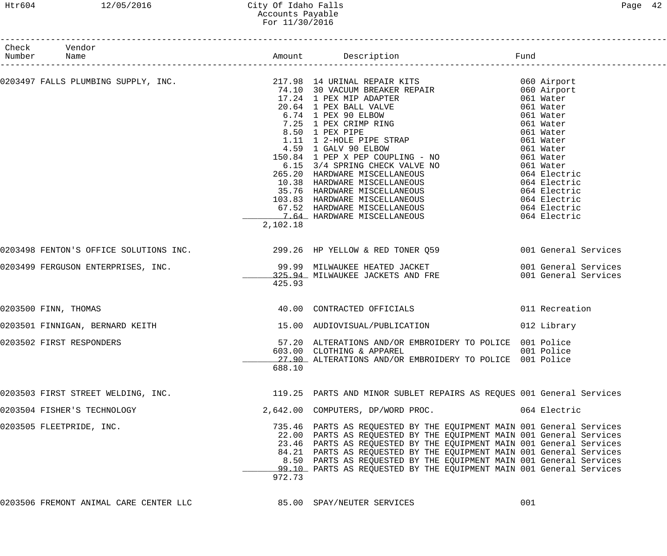# Htr604 12/05/2016 City Of Idaho Falls Page 42 Accounts Payable For 11/30/2016

| Check Vendor<br>Number Name        |          |                                                                                                                                                                                                                                                                                                                                                                                                                                                                                                                                               |                |
|------------------------------------|----------|-----------------------------------------------------------------------------------------------------------------------------------------------------------------------------------------------------------------------------------------------------------------------------------------------------------------------------------------------------------------------------------------------------------------------------------------------------------------------------------------------------------------------------------------------|----------------|
|                                    |          | 0203497 FALLS PLUMBING SUPPLY, INC.<br>$74.10$ 30 VACUUM BREAKER REPAIR (60 Airport<br>$74.10$ 30 VACUUM BREAKER REPAIR (60 Airport<br>$17.24$ 1 PEX MIP ADAPTER (61 Water<br>$6.74$ 1 PEX SO ELBON (61 Water<br>$7.25$ 1 PEX CRIMP RIN<br>1.11 1 2-HOLE PIPE STRAP<br>4.59 1 GALV 90 ELBOW<br>1.11 1 2-HOLE PIPE STRAP<br>4.59 1 GALV 90 ELBOW<br>150.84 1 PEP X PEP COUPLING - NO<br>6.15 3/4 SPRING CHECK VALVE NO<br>661 Water<br>6.15 3/4 SPRING CHECK VALVE NO<br>961 Water<br>265.20 HARDWARE MISCELLANEOUS<br>10.38 HARDWARE MISCELLA |                |
|                                    | 2,102.18 |                                                                                                                                                                                                                                                                                                                                                                                                                                                                                                                                               |                |
|                                    |          | 0203498 FENTON'S OFFICE SOLUTIONS INC. 299.26 HP YELLOW & RED TONER Q59 001 General Services                                                                                                                                                                                                                                                                                                                                                                                                                                                  |                |
|                                    | 425.93   |                                                                                                                                                                                                                                                                                                                                                                                                                                                                                                                                               |                |
| 0203500 FINN, THOMAS               |          | 40.00 CONTRACTED OFFICIALS                                                                                                                                                                                                                                                                                                                                                                                                                                                                                                                    | 011 Recreation |
|                                    |          | 0203501 FINNIGAN, BERNARD KEITH 15.00 AUDIOVISUAL/PUBLICATION                                                                                                                                                                                                                                                                                                                                                                                                                                                                                 | 012 Library    |
| 0203502 FIRST RESPONDERS           | 688.10   | 57.20 ALTERATIONS AND/OR EMBROIDERY TO POLICE 001 Police<br>603.00 CLOTHING & APPAREL 001 Police<br>27.90 ALTERATIONS AND/OR EMBROIDERY TO POLICE 001 Police                                                                                                                                                                                                                                                                                                                                                                                  |                |
| 0203503 FIRST STREET WELDING, INC. |          | 119.25 PARTS AND MINOR SUBLET REPAIRS AS REQUES 001 General Services                                                                                                                                                                                                                                                                                                                                                                                                                                                                          |                |
| 0203504 FISHER'S TECHNOLOGY        |          | 2,642.00 COMPUTERS, DP/WORD PROC.                                                                                                                                                                                                                                                                                                                                                                                                                                                                                                             | 064 Electric   |
| 0203505 FLEETPRIDE, INC.           | 972.73   | 735.46 PARTS AS REQUESTED BY THE EQUIPMENT MAIN 001 General Services<br>22.00 PARTS AS REQUESTED BY THE EQUIPMENT MAIN 001 General Services<br>23.46 PARTS AS REQUESTED BY THE EQUIPMENT MAIN 001 General Services<br>84.21 PARTS AS REQUESTED BY THE EQUIPMENT MAIN 001 General Services<br>8.50 PARTS AS REQUESTED BY THE EQUIPMENT MAIN 001 General Services<br>99.10 PARTS AS REQUESTED BY THE EQUIPMENT MAIN 001 General Services                                                                                                        |                |

0203506 FREMONT ANIMAL CARE CENTER LLC  $\qquad 85.00$  SPAY/NEUTER SERVICES 001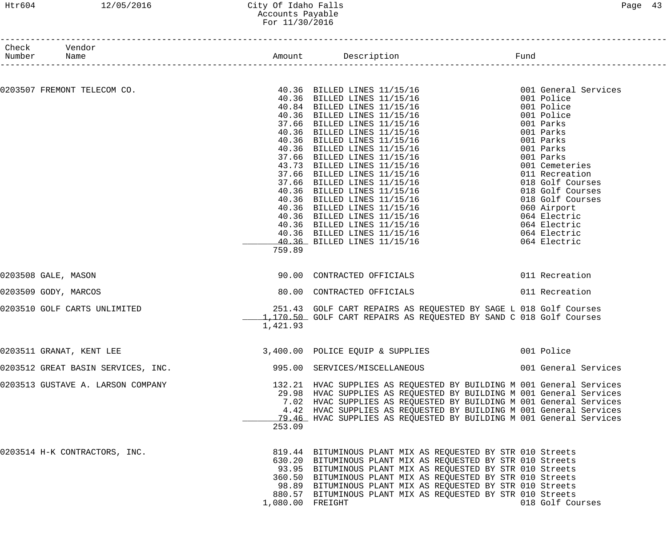#### Htr604 12/05/2016 City Of Idaho Falls Page 43 Accounts Payable For 11/30/2016

| Check Vendor<br>Number Name |                                    |                  |                                                                                                                                                                                                                                                                                                                                                                                                                        | Fund                 |
|-----------------------------|------------------------------------|------------------|------------------------------------------------------------------------------------------------------------------------------------------------------------------------------------------------------------------------------------------------------------------------------------------------------------------------------------------------------------------------------------------------------------------------|----------------------|
|                             |                                    |                  |                                                                                                                                                                                                                                                                                                                                                                                                                        |                      |
|                             |                                    |                  | $0203507 \text{ FREMONT} \text{ TBLECOM CO.} \begin{minipage}{0.023507} \text{ FREMONT} \text{ TBLECOM CO.} \end{minipage} \begin{minipage}{0.023507} \begin{minipage}{0.023507} \text{ FREMONT} \text{ TBLECOM CO.} \end{minipage} \begin{minipage}{0.023507} \begin{minipage}{0.023507} \begin{minipage}{0.023507} \text{ FREMONT} \text{ TPILSD} \text{ LINBS} \text{ 11/15/16} \end{minipage} \begin{minipage}{0.$ |                      |
|                             |                                    |                  |                                                                                                                                                                                                                                                                                                                                                                                                                        |                      |
|                             |                                    |                  |                                                                                                                                                                                                                                                                                                                                                                                                                        |                      |
|                             |                                    |                  |                                                                                                                                                                                                                                                                                                                                                                                                                        |                      |
|                             |                                    |                  |                                                                                                                                                                                                                                                                                                                                                                                                                        |                      |
|                             |                                    |                  |                                                                                                                                                                                                                                                                                                                                                                                                                        |                      |
|                             |                                    |                  |                                                                                                                                                                                                                                                                                                                                                                                                                        |                      |
|                             |                                    |                  |                                                                                                                                                                                                                                                                                                                                                                                                                        |                      |
|                             |                                    |                  |                                                                                                                                                                                                                                                                                                                                                                                                                        |                      |
|                             |                                    |                  |                                                                                                                                                                                                                                                                                                                                                                                                                        |                      |
|                             |                                    |                  |                                                                                                                                                                                                                                                                                                                                                                                                                        |                      |
|                             |                                    |                  |                                                                                                                                                                                                                                                                                                                                                                                                                        |                      |
|                             |                                    |                  |                                                                                                                                                                                                                                                                                                                                                                                                                        |                      |
|                             |                                    |                  |                                                                                                                                                                                                                                                                                                                                                                                                                        |                      |
|                             |                                    |                  |                                                                                                                                                                                                                                                                                                                                                                                                                        |                      |
|                             |                                    |                  |                                                                                                                                                                                                                                                                                                                                                                                                                        |                      |
|                             |                                    |                  |                                                                                                                                                                                                                                                                                                                                                                                                                        |                      |
|                             |                                    |                  |                                                                                                                                                                                                                                                                                                                                                                                                                        |                      |
|                             |                                    |                  |                                                                                                                                                                                                                                                                                                                                                                                                                        |                      |
|                             |                                    | 759.89           |                                                                                                                                                                                                                                                                                                                                                                                                                        |                      |
| 0203508 GALE, MASON         |                                    |                  | 90.00 CONTRACTED OFFICIALS                                                                                                                                                                                                                                                                                                                                                                                             | 011 Recreation       |
|                             | 0203509 GODY, MARCOS               |                  | 80.00 CONTRACTED OFFICIALS                                                                                                                                                                                                                                                                                                                                                                                             | 011 Recreation       |
|                             | 0203510 GOLF CARTS UNLIMITED       |                  | 251.43 GOLF CART REPAIRS AS REQUESTED BY SAGE L 018 Golf Courses<br>1,170.50 GOLF CART REPAIRS AS REQUESTED BY SAND C 018 Golf Courses                                                                                                                                                                                                                                                                                 |                      |
|                             |                                    | 1,421.93         |                                                                                                                                                                                                                                                                                                                                                                                                                        |                      |
|                             | 0203511 GRANAT, KENT LEE           |                  | 3,400.00 POLICE EQUIP & SUPPLIES                                                                                                                                                                                                                                                                                                                                                                                       | 001 Police           |
|                             | 0203512 GREAT BASIN SERVICES, INC. |                  | 995.00 SERVICES/MISCELLANEOUS                                                                                                                                                                                                                                                                                                                                                                                          | 001 General Services |
|                             |                                    |                  | 132.21 HVAC SUPPLIES AS REQUESTED BY BUILDING M 001 General Services                                                                                                                                                                                                                                                                                                                                                   |                      |
|                             | 0203513 GUSTAVE A. LARSON COMPANY  |                  |                                                                                                                                                                                                                                                                                                                                                                                                                        |                      |
|                             |                                    |                  | 29.98 HVAC SUPPLIES AS REQUESTED BY BUILDING M 001 General Services<br>7.02 HVAC SUPPLIES AS REQUESTED BY BUILDING M 001 General Services                                                                                                                                                                                                                                                                              |                      |
|                             |                                    |                  |                                                                                                                                                                                                                                                                                                                                                                                                                        |                      |
|                             |                                    |                  | 4.42 HVAC SUPPLIES AS REQUESTED BY BUILDING M 001 General Services                                                                                                                                                                                                                                                                                                                                                     |                      |
|                             |                                    |                  | 79.46 HVAC SUPPLIES AS REQUESTED BY BUILDING M 001 General Services                                                                                                                                                                                                                                                                                                                                                    |                      |
|                             |                                    | 253.09           |                                                                                                                                                                                                                                                                                                                                                                                                                        |                      |
|                             | 0203514 H-K CONTRACTORS, INC.      |                  | 819.44 BITUMINOUS PLANT MIX AS REQUESTED BY STR 010 Streets                                                                                                                                                                                                                                                                                                                                                            |                      |
|                             |                                    |                  | 630.20 BITUMINOUS PLANT MIX AS REQUESTED BY STR 010 Streets                                                                                                                                                                                                                                                                                                                                                            |                      |
|                             |                                    |                  | 93.95 BITUMINOUS PLANT MIX AS REQUESTED BY STR 010 Streets                                                                                                                                                                                                                                                                                                                                                             |                      |
|                             |                                    |                  | 360.50 BITUMINOUS PLANT MIX AS REQUESTED BY STR 010 Streets                                                                                                                                                                                                                                                                                                                                                            |                      |
|                             |                                    |                  | 98.89 BITUMINOUS PLANT MIX AS REQUESTED BY STR 010 Streets                                                                                                                                                                                                                                                                                                                                                             |                      |
|                             |                                    |                  | 880.57 BITUMINOUS PLANT MIX AS REQUESTED BY STR 010 Streets                                                                                                                                                                                                                                                                                                                                                            |                      |
|                             |                                    | 1,080.00 FREIGHT |                                                                                                                                                                                                                                                                                                                                                                                                                        | 018 Golf Courses     |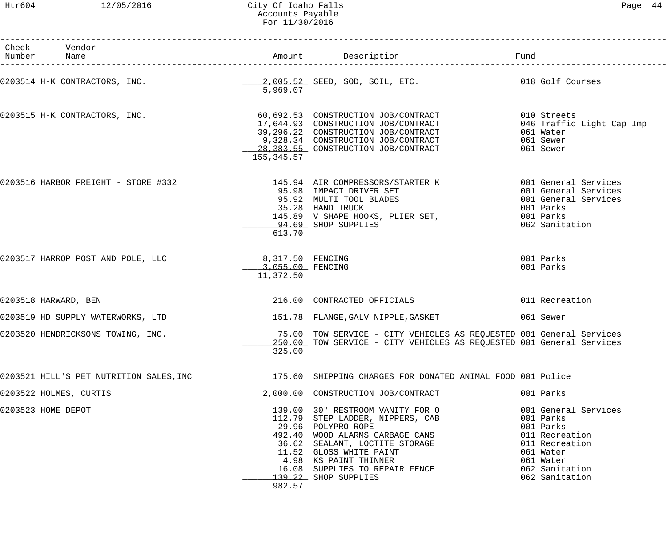#### Htr604 12/05/2016 City Of Idaho Falls Page 44 Accounts Payable For 11/30/2016

| Check Vendor<br>Number Name |                                   |                                   |                                                   | Amount Description                                                                                                                                                                                                                                                            | Fund                                                                                                                                             |
|-----------------------------|-----------------------------------|-----------------------------------|---------------------------------------------------|-------------------------------------------------------------------------------------------------------------------------------------------------------------------------------------------------------------------------------------------------------------------------------|--------------------------------------------------------------------------------------------------------------------------------------------------|
|                             |                                   |                                   | 5,969.07                                          | 0203514 H-K CONTRACTORS, INC. $\qquad \qquad 2,005.52$ SEED, SOD, SOIL, ETC. 018 Golf Courses                                                                                                                                                                                 |                                                                                                                                                  |
|                             |                                   | 0203515 H-K CONTRACTORS, INC.     | 155,345.57                                        | 60,692.53 CONSTRUCTION JOB/CONTRACT<br>17,644.93 CONSTRUCTION JOB/CONTRACT<br>39,296.22 CONSTRUCTION JOB/CONTRACT<br>9,328.34 CONSTRUCTION JOB/CONTRACT<br>28,383.55 CONSTRUCTION JOB/CONTRACT                                                                                | 010 Streets<br>046 Traffic Light Cap Imp<br>061 Water<br>061 Sewer<br>061 Sewer                                                                  |
|                             |                                   |                                   | 613.70                                            | 0203516 HARBOR FREIGHT - STORE #332 145.94 AIR COMPRESSORS/STARTER K 6001 General Services<br>95.98 IMPACT DRIVER SET<br>95.92 MULTI TOOL BLADES<br>35.28 HAND TRUCK<br>35.28 HAND TRUCK<br>145.89 V SHAPE HOOKS, PLIER SET,<br>94.69 SHOP SUPPLIES                           | 001 General Services<br>001 General Services<br>001 Parks<br>001 Parks<br>062 Sanitation                                                         |
|                             | 0203517 HARROP POST AND POLE, LLC |                                   | 8,317.50 FENCING<br>3,055.00 FENCING<br>11,372.50 |                                                                                                                                                                                                                                                                               | 001 Parks<br>001 Parks                                                                                                                           |
| 0203518 HARWARD, BEN        |                                   |                                   |                                                   | 216.00 CONTRACTED OFFICIALS                                                                                                                                                                                                                                                   | 011 Recreation                                                                                                                                   |
|                             |                                   | 0203519 HD SUPPLY WATERWORKS, LTD |                                                   | 151.78 FLANGE, GALV NIPPLE, GASKET                                                                                                                                                                                                                                            | 061 Sewer                                                                                                                                        |
|                             | 0203520 HENDRICKSONS TOWING, INC. |                                   | 325.00                                            | 75.00 TOW SERVICE - CITY VEHICLES AS REQUESTED 001 General Services<br>250.00 TOW SERVICE - CITY VEHICLES AS REQUESTED 001 General Services                                                                                                                                   |                                                                                                                                                  |
|                             |                                   |                                   |                                                   | 0203521 HILL'S PET NUTRITION SALES, INC 175.60 SHIPPING CHARGES FOR DONATED ANIMAL FOOD 001 Police                                                                                                                                                                            |                                                                                                                                                  |
|                             | 0203522 HOLMES, CURTIS            |                                   |                                                   | 2,000.00 CONSTRUCTION JOB/CONTRACT                                                                                                                                                                                                                                            | 001 Parks                                                                                                                                        |
| 0203523 HOME DEPOT          |                                   |                                   | 982.57                                            | 139.00 30" RESTROOM VANITY FOR O<br>112.79 STEP LADDER, NIPPERS, CAB<br>29.96 POLYPRO ROPE<br>492.40 WOOD ALARMS GARBAGE CANS<br>36.62 SEALANT, LOCTITE STORAGE<br>11.52 GLOSS WHITE PAINT<br>4.98 KS PAINT THINNER<br>16.08 SUPPLIES TO REPAIR FENCE<br>139.22 SHOP SUPPLIES | 001 General Services<br>001 Parks<br>001 Parks<br>011 Recreation<br>011 Recreation<br>061 Water<br>061 Water<br>062 Sanitation<br>062 Sanitation |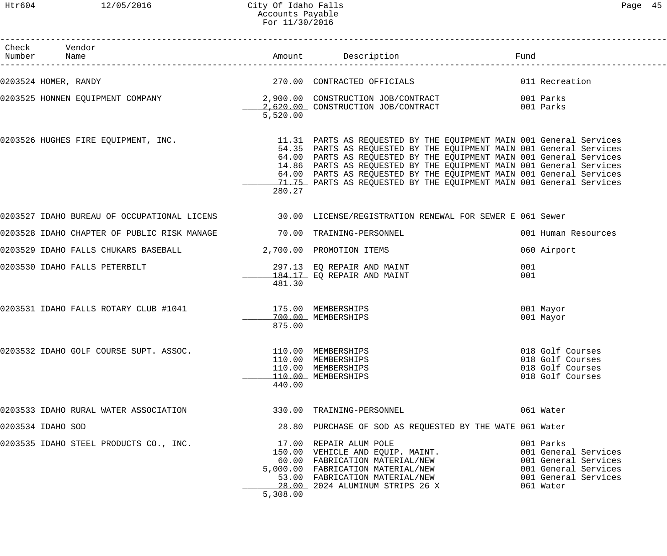| Check Vendor<br>Number Name                                          |                              |                                                                                                                                                                                                                                                                                                                                                                                                                                                                               | Fund                                                                                                                   |
|----------------------------------------------------------------------|------------------------------|-------------------------------------------------------------------------------------------------------------------------------------------------------------------------------------------------------------------------------------------------------------------------------------------------------------------------------------------------------------------------------------------------------------------------------------------------------------------------------|------------------------------------------------------------------------------------------------------------------------|
| 0203524 HOMER, RANDY                                                 |                              | 270.00 CONTRACTED OFFICIALS                                                                                                                                                                                                                                                                                                                                                                                                                                                   | 011 Recreation                                                                                                         |
|                                                                      | 5,520.00                     | 0203525 HONNEN EQUIPMENT COMPANY            2,900.00 CONSTRUCTION JOB/CONTRACT          001 Parks<br>2,620.00 CONSTRUCTION JOB/CONTRACT 001 Parks                                                                                                                                                                                                                                                                                                                             |                                                                                                                        |
|                                                                      | 280.27                       | 0203526 HUGHES FIRE EQUIPMENT, INC. THE SAND MARTS AS REQUESTED BY THE EQUIPMENT MAIN 001 General Services<br>54.35 PARTS AS REQUESTED BY THE EQUIPMENT MAIN 001 General Services<br>64.00 PARTS AS REQUESTED BY THE EQUIPMENT MAIN 001 General Services<br>14.86 PARTS AS REQUESTED BY THE EQUIPMENT MAIN 001 General Services<br>64.00 PARTS AS REQUESTED BY THE EQUIPMENT MAIN 001 General Services<br>71.75 PARTS AS REQUESTED BY THE EQUIPMENT MAIN 001 General Services |                                                                                                                        |
|                                                                      |                              | 0203527 IDAHO BUREAU OF OCCUPATIONAL LICENS 30.00 LICENSE/REGISTRATION RENEWAL FOR SEWER E 061 Sewer                                                                                                                                                                                                                                                                                                                                                                          |                                                                                                                        |
| 0203528 IDAHO CHAPTER OF PUBLIC RISK MANAGE 70.00 TRAINING-PERSONNEL |                              |                                                                                                                                                                                                                                                                                                                                                                                                                                                                               | 001 Human Resources                                                                                                    |
| 0203529 IDAHO FALLS CHUKARS BASEBALL 2,700.00 PROMOTION ITEMS        |                              |                                                                                                                                                                                                                                                                                                                                                                                                                                                                               | 060 Airport                                                                                                            |
| 0203530 IDAHO FALLS PETERBILT                                        | 481.30                       | 297.13 EQ REPAIR AND MAINT<br>184.17 EO REPAIR AND MAINT<br>184.17 EO REPAIR AND MAINT                                                                                                                                                                                                                                                                                                                                                                                        | 001<br>001                                                                                                             |
| 0203531 IDAHO FALLS ROTARY CLUB #1041 175.00 MEMBERSHIPS             | 875.00                       | 700.00 MEMBERSHIPS                                                                                                                                                                                                                                                                                                                                                                                                                                                            | 001 Mayor<br>001 Mayor                                                                                                 |
| 0203532 IDAHO GOLF COURSE SUPT. ASSOC.                               | 110.00 MEMBERSHIPS<br>440.00 | 110.00 MEMBERSHIPS<br>110.00 MEMBERSHIPS<br>110.00 MEMBERSHIPS                                                                                                                                                                                                                                                                                                                                                                                                                | 018 Golf Courses<br>018 Golf Courses<br>018 Golf Courses<br>018 Golf Courses                                           |
| 0203533 IDAHO RURAL WATER ASSOCIATION                                |                              | 330.00 TRAINING-PERSONNEL                                                                                                                                                                                                                                                                                                                                                                                                                                                     | 061 Water                                                                                                              |
| 0203534 IDAHO SOD                                                    |                              | 28.80 PURCHASE OF SOD AS REQUESTED BY THE WATE 061 Water                                                                                                                                                                                                                                                                                                                                                                                                                      |                                                                                                                        |
| 0203535 IDAHO STEEL PRODUCTS CO., INC.                               | 5,308.00                     | 17.00 REPAIR ALUM POLE<br>150.00 VEHICLE AND EQUIP. MAINT.<br>60.00 FABRICATION MATERIAL/NEW<br>5,000.00 FABRICATION MATERIAL/NEW<br>53.00 FABRICATION MATERIAL/NEW                                                                                                                                                                                                                                                                                                           | 001 Parks<br>001 General Services<br>001 General Services<br>001 General Services<br>001 General Services<br>061 Water |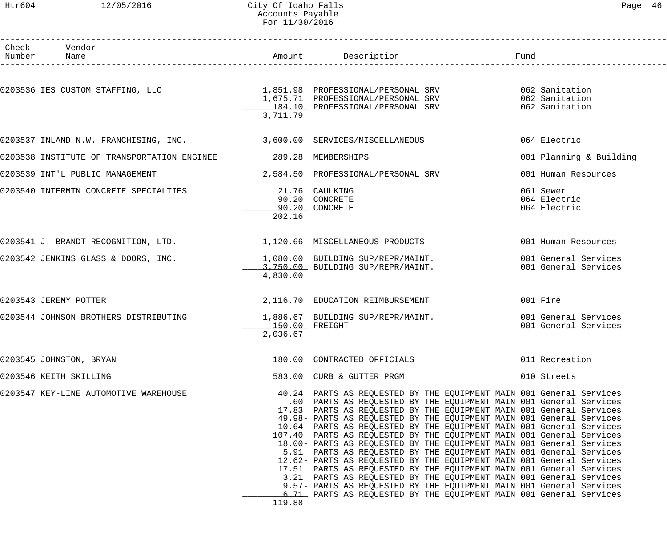#### Htr604 12/05/2016 City Of Idaho Falls Page 46 Accounts Payable For 11/30/2016

| Paαe | 46 |
|------|----|
|      |    |

| Check Vendor<br>Number Name                                           |                            | Amount Description                                                                                                                                                                                                                                                                                                                                                                                                                                                                                                                                                                                                                                                                                                                                                                                                                                                                                                                                     | Fund                                         |
|-----------------------------------------------------------------------|----------------------------|--------------------------------------------------------------------------------------------------------------------------------------------------------------------------------------------------------------------------------------------------------------------------------------------------------------------------------------------------------------------------------------------------------------------------------------------------------------------------------------------------------------------------------------------------------------------------------------------------------------------------------------------------------------------------------------------------------------------------------------------------------------------------------------------------------------------------------------------------------------------------------------------------------------------------------------------------------|----------------------------------------------|
|                                                                       |                            |                                                                                                                                                                                                                                                                                                                                                                                                                                                                                                                                                                                                                                                                                                                                                                                                                                                                                                                                                        |                                              |
|                                                                       | 3,711.79                   | 184.10 PROFESSIONAL/PERSONAL SRV                                                                                                                                                                                                                                                                                                                                                                                                                                                                                                                                                                                                                                                                                                                                                                                                                                                                                                                       | 062 Sanitation<br>062 Sanitation             |
| 0203537 INLAND N.W. FRANCHISING, INC. 3,600.00 SERVICES/MISCELLANEOUS |                            |                                                                                                                                                                                                                                                                                                                                                                                                                                                                                                                                                                                                                                                                                                                                                                                                                                                                                                                                                        | 064 Electric                                 |
| 0203538 INSTITUTE OF TRANSPORTATION ENGINEE                           | 289.28 MEMBERSHIPS         |                                                                                                                                                                                                                                                                                                                                                                                                                                                                                                                                                                                                                                                                                                                                                                                                                                                                                                                                                        | 001 Planning & Building                      |
| 0203539 INT'L PUBLIC MANAGEMENT                                       |                            | 2,584.50 PROFESSIONAL/PERSONAL SRV                                                                                                                                                                                                                                                                                                                                                                                                                                                                                                                                                                                                                                                                                                                                                                                                                                                                                                                     | 001 Human Resources                          |
| 0203540 INTERMTN CONCRETE SPECIALTIES                                 | 21.76 CAULKING<br>202.16   | 90.20 CONCRETE<br>90.20 CONCRETE                                                                                                                                                                                                                                                                                                                                                                                                                                                                                                                                                                                                                                                                                                                                                                                                                                                                                                                       | 061 Sewer<br>064 Electric<br>064 Electric    |
| 0203541 J. BRANDT RECOGNITION, LTD. 1,120.66 MISCELLANEOUS PRODUCTS   |                            |                                                                                                                                                                                                                                                                                                                                                                                                                                                                                                                                                                                                                                                                                                                                                                                                                                                                                                                                                        | 001 Human Resources                          |
| 0203542 JENKINS GLASS & DOORS, INC.                                   | 4,830.00                   | 1,080.00 BUILDING SUP/REPR/MAINT.<br>3,750.00 BUILDING SUP/REPR/MAINT.                                                                                                                                                                                                                                                                                                                                                                                                                                                                                                                                                                                                                                                                                                                                                                                                                                                                                 | 001 General Services<br>001 General Services |
| 0203543 JEREMY POTTER                                                 |                            | 2,116.70 EDUCATION REIMBURSEMENT                                                                                                                                                                                                                                                                                                                                                                                                                                                                                                                                                                                                                                                                                                                                                                                                                                                                                                                       | 001 Fire                                     |
| 0203544 JOHNSON BROTHERS DISTRIBUTING                                 | 150.00 FREIGHT<br>2,036.67 | 1,886.67 BUILDING SUP/REPR/MAINT.                                                                                                                                                                                                                                                                                                                                                                                                                                                                                                                                                                                                                                                                                                                                                                                                                                                                                                                      | 001 General Services<br>001 General Services |
| 0203545 JOHNSTON, BRYAN                                               |                            | 180.00 CONTRACTED OFFICIALS                                                                                                                                                                                                                                                                                                                                                                                                                                                                                                                                                                                                                                                                                                                                                                                                                                                                                                                            | 011 Recreation                               |
| 0203546 KEITH SKILLING                                                |                            | 583.00 CURB & GUTTER PRGM                                                                                                                                                                                                                                                                                                                                                                                                                                                                                                                                                                                                                                                                                                                                                                                                                                                                                                                              | 010 Streets                                  |
| 0203547 KEY-LINE AUTOMOTIVE WAREHOUSE                                 | 119.88                     | 40.24 PARTS AS REQUESTED BY THE EQUIPMENT MAIN 001 General Services<br>.60 PARTS AS REQUESTED BY THE EQUIPMENT MAIN 001 General Services<br>17.83 PARTS AS REQUESTED BY THE EQUIPMENT MAIN 001 General Services<br>49.98- PARTS AS REQUESTED BY THE EQUIPMENT MAIN 001 General Services<br>10.64 PARTS AS REQUESTED BY THE EQUIPMENT MAIN 001 General Services<br>107.40 PARTS AS REQUESTED BY THE EQUIPMENT MAIN 001 General Services<br>18.00- PARTS AS REQUESTED BY THE EQUIPMENT MAIN 001 General Services<br>5.91 PARTS AS REQUESTED BY THE EQUIPMENT MAIN 001 General Services<br>12.62- PARTS AS REQUESTED BY THE EQUIPMENT MAIN 001 General Services<br>17.51 PARTS AS REQUESTED BY THE EQUIPMENT MAIN 001 General Services<br>3.21 PARTS AS REQUESTED BY THE EQUIPMENT MAIN 001 General Services<br>9.57- PARTS AS REQUESTED BY THE EQUIPMENT MAIN 001 General Services<br>6.71 PARTS AS REQUESTED BY THE EQUIPMENT MAIN 001 General Services |                                              |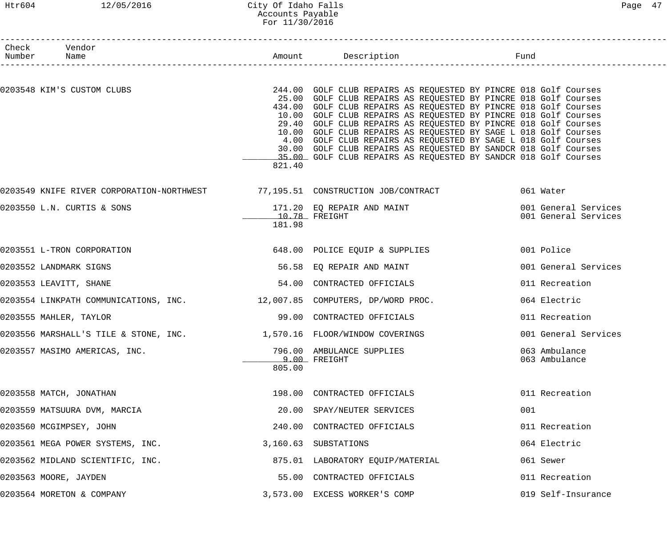#### Htr604 12/05/2016 City Of Idaho Falls Page 47 Accounts Payable For 11/30/2016

| Check Vendor<br>Number Name                                              |                           |                                                                                                                                                                                                                                                                                                                                                                                                                                                                                                                                                                                                                          |                                              |
|--------------------------------------------------------------------------|---------------------------|--------------------------------------------------------------------------------------------------------------------------------------------------------------------------------------------------------------------------------------------------------------------------------------------------------------------------------------------------------------------------------------------------------------------------------------------------------------------------------------------------------------------------------------------------------------------------------------------------------------------------|----------------------------------------------|
| 0203548 KIM'S CUSTOM CLUBS                                               | 821.40                    | 244.00 GOLF CLUB REPAIRS AS REQUESTED BY PINCRE 018 Golf Courses<br>25.00 GOLF CLUB REPAIRS AS REQUESTED BY PINCRE 018 Golf Courses<br>434.00 GOLF CLUB REPAIRS AS REQUESTED BY PINCRE 018 Golf Courses<br>10.00 GOLF CLUB REPAIRS AS REQUESTED BY PINCRE 018 Golf Courses<br>29.40 GOLF CLUB REPAIRS AS REQUESTED BY PINCRE 018 Golf Courses<br>10.00 GOLF CLUB REPAIRS AS REQUESTED BY SAGE L 018 Golf Courses<br>4.00 GOLF CLUB REPAIRS AS REQUESTED BY SAGE L 018 Golf Courses<br>30.00 GOLF CLUB REPAIRS AS REQUESTED BY SANDCR 018 Golf Courses<br>35.00 GOLF CLUB REPAIRS AS REQUESTED BY SANDCR 018 Golf Courses |                                              |
|                                                                          |                           | 0203549 KNIFE RIVER CORPORATION-NORTHWEST 77,195.51 CONSTRUCTION JOB/CONTRACT 061 Water                                                                                                                                                                                                                                                                                                                                                                                                                                                                                                                                  |                                              |
| 0203550 L.N. CURTIS & SONS                                               | $10.78$ FREIGHT<br>181.98 | 171.20 EQ REPAIR AND MAINT                                                                                                                                                                                                                                                                                                                                                                                                                                                                                                                                                                                               | 001 General Services<br>001 General Services |
| 0203551 L-TRON CORPORATION                                               |                           | 648.00 POLICE EQUIP & SUPPLIES                                                                                                                                                                                                                                                                                                                                                                                                                                                                                                                                                                                           | 001 Police                                   |
| 0203552 LANDMARK SIGNS                                                   |                           | 56.58 EQ REPAIR AND MAINT                                                                                                                                                                                                                                                                                                                                                                                                                                                                                                                                                                                                | 001 General Services                         |
| 0203553 LEAVITT, SHANE                                                   |                           | 54.00 CONTRACTED OFFICIALS                                                                                                                                                                                                                                                                                                                                                                                                                                                                                                                                                                                               | 011 Recreation                               |
| 0203554 LINKPATH COMMUNICATIONS, INC. 12,007.85 COMPUTERS, DP/WORD PROC. |                           |                                                                                                                                                                                                                                                                                                                                                                                                                                                                                                                                                                                                                          | 064 Electric                                 |
| 0203555 MAHLER, TAYLOR                                                   |                           | 99.00 CONTRACTED OFFICIALS                                                                                                                                                                                                                                                                                                                                                                                                                                                                                                                                                                                               | 011 Recreation                               |
| 0203556 MARSHALL'S TILE & STONE, INC. 1,570.16 FLOOR/WINDOW COVERINGS    |                           |                                                                                                                                                                                                                                                                                                                                                                                                                                                                                                                                                                                                                          | 001 General Services                         |
| 0203557 MASIMO AMERICAS, INC.                                            | 805.00                    | 796.00 AMBULANCE SUPPLIES<br>9.00 FREIGHT                                                                                                                                                                                                                                                                                                                                                                                                                                                                                                                                                                                | 063 Ambulance<br>063 Ambulance               |
| 0203558 MATCH, JONATHAN                                                  |                           | 198.00 CONTRACTED OFFICIALS                                                                                                                                                                                                                                                                                                                                                                                                                                                                                                                                                                                              | 011 Recreation                               |
| 0203559 MATSUURA DVM, MARCIA                                             |                           | 20.00 SPAY/NEUTER SERVICES                                                                                                                                                                                                                                                                                                                                                                                                                                                                                                                                                                                               | 001                                          |
| 0203560 MCGIMPSEY, JOHN                                                  |                           | 240.00 CONTRACTED OFFICIALS                                                                                                                                                                                                                                                                                                                                                                                                                                                                                                                                                                                              | 011 Recreation                               |
| 0203561 MEGA POWER SYSTEMS, INC.                                         |                           | 3,160.63 SUBSTATIONS                                                                                                                                                                                                                                                                                                                                                                                                                                                                                                                                                                                                     | 064 Electric                                 |
| 0203562 MIDLAND SCIENTIFIC, INC.                                         |                           | 875.01 LABORATORY EQUIP/MATERIAL                                                                                                                                                                                                                                                                                                                                                                                                                                                                                                                                                                                         | 061 Sewer                                    |
| 0203563 MOORE, JAYDEN                                                    |                           | 55.00 CONTRACTED OFFICIALS                                                                                                                                                                                                                                                                                                                                                                                                                                                                                                                                                                                               | 011 Recreation                               |
| 0203564 MORETON & COMPANY                                                |                           | 3,573.00 EXCESS WORKER'S COMP                                                                                                                                                                                                                                                                                                                                                                                                                                                                                                                                                                                            | 019 Self-Insurance                           |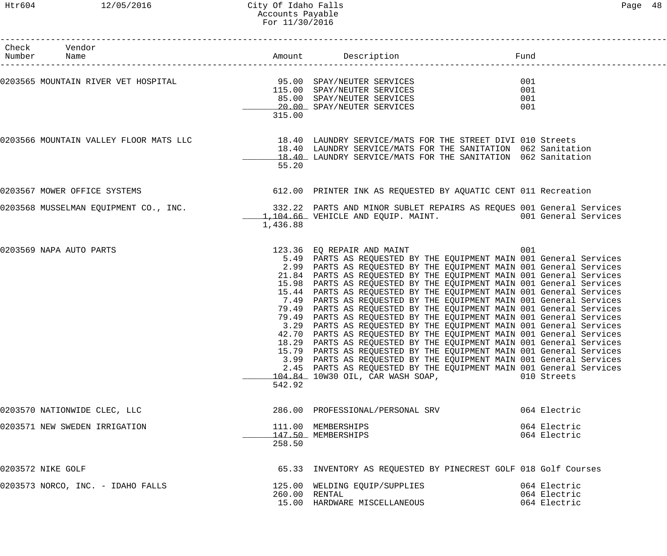| Check Vendor<br>Number Name                                                                                                                                                                                                   |          |                                                                                                                                                                                                                                                                                                                                                                                                                                                                                                                                                                                                                                                                                                                                                                                                                                                                                                                                                                                                                                                                                            |                                              |
|-------------------------------------------------------------------------------------------------------------------------------------------------------------------------------------------------------------------------------|----------|--------------------------------------------------------------------------------------------------------------------------------------------------------------------------------------------------------------------------------------------------------------------------------------------------------------------------------------------------------------------------------------------------------------------------------------------------------------------------------------------------------------------------------------------------------------------------------------------------------------------------------------------------------------------------------------------------------------------------------------------------------------------------------------------------------------------------------------------------------------------------------------------------------------------------------------------------------------------------------------------------------------------------------------------------------------------------------------------|----------------------------------------------|
| 0203565 MOUNTAIN RIVER VET HOSPITAL 5 and the services of the services of the services of the services of the services of the services of the services of the services of the services of the services of the services of the | 315.00   |                                                                                                                                                                                                                                                                                                                                                                                                                                                                                                                                                                                                                                                                                                                                                                                                                                                                                                                                                                                                                                                                                            | 001<br>001<br>001<br>001                     |
| 0203566 MOUNTAIN VALLEY FLOOR MATS LLC 18.40 LAUNDRY SERVICE/MATS FOR THE STREET DIVI 010 Streets                                                                                                                             | 55.20    | 18.40 LAUNDRY SERVICE/MATS FOR THE SANITATION 062 Sanitation<br>18.40 LAUNDRY SERVICE/MATS FOR THE SANITATION 062 Sanitation                                                                                                                                                                                                                                                                                                                                                                                                                                                                                                                                                                                                                                                                                                                                                                                                                                                                                                                                                               |                                              |
| 0203567 MOWER OFFICE SYSTEMS                                                                                                                                                                                                  |          | 612.00 PRINTER INK AS REQUESTED BY AQUATIC CENT 011 Recreation                                                                                                                                                                                                                                                                                                                                                                                                                                                                                                                                                                                                                                                                                                                                                                                                                                                                                                                                                                                                                             |                                              |
| 0203568 MUSSELMAN EQUIPMENT CO., INC.                                                                                                                                                                                         | 1,436.88 | 332.22 PARTS AND MINOR SUBLET REPAIRS AS REQUES 001 General Services<br>1,104.66 VEHICLE AND EQUIP. MAINT. 001 General Services                                                                                                                                                                                                                                                                                                                                                                                                                                                                                                                                                                                                                                                                                                                                                                                                                                                                                                                                                            |                                              |
| 0203569 NAPA AUTO PARTS                                                                                                                                                                                                       | 542.92   | 123.36 EQ REPAIR AND MAINT<br>5.49 PARTS AS REQUESTED BY THE EQUIPMENT MAIN 001 General Services<br>2.99 PARTS AS REQUESTED BY THE EQUIPMENT MAIN 001 General Services<br>21.84 PARTS AS REQUESTED BY THE EQUIPMENT MAIN 001 General Services<br>15.98 PARTS AS REQUESTED BY THE EQUIPMENT MAIN 001 General Services<br>15.44 PARTS AS REQUESTED BY THE EQUIPMENT MAIN 001 General Services<br>7.49 PARTS AS REQUESTED BY THE EQUIPMENT MAIN 001 General Services<br>79.49 PARTS AS REQUESTED BY THE EQUIPMENT MAIN 001 General Services<br>79.49 PARTS AS REQUESTED BY THE EQUIPMENT MAIN 001 General Services<br>3.29 PARTS AS REQUESTED BY THE EQUIPMENT MAIN 001 General Services<br>42.70 PARTS AS REQUESTED BY THE EQUIPMENT MAIN 001 General Services<br>18.29 PARTS AS REQUESTED BY THE EQUIPMENT MAIN 001 General Services<br>15.79 PARTS AS REQUESTED BY THE EQUIPMENT MAIN 001 General Services<br>3.99 PARTS AS REQUESTED BY THE EQUIPMENT MAIN 001 General Services<br>2.45 PARTS AS REQUESTED BY THE EQUIPMENT MAIN 001 General Services<br>104.84 10W30 OIL, CAR WASH SOAP, | 001<br>010 Streets                           |
| 0203570 NATIONWIDE CLEC, LLC                                                                                                                                                                                                  |          | 286.00 PROFESSIONAL/PERSONAL SRV                                                                                                                                                                                                                                                                                                                                                                                                                                                                                                                                                                                                                                                                                                                                                                                                                                                                                                                                                                                                                                                           | 064 Electric                                 |
| 0203571 NEW SWEDEN IRRIGATION                                                                                                                                                                                                 | 258.50   | 111.00 MEMBERSHIPS<br>147.50 MEMBERSHIPS                                                                                                                                                                                                                                                                                                                                                                                                                                                                                                                                                                                                                                                                                                                                                                                                                                                                                                                                                                                                                                                   | 064 Electric<br>064 Electric                 |
| 0203572 NIKE GOLF                                                                                                                                                                                                             |          | 65.33 INVENTORY AS REQUESTED BY PINECREST GOLF 018 Golf Courses                                                                                                                                                                                                                                                                                                                                                                                                                                                                                                                                                                                                                                                                                                                                                                                                                                                                                                                                                                                                                            |                                              |
| 0203573 NORCO, INC. - IDAHO FALLS                                                                                                                                                                                             |          | 125.00 WELDING EQUIP/SUPPLIES<br>260.00 RENTAL<br>15.00 HARDWARE MISCELLANEOUS                                                                                                                                                                                                                                                                                                                                                                                                                                                                                                                                                                                                                                                                                                                                                                                                                                                                                                                                                                                                             | 064 Electric<br>064 Electric<br>064 Electric |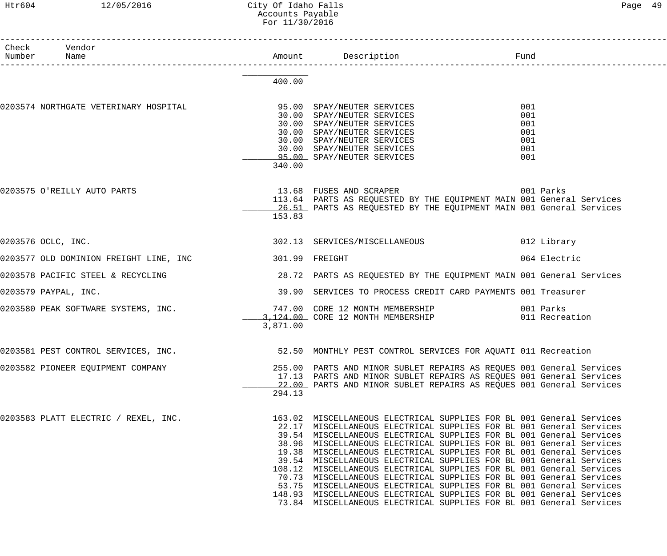### Htr604 12/05/2016 City Of Idaho Falls Page 49 Accounts Payable For 11/30/2016

| Λ<br>Page |
|-----------|
|-----------|

| Check Vendor<br>Number Name                                                                                                                  |          |                                                                                                                                                                                                                                                                                                                                                                                                                                                                                                                                                                                                                                                                                                                                                                                                              |                                               |
|----------------------------------------------------------------------------------------------------------------------------------------------|----------|--------------------------------------------------------------------------------------------------------------------------------------------------------------------------------------------------------------------------------------------------------------------------------------------------------------------------------------------------------------------------------------------------------------------------------------------------------------------------------------------------------------------------------------------------------------------------------------------------------------------------------------------------------------------------------------------------------------------------------------------------------------------------------------------------------------|-----------------------------------------------|
|                                                                                                                                              | 400.00   |                                                                                                                                                                                                                                                                                                                                                                                                                                                                                                                                                                                                                                                                                                                                                                                                              |                                               |
| 0203574 NORTHGATE VETERINARY HOSPITAL 600 95.00 SPAY/NEUTER SERVICES                                                                         | 340.00   | 30.00 SPAY/NEUTER SERVICES<br>30.00 SPAY/NEUTER SERVICES<br>30.00 SPAY/NEUTER SERVICES<br>30.00 SPAY/NEUTER SERVICES<br>30.00 SPAY/NEUTER SERVICES<br>95.00 SPAY/NEUTER SERVICES                                                                                                                                                                                                                                                                                                                                                                                                                                                                                                                                                                                                                             | 001<br>001<br>001<br>001<br>001<br>001<br>001 |
| 0203575 O'REILLY AUTO PARTS                                                                                                                  | 153.83   | 13.68 FUSES AND SCRAPER<br>113.64 PARTS AS REQUESTED BY THE EQUIPMENT MAIN 001 General Services<br>26.51 PARTS AS REQUESTED BY THE EQUIPMENT MAIN 001 General Services                                                                                                                                                                                                                                                                                                                                                                                                                                                                                                                                                                                                                                       | 001 Parks                                     |
| 0203576 OCLC, INC.                                                                                                                           |          | 302.13 SERVICES/MISCELLANEOUS                                                                                                                                                                                                                                                                                                                                                                                                                                                                                                                                                                                                                                                                                                                                                                                | 012 Library                                   |
| 0203577 OLD DOMINION FREIGHT LINE, INC 301.99 FREIGHT                                                                                        |          |                                                                                                                                                                                                                                                                                                                                                                                                                                                                                                                                                                                                                                                                                                                                                                                                              | 064 Electric                                  |
| 0203578 PACIFIC STEEL & RECYCLING                                                                                                            |          | 28.72 PARTS AS REQUESTED BY THE EQUIPMENT MAIN 001 General Services                                                                                                                                                                                                                                                                                                                                                                                                                                                                                                                                                                                                                                                                                                                                          |                                               |
| 0203579 PAYPAL, INC.                                                                                                                         |          | 39.90 SERVICES TO PROCESS CREDIT CARD PAYMENTS 001 Treasurer                                                                                                                                                                                                                                                                                                                                                                                                                                                                                                                                                                                                                                                                                                                                                 |                                               |
| 0203580 PEAK SOFTWARE SYSTEMS, INC. <sup>747.00</sup> CORE 12 MONTH MEMBERSHIP 001 Parks<br>3,124.00 CORE 12 MONTH MEMBERSHIP 011 Recreation | 3,871.00 |                                                                                                                                                                                                                                                                                                                                                                                                                                                                                                                                                                                                                                                                                                                                                                                                              |                                               |
| 0203581 PEST CONTROL SERVICES, INC.                                                                                                          |          | 52.50 MONTHLY PEST CONTROL SERVICES FOR AQUATI 011 Recreation                                                                                                                                                                                                                                                                                                                                                                                                                                                                                                                                                                                                                                                                                                                                                |                                               |
| 0203582 PIONEER EQUIPMENT COMPANY                                                                                                            | 294.13   | 255.00 PARTS AND MINOR SUBLET REPAIRS AS REQUES 001 General Services<br>17.13 PARTS AND MINOR SUBLET REPAIRS AS REQUES 001 General Services<br>22.00 PARTS AND MINOR SUBLET REPAIRS AS REQUES 001 General Services                                                                                                                                                                                                                                                                                                                                                                                                                                                                                                                                                                                           |                                               |
| 0203583 PLATT ELECTRIC / REXEL, INC.                                                                                                         |          | 163.02 MISCELLANEOUS ELECTRICAL SUPPLIES FOR BL 001 General Services<br>22.17 MISCELLANEOUS ELECTRICAL SUPPLIES FOR BL 001 General Services<br>39.54 MISCELLANEOUS ELECTRICAL SUPPLIES FOR BL 001 General Services<br>38.96 MISCELLANEOUS ELECTRICAL SUPPLIES FOR BL 001 General Services<br>19.38 MISCELLANEOUS ELECTRICAL SUPPLIES FOR BL 001 General Services<br>39.54 MISCELLANEOUS ELECTRICAL SUPPLIES FOR BL 001 General Services<br>108.12 MISCELLANEOUS ELECTRICAL SUPPLIES FOR BL 001 General Services<br>70.73 MISCELLANEOUS ELECTRICAL SUPPLIES FOR BL 001 General Services<br>53.75 MISCELLANEOUS ELECTRICAL SUPPLIES FOR BL 001 General Services<br>148.93 MISCELLANEOUS ELECTRICAL SUPPLIES FOR BL 001 General Services<br>73.84 MISCELLANEOUS ELECTRICAL SUPPLIES FOR BL 001 General Services |                                               |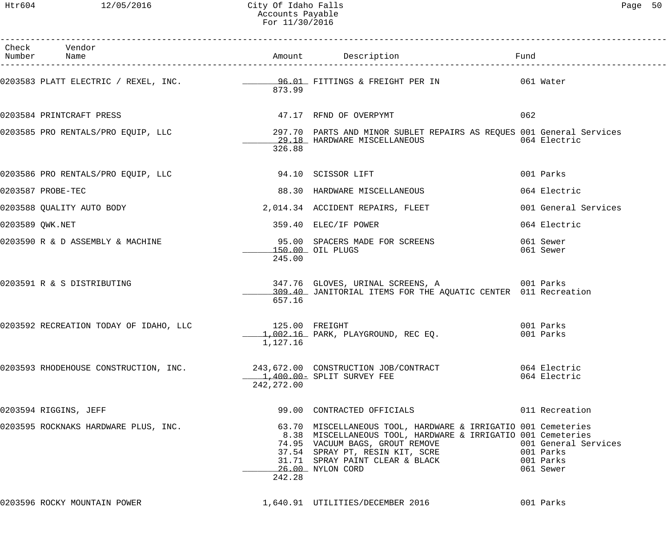| Check Vendor<br>Number Name                                      |                            |                                                                                                                                                                                                                                                                                |     |                                   |
|------------------------------------------------------------------|----------------------------|--------------------------------------------------------------------------------------------------------------------------------------------------------------------------------------------------------------------------------------------------------------------------------|-----|-----------------------------------|
|                                                                  | 873.99                     |                                                                                                                                                                                                                                                                                |     |                                   |
| 0203584 PRINTCRAFT PRESS                                         |                            | 47.17 RFND OF OVERPYMT                                                                                                                                                                                                                                                         | 062 |                                   |
|                                                                  | 326.88                     | 0203585 PRO RENTALS/PRO EQUIP, LLC 1997.70 PARTS AND MINOR SUBLET REPAIRS AS REQUES 001 General Services<br>29.18 HARDWARE MISCELLANEOUS                                                                                                                                       |     | 064 Electric                      |
| 0203586 PRO RENTALS/PRO EQUIP, LLC            94.10 SCISSOR LIFT |                            |                                                                                                                                                                                                                                                                                |     | 001 Parks                         |
| 0203587 PROBE-TEC                                                |                            | 88.30 HARDWARE MISCELLANEOUS                                                                                                                                                                                                                                                   |     | 064 Electric                      |
| 0203588 QUALITY AUTO BODY                                        |                            | 2,014.34 ACCIDENT REPAIRS, FLEET                                                                                                                                                                                                                                               |     | 001 General Services              |
| 0203589 QWK.NET                                                  |                            | 359.40 ELEC/IF POWER                                                                                                                                                                                                                                                           |     | 064 Electric                      |
| 0203590 R & D ASSEMBLY & MACHINE                                 | 245.00                     | 95.00 SPACERS MADE FOR SCREENS<br>150.00 OIL PLUGS                                                                                                                                                                                                                             |     | 061 Sewer<br>061 Sewer            |
| 0203591 R & S DISTRIBUTING                                       | 657.16                     | 347.76 GLOVES, URINAL SCREENS, A 6001 Parks<br>309.40 JANITORIAL ITEMS FOR THE AQUATIC CENTER 011 Recreation                                                                                                                                                                   |     |                                   |
| 0203592 RECREATION TODAY OF IDAHO, LLC                           | 125.00 FREIGHT<br>1,127.16 | $1,002.16$ PARK, PLAYGROUND, REC EQ.                                                                                                                                                                                                                                           |     | 001 Parks<br>001 Parks            |
|                                                                  | 242,272.00                 | 0203593 RHODEHOUSE CONSTRUCTION, INC. 243,672.00 CONSTRUCTION JOB/CONTRACT 664 Electric<br>1,400.00 = SPLIT SURVEY FEE                                                                                                                                                         |     |                                   |
| 0203594 RIGGINS, JEFF                                            |                            | 99.00 CONTRACTED OFFICIALS                                                                                                                                                                                                                                                     |     | 011 Recreation                    |
| 0203595 ROCKNAKS HARDWARE PLUS, INC.                             | 242.28                     | 63.70 MISCELLANEOUS TOOL, HARDWARE & IRRIGATIO 001 Cemeteries<br>8.38 MISCELLANEOUS TOOL, HARDWARE & IRRIGATIO 001 Cemeteries<br>74.95 VACUUM BAGS, GROUT REMOVE<br>37.54 SPRAY PT, RESIN KIT, SCRE 001 Parks<br>31.71 SPRAY PAINT CLEAR & BLACK 001 Parks<br>26.00 NYLON CORD |     | 001 General Services<br>061 Sewer |
| 0203596 ROCKY MOUNTAIN POWER                                     |                            | 1,640.91 UTILITIES/DECEMBER 2016<br>001 Parks                                                                                                                                                                                                                                  |     |                                   |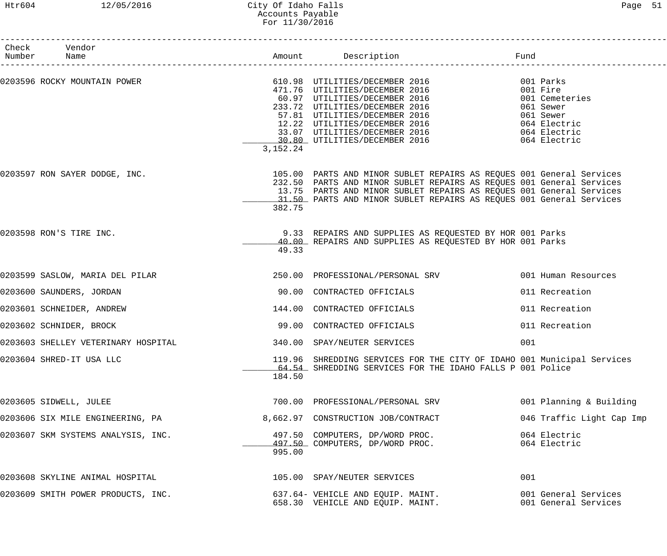# Htr604 12/05/2016 City Of Idaho Falls Page 51 Accounts Payable For 11/30/2016

| Check Vendor<br>Number Name         |            | Amount Description and Fund                                                                                                                                                                                                                                                                              |                                                                                                   |
|-------------------------------------|------------|----------------------------------------------------------------------------------------------------------------------------------------------------------------------------------------------------------------------------------------------------------------------------------------------------------|---------------------------------------------------------------------------------------------------|
| 0203596 ROCKY MOUNTAIN POWER        |            | 610.98 UTILITIES/DECEMBER 2016<br>471.76 UTILITIES/DECEMBER 2016<br>60.97 UTILITIES/DECEMBER 2016<br>80.97 UILLITIES/DECEMBER 2016<br>233.72 UTILITIES/DECEMBER 2016<br>57.81 UTILITIES/DECEMBER 2016<br>12.22 UTILITIES/DECEMBER 2016<br>33.07 UTILITIES/DECEMBER 2016<br>30.80 UTILITIES/DECEMBER 2016 | 001 Parks<br>001 Fire<br>001 Cemeteries<br>061 Sewer<br>061 Sewer<br>064 Electric<br>064 Electric |
|                                     | 3, 152. 24 |                                                                                                                                                                                                                                                                                                          | 064 Electric                                                                                      |
| 0203597 RON SAYER DODGE, INC.       | 382.75     | 105.00 PARTS AND MINOR SUBLET REPAIRS AS REQUES 001 General Services<br>232.50 PARTS AND MINOR SUBLET REPAIRS AS REQUES 001 General Services<br>13.75 PARTS AND MINOR SUBLET REPAIRS AS REQUES 001 General Services<br>11.50 PARTS AND MINOR SUBLET REPAIRS AS REQUES 001 General Services               |                                                                                                   |
| 0203598 RON'S TIRE INC.             | 49.33      | 9.33 REPAIRS AND SUPPLIES AS REQUESTED BY HOR 001 Parks<br>40.00 REPAIRS AND SUPPLIES AS REQUESTED BY HOR 001 Parks                                                                                                                                                                                      |                                                                                                   |
| 0203599 SASLOW, MARIA DEL PILAR     |            | 250.00 PROFESSIONAL/PERSONAL SRV                                                                                                                                                                                                                                                                         | 001 Human Resources                                                                               |
| 0203600 SAUNDERS, JORDAN            |            | 90.00 CONTRACTED OFFICIALS                                                                                                                                                                                                                                                                               | 011 Recreation                                                                                    |
| 0203601 SCHNEIDER, ANDREW           |            | 144.00 CONTRACTED OFFICIALS                                                                                                                                                                                                                                                                              | 011 Recreation                                                                                    |
| 0203602 SCHNIDER, BROCK             |            | 99.00 CONTRACTED OFFICIALS                                                                                                                                                                                                                                                                               | 011 Recreation                                                                                    |
| 0203603 SHELLEY VETERINARY HOSPITAL |            | 340.00 SPAY/NEUTER SERVICES                                                                                                                                                                                                                                                                              | 001                                                                                               |
| 0203604 SHRED-IT USA LLC            | 184.50     | 119.96 SHREDDING SERVICES FOR THE CITY OF IDAHO 001 Municipal Services<br>64.54 SHREDDING SERVICES FOR THE IDAHO FALLS P 001 Police                                                                                                                                                                      |                                                                                                   |
| 0203605 SIDWELL, JULEE              |            | 700.00 PROFESSIONAL/PERSONAL SRV                                                                                                                                                                                                                                                                         | 001 Planning & Building                                                                           |
| 0203606 SIX MILE ENGINEERING, PA    |            | 8,662.97 CONSTRUCTION JOB/CONTRACT                                                                                                                                                                                                                                                                       | 046 Traffic Light Cap Imp                                                                         |
| 0203607 SKM SYSTEMS ANALYSIS, INC.  | 995.00     | 497.50 COMPUTERS, DP/WORD PROC.<br>497.50 COMPUTERS, DP/WORD PROC.                                                                                                                                                                                                                                       | 064 Electric<br>064 Electric                                                                      |
| 0203608 SKYLINE ANIMAL HOSPITAL     |            | 105.00 SPAY/NEUTER SERVICES                                                                                                                                                                                                                                                                              | 001                                                                                               |
| 0203609 SMITH POWER PRODUCTS, INC.  |            | 637.64- VEHICLE AND EQUIP. MAINT.<br>658.30 VEHICLE AND EQUIP. MAINT.                                                                                                                                                                                                                                    | 001 General Services<br>001 General Services                                                      |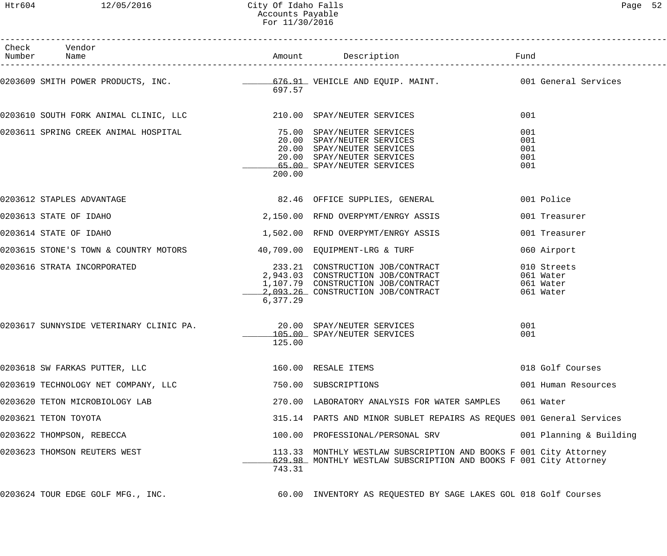| Check Vendor<br>Number Name                                            |          | Amount Description Tund                                                                                                                            |                                                    |
|------------------------------------------------------------------------|----------|----------------------------------------------------------------------------------------------------------------------------------------------------|----------------------------------------------------|
|                                                                        | 697.57   | 0203609 SMITH POWER PRODUCTS, INC. __________________676.91_VEHICLE AND EQUIP. MAINT. ______________001 General Services                           |                                                    |
|                                                                        |          |                                                                                                                                                    | 001                                                |
| 0203611 SPRING CREEK ANIMAL HOSPITAL (2008) 75.00 SPAY/NEUTER SERVICES | 200.00   | 20.00 SPAY/NEUTER SERVICES<br>20.00 SPAY/NEUTER SERVICES<br>20.00 SPAY/NEUTER SERVICES<br>65.00 SPAY/NEUTER SERVICES                               | 001<br>001<br>001<br>001<br>001                    |
| 0203612 STAPLES ADVANTAGE                                              |          | 82.46 OFFICE SUPPLIES, GENERAL                                                                                                                     | 001 Police                                         |
| 0203613 STATE OF IDAHO                                                 |          | 2,150.00 RFND OVERPYMT/ENRGY ASSIS                                                                                                                 | 001 Treasurer                                      |
| 0203614 STATE OF IDAHO                                                 |          | 1,502.00 RFND OVERPYMT/ENRGY ASSIS                                                                                                                 | 001 Treasurer                                      |
| 0203615 STONE'S TOWN & COUNTRY MOTORS 40,709.00 EQUIPMENT-LRG & TURF   |          |                                                                                                                                                    | 060 Airport                                        |
| 0203616 STRATA INCORPORATED                                            | 6,377.29 | 233.21 CONSTRUCTION JOB/CONTRACT<br>2,943.03 CONSTRUCTION JOB/CONTRACT<br>1,107.79 CONSTRUCTION JOB/CONTRACT<br>2,093.26 CONSTRUCTION JOB/CONTRACT | 010 Streets<br>061 Water<br>061 Water<br>061 Water |
| 0203617 SUNNYSIDE VETERINARY CLINIC PA. 20.00 SPAY/NEUTER SERVICES     | 125.00   | 105.00 SPAY/NEUTER SERVICES                                                                                                                        | 001<br>001                                         |
| 0203618 SW FARKAS PUTTER, LLC                                          |          | 160.00 RESALE ITEMS                                                                                                                                | 018 Golf Courses                                   |
| 0203619 TECHNOLOGY NET COMPANY, LLC                                    |          | 750.00 SUBSCRIPTIONS                                                                                                                               | 001 Human Resources                                |
| 0203620 TETON MICROBIOLOGY LAB                                         |          | 270.00 LABORATORY ANALYSIS FOR WATER SAMPLES                                                                                                       | 061 Water                                          |
| 0203621 TETON TOYOTA                                                   |          | 315.14 PARTS AND MINOR SUBLET REPAIRS AS REQUES 001 General Services                                                                               |                                                    |
| 0203622 THOMPSON, REBECCA                                              |          | 100.00 PROFESSIONAL/PERSONAL SRV                                                                                                                   | 001 Planning & Building                            |
| 0203623 THOMSON REUTERS WEST                                           | 743.31   | 113.33 MONTHLY WESTLAW SUBSCRIPTION AND BOOKS F 001 City Attorney<br>629.98 MONTHLY WESTLAW SUBSCRIPTION AND BOOKS F 001 City Attorney             |                                                    |
| 0203624 TOUR EDGE GOLF MFG., INC.                                      |          | 60.00 INVENTORY AS REQUESTED BY SAGE LAKES GOL 018 Golf Courses                                                                                    |                                                    |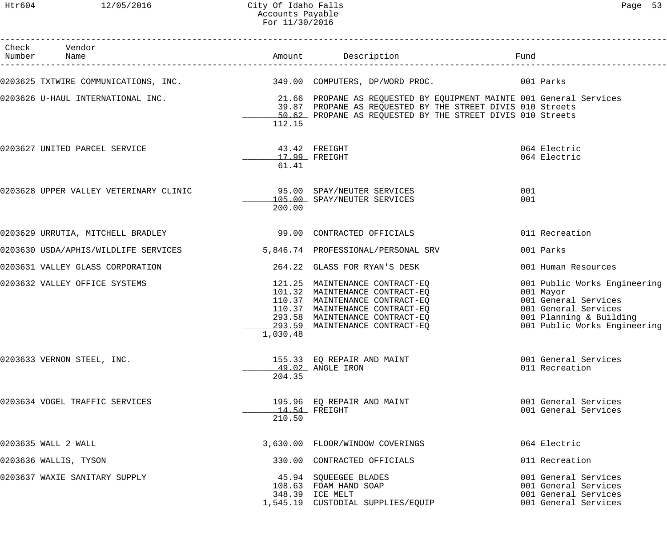#### Htr604 12/05/2016 City Of Idaho Falls Page 53 Accounts Payable For 11/30/2016

| Check Vendor<br>Number Name                                         |                        |                                                                                                                                                                                                                                   |            |                                                                                                                                                      |
|---------------------------------------------------------------------|------------------------|-----------------------------------------------------------------------------------------------------------------------------------------------------------------------------------------------------------------------------------|------------|------------------------------------------------------------------------------------------------------------------------------------------------------|
|                                                                     |                        | 0203625 TXTWIRE COMMUNICATIONS, INC. 349.00 COMPUTERS, DP/WORD PROC. 001 Parks                                                                                                                                                    |            |                                                                                                                                                      |
|                                                                     | 112.15                 | 0203626 U-HAUL INTERNATIONAL INC. 21.66 PROPANE AS REQUESTED BY EQUIPMENT MAINTE 001 General Services<br>39.87 PROPANE AS REQUESTED BY THE STREET DIVIS 010 Streets<br>50.62 PROPANE AS REQUESTED BY THE STREET DIVIS 010 Streets |            |                                                                                                                                                      |
| 0203627 UNITED PARCEL SERVICE                                       | 43.42 FREIGHT<br>61.41 | $17.99$ FREIGHT                                                                                                                                                                                                                   |            | 064 Electric<br>064 Electric                                                                                                                         |
|                                                                     | 200.00                 | 105.00 SPAY/NEUTER SERVICES                                                                                                                                                                                                       | 001<br>001 |                                                                                                                                                      |
| 0203629 URRUTIA, MITCHELL BRADLEY (2008) 29.00 CONTRACTED OFFICIALS |                        |                                                                                                                                                                                                                                   |            | 011 Recreation                                                                                                                                       |
| 0203630 USDA/APHIS/WILDLIFE SERVICES                                |                        | 5,846.74 PROFESSIONAL/PERSONAL SRV                                                                                                                                                                                                |            | 001 Parks                                                                                                                                            |
| 0203631 VALLEY GLASS CORPORATION                                    |                        | 264.22 GLASS FOR RYAN'S DESK                                                                                                                                                                                                      |            | 001 Human Resources                                                                                                                                  |
| 0203632 VALLEY OFFICE SYSTEMS                                       | 1,030.48               | 121.25 MAINTENANCE CONTRACT-EQ<br>101.32 MAINTENANCE CONTRACT-EQ<br>110.37 MAINTENANCE CONTRACT-EQ<br>110.37 MAINTENANCE CONTRACT-EQ<br>293.58 MAINTENANCE CONTRACT-EQ<br>293.59 MAINTENANCE CONTRACT-EQ                          |            | 001 Public Works Engineering<br>001 Mayor<br>001 General Services<br>001 General Services<br>001 Planning & Building<br>001 Public Works Engineering |
| 0203633 VERNON STEEL, INC.                                          | 204.35                 | 155.33 EQ REPAIR AND MAINT<br>49.02 ANGLE IRON                                                                                                                                                                                    |            | 001 General Services<br>011 Recreation                                                                                                               |
| 0203634 VOGEL TRAFFIC SERVICES                                      | 210.50                 | 195.96 EQ REPAIR AND MAINT<br>$14.54$ FREIGHT                                                                                                                                                                                     |            | 001 General Services<br>001 General Services                                                                                                         |
| 0203635 WALL 2 WALL                                                 |                        | 3,630.00 FLOOR/WINDOW COVERINGS                                                                                                                                                                                                   |            | 064 Electric                                                                                                                                         |
| 0203636 WALLIS, TYSON                                               |                        | 330.00 CONTRACTED OFFICIALS                                                                                                                                                                                                       |            | 011 Recreation                                                                                                                                       |
| 0203637 WAXIE SANITARY SUPPLY                                       |                        | 45.94 SQUEEGEE BLADES<br>108.63 FOAM HAND SOAP<br>348.39 ICE MELT<br>1,545.19 CUSTODIAL SUPPLIES/EQUIP                                                                                                                            |            | 001 General Services<br>001 General Services<br>001 General Services<br>001 General Services                                                         |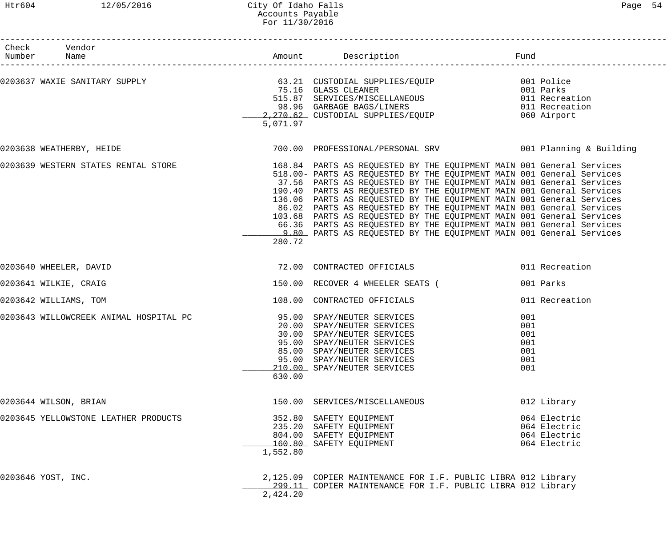# Htr604 12/05/2016 City Of Idaho Falls Page 54 Accounts Payable For 11/30/2016

| Check Vendor<br>Number Name                                                                                                                                                                                                                  |          |                                                                                                                                                                                                                                                                                                                                                                                                                                                                                                                                                                                          |                                                              |
|----------------------------------------------------------------------------------------------------------------------------------------------------------------------------------------------------------------------------------------------|----------|------------------------------------------------------------------------------------------------------------------------------------------------------------------------------------------------------------------------------------------------------------------------------------------------------------------------------------------------------------------------------------------------------------------------------------------------------------------------------------------------------------------------------------------------------------------------------------------|--------------------------------------------------------------|
| 0203637 WAXIE SANITARY SUPPLY<br>75.16 GLASS CLEANER<br>75.16 GLASS CLEANER<br>515.87 SERVICES/MISCELLANEOUS<br>98.96 GARBAGE BAGS/LINERS<br>2,270.62_CUSTODIAL SUPPLIES/EQUIP<br>2,270.62_CUSTODIAL SUPPLIES/EQUIP<br>2,270.62_CUSTODIAL SU | 5,071.97 |                                                                                                                                                                                                                                                                                                                                                                                                                                                                                                                                                                                          |                                                              |
| 0203638 WEATHERBY, HEIDE                                                                                                                                                                                                                     |          | 700.00 PROFESSIONAL/PERSONAL SRV 001 Planning & Building                                                                                                                                                                                                                                                                                                                                                                                                                                                                                                                                 |                                                              |
| 0203639 WESTERN STATES RENTAL STORE THE STORE 168.84 PARTS AS REQUESTED BY THE EQUIPMENT MAIN 001 General Services                                                                                                                           | 280.72   | 518.00- PARTS AS REQUESTED BY THE EQUIPMENT MAIN 001 General Services<br>37.56 PARTS AS REQUESTED BY THE EQUIPMENT MAIN 001 General Services<br>190.40 PARTS AS REQUESTED BY THE EQUIPMENT MAIN 001 General Services<br>136.06 PARTS AS REQUESTED BY THE EQUIPMENT MAIN 001 General Services<br>86.02 PARTS AS REQUESTED BY THE EQUIPMENT MAIN 001 General Services<br>103.68 PARTS AS REQUESTED BY THE EQUIPMENT MAIN 001 General Services<br>66.36 PARTS AS REQUESTED BY THE EQUIPMENT MAIN 001 General Services<br>9.80 PARTS AS REQUESTED BY THE EQUIPMENT MAIN 001 General Services |                                                              |
| 0203640 WHEELER, DAVID                                                                                                                                                                                                                       |          | 72.00 CONTRACTED OFFICIALS                                                                                                                                                                                                                                                                                                                                                                                                                                                                                                                                                               | 011 Recreation                                               |
| 0203641 WILKIE, CRAIG                                                                                                                                                                                                                        |          | 150.00 RECOVER 4 WHEELER SEATS (                                                                                                                                                                                                                                                                                                                                                                                                                                                                                                                                                         | 001 Parks                                                    |
| 0203642 WILLIAMS, TOM                                                                                                                                                                                                                        |          | 108.00 CONTRACTED OFFICIALS                                                                                                                                                                                                                                                                                                                                                                                                                                                                                                                                                              | 011 Recreation                                               |
|                                                                                                                                                                                                                                              | 630.00   | 30.00 SPAY/NEUTER SERVICES<br>95.00 SPAY/NEUTER SERVICES<br>85.00 SPAY/NEUTER SERVICES<br>95.00 SPAY/NEUTER SERVICES<br>210.00 SPAY/NEUTER SERVICES                                                                                                                                                                                                                                                                                                                                                                                                                                      | 001<br>001<br>001<br>001<br>001<br>001<br>001                |
| 0203644 WILSON, BRIAN                                                                                                                                                                                                                        |          | 150.00 SERVICES/MISCELLANEOUS                                                                                                                                                                                                                                                                                                                                                                                                                                                                                                                                                            | 012 Library                                                  |
| 0203645 YELLOWSTONE LEATHER PRODUCTS                                                                                                                                                                                                         | 1,552.80 | 352.80 SAFETY EQUIPMENT<br>235.20 SAFETY EQUIPMENT<br>804.00 SAFETY EQUIPMENT<br>160.80 SAFETY EQUIPMENT                                                                                                                                                                                                                                                                                                                                                                                                                                                                                 | 064 Electric<br>064 Electric<br>064 Electric<br>064 Electric |
| 0203646 YOST, INC.                                                                                                                                                                                                                           | 2,424.20 | 2,125.09 COPIER MAINTENANCE FOR I.F. PUBLIC LIBRA 012 Library<br>299.11 COPIER MAINTENANCE FOR I.F. PUBLIC LIBRA 012 Library                                                                                                                                                                                                                                                                                                                                                                                                                                                             |                                                              |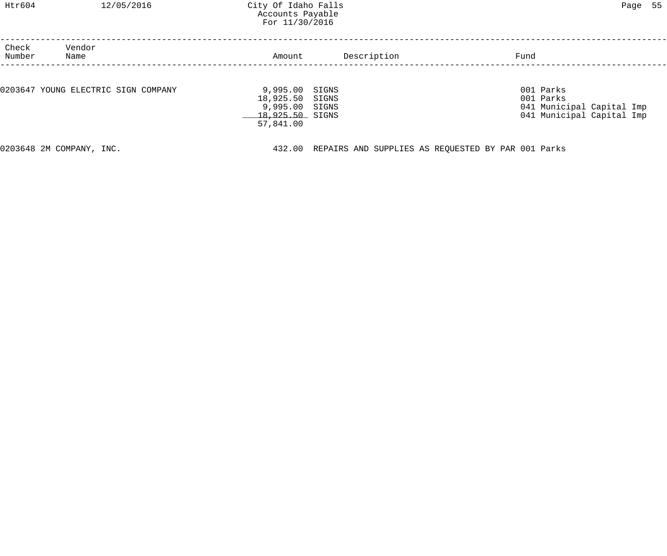# Htr604 12/05/2016 City Of Idaho Falls Page 55 Accounts Payable For 11/30/2016

| Check<br>Number                     | Vendor<br>Name           | Amount          | Description                                        | Fund                      |  |
|-------------------------------------|--------------------------|-----------------|----------------------------------------------------|---------------------------|--|
|                                     |                          |                 |                                                    |                           |  |
| 0203647 YOUNG ELECTRIC SIGN COMPANY |                          | 9,995.00        | SIGNS                                              | 001 Parks                 |  |
|                                     |                          | 18,925.50 SIGNS |                                                    | 001 Parks                 |  |
|                                     |                          | 9,995.00 SIGNS  |                                                    | 041 Municipal Capital Imp |  |
|                                     |                          | 18,925.50 SIGNS |                                                    | 041 Municipal Capital Imp |  |
|                                     |                          | 57,841.00       |                                                    |                           |  |
|                                     |                          |                 |                                                    |                           |  |
|                                     | 0203648 2M COMPANY, INC. | 432.00          | REPAIRS AND SUPPLIES AS REQUESTED BY PAR 001 Parks |                           |  |